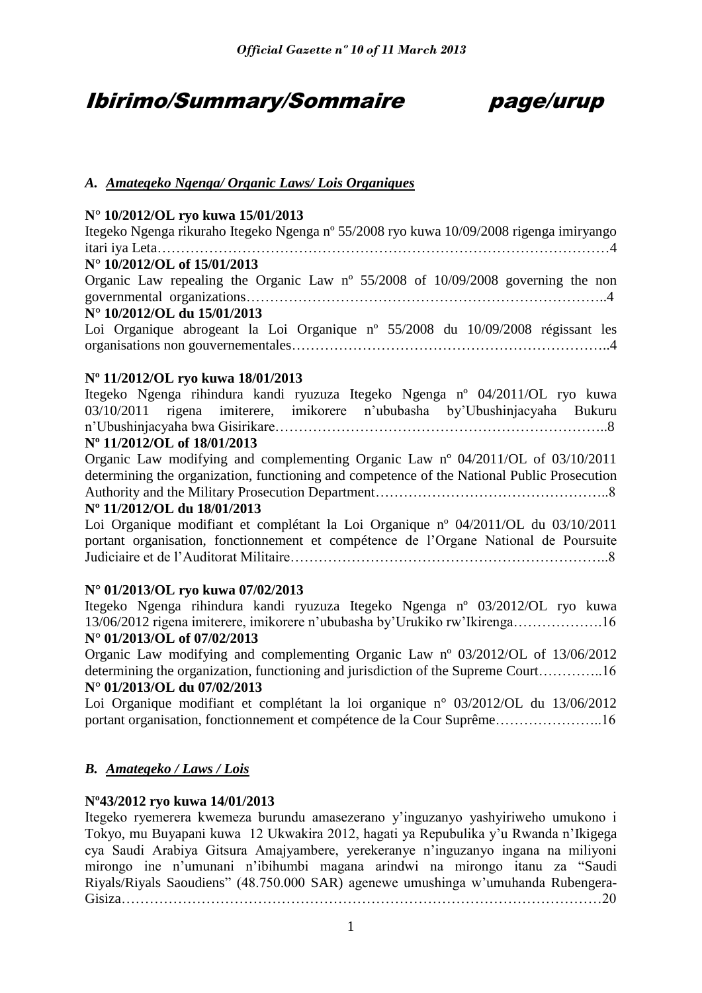# Ibirimo/Summary/Sommaire page/urup

# *A. Amategeko Ngenga/ Organic Laws/ Lois Organiques*

# **N° 10/2012/OL ryo kuwa 15/01/2013**

Itegeko Ngenga rikuraho Itegeko Ngenga nº 55/2008 ryo kuwa 10/09/2008 rigenga imiryango itari iya Leta……………………………………………………………………………………4 **N° 10/2012/OL of 15/01/2013** Organic Law repealing the Organic Law  $n^{\circ}$  55/2008 of 10/09/2008 governing the non governmental organizations…………………………………………………………………..4 **N° 10/2012/OL du 15/01/2013** Loi Organique abrogeant la Loi Organique nº 55/2008 du 10/09/2008 régissant les organisations non gouvernementales…………………………………………………………..4

# **Nº 11/2012/OL ryo kuwa 18/01/2013**

Itegeko Ngenga rihindura kandi ryuzuza Itegeko Ngenga nº 04/2011/OL ryo kuwa 03/10/2011 rigena imiterere, imikorere n'ububasha by'Ubushinjacyaha Bukuru n'Ubushinjacyaha bwa Gisirikare……………………………………………………………..8

# **Nº 11/2012/OL of 18/01/2013**

Organic Law modifying and complementing Organic Law nº 04/2011/OL of 03/10/2011 determining the organization, functioning and competence of the National Public Prosecution Authority and the Military Prosecution Department…………………………………………..8

## **Nº 11/2012/OL du 18/01/2013**

Loi Organique modifiant et complétant la Loi Organique nº 04/2011/OL du 03/10/2011 portant organisation, fonctionnement et compétence de l'Organe National de Poursuite Judiciaire et de l'Auditorat Militaire…………………………………………………………..8

# **N° 01/2013/OL ryo kuwa 07/02/2013**

Itegeko Ngenga rihindura kandi ryuzuza Itegeko Ngenga nº 03/2012/OL ryo kuwa 13/06/2012 rigena imiterere, imikorere n'ububasha by'Urukiko rw'Ikirenga……………….16

# **N° 01/2013/OL of 07/02/2013**

Organic Law modifying and complementing Organic Law nº 03/2012/OL of 13/06/2012 determining the organization, functioning and jurisdiction of the Supreme Court…………..16 **N° 01/2013/OL du 07/02/2013**

Loi Organique modifiant et complétant la loi organique n° 03/2012/OL du 13/06/2012 portant organisation, fonctionnement et compétence de la Cour Suprême…………………..16

# *B. Amategeko / Laws / Lois*

## **Nº43/2012 ryo kuwa 14/01/2013**

Itegeko ryemerera kwemeza burundu amasezerano y'inguzanyo yashyiriweho umukono i Tokyo, mu Buyapani kuwa 12 Ukwakira 2012, hagati ya Repubulika y'u Rwanda n'Ikigega cya Saudi Arabiya Gitsura Amajyambere, yerekeranye n'inguzanyo ingana na miliyoni mirongo ine n'umunani n'ibihumbi magana arindwi na mirongo itanu za "Saudi Riyals/Riyals Saoudiens" (48.750.000 SAR) agenewe umushinga w'umuhanda Rubengera-Gisiza…………………………………………………………………………………………20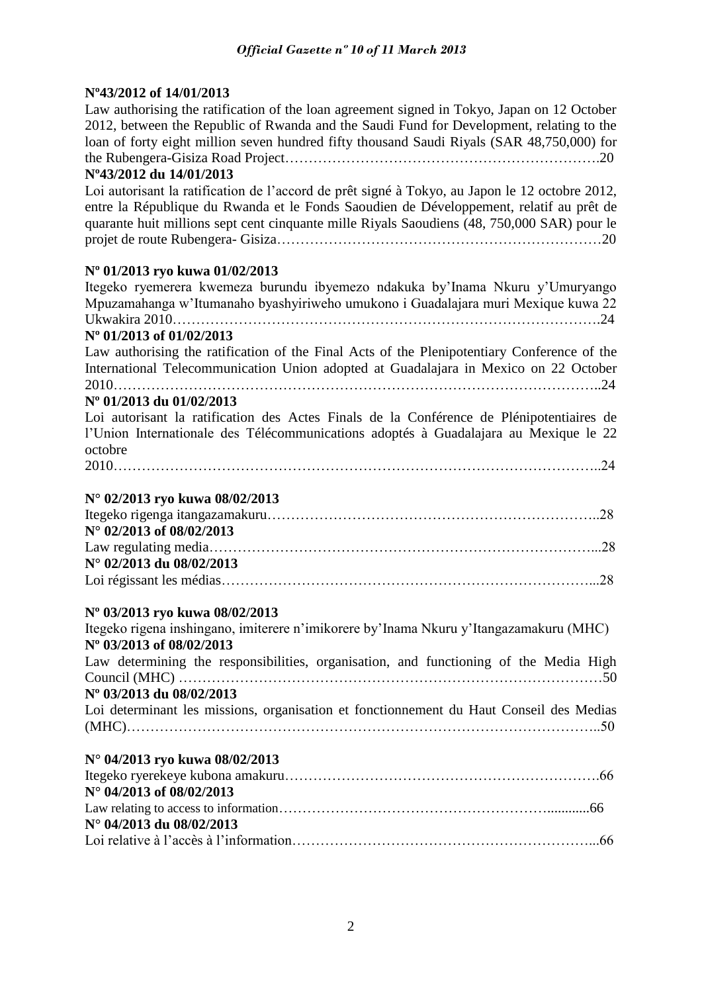# **Nº43/2012 of 14/01/2013**

Law authorising the ratification of the loan agreement signed in Tokyo, Japan on 12 October 2012, between the Republic of Rwanda and the Saudi Fund for Development, relating to the loan of forty eight million seven hundred fifty thousand Saudi Riyals (SAR 48,750,000) for the Rubengera-Gisiza Road Project………………………………………………………….20

# **Nº43/2012 du 14/01/2013**

Loi autorisant la ratification de l'accord de prêt signé à Tokyo, au Japon le 12 octobre 2012, entre la République du Rwanda et le Fonds Saoudien de Développement, relatif au prêt de quarante huit millions sept cent cinquante mille Riyals Saoudiens (48, 750,000 SAR) pour le projet de route Rubengera- Gisiza……………………………………………………………20

# **Nº 01/2013 ryo kuwa 01/02/2013**

Itegeko ryemerera kwemeza burundu ibyemezo ndakuka by'Inama Nkuru y'Umuryango Mpuzamahanga w'Itumanaho byashyiriweho umukono i Guadalajara muri Mexique kuwa 22 Ukwakira 2010……………………………………………………………………………….24 **Nº 01/2013 of 01/02/2013** 

Law authorising the ratification of the Final Acts of the Plenipotentiary Conference of the International Telecommunication Union adopted at Guadalajara in Mexico on 22 October  $2010$  24

# **Nº 01/2013 du 01/02/2013**

Loi autorisant la ratification des Actes Finals de la Conférence de Plénipotentiaires de l'Union Internationale des Télécommunications adoptés à Guadalajara au Mexique le 22 octobre

2010…………………………………………………………………………………………..24

# **N° 02/2013 ryo kuwa 08/02/2013**

| $N^{\circ}$ 02/2013 of 08/02/2013 |  |
|-----------------------------------|--|
|                                   |  |
| N° 02/2013 du 08/02/2013          |  |
|                                   |  |

# **Nº 03/2013 ryo kuwa 08/02/2013**

| Itegeko rigena inshingano, imiterere n'imikorere by'Inama Nkuru y'Itangazamakuru (MHC)  |
|-----------------------------------------------------------------------------------------|
| N° 03/2013 of 08/02/2013                                                                |
| Law determining the responsibilities, organisation, and functioning of the Media High   |
|                                                                                         |
| N° 03/2013 du 08/02/2013                                                                |
| Loi determinant les missions, organisation et fonctionnement du Haut Conseil des Medias |
|                                                                                         |
| $\mathbf{M}^{\odot}$ 0.4/9012 $\mathbf{m}$ 1 $\mathbf{m}$ 0.0/09/9012                   |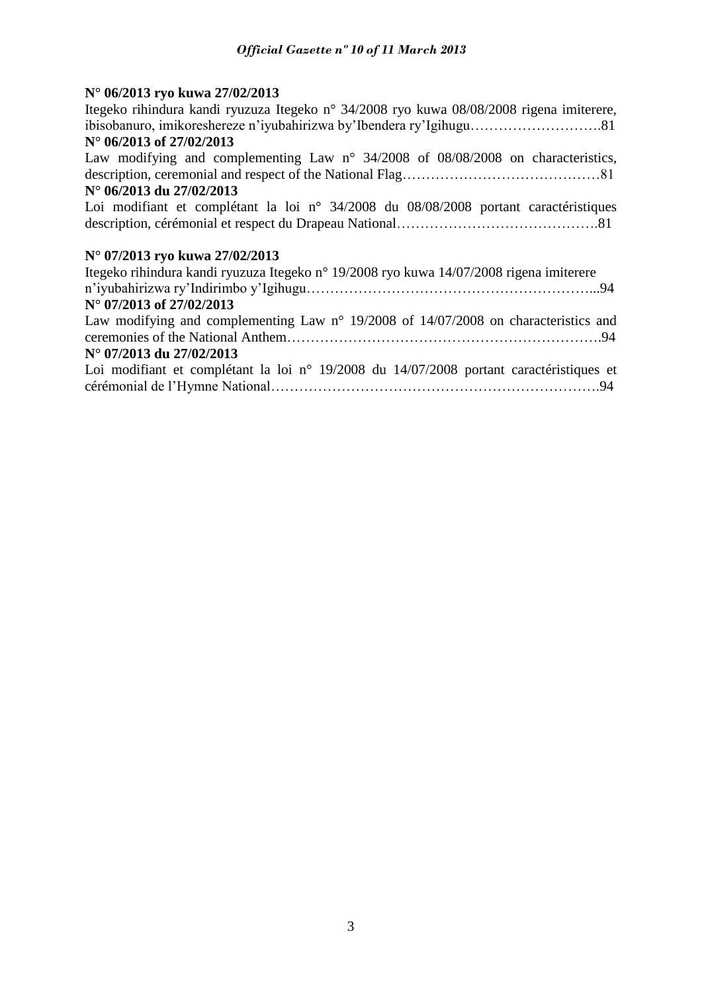# **N° 06/2013 ryo kuwa 27/02/2013**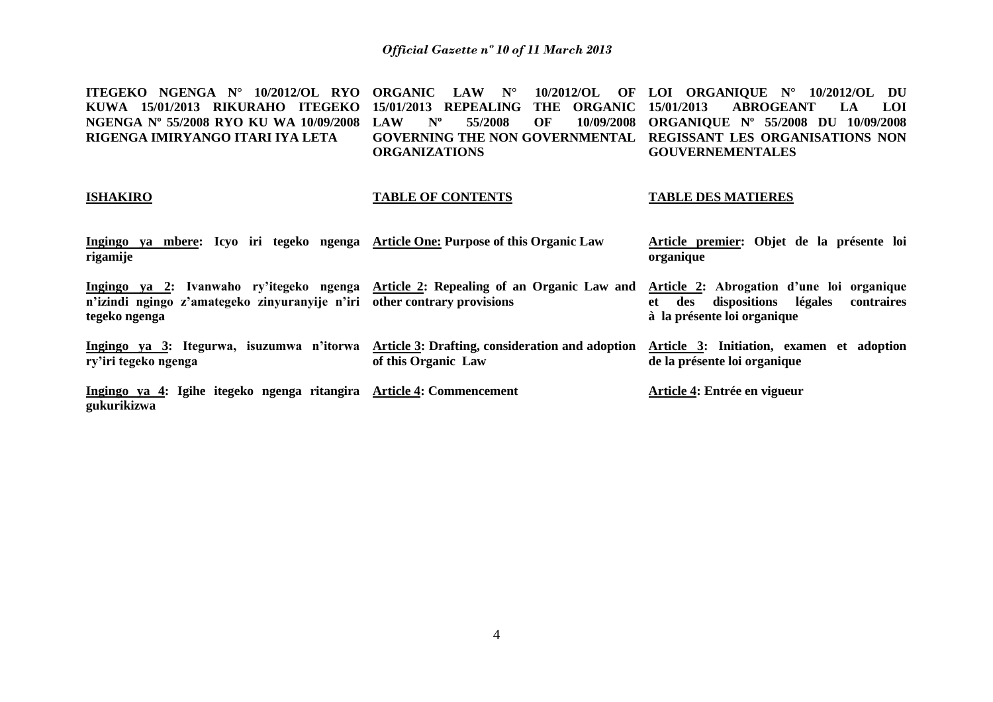| ITEGEKO NGENGA N° 10/2012/OL RYO ORGANIC LAW N° 10/2012/OL OF LOI ORGANIQUE N° 10/2012/OL DU           |                                                                |                         |
|--------------------------------------------------------------------------------------------------------|----------------------------------------------------------------|-------------------------|
| KUWA 15/01/2013 RIKURAHO ITEGEKO 15/01/2013 REPEALING THE ORGANIC 15/01/2013 ABROGEANT LA LOI          |                                                                |                         |
| NGENGA N° 55/2008 RYO KU WA 10/09/2008 LAW N° 55/2008 OF 10/09/2008 ORGANIOUE N° 55/2008 DU 10/09/2008 |                                                                |                         |
| RIGENGA IMIRYANGO ITARI IYA LETA                                                                       | GOVERNING THE NON GOVERNMENTAL REGISSANT LES ORGANISATIONS NON |                         |
|                                                                                                        | <b>ORGANIZATIONS</b>                                           | <b>GOUVERNEMENTALES</b> |

# **ISHAKIRO**

# **TABLE OF CONTENTS**

# **TABLE DES MATIERES**

| Ingingo ya mbere: Icyo iri tegeko ngenga Article One: Purpose of this Organic Law<br>rigamije                                                                                    |                                                                               | Article premier: Objet de la présente loi<br>organique                                                                      |
|----------------------------------------------------------------------------------------------------------------------------------------------------------------------------------|-------------------------------------------------------------------------------|-----------------------------------------------------------------------------------------------------------------------------|
| Ingingo ya 2: Ivanwaho ry'itegeko ngenga Article 2: Repealing of an Organic Law and<br>n'izindi ngingo z'amategeko zinyuranyije n'iri other contrary provisions<br>tegeko ngenga |                                                                               | Article 2: Abrogation d'une loi organique<br>dispositions légales<br>contraires<br>des<br>et<br>à la présente loi organique |
| Ingingo ya 3: Itegurwa, isuzumwa n'itorwa<br>ry'iri tegeko ngenga                                                                                                                | <b>Article 3: Drafting, consideration and adoption</b><br>of this Organic Law | Article 3: Initiation, examen et adoption<br>de la présente loi organique                                                   |
| Ingingo ya 4: Igihe itegeko ngenga ritangira Article 4: Commencement<br>gukurikizwa                                                                                              |                                                                               | Article 4: Entrée en vigueur                                                                                                |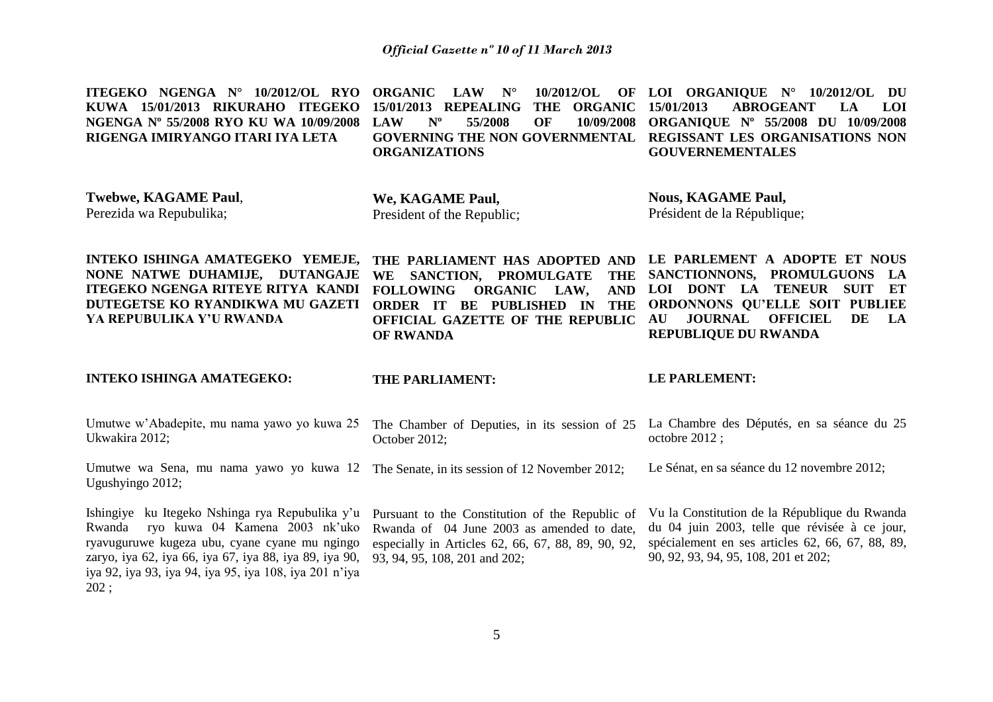| ITEGEKO NGENGA N° 10/2012/OL RYO<br>KUWA 15/01/2013 RIKURAHO ITEGEKO<br>NGENGA Nº 55/2008 RYO KU WA 10/09/2008<br>RIGENGA IMIRYANGO ITARI IYA LETA                      | 10/2012/OL<br><b>ORGANIC</b><br><b>LAW</b><br>OF<br>$N^{\circ}$<br><b>THE</b><br><b>ORGANIC</b><br>15/01/2013<br><b>REPEALING</b><br>$N^{\rm o}$<br>55/2008<br>OF<br>10/09/2008<br><b>LAW</b><br><b>GOVERNING THE NON GOVERNMENTAL</b><br><b>ORGANIZATIONS</b> | LOI ORGANIQUE $N^{\circ}$ 10/2012/OL<br>DU<br>15/01/2013<br><b>ABROGEANT</b><br>LOI<br>LA<br>ORGANIQUE Nº 55/2008 DU 10/09/2008<br>REGISSANT LES ORGANISATIONS NON<br><b>GOUVERNEMENTALES</b>                                                 |
|-------------------------------------------------------------------------------------------------------------------------------------------------------------------------|----------------------------------------------------------------------------------------------------------------------------------------------------------------------------------------------------------------------------------------------------------------|-----------------------------------------------------------------------------------------------------------------------------------------------------------------------------------------------------------------------------------------------|
| <b>Twebwe, KAGAME Paul,</b><br>Perezida wa Repubulika;                                                                                                                  | We, KAGAME Paul,<br>President of the Republic;                                                                                                                                                                                                                 | <b>Nous, KAGAME Paul,</b><br>Président de la République;                                                                                                                                                                                      |
| INTEKO ISHINGA AMATEGEKO YEMEJE,<br>NONE NATWE DUHAMIJE, DUTANGAJE<br>ITEGEKO NGENGA RITEYE RITYA KANDI<br>DUTEGETSE KO RYANDIKWA MU GAZETI<br>YA REPUBULIKA Y'U RWANDA | THE PARLIAMENT HAS ADOPTED AND<br>SANCTION, PROMULGATE<br><b>THE</b><br>WE<br><b>FOLLOWING</b><br><b>ORGANIC</b><br><b>AND</b><br>LAW,<br><b>BE PUBLISHED IN</b><br><b>THE</b><br><b>ORDER IT</b><br>OFFICIAL GAZETTE OF THE REPUBLIC<br><b>OF RWANDA</b>      | LE PARLEMENT A ADOPTE ET NOUS<br>SANCTIONNONS, PROMULGUONS<br>LA<br>LOI DONT LA<br><b>TENEUR</b><br><b>SUIT</b><br>ET<br>ORDONNONS QU'ELLE SOIT PUBLIEE<br><b>OFFICIEL</b><br>DE<br><b>JOURNAL</b><br>LA<br>AU<br><b>REPUBLIQUE DU RWANDA</b> |
|                                                                                                                                                                         |                                                                                                                                                                                                                                                                |                                                                                                                                                                                                                                               |
| <b>INTEKO ISHINGA AMATEGEKO:</b>                                                                                                                                        | THE PARLIAMENT:                                                                                                                                                                                                                                                | <b>LE PARLEMENT:</b>                                                                                                                                                                                                                          |
| Umutwe w'Abadepite, mu nama yawo yo kuwa 25<br>Ukwakira 2012;                                                                                                           | The Chamber of Deputies, in its session of 25<br>October 2012;                                                                                                                                                                                                 | La Chambre des Députés, en sa séance du 25<br>octobre 2012;                                                                                                                                                                                   |
| Umutwe wa Sena, mu nama yawo yo kuwa 12<br>Ugushyingo 2012;                                                                                                             | The Senate, in its session of 12 November 2012;                                                                                                                                                                                                                | Le Sénat, en sa séance du 12 novembre 2012;                                                                                                                                                                                                   |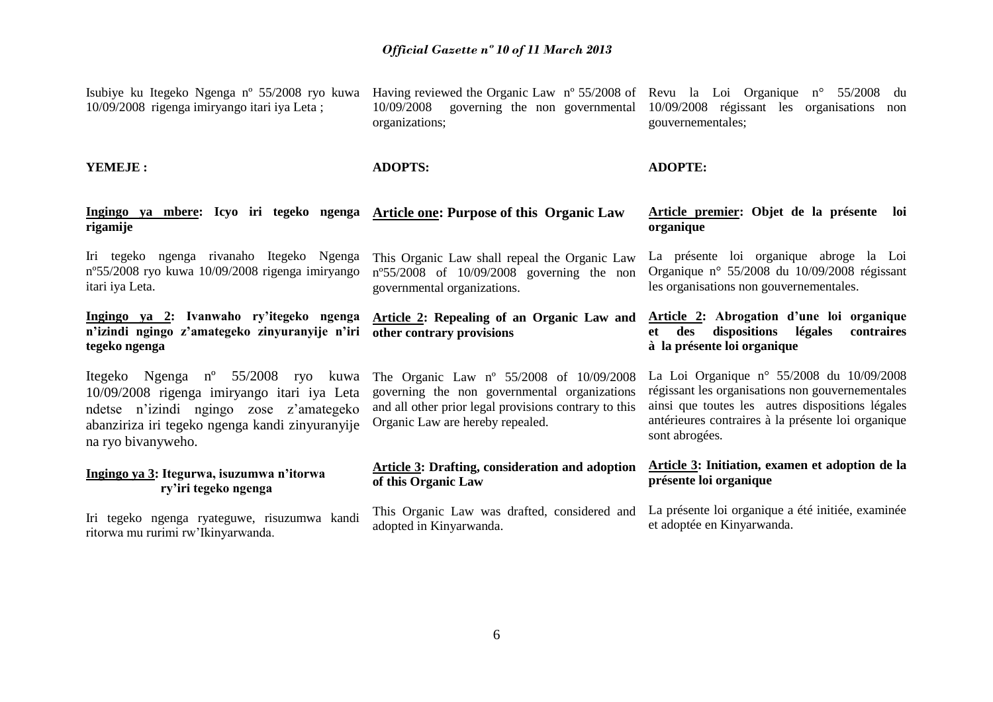| Isubiye ku Itegeko Ngenga n° 55/2008 ryo kuwa<br>10/09/2008 rigenga imiryango itari iya Leta;                                                                                                                     | Having reviewed the Organic Law $n^{\circ}$ 55/2008 of Revu la Loi Organique $n^{\circ}$ 55/2008<br>10/09/2008<br>organizations;                                                      | du<br>governing the non governmental 10/09/2008 régissant les organisations<br>non<br>gouvernementales;                                                                                                                     |
|-------------------------------------------------------------------------------------------------------------------------------------------------------------------------------------------------------------------|---------------------------------------------------------------------------------------------------------------------------------------------------------------------------------------|-----------------------------------------------------------------------------------------------------------------------------------------------------------------------------------------------------------------------------|
| YEMEJE:                                                                                                                                                                                                           | <b>ADOPTS:</b>                                                                                                                                                                        | <b>ADOPTE:</b>                                                                                                                                                                                                              |
| Ingingo ya mbere: Icyo iri tegeko ngenga<br>rigamije                                                                                                                                                              | Article one: Purpose of this Organic Law                                                                                                                                              | Article premier: Objet de la présente loi<br>organique                                                                                                                                                                      |
| Iri tegeko ngenga rivanaho Itegeko Ngenga<br>n°55/2008 ryo kuwa 10/09/2008 rigenga imiryango<br>itari iya Leta.                                                                                                   | This Organic Law shall repeal the Organic Law<br>$n^{\circ}55/2008$ of 10/09/2008 governing the non<br>governmental organizations.                                                    | La présente loi organique abroge la Loi<br>Organique nº 55/2008 du $10/09/2008$ régissant<br>les organisations non gouvernementales.                                                                                        |
| Ingingo ya 2: Ivanwaho ry'itegeko ngenga<br>n'izindi ngingo z'amategeko zinyuranyije n'iri<br>tegeko ngenga                                                                                                       | <b>Article 2: Repealing of an Organic Law and</b><br>other contrary provisions                                                                                                        | Article 2: Abrogation d'une loi organique<br>dispositions<br>légales<br>contraires<br>et —<br>des<br>à la présente loi organique                                                                                            |
| Itegeko Ngenga n <sup>o</sup> 55/2008 ryo kuwa<br>10/09/2008 rigenga imiryango itari iya Leta<br>ndetse n'izindi ngingo zose z'amategeko<br>abanziriza iri tegeko ngenga kandi zinyuranyije<br>na ryo bivanyweho. | The Organic Law nº 55/2008 of 10/09/2008<br>governing the non governmental organizations<br>and all other prior legal provisions contrary to this<br>Organic Law are hereby repealed. | La Loi Organique nº 55/2008 du $10/09/2008$<br>régissant les organisations non gouvernementales<br>ainsi que toutes les autres dispositions légales<br>antérieures contraires à la présente loi organique<br>sont abrogées. |
| Ingingo ya 3: Itegurwa, isuzumwa n'itorwa<br>ry'iri tegeko ngenga                                                                                                                                                 | Article 3: Drafting, consideration and adoption<br>of this Organic Law                                                                                                                | Article 3: Initiation, examen et adoption de la<br>présente loi organique                                                                                                                                                   |
| Iri tegeko ngenga ryateguwe, risuzumwa kandi<br>ritorwa mu rurimi rw'Ikinyarwanda.                                                                                                                                | This Organic Law was drafted, considered and<br>adopted in Kinyarwanda.                                                                                                               | La présente loi organique a été initiée, examinée<br>et adoptée en Kinyarwanda.                                                                                                                                             |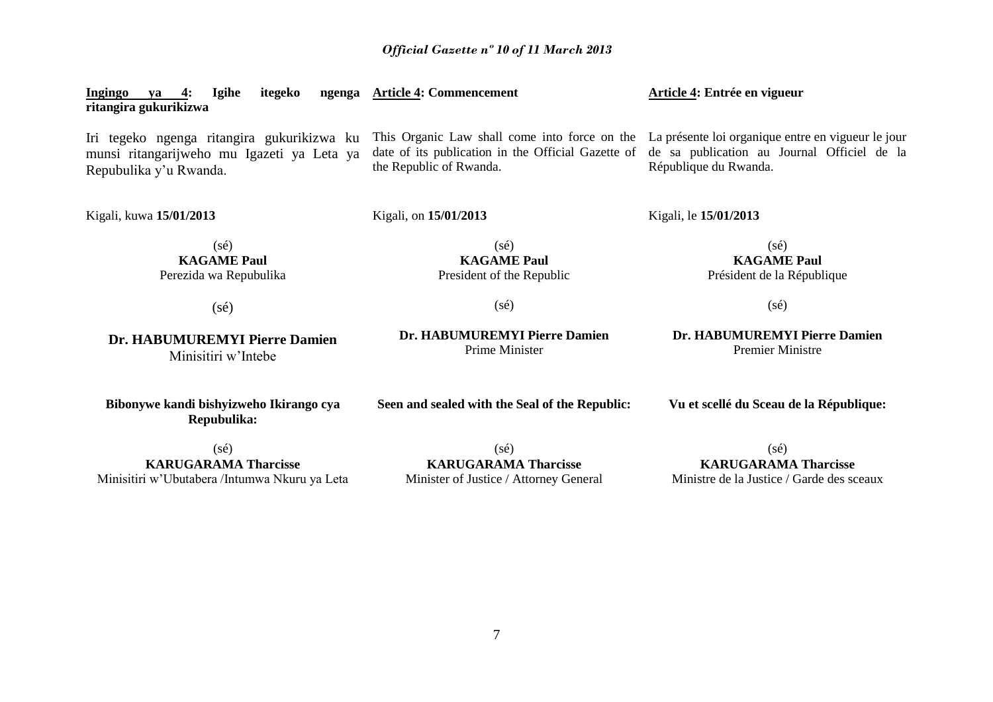| <b>Ingingo</b><br>Igihe<br>itegeko<br>ngenga<br>va<br>ritangira gukurikizwa                                        | <b>Article 4: Commencement</b>                                                                                                                                                    | Article 4: Entrée en vigueur                                         |
|--------------------------------------------------------------------------------------------------------------------|-----------------------------------------------------------------------------------------------------------------------------------------------------------------------------------|----------------------------------------------------------------------|
| Iri tegeko ngenga ritangira gukurikizwa ku<br>munsi ritangarijweho mu Igazeti ya Leta ya<br>Repubulika y'u Rwanda. | This Organic Law shall come into force on the La présente loi organique entre en vigueur le jour<br>date of its publication in the Official Gazette of<br>the Republic of Rwanda. | de sa publication au Journal Officiel de la<br>République du Rwanda. |
| Kigali, kuwa 15/01/2013                                                                                            | Kigali, on 15/01/2013                                                                                                                                                             | Kigali, le 15/01/2013                                                |
| $(s\acute{e})$<br><b>KAGAME Paul</b><br>Perezida wa Repubulika                                                     | $(s\acute{e})$<br><b>KAGAME Paul</b><br>President of the Republic                                                                                                                 | $(s\acute{e})$<br><b>KAGAME Paul</b><br>Président de la République   |
| $(s\acute{e})$                                                                                                     | $(s\acute{e})$                                                                                                                                                                    | $(s\acute{e})$                                                       |
| Dr. HABUMUREMYI Pierre Damien<br>Minisitiri w'Intebe                                                               | Dr. HABUMUREMYI Pierre Damien<br>Prime Minister                                                                                                                                   | Dr. HABUMUREMYI Pierre Damien<br><b>Premier Ministre</b>             |
| Bibonywe kandi bishyizweho Ikirango cya<br>Repubulika:                                                             | Seen and sealed with the Seal of the Republic:                                                                                                                                    | Vu et scellé du Sceau de la République:                              |
| $(s\acute{e})$                                                                                                     | $(s\acute{e})$                                                                                                                                                                    | $(s\acute{e})$                                                       |
| <b>KARUGARAMA Tharcisse</b>                                                                                        | <b>KARUGARAMA Tharcisse</b>                                                                                                                                                       | <b>KARUGARAMA Tharcisse</b>                                          |

Minisitiri w'Ubutabera /Intumwa Nkuru ya Leta

**KARUGARAMA Tharcisse** Minister of Justice / Attorney General

**KARUGARAMA Tharcisse** Ministre de la Justice / Garde des sceaux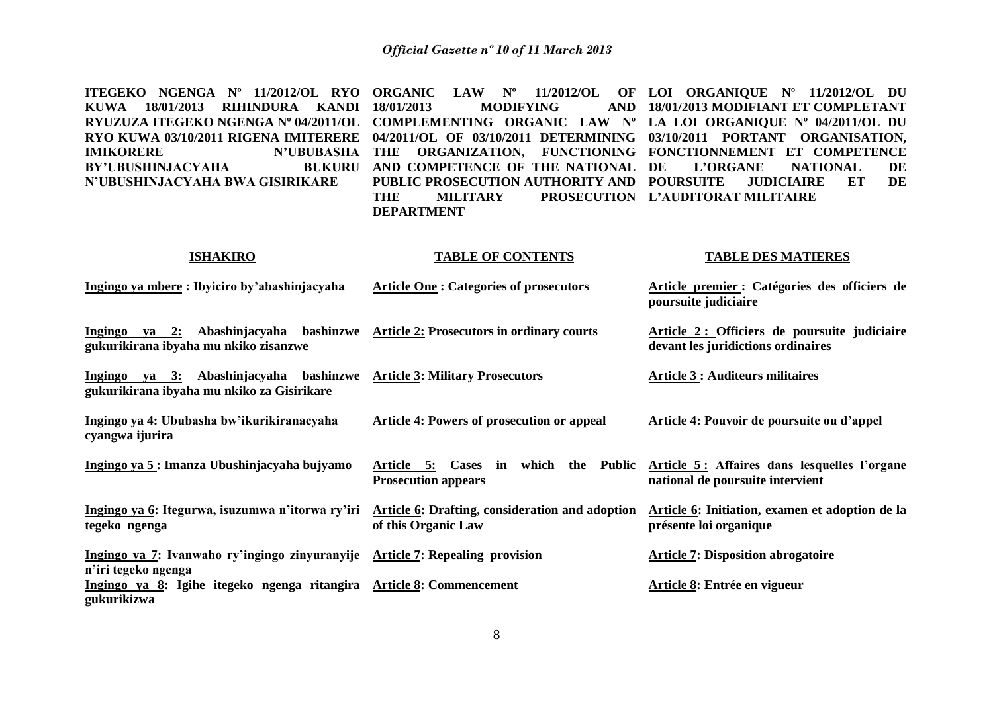| ITEGEKO NGENGA Nº 11/2012/OL RYO<br>18/01/2013<br><b>RIHINDURA</b><br><b>KANDI</b><br><b>KUWA</b><br>RYUZUZA ITEGEKO NGENGA Nº 04/2011/OL<br>RYO KUWA 03/10/2011 RIGENA IMITERERE<br><b>N'UBUBASHA</b><br><b>IMIKORERE</b><br>BY'UBUSHINJACYAHA<br><b>BUKURU</b><br>N'UBUSHINJACYAHA BWA GISIRIKARE | <b>ORGANIC</b><br>$\mathbf{LAW}$ $\mathbf{N}^{\mathbf{o}}$<br>18/01/2013<br><b>MODIFYING</b><br><b>AND</b><br>COMPLEMENTING ORGANIC LAW Nº<br>04/2011/OL OF 03/10/2011 DETERMINING<br>ORGANIZATION, FUNCTIONING<br>THE<br>AND COMPETENCE OF THE NATIONAL<br>PUBLIC PROSECUTION AUTHORITY AND<br><b>THE</b><br><b>MILITARY</b><br><b>DEPARTMENT</b> | 11/2012/OL OF LOI ORGANIQUE Nº 11/2012/OL DU<br>18/01/2013 MODIFIANT ET COMPLETANT<br>LA LOI ORGANIQUE Nº 04/2011/OL DU<br>03/10/2011 PORTANT ORGANISATION,<br>FONCTIONNEMENT ET COMPETENCE<br>DE<br>L'ORGANE<br><b>NATIONAL</b><br>DE<br><b>POURSUITE</b><br>ET<br>DE<br><b>JUDICIAIRE</b><br>PROSECUTION L'AUDITORAT MILITAIRE |
|-----------------------------------------------------------------------------------------------------------------------------------------------------------------------------------------------------------------------------------------------------------------------------------------------------|----------------------------------------------------------------------------------------------------------------------------------------------------------------------------------------------------------------------------------------------------------------------------------------------------------------------------------------------------|----------------------------------------------------------------------------------------------------------------------------------------------------------------------------------------------------------------------------------------------------------------------------------------------------------------------------------|
| <b>ISHAKIRO</b>                                                                                                                                                                                                                                                                                     | <b>TABLE OF CONTENTS</b>                                                                                                                                                                                                                                                                                                                           | <b>TABLE DES MATIERES</b>                                                                                                                                                                                                                                                                                                        |
| Ingingo ya mbere: Ibyiciro by'abashinjacyaha                                                                                                                                                                                                                                                        | <b>Article One: Categories of prosecutors</b>                                                                                                                                                                                                                                                                                                      | Article premier : Catégories des officiers de<br>poursuite judiciaire                                                                                                                                                                                                                                                            |
| Ingingo ya 2: Abashinjacyaha<br>gukurikirana ibyaha mu nkiko zisanzwe                                                                                                                                                                                                                               | bashinzwe Article 2: Prosecutors in ordinary courts                                                                                                                                                                                                                                                                                                | Article 2: Officiers de poursuite judiciaire<br>devant les juridictions ordinaires                                                                                                                                                                                                                                               |
| Ingingo ya 3: Abashinjacyaha bashinzwe Article 3: Military Prosecutors<br>gukurikirana ibyaha mu nkiko za Gisirikare                                                                                                                                                                                |                                                                                                                                                                                                                                                                                                                                                    | <b>Article 3 : Auditeurs militaires</b>                                                                                                                                                                                                                                                                                          |
| Ingingo ya 4: Ububasha bw'ikurikiranacyaha<br>cyangwa ijurira                                                                                                                                                                                                                                       | <b>Article 4: Powers of prosecution or appeal</b>                                                                                                                                                                                                                                                                                                  | Article 4: Pouvoir de poursuite ou d'appel                                                                                                                                                                                                                                                                                       |
| Ingingo ya 5: Imanza Ubushinjacyaha bujyamo                                                                                                                                                                                                                                                         | Article 5: Cases in which the Public Article 5: Affaires dans lesquelles l'organe<br><b>Prosecution appears</b>                                                                                                                                                                                                                                    | national de poursuite intervient                                                                                                                                                                                                                                                                                                 |
| Ingingo ya 6: Itegurwa, isuzumwa n'itorwa ry'iri<br>tegeko ngenga                                                                                                                                                                                                                                   | <b>Article 6: Drafting, consideration and adoption</b><br>of this Organic Law                                                                                                                                                                                                                                                                      | Article 6: Initiation, examen et adoption de la<br>présente loi organique                                                                                                                                                                                                                                                        |
| Ingingo ya 7: Ivanwaho ry'ingingo zinyuranyije Article 7: Repealing provision<br>n'iri tegeko ngenga                                                                                                                                                                                                |                                                                                                                                                                                                                                                                                                                                                    | <b>Article 7: Disposition abrogatoire</b>                                                                                                                                                                                                                                                                                        |
| Ingingo ya 8: Igihe itegeko ngenga ritangira Article 8: Commencement<br>gukurikizwa                                                                                                                                                                                                                 |                                                                                                                                                                                                                                                                                                                                                    | Article 8: Entrée en vigueur                                                                                                                                                                                                                                                                                                     |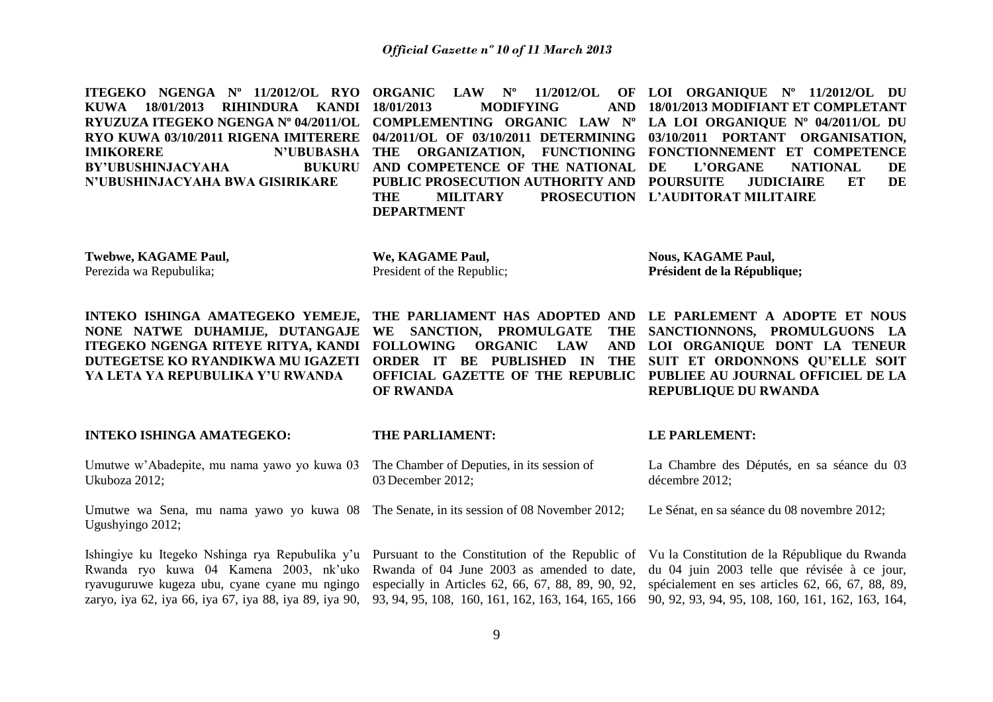| ITEGEKO NGENGA Nº 11/2012/OL RYO<br><b>KUWA</b><br>18/01/2013<br><b>RIHINDURA</b><br><b>KANDI</b><br>RYUZUZA ITEGEKO NGENGA Nº 04/2011/OL<br>RYO KUWA 03/10/2011 RIGENA IMITERERE<br><b>N'UBUBASHA</b><br><b>IMIKORERE</b><br><b>BY'UBUSHINJACYAHA</b><br><b>BUKURU</b><br>N'UBUSHINJACYAHA BWA GISIRIKARE | $N^{\rm o}$<br>11/2012/OL<br><b>ORGANIC</b><br><b>LAW</b><br>18/01/2013<br><b>MODIFYING</b><br><b>AND</b><br>COMPLEMENTING ORGANIC LAW Nº<br>04/2011/OL OF 03/10/2011 DETERMINING<br>ORGANIZATION, FUNCTIONING<br><b>THE</b><br>AND COMPETENCE OF THE NATIONAL<br>PUBLIC PROSECUTION AUTHORITY AND<br><b>THE</b><br><b>MILITARY</b><br><b>PROSECUTION</b><br><b>DEPARTMENT</b> | OF LOI ORGANIQUE Nº 11/2012/OL DU<br>18/01/2013 MODIFIANT ET COMPLETANT<br>LA LOI ORGANIQUE Nº 04/2011/OL DU<br>03/10/2011 PORTANT ORGANISATION,<br>FONCTIONNEMENT ET COMPETENCE<br>DE<br><b>L'ORGANE</b><br><b>NATIONAL</b><br>DE<br><b>POURSUITE</b><br>ET<br>DE<br><b>JUDICIAIRE</b><br>L'AUDITORAT MILITAIRE |
|------------------------------------------------------------------------------------------------------------------------------------------------------------------------------------------------------------------------------------------------------------------------------------------------------------|--------------------------------------------------------------------------------------------------------------------------------------------------------------------------------------------------------------------------------------------------------------------------------------------------------------------------------------------------------------------------------|------------------------------------------------------------------------------------------------------------------------------------------------------------------------------------------------------------------------------------------------------------------------------------------------------------------|
| Twebwe, KAGAME Paul,<br>Perezida wa Repubulika;                                                                                                                                                                                                                                                            | We, KAGAME Paul,<br>President of the Republic;                                                                                                                                                                                                                                                                                                                                 | <b>Nous, KAGAME Paul,</b><br>Président de la République;                                                                                                                                                                                                                                                         |
| INTEKO ISHINGA AMATEGEKO YEMEJE,<br>NONE NATWE DUHAMIJE, DUTANGAJE<br>ITEGEKO NGENGA RITEYE RITYA, KANDI<br>DUTEGETSE KO RYANDIKWA MU IGAZETI<br>YA LETA YA REPUBULIKA Y'U RWANDA                                                                                                                          | THE PARLIAMENT HAS ADOPTED AND<br>WE SANCTION, PROMULGATE<br><b>THE</b><br><b>FOLLOWING</b><br><b>ORGANIC</b><br><b>LAW</b><br><b>AND</b><br><b>PUBLISHED IN</b><br><b>ORDER IT BE</b><br><b>THE</b><br>OFFICIAL GAZETTE OF THE REPUBLIC<br><b>OF RWANDA</b>                                                                                                                   | LE PARLEMENT A ADOPTE ET NOUS<br>SANCTIONNONS, PROMULGUONS LA<br>LOI ORGANIQUE DONT LA TENEUR<br>SUIT ET ORDONNONS QU'ELLE SOIT<br>PUBLIEE AU JOURNAL OFFICIEL DE LA<br><b>REPUBLIQUE DU RWANDA</b>                                                                                                              |
| <b>INTEKO ISHINGA AMATEGEKO:</b>                                                                                                                                                                                                                                                                           | THE PARLIAMENT:                                                                                                                                                                                                                                                                                                                                                                | LE PARLEMENT:                                                                                                                                                                                                                                                                                                    |
| Umutwe w'Abadepite, mu nama yawo yo kuwa 03<br>Ukuboza 2012;                                                                                                                                                                                                                                               | The Chamber of Deputies, in its session of<br>03 December 2012;                                                                                                                                                                                                                                                                                                                | La Chambre des Députés, en sa séance du 03<br>décembre 2012;                                                                                                                                                                                                                                                     |
| Umutwe wa Sena, mu nama yawo yo kuwa 08<br>Ugushyingo 2012;                                                                                                                                                                                                                                                | The Senate, in its session of 08 November 2012;                                                                                                                                                                                                                                                                                                                                | Le Sénat, en sa séance du 08 novembre 2012;                                                                                                                                                                                                                                                                      |
| Ishingiye ku Itegeko Nshinga rya Repubulika y'u<br>Rwanda ryo kuwa 04 Kamena 2003, nk'uko<br>ryavuguruwe kugeza ubu, cyane cyane mu ngingo<br>zaryo, iya 62, iya 66, iya 67, iya 88, iya 89, iya 90,                                                                                                       | Pursuant to the Constitution of the Republic of<br>Rwanda of 04 June 2003 as amended to date,<br>especially in Articles 62, 66, 67, 88, 89, 90, 92,                                                                                                                                                                                                                            | Vu la Constitution de la République du Rwanda<br>du 04 juin 2003 telle que révisée à ce jour,<br>spécialement en ses articles 62, 66, 67, 88, 89,                                                                                                                                                                |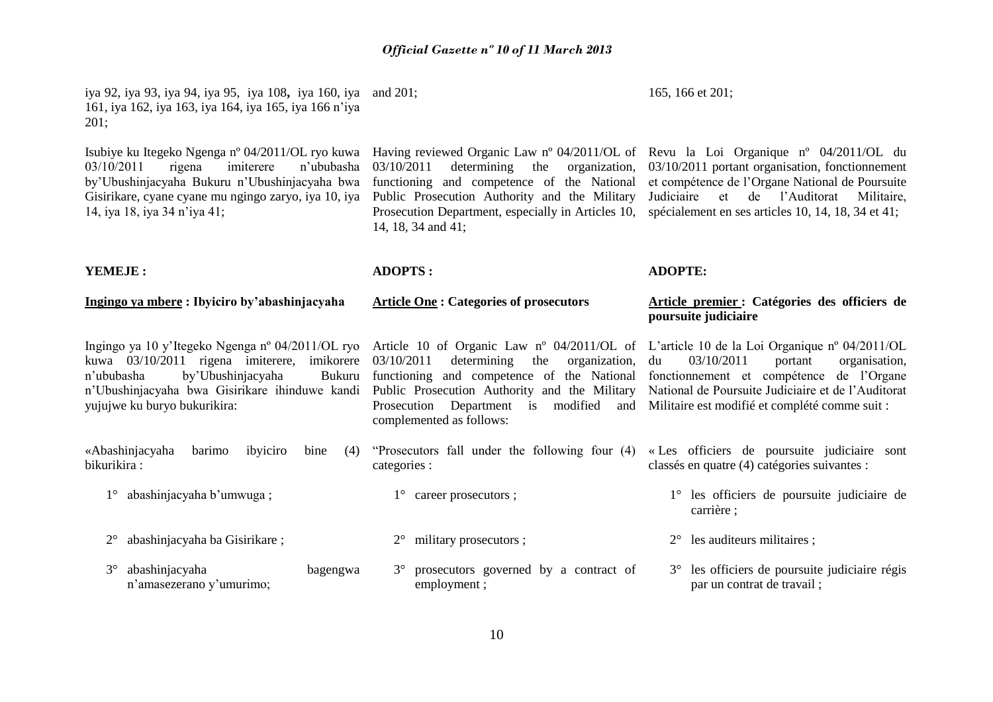iya 92, iya 93, iya 94, iya 95, iya 108**,** iya 160, iya and 201; 161, iya 162, iya 163, iya 164, iya 165, iya 166 n'iya 201;

Isubiye ku Itegeko Ngenga nº 04/2011/OL ryo kuwa 03/10/2011 rigena imiterere n'ububasha by'Ubushinjacyaha Bukuru n'Ubushinjacyaha bwa Gisirikare, cyane cyane mu ngingo zaryo, iya 10, iya 14, iya 18, iya 34 n'iya 41;

03/10/2011 determining the organization, functioning and competence of the National Public Prosecution Authority and the Military Prosecution Department, especially in Articles 10, spécialement en ses articles 10, 14, 18, 34 et 41; 14, 18, 34 and 41;

165, 166 et 201;

Having reviewed Organic Law nº 04/2011/OL of Revu la Loi Organique nº 04/2011/OL du 03/10/2011 portant organisation, fonctionnement et compétence de l'Organe National de Poursuite Judiciaire et de l'Auditorat Militaire,

#### **YEMEJE :**

**Ingingo ya mbere : Ibyiciro by'abashinjacyaha**

#### **Article One : Categories of prosecutors**

**ADOPTS :**

**ADOPTE:**

### **Article premier : Catégories des officiers de poursuite judiciaire**

Ingingo ya 10 y'Itegeko Ngenga nº 04/2011/OL ryo Article 10 of Organic Law nº 04/2011/OL of L'article 10 de la Loi Organique nº 04/2011/OL kuwa 03/10/2011 rigena imiterere, imikorere 03/10/2011 n'ububasha by'Ubushinjacyaha n'Ubushinjacyaha bwa Gisirikare ihinduwe kandi Public Prosecution Authority and the Military yujujwe ku buryo bukurikira:

«Abashinjacyaha barimo ibyiciro bine (4) bikurikira :

- 1° abashinjacyaha b'umwuga ;
- 2° abashinjacyaha ba Gisirikare ;

n'amasezerano y'umurimo;

3° abashinjacyaha bagengwa

determining the organization, functioning and competence of the National Prosecution Department is modified and complemented as follows:

- categories :
	- 1° career prosecutors ;
	- 2° military prosecutors ;
	- 3° prosecutors governed by a contract of employment ;
- du 03/10/2011 portant organisation, fonctionnement et compétence de l'Organe National de Poursuite Judiciaire et de l'Auditorat Militaire est modifié et complété comme suit :
- "Prosecutors fall under the following four (4) « Les officiers de poursuite judiciaire sont classés en quatre (4) catégories suivantes :
	- 1° les officiers de poursuite judiciaire de carrière ;
	- 2° les auditeurs militaires ;
	- 3° les officiers de poursuite judiciaire régis par un contrat de travail ;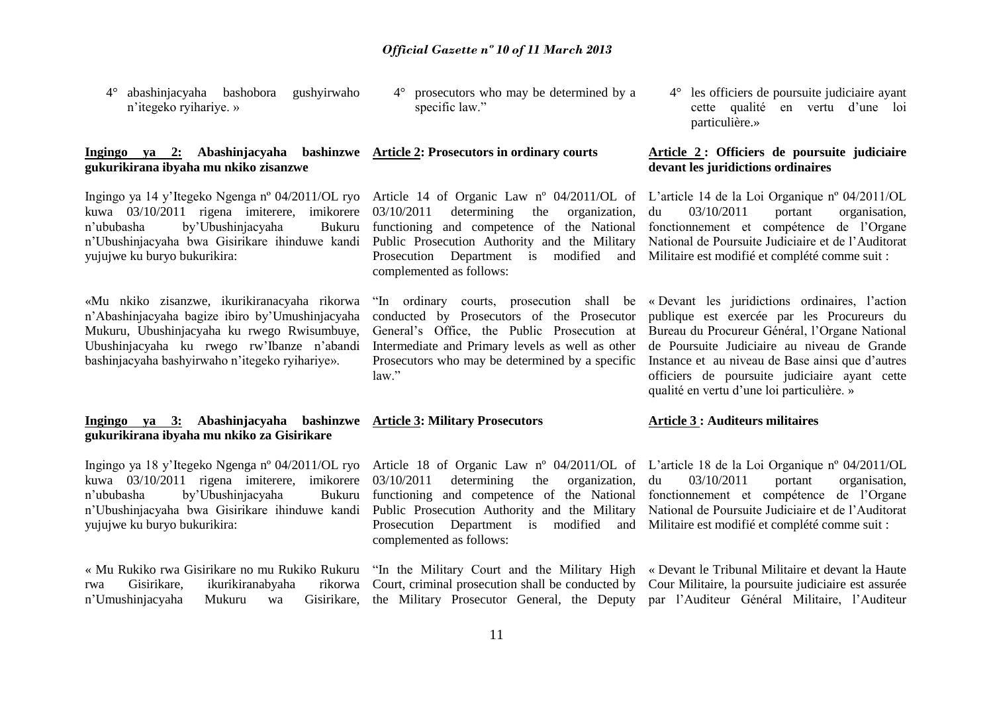4° abashinjacyaha bashobora gushyirwaho n'itegeko ryihariye. »

#### **Ingingo ya 2: Abashinjacyaha bashinzwe Article 2: Prosecutors in ordinary courts gukurikirana ibyaha mu nkiko zisanzwe**

Ingingo ya 14 y'Itegeko Ngenga nº 04/2011/OL ryo Article 14 of Organic Law nº 04/2011/OL of kuwa 03/10/2011 rigena imiterere, imikorere 03/10/2011 n'ububasha by'Ubushinjacyaha Bukuru n'Ubushinjacyaha bwa Gisirikare ihinduwe kandi Public Prosecution Authority and the Military yujujwe ku buryo bukurikira:

«Mu nkiko zisanzwe, ikurikiranacyaha rikorwa n'Abashinjacyaha bagize ibiro by'Umushinjacyaha Mukuru, Ubushinjacyaha ku rwego Rwisumbuye, Ubushinjacyaha ku rwego rw'Ibanze n'abandi bashinjacyaha bashyirwaho n'itegeko ryihariye».

### **Ingingo ya 3: Abashinjacyaha bashinzwe Article 3: Military Prosecutors gukurikirana ibyaha mu nkiko za Gisirikare**

Ingingo ya 18 y'Itegeko Ngenga nº 04/2011/OL ryo Article 18 of Organic Law nº 04/2011/OL of L'article 18 de la Loi Organique nº 04/2011/OL kuwa 03/10/2011 rigena imiterere, imikorere 03/10/2011 n'ububasha by'Ubushinjacyaha n'Ubushinjacyaha bwa Gisirikare ihinduwe kandi Public Prosecution Authority and the Military yujujwe ku buryo bukurikira:

« Mu Rukiko rwa Gisirikare no mu Rukiko Rukuru rwa Gisirikare, ikurikiranabyaha n'Umushinjacyaha Mukuru wa

4° prosecutors who may be determined by a specific law."

determining the organization. functioning and competence of the National Prosecution Department is modified and Militaire est modifié et complété comme suit : complemented as follows:

"In ordinary courts, prosecution shall be conducted by Prosecutors of the Prosecutor General's Office, the Public Prosecution at Intermediate and Primary levels as well as other Prosecutors who may be determined by a specific law."

determining the organization, functioning and competence of the National Prosecution Department is modified and complemented as follows:

Court, criminal prosecution shall be conducted by Cour Militaire, la poursuite judiciaire est assurée

4° les officiers de poursuite judiciaire ayant cette qualité en vertu d'une loi particulière.»

### **Article 2 : Officiers de poursuite judiciaire devant les juridictions ordinaires**

L'article 14 de la Loi Organique nº 04/2011/OL du 03/10/2011 portant organisation, fonctionnement et compétence de l'Organe National de Poursuite Judiciaire et de l'Auditorat

« Devant les juridictions ordinaires, l'action publique est exercée par les Procureurs du Bureau du Procureur Général, l'Organe National de Poursuite Judiciaire au niveau de Grande Instance et au niveau de Base ainsi que d'autres officiers de poursuite judiciaire ayant cette qualité en vertu d'une loi particulière. »

#### **Article 3 : Auditeurs militaires**

du 03/10/2011 portant organisation, fonctionnement et compétence de l'Organe National de Poursuite Judiciaire et de l'Auditorat Militaire est modifié et complété comme suit :

"In the Military Court and the Military High « Devant le Tribunal Militaire et devant la Haute the Military Prosecutor General, the Deputy par l'Auditeur Général Militaire, l'Auditeur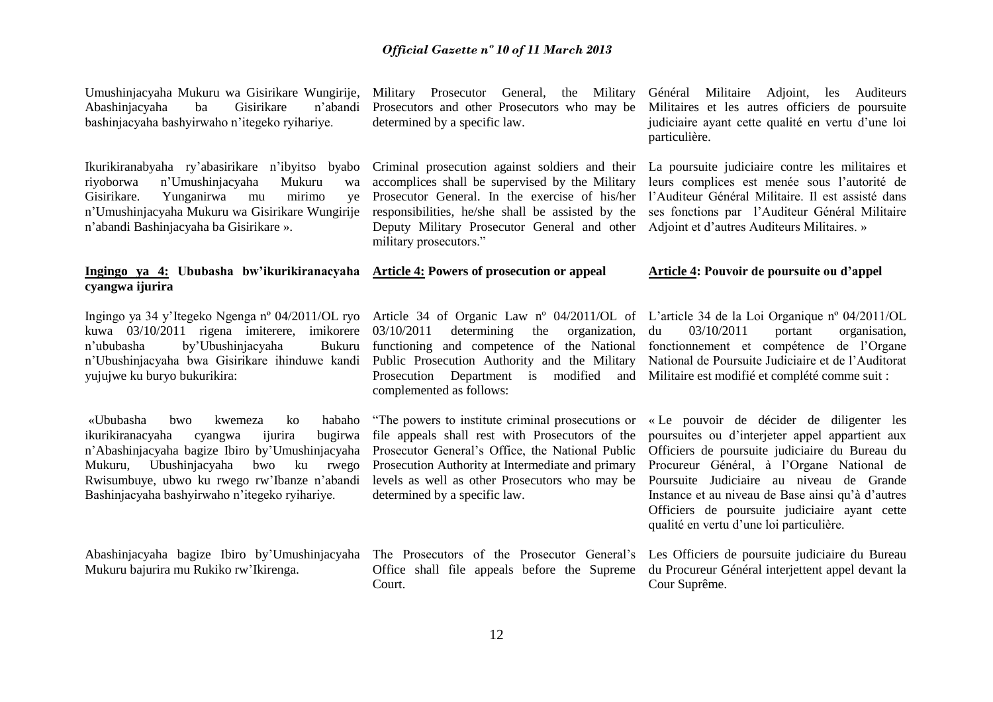Umushinjacyaha Mukuru wa Gisirikare Wungirije, Abashinjacyaha ba Gisirikare n'abandi bashinjacyaha bashyirwaho n'itegeko ryihariye.

Ikurikiranabyaha ry'abasirikare n'ibyitso byabo riyoborwa n'Umushinjacyaha Mukuru wa Yunganirwa mu mirimo ve n'Umushinjacyaha Mukuru wa Gisirikare Wungirije n'abandi Bashinjacyaha ba Gisirikare ».

#### **Ingingo ya 4: Ububasha bw'ikurikiranacyaha Article 4: Powers of prosecution or appeal cyangwa ijurira**

Ingingo ya 34 y'Itegeko Ngenga nº 04/2011/OL ryo Article 34 of Organic Law nº 04/2011/OL of L'article 34 de la Loi Organique nº 04/2011/OL kuwa 03/10/2011 rigena imiterere, imikorere 03/10/2011 n'ububasha by'Ubushinjacyaha n'Ubushinjacyaha bwa Gisirikare ihinduwe kandi Public Prosecution Authority and the Military yujujwe ku buryo bukurikira:

«Ububasha bwo kwemeza ko habaho ikurikiranacyaha cyangwa ijurira bugirwa n'Abashinjacyaha bagize Ibiro by'Umushinjacyaha Mukuru, Ubushinjacyaha bwo ku rwego Rwisumbuye, ubwo ku rwego rw'Ibanze n'abandi Bashinjacyaha bashyirwaho n'itegeko ryihariye.

Abashinjacyaha bagize Ibiro by'Umushinjacyaha Mukuru bajurira mu Rukiko rw'Ikirenga.

Military Prosecutor General, the Military Général Militaire Adjoint, les Auditeurs Prosecutors and other Prosecutors who may be determined by a specific law.

Criminal prosecution against soldiers and their La poursuite judiciaire contre les militaires et accomplices shall be supervised by the Military Prosecutor General. In the exercise of his/her responsibilities, he/she shall be assisted by the Deputy Military Prosecutor General and other Adjoint et d'autres Auditeurs Militaires. » military prosecutors."

Militaires et les autres officiers de poursuite judiciaire ayant cette qualité en vertu d'une loi particulière.

leurs complices est menée sous l'autorité de l'Auditeur Général Militaire. Il est assisté dans ses fonctions par l'Auditeur Général Militaire

#### **Article 4: Pouvoir de poursuite ou d'appel**

determining the organization, Bukuru functioning and competence of the National Prosecution Department is modified and Militaire est modifié et complété comme suit : complemented as follows:

"The powers to institute criminal prosecutions or file appeals shall rest with Prosecutors of the Prosecutor General's Office, the National Public Prosecution Authority at Intermediate and primary levels as well as other Prosecutors who may be determined by a specific law.

The Prosecutors of the Prosecutor General's Les Officiers de poursuite judiciaire du Bureau Office shall file appeals before the Supreme du Procureur Général interjettent appel devant la Court.

du 03/10/2011 portant organisation, fonctionnement et compétence de l'Organe National de Poursuite Judiciaire et de l'Auditorat

« Le pouvoir de décider de diligenter les poursuites ou d'interjeter appel appartient aux Officiers de poursuite judiciaire du Bureau du Procureur Général, à l'Organe National de Poursuite Judiciaire au niveau de Grande Instance et au niveau de Base ainsi qu'à d'autres Officiers de poursuite judiciaire ayant cette qualité en vertu d'une loi particulière.

Cour Suprême.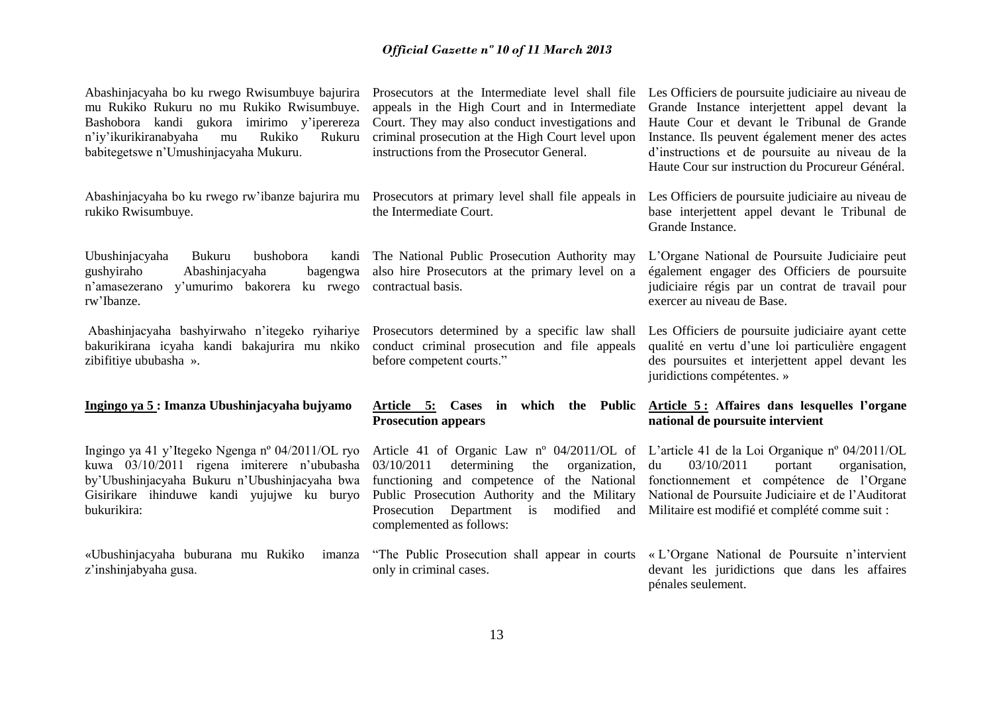Abashinjacyaha bo ku rwego Rwisumbuye bajurira mu Rukiko Rukuru no mu Rukiko Rwisumbuye. Bashobora kandi gukora imirimo y'iperereza n'iy'ikurikiranabyaha mu Rukiko Rukuru babitegetswe n'Umushinjacyaha Mukuru.

Abashinjacyaha bo ku rwego rw'ibanze bajurira mu Prosecutors at primary level shall file appeals in rukiko Rwisumbuye.

Ubushinjacyaha Bukuru bushobora gushyiraho Abashinjacyaha bagengwa n'amasezerano y'umurimo bakorera ku rwego contractual basis. rw'Ibanze.

bakurikirana icyaha kandi bakajurira mu nkiko conduct criminal prosecution and file appeals zibifitiye ububasha ».

#### **Ingingo ya 5 : Imanza Ubushinjacyaha bujyamo**

Ingingo ya 41 y'Itegeko Ngenga nº 04/2011/OL ryo kuwa 03/10/2011 rigena imiterere n'ububasha by'Ubushinjacyaha Bukuru n'Ubushinjacyaha bwa Gisirikare ihinduwe kandi yujujwe ku buryo bukurikira:

«Ubushinjacyaha buburana mu Rukiko imanza z'inshinjabyaha gusa.

appeals in the High Court and in Intermediate Court. They may also conduct investigations and criminal prosecution at the High Court level upon instructions from the Prosecutor General.

the Intermediate Court.

The National Public Prosecution Authority may also hire Prosecutors at the primary level on a

Abashinjacyaha bashyirwaho n'itegeko ryihariye Prosecutors determined by a specific law shall before competent courts."

> **Article 5: Cases in which the Public Prosecution appears**

> Article 41 of Organic Law nº 04/2011/OL of 03/10/2011 determining the organization, functioning and competence of the National Public Prosecution Authority and the Military Prosecution Department is modified and complemented as follows:

> "The Public Prosecution shall appear in courts only in criminal cases.

Prosecutors at the Intermediate level shall file Les Officiers de poursuite judiciaire au niveau de Grande Instance interjettent appel devant la Haute Cour et devant le Tribunal de Grande Instance. Ils peuvent également mener des actes d'instructions et de poursuite au niveau de la Haute Cour sur instruction du Procureur Général.

> Les Officiers de poursuite judiciaire au niveau de base interjettent appel devant le Tribunal de Grande Instance.

> L'Organe National de Poursuite Judiciaire peut également engager des Officiers de poursuite judiciaire régis par un contrat de travail pour exercer au niveau de Base.

> Les Officiers de poursuite judiciaire ayant cette qualité en vertu d'une loi particulière engagent des poursuites et interjettent appel devant les juridictions compétentes. »

### **Article 5 : Affaires dans lesquelles l'organe national de poursuite intervient**

L'article 41 de la Loi Organique nº 04/2011/OL du 03/10/2011 portant organisation, fonctionnement et compétence de l'Organe National de Poursuite Judiciaire et de l'Auditorat Militaire est modifié et complété comme suit :

« L'Organe National de Poursuite n'intervient devant les juridictions que dans les affaires pénales seulement.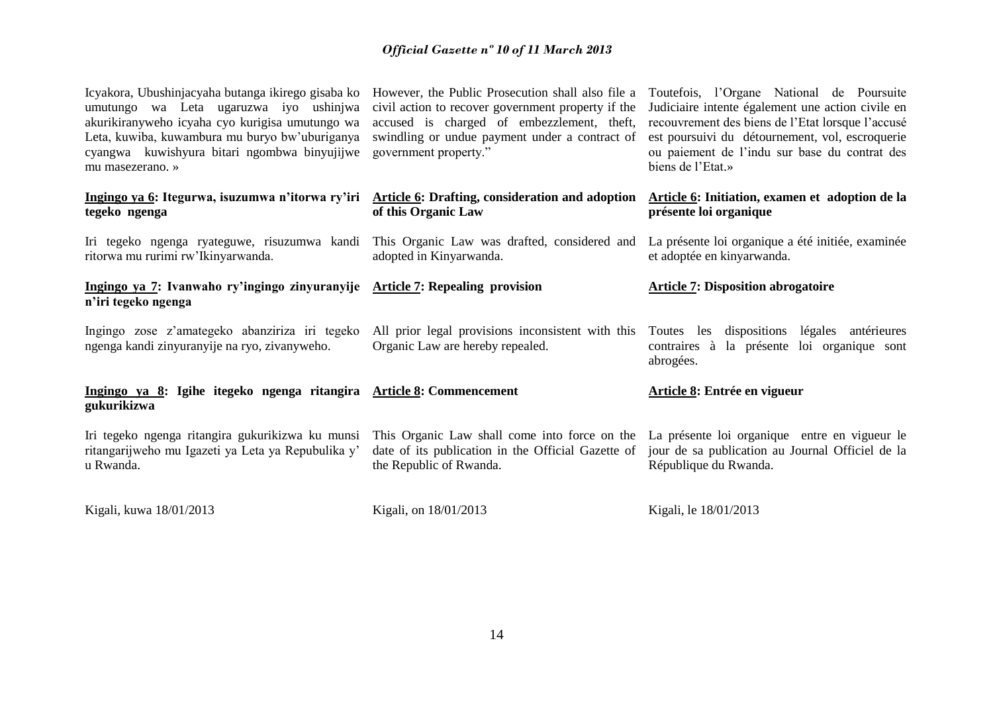| Icyakora, Ubushinjacyaha butanga ikirego gisaba ko<br>umutungo wa Leta ugaruzwa iyo ushinjwa<br>akurikiranyweho icyaha cyo kurigisa umutungo wa<br>Leta, kuwiba, kuwambura mu buryo bw'uburiganya<br>cyangwa kuwishyura bitari ngombwa binyujijwe<br>mu masezerano. » | However, the Public Prosecution shall also file a<br>civil action to recover government property if the<br>accused is charged of embezzlement, theft,<br>swindling or undue payment under a contract of<br>government property." | Toutefois, l'Organe National de Poursuite<br>Judiciaire intente également une action civile en<br>recouvrement des biens de l'Etat lorsque l'accusé<br>est poursuivi du détournement, vol, escroquerie<br>ou paiement de l'indu sur base du contrat des<br>biens de l'Etat.» |
|-----------------------------------------------------------------------------------------------------------------------------------------------------------------------------------------------------------------------------------------------------------------------|----------------------------------------------------------------------------------------------------------------------------------------------------------------------------------------------------------------------------------|------------------------------------------------------------------------------------------------------------------------------------------------------------------------------------------------------------------------------------------------------------------------------|
| Ingingo ya 6: Itegurwa, isuzumwa n'itorwa ry'iri Article 6: Drafting, consideration and adoption<br>tegeko ngenga                                                                                                                                                     | of this Organic Law                                                                                                                                                                                                              | Article 6: Initiation, examen et adoption de la<br>présente loi organique                                                                                                                                                                                                    |
| Iri tegeko ngenga ryateguwe, risuzumwa kandi This Organic Law was drafted, considered and<br>ritorwa mu rurimi rw'Ikinyarwanda.                                                                                                                                       | adopted in Kinyarwanda.                                                                                                                                                                                                          | La présente loi organique a été initiée, examinée<br>et adoptée en kinyarwanda.                                                                                                                                                                                              |
| Ingingo ya 7: Ivanwaho ry'ingingo zinyuranyije Article 7: Repealing provision<br>n'iri tegeko ngenga                                                                                                                                                                  |                                                                                                                                                                                                                                  | <b>Article 7: Disposition abrogatoire</b>                                                                                                                                                                                                                                    |
| Ingingo zose z'amategeko abanziriza iri tegeko<br>ngenga kandi zinyuranyije na ryo, zivanyweho.                                                                                                                                                                       | All prior legal provisions inconsistent with this<br>Organic Law are hereby repealed.                                                                                                                                            | Toutes les dispositions légales antérieures<br>contraires à la présente loi organique sont<br>abrogées.                                                                                                                                                                      |
| Ingingo ya 8: Igihe itegeko ngenga ritangira Article 8: Commencement<br>gukurikizwa                                                                                                                                                                                   |                                                                                                                                                                                                                                  | Article 8: Entrée en vigueur                                                                                                                                                                                                                                                 |
| Iri tegeko ngenga ritangira gukurikizwa ku munsi<br>ritangarijweho mu Igazeti ya Leta ya Repubulika y'<br>u Rwanda.                                                                                                                                                   | This Organic Law shall come into force on the La présente loi organique entre en vigueur le<br>date of its publication in the Official Gazette of<br>the Republic of Rwanda.                                                     | jour de sa publication au Journal Officiel de la<br>République du Rwanda.                                                                                                                                                                                                    |
| Kigali, kuwa 18/01/2013                                                                                                                                                                                                                                               | Kigali, on 18/01/2013                                                                                                                                                                                                            | Kigali, le 18/01/2013                                                                                                                                                                                                                                                        |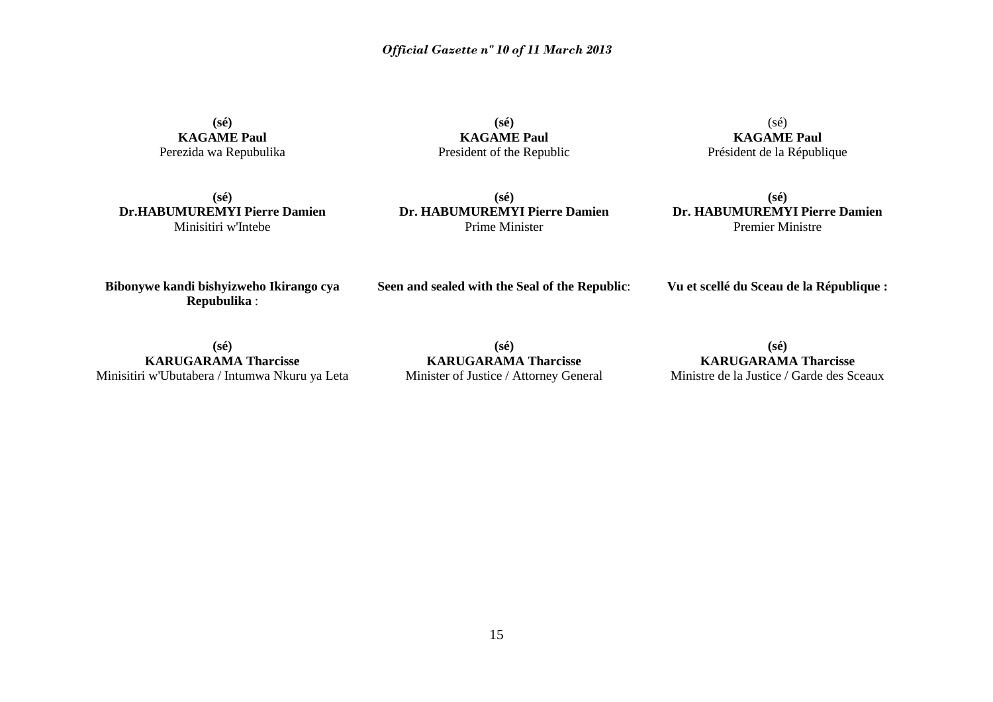**(sé) KAGAME Paul** Perezida wa Repubulika

**(sé) KAGAME Paul** President of the Republic

 $(s\acute{e})$ **KAGAME Paul** Président de la République

**(sé) Dr.HABUMUREMYI Pierre Damien** Minisitiri w'Intebe

**(sé) Dr. HABUMUREMYI Pierre Damien** Prime Minister

**(sé) Dr. HABUMUREMYI Pierre Damien** Premier Ministre

**Bibonywe kandi bishyizweho Ikirango cya Repubulika** :

**Seen and sealed with the Seal of the Republic**:

**Vu et scellé du Sceau de la République :**

**(sé) KARUGARAMA Tharcisse** Minisitiri w'Ubutabera / Intumwa Nkuru ya Leta

**(sé) KARUGARAMA Tharcisse** Minister of Justice / Attorney General

**(sé) KARUGARAMA Tharcisse** Ministre de la Justice / Garde des Sceaux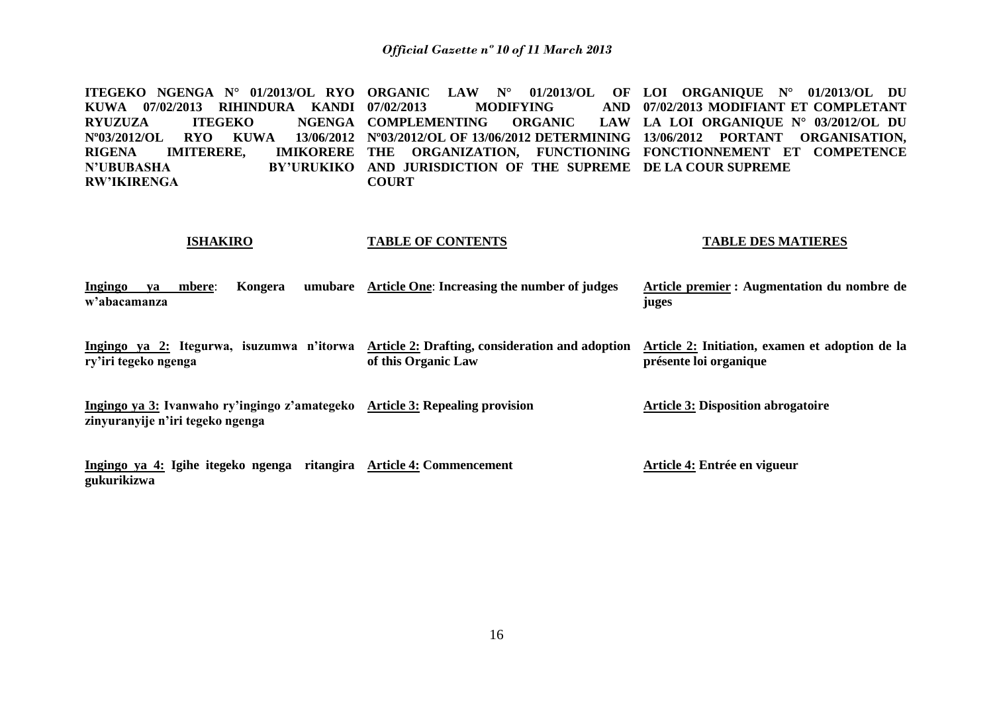**ITEGEKO NGENGA N° 01/2013/OL RYO ORGANIC LAW N° 01/2013/OL OF LOI ORGANIQUE N° 01/2013/OL DU KUWA 07/02/2013 RIHINDURA KANDI RYUZUZA ITEGEKO NGENGA COMPLEMENTING ORGANIC LAW Nº03/2012/OL RYO KUWA 13/06/2012 Nº03/2012/OL OF 13/06/2012 DETERMINING 13/06/2012 PORTANT ORGANISATION, RIGENA IMITERERE, IMIKORERE THE ORGANIZATION, FUNCTIONING FONCTIONNEMENT ET COMPETENCE N'UBUBASHA BY'URUKIKO AND JURISDICTION OF THE SUPREME DE LA COUR SUPREME RW'IKIRENGA MODIFYING COURT 07/02/2013 MODIFIANT ET COMPLETANT**  LAW LA LOI ORGANIOUE N° 03/2012/OL DU

#### **ISHAKIRO TABLE OF CONTENTS TABLE DES MATIERES**

| Ingingo      | va | mbere: Kongera | umubare Article One: Increasing the number of judges | Article premier : Augmentation du nombre de |
|--------------|----|----------------|------------------------------------------------------|---------------------------------------------|
| w'abacamanza |    |                |                                                      | juges                                       |

**Ingingo ya 2: Itegurwa, isuzumwa n'itorwa Article 2: Drafting, consideration and adoption Article 2: Initiation, examen et adoption de la ry'iri tegeko ngenga of this Organic Law présente loi organique**

**Ingingo ya 3: Ivanwaho ry'ingingo z'amategeko Article 3: Repealing provision zinyuranyije n'iri tegeko ngenga Article 3: Disposition abrogatoire**

**Ingingo ya 4: Igihe itegeko ngenga ritangira Article 4: Commencement gukurikizwa Article 4: Entrée en vigueur**

16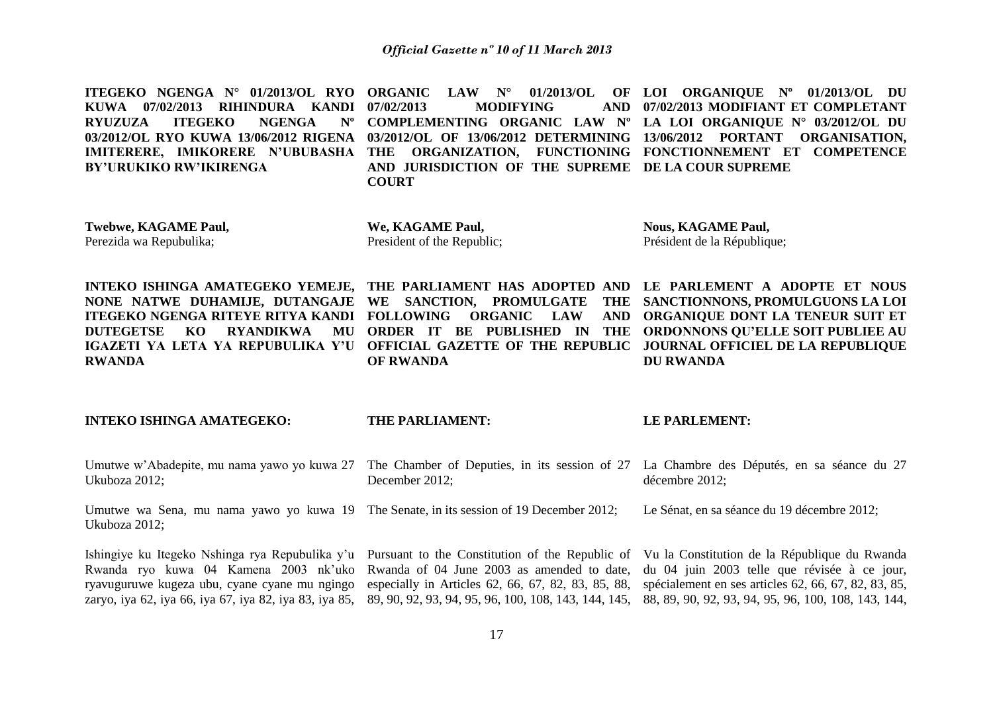**ITEGEKO NGENGA N° 01/2013/OL RYO ORGANIC LAW N° 01/2013/OL OF LOI ORGANIQUE N° 01/2013/OL DU KUWA 07/02/2013 RIHINDURA KANDI RYUZUZA ITEGEKO NGENGA 03/2012/OL RYO KUWA 13/06/2012 RIGENA 03/2012/OL OF 13/06/2012 DETERMINING 13/06/2012 PORTANT ORGANISATION, IMITERERE, IMIKORERE N'UBUBASHA THE ORGANIZATION, FUNCTIONING FONCTIONNEMENT ET COMPETENCE BY'URUKIKO RW'IKIRENGA MODIFYING COMPLEMENTING ORGANIC LAW Nº LA LOI ORGANIQUE N° 03/2012/OL DU AND JURISDICTION OF THE SUPREME DE LA COUR SUPREME COURT 07/02/2013 MODIFIANT ET COMPLETANT** 

**Twebwe, KAGAME Paul,**  Perezida wa Repubulika;

**We, KAGAME Paul,** President of the Republic; **Nous, KAGAME Paul,**  Président de la République;

**ITEGEKO NGENGA RITEYE RITYA KANDI FOLLOWING ORGANIC LAW AND RWANDA**

**INTEKO ISHINGA AMATEGEKO YEMEJE, THE PARLIAMENT HAS ADOPTED AND LE PARLEMENT A ADOPTE ET NOUS OF RWANDA**

**NONE NATWE DUHAMIJE, DUTANGAJE WE SANCTION, PROMULGATE THE SANCTIONNONS, PROMULGUONS LA LOI DUTEGETSE KO RYANDIKWA MU ORDER IT BE PUBLISHED IN THE ORDONNONS QU'ELLE SOIT PUBLIEE AU IGAZETI YA LETA YA REPUBULIKA Y'U OFFICIAL GAZETTE OF THE REPUBLIC JOURNAL OFFICIEL DE LA REPUBLIQUE ORGANIQUE DONT LA TENEUR SUIT ET DU RWANDA**

#### **INTEKO ISHINGA AMATEGEKO: THE PARLIAMENT: LE PARLEMENT:**

| Umutwe w'Abadepite, mu nama yawo yo kuwa 27 The Chamber of Deputies, in its session of 27 La Chambre des Députés, en sa séance du 27<br>Ukuboza 2012;                                                                                                                                                                                                                                                                                                                                              | December 2012;                                     | décembre 2012;                                       |
|----------------------------------------------------------------------------------------------------------------------------------------------------------------------------------------------------------------------------------------------------------------------------------------------------------------------------------------------------------------------------------------------------------------------------------------------------------------------------------------------------|----------------------------------------------------|------------------------------------------------------|
| Umutwe wa Sena, mu nama yawo yo kuwa 19 The Senate, in its session of 19 December 2012;<br>Ukuboza 2012;                                                                                                                                                                                                                                                                                                                                                                                           |                                                    | Le Sénat, en sa séance du 19 décembre 2012;          |
| Ishingiye ku Itegeko Nshinga rya Repubulika y'u Pursuant to the Constitution of the Republic of Vu la Constitution de la République du Rwanda<br>Rwanda ryo kuwa 04 Kamena 2003 nk'uko Rwanda of 04 June 2003 as amended to date, du 04 juin 2003 telle que révisée à ce jour,<br>ryavuguruwe kugeza ubu, cyane cyane mu ngingo<br>zaryo, iya 62, iya 66, iya 67, iya 82, iya 83, iya 85, 89, 90, 92, 93, 94, 95, 96, 100, 108, 143, 144, 145, 88, 89, 90, 92, 93, 94, 95, 96, 100, 108, 143, 144, | especially in Articles 62, 66, 67, 82, 83, 85, 88, | spécialement en ses articles 62, 66, 67, 82, 83, 85, |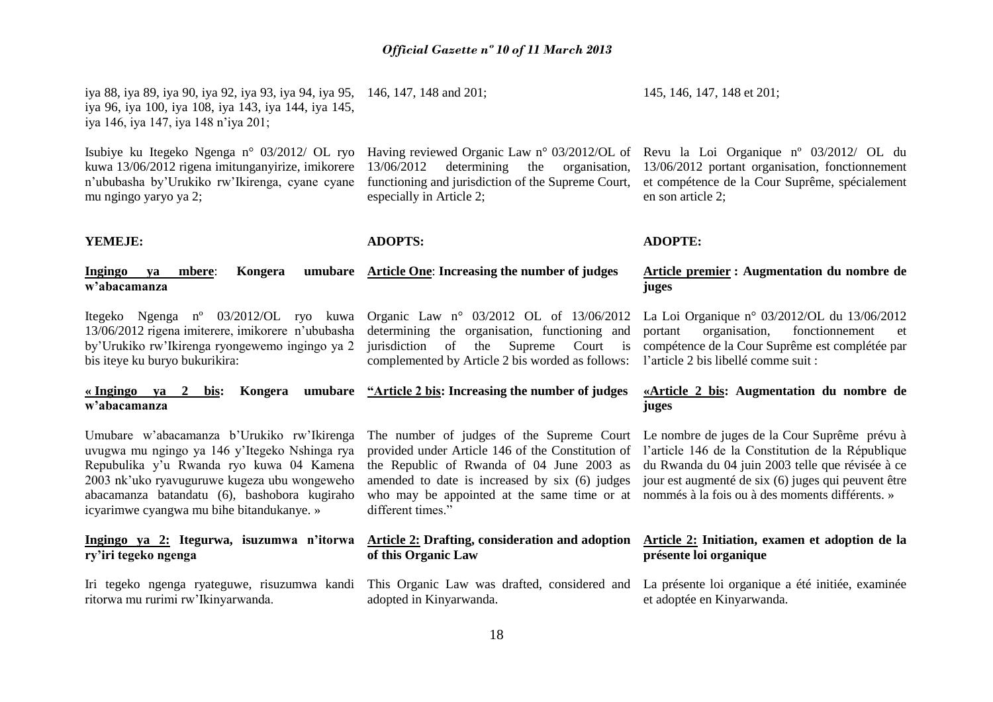especially in Article 2;

**ADOPTS:**

*Official Gazette nº 10 of 11 March 2013*

**YEMEJE:**

**w'abacamanza**

mu ngingo yaryo ya 2;

#### **Ingingo ya mbere: Kongera Article One**: **Increasing the number of judges**

iya 88, iya 89, iya 90, iya 92, iya 93, iya 94, iya 95, 146, 147, 148 and 201;

Itegeko Ngenga nº 03/2012/OL ryo kuwa Organic Law n° 03/2012 OL of 13/06/2012 13/06/2012 rigena imiterere, imikorere n'ububasha by'Urukiko rw'Ikirenga ryongewemo ingingo ya 2 bis iteye ku buryo bukurikira:

iya 96, iya 100, iya 108, iya 143, iya 144, iya 145,

n'ububasha by'Urukiko rw'Ikirenga, cyane cyane

iya 146, iya 147, iya 148 n'iya 201;

determining the organisation, functioning and jurisdiction of the Supreme Court is complemented by Article 2 bis worded as follows:

## **« Ingingo ya 2 bis: Kongera umubare "Article 2 bis: Increasing the number of judges w'abacamanza**

Umubare w'abacamanza b'Urukiko rw'Ikirenga uvugwa mu ngingo ya 146 y'Itegeko Nshinga rya Repubulika y'u Rwanda ryo kuwa 04 Kamena 2003 nk'uko ryavuguruwe kugeza ubu wongeweho abacamanza batandatu (6), bashobora kugiraho icyarimwe cyangwa mu bihe bitandukanye. »

# **ry'iri tegeko ngenga**

Iri tegeko ngenga ryateguwe, risuzumwa kandi ritorwa mu rurimi rw'Ikinyarwanda.

who may be appointed at the same time or at nommés à la fois ou à des moments différents. » different times."

### **Ingingo ya 2: Itegurwa, isuzumwa n'itorwa Article 2: Drafting, consideration and adoption of this Organic Law**

adopted in Kinyarwanda.

145, 146, 147, 148 et 201;

Isubiye ku Itegeko Ngenga n° 03/2012/ OL ryo Having reviewed Organic Law n° 03/2012/OL of Revu la Loi Organique nº 03/2012/ OL du kuwa 13/06/2012 rigena imitunganyirize, imikorere 13/06/2012 determining the organisation, 13/06/2012 portant organisation, fonctionnement et compétence de la Cour Suprême, spécialement en son article 2;

#### **ADOPTE:**

### **Article premier : Augmentation du nombre de juges**

La Loi Organique n° 03/2012/OL du 13/06/2012 portant organisation, fonctionnement et compétence de la Cour Suprême est complétée par l'article 2 bis libellé comme suit :

## **«Article 2 bis: Augmentation du nombre de juges**

The number of judges of the Supreme Court Le nombre de juges de la Cour Suprême prévu à provided under Article 146 of the Constitution of l'article 146 de la Constitution de la République the Republic of Rwanda of 04 June 2003 as du Rwanda du 04 juin 2003 telle que révisée à ce amended to date is increased by six (6) judges jour est augmenté de six (6) juges qui peuvent être

## **Article 2: Initiation, examen et adoption de la présente loi organique**

This Organic Law was drafted, considered and La présente loi organique a été initiée, examinée et adoptée en Kinyarwanda.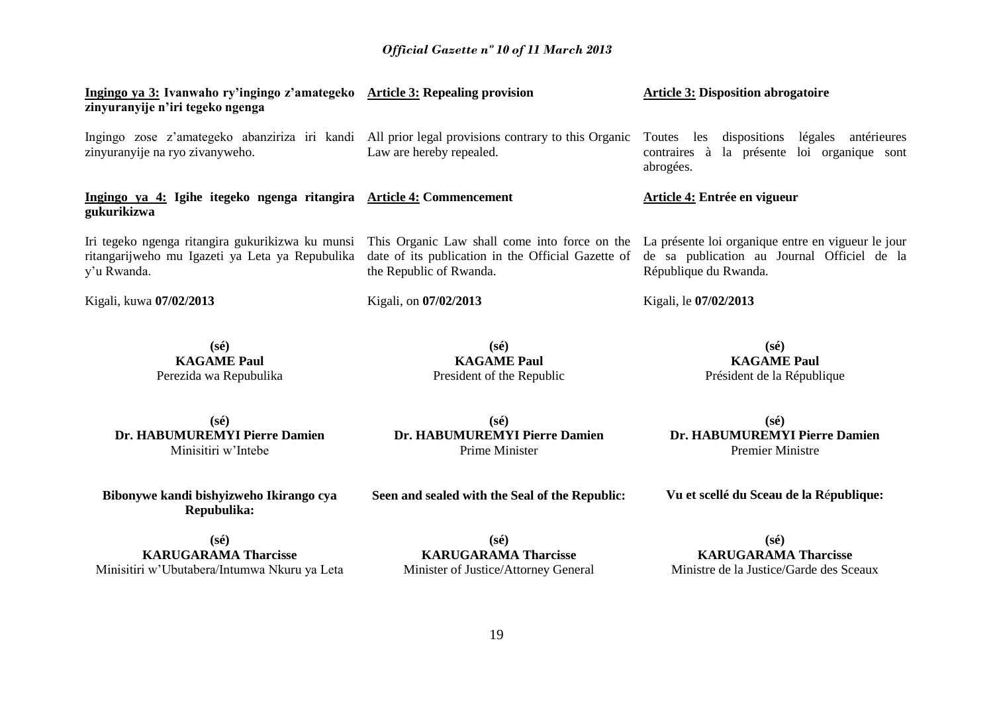| Ingingo ya 3: Ivanwaho ry'ingingo z'amategeko Article 3: Repealing provision<br>zinyuranyije n'iri tegeko ngenga                                                                                                    |                                                                                                                           | <b>Article 3: Disposition abrogatoire</b>                                                                     |
|---------------------------------------------------------------------------------------------------------------------------------------------------------------------------------------------------------------------|---------------------------------------------------------------------------------------------------------------------------|---------------------------------------------------------------------------------------------------------------|
| Ingingo zose z'amategeko abanziriza iri kandi All prior legal provisions contrary to this Organic<br>zinyuranyije na ryo zivanyweho.                                                                                | Law are hereby repealed.                                                                                                  | les dispositions légales<br>antérieures<br>Toutes<br>contraires à la présente loi organique sont<br>abrogées. |
| Ingingo ya 4: Igihe itegeko ngenga ritangira Article 4: Commencement<br>gukurikizwa                                                                                                                                 |                                                                                                                           | Article 4: Entrée en vigueur                                                                                  |
| Iri tegeko ngenga ritangira gukurikizwa ku munsi This Organic Law shall come into force on the La présente loi organique entre en vigueur le jour<br>ritangarijweho mu Igazeti ya Leta ya Repubulika<br>y'u Rwanda. | date of its publication in the Official Gazette of de sa publication au Journal Officiel de la<br>the Republic of Rwanda. | République du Rwanda.                                                                                         |
| Kigali, kuwa 07/02/2013                                                                                                                                                                                             | Kigali, on 07/02/2013                                                                                                     | Kigali, le 07/02/2013                                                                                         |

**(sé) KAGAME Paul** Perezida wa Repubulika

**(sé) KAGAME Paul** President of the Republic

**(sé) KAGAME Paul** Président de la République

**(sé) Dr. HABUMUREMYI Pierre Damien** Minisitiri w'Intebe

**(sé) Dr. HABUMUREMYI Pierre Damien** Prime Minister

**(sé) Dr. HABUMUREMYI Pierre Damien** Premier Ministre

**Bibonywe kandi bishyizweho Ikirango cya Repubulika:**

**Seen and sealed with the Seal of the Republic:**

**Vu et scellé du Sceau de la R**é**publique:**

**(sé) KARUGARAMA Tharcisse** Minisitiri w'Ubutabera/Intumwa Nkuru ya Leta

**(sé) KARUGARAMA Tharcisse** Minister of Justice/Attorney General

**(sé) KARUGARAMA Tharcisse** Ministre de la Justice/Garde des Sceaux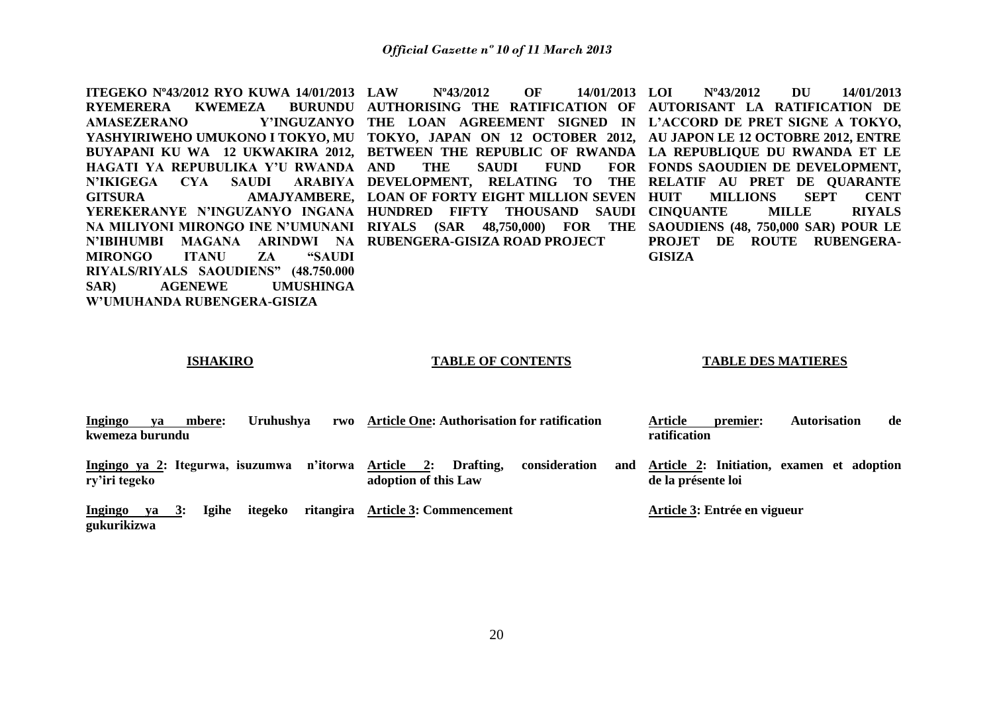**ITEGEKO Nº43/2012 RYO KUWA 14/01/2013**  RYEMERERA KWEMEZA **AMASEZERANO Y'INGUZANYO THE LOAN AGREEMENT SIGNED IN L'ACCORD DE PRET SIGNE A TOKYO, YASHYIRIWEHO UMUKONO I TOKYO, MU TOKYO, JAPAN ON 12 OCTOBER 2012, AU JAPON LE 12 OCTOBRE 2012, ENTRE BUYAPANI KU WA 12 UKWAKIRA 2012, BETWEEN THE REPUBLIC OF RWANDA LA REPUBLIQUE DU RWANDA ET LE HAGATI YA REPUBULIKA Y'U RWANDA N'IKIGEGA CYA SAUDI GITSURA AMAJYAMBERE, LOAN OF FORTY EIGHT MILLION SEVEN YEREKERANYE N'INGUZANYO INGANA HUNDRED FIFTY THOUSAND SAUDI CINQUANTE MILLE RIYALS NA MILIYONI MIRONGO INE N'UMUNANI RIYALS (SAR 48,750,000) FOR THE SAOUDIENS (48, 750,000 SAR) POUR LE N'IBIHUMBI MAGANA ARINDWI NA RUBENGERA-GISIZA ROAD PROJECT MIRONGO ITANU ZA "SAUDI RIYALS/RIYALS SAOUDIENS" (48.750.000 SAR) AGENEWE UMUSHINGA W'UMUHANDA RUBENGERA-GISIZA**

**LAW Nº43/2012 OF 14/01/2013 AUTHORISING THE RATIFICATION OF AUTORISANT LA RATIFICATION DE**  THE SAUDI FUND **DEVELOPMENT, RELATING TO THE RELATIF AU PRET DE QUARANTE** 

**LOI Nº43/2012 DU 14/01/2013**  FOR FONDS SAOUDIEN DE DEVELOPMENT, **MILLIONS SEPT CENT PROJET DE ROUTE RUBENGERA-GISIZA**

#### **ISHAKIRO**

#### **TABLE OF CONTENTS**

#### **TABLE DES MATIERES**

| Ingingo                | va | mbere:      | <b>Uruhushya</b>                 | rwo      | <b>Article One: Authorisation for ratification</b>                         |     | premier:<br>Article                                             | <b>Autorisation</b> | de |
|------------------------|----|-------------|----------------------------------|----------|----------------------------------------------------------------------------|-----|-----------------------------------------------------------------|---------------------|----|
| kwemeza burundu        |    |             |                                  |          |                                                                            |     | ratification                                                    |                     |    |
| ry'iri tegeko          |    |             | Ingingo ya 2: Itegurwa, isuzumwa | n'itorwa | Drafting,<br>Article<br>consideration<br><b>2:</b><br>adoption of this Law | and | Article 2: Initiation, examen et adoption<br>de la présente loi |                     |    |
| Ingingo<br>gukurikizwa | va | Igihe<br>3: | itegeko                          |          | ritangira Article 3: Commencement                                          |     | Article 3: Entrée en vigueur                                    |                     |    |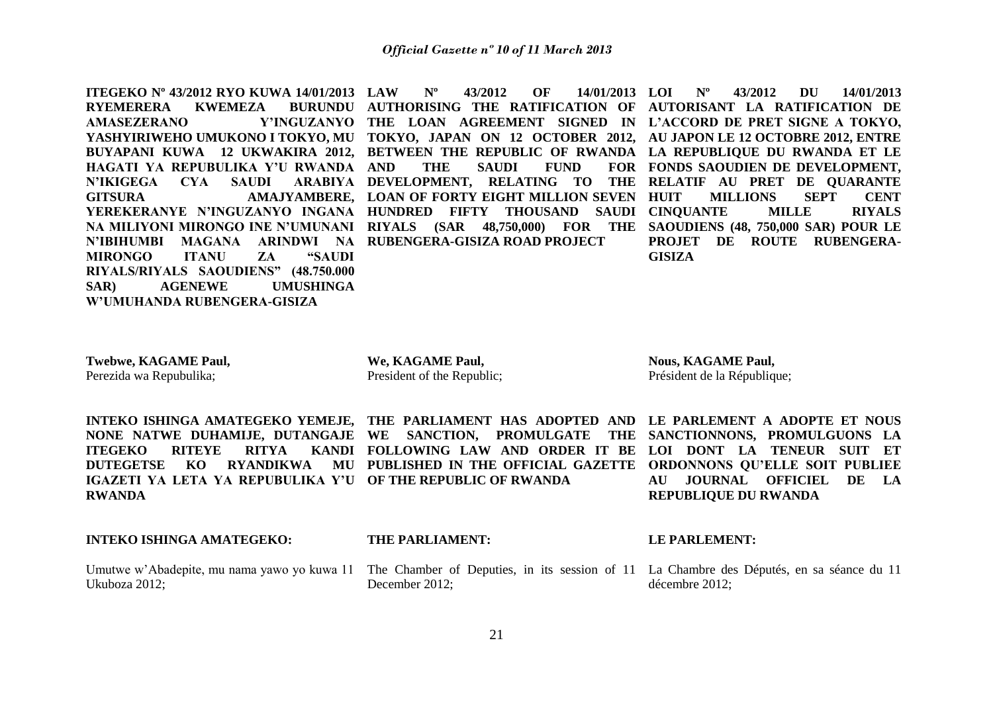**ITEGEKO Nº 43/2012 RYO KUWA 14/01/2013 RYEMERERA KWEMEZA AMASEZERANO Y'INGUZANYO THE LOAN AGREEMENT SIGNED IN L'ACCORD DE PRET SIGNE A TOKYO, YASHYIRIWEHO UMUKONO I TOKYO, MU TOKYO, JAPAN ON 12 OCTOBER 2012, AU JAPON LE 12 OCTOBRE 2012, ENTRE BUYAPANI KUWA 12 UKWAKIRA 2012, BETWEEN THE REPUBLIC OF RWANDA LA REPUBLIQUE DU RWANDA ET LE HAGATI YA REPUBULIKA Y'U RWANDA N'IKIGEGA CYA SAUDI GITSURA AMAJYAMBERE, LOAN OF FORTY EIGHT MILLION SEVEN YEREKERANYE N'INGUZANYO INGANA HUNDRED FIFTY THOUSAND SAUDI CINQUANTE MILLE RIYALS NA MILIYONI MIRONGO INE N'UMUNANI RIYALS (SAR 48,750,000) FOR THE SAOUDIENS (48, 750,000 SAR) POUR LE N'IBIHUMBI MAGANA ARINDWI NA RUBENGERA-GISIZA ROAD PROJECT MIRONGO ITANU ZA "SAUDI RIYALS/RIYALS SAOUDIENS" (48.750.000 SAR) AGENEWE UMUSHINGA W'UMUHANDA RUBENGERA-GISIZA**

**LAW Nº 43/2012 OF 14/01/2013 AUTHORISING THE RATIFICATION OF AUTORISANT LA RATIFICATION DE**  THE SAUDI FUND **DEVELOPMENT, RELATING TO THE RELATIF AU PRET DE QUARANTE** 

**LOI Nº 43/2012 DU 14/01/2013**  FOR FONDS SAOUDIEN DE DEVELOPMENT, **MILLIONS SEPT CENT PROJET DE ROUTE RUBENGERA-GISIZA**

**Twebwe, KAGAME Paul,** Perezida wa Repubulika;

**We, KAGAME Paul,** President of the Republic; **Nous, KAGAME Paul,** Président de la République;

**ITEGEKO RITEYE RITYA IGAZETI YA LETA YA REPUBULIKA Y'U OF THE REPUBLIC OF RWANDA RWANDA**

**INTEKO ISHINGA AMATEGEKO YEMEJE, THE PARLIAMENT HAS ADOPTED AND LE PARLEMENT A ADOPTE ET NOUS NONE NATWE DUHAMIJE, DUTANGAJE WE SANCTION, PROMULGATE THE SANCTIONNONS, PROMULGUONS LA DUTEGETSE KO RYANDIKWA MU PUBLISHED IN THE OFFICIAL GAZETTE ORDONNONS QU'ELLE SOIT PUBLIEE FOLLOWING LAW AND ORDER IT BE LOI DONT LA TENEUR SUIT ET** 

**AU JOURNAL OFFICIEL DE LA REPUBLIQUE DU RWANDA**

### **INTEKO ISHINGA AMATEGEKO:**

Ukuboza 2012;

#### **THE PARLIAMENT:**

Umutwe w'Abadepite, mu nama yawo yo kuwa 11 The Chamber of Deputies, in its session of 11 La Chambre des Députés, en sa séance du 11 December 2012;

**LE PARLEMENT:**

décembre 2012;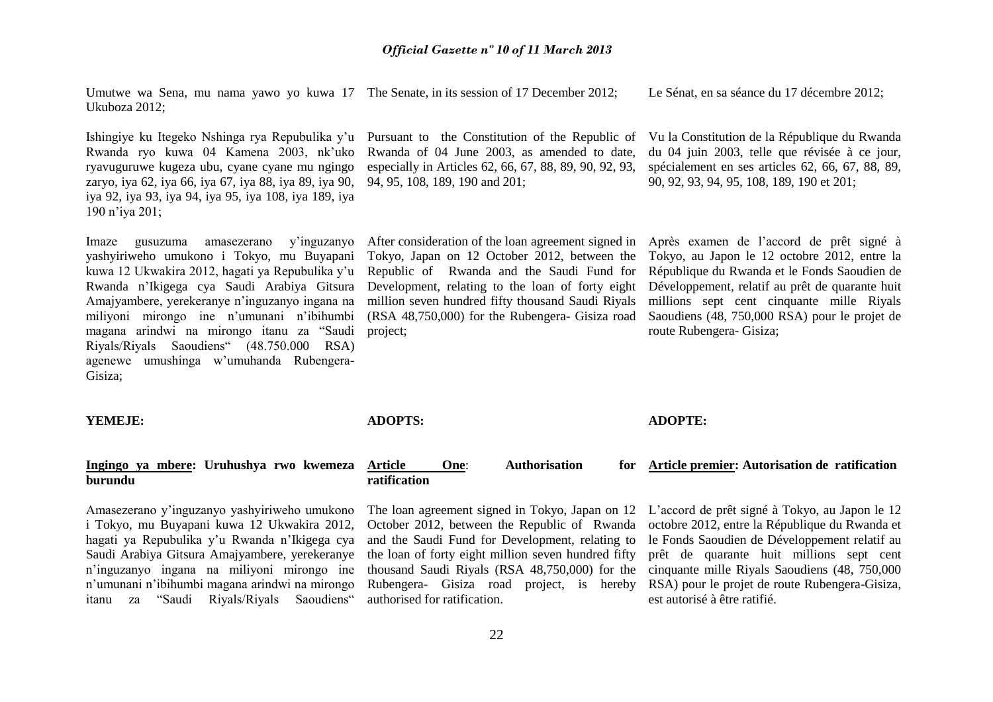Umutwe wa Sena, mu nama yawo yo kuwa 17 The Senate, in its session of 17 December 2012; Ukuboza 2012; Le Sénat, en sa séance du 17 décembre 2012;

Ishingiye ku Itegeko Nshinga rya Repubulika y'u Pursuant to the Constitution of the Republic of Rwanda ryo kuwa 04 Kamena 2003, nk'uko ryavuguruwe kugeza ubu, cyane cyane mu ngingo zaryo, iya 62, iya 66, iya 67, iya 88, iya 89, iya 90, iya 92, iya 93, iya 94, iya 95, iya 108, iya 189, iya 190 n'iya 201;

Imaze gusuzuma amasezerano y'inguzanyo yashyiriweho umukono i Tokyo, mu Buyapani kuwa 12 Ukwakira 2012, hagati ya Repubulika y'u Rwanda n'Ikigega cya Saudi Arabiya Gitsura Amajyambere, yerekeranye n'inguzanyo ingana na miliyoni mirongo ine n'umunani n'ibihumbi magana arindwi na mirongo itanu za "Saudi Riyals/Riyals Saoudiens" (48.750.000 RSA) agenewe umushinga w'umuhanda Rubengera-Gisiza;

Rwanda of 04 June 2003, as amended to date, especially in Articles 62, 66, 67, 88, 89, 90, 92, 93, 94, 95, 108, 189, 190 and 201;

After consideration of the loan agreement signed in Tokyo, Japan on 12 October 2012, between the Republic of Rwanda and the Saudi Fund for Development, relating to the loan of forty eight million seven hundred fifty thousand Saudi Riyals (RSA 48,750,000) for the Rubengera- Gisiza road project;

Vu la Constitution de la République du Rwanda du 04 juin 2003, telle que révisée à ce jour, spécialement en ses articles 62, 66, 67, 88, 89, 90, 92, 93, 94, 95, 108, 189, 190 et 201;

Après examen de l'accord de prêt signé à Tokyo, au Japon le 12 octobre 2012, entre la République du Rwanda et le Fonds Saoudien de Développement, relatif au prêt de quarante huit millions sept cent cinquante mille Riyals Saoudiens (48, 750,000 RSA) pour le projet de route Rubengera- Gisiza;

**YEMEJE:**

**ADOPTS:**

#### **ADOPTE:**

#### **Ingingo ya mbere: Uruhushya rwo kwemeza burundu Article One**: **Authorisation for ratification**

Amasezerano y'inguzanyo yashyiriweho umukono i Tokyo, mu Buyapani kuwa 12 Ukwakira 2012, hagati ya Repubulika y'u Rwanda n'Ikigega cya Saudi Arabiya Gitsura Amajyambere, yerekeranye n'inguzanyo ingana na miliyoni mirongo ine n'umunani n'ibihumbi magana arindwi na mirongo itanu za "Saudi Riyals/Riyals Saoudiens"

October 2012, between the Republic of Rwanda and the Saudi Fund for Development, relating to the loan of forty eight million seven hundred fifty thousand Saudi Riyals (RSA 48,750,000) for the Rubengera- Gisiza road project, is hereby authorised for ratification.

The loan agreement signed in Tokyo, Japan on 12 L'accord de prêt signé à Tokyo, au Japon le 12 octobre 2012, entre la République du Rwanda et le Fonds Saoudien de Développement relatif au prêt de quarante huit millions sept cent cinquante mille Riyals Saoudiens (48, 750,000 RSA) pour le projet de route Rubengera-Gisiza, est autorisé à être ratifié.

**Article premier: Autorisation de ratification**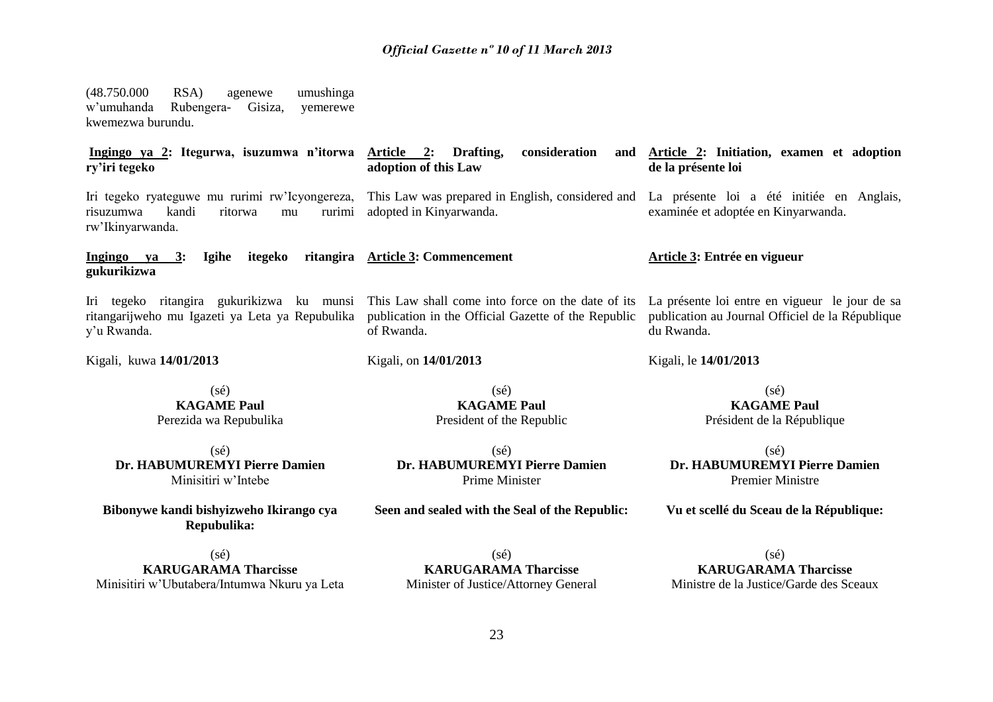(48.750.000 RSA) agenewe umushinga w'umuhanda Rubengera- Gisiza, yemerewe kwemezwa burundu. **Ingingo ya 2: Itegurwa, isuzumwa n'itorwa Article 2: Drafting, consideration and ry'iri tegeko adoption of this Law** 

Iri tegeko ryateguwe mu rurimi rw'Icyongereza, risuzumwa kandi ritorwa mu rurimi rw'Ikinyarwanda.

Iri tegeko ritangira gukurikizwa ku munsi ritangarijweho mu Igazeti ya Leta ya Repubulika

**Ingingo ya 3: Igihe itegeko ritangira Article 3: Commencement** 

adopted in Kinyarwanda.

of Rwanda.

Kigali, on **14/01/2013**

**Article 3: Entrée en vigueur** 

Kigali, le **14/01/2013**

**de la présente loi** 

This Law was prepared in English, considered and La présente loi a été initiée en Anglais,

This Law shall come into force on the date of its publication in the Official Gazette of the Republic La présente loi entre en vigueur le jour de sa publication au Journal Officiel de la République du Rwanda.

examinée et adoptée en Kinyarwanda.

Kigali, kuwa **14/01/2013**

**gukurikizwa**

y'u Rwanda.

(sé) **KAGAME Paul** Perezida wa Repubulika

 $(s<sub>é</sub>)$ **Dr. HABUMUREMYI Pierre Damien** Minisitiri w'Intebe

**Bibonywe kandi bishyizweho Ikirango cya Repubulika:**

 $(s<sub>é</sub>)$ **KAGAME Paul** President of the Republic

 $(sé)$ **Dr. HABUMUREMYI Pierre Damien** Prime Minister

**Seen and sealed with the Seal of the Republic:**

(sé) **KAGAME Paul** Président de la République

**Article 2: Initiation, examen et adoption** 

 $(sé)$ **Dr. HABUMUREMYI Pierre Damien** Premier Ministre

**Vu et scellé du Sceau de la République:**

 $(s<sub>e</sub>)$ **KARUGARAMA Tharcisse** Minisitiri w'Ubutabera/Intumwa Nkuru ya Leta

(sé) **KARUGARAMA Tharcisse** Minister of Justice/Attorney General

 $(sé)$ **KARUGARAMA Tharcisse** Ministre de la Justice/Garde des Sceaux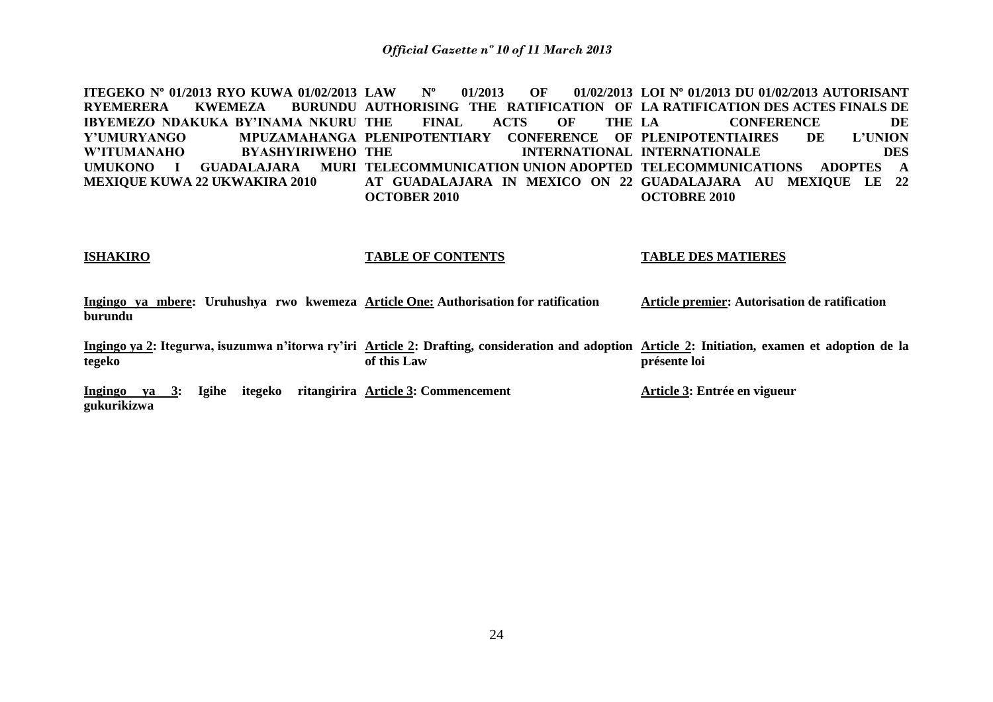**ITEGEKO Nº 01/2013 RYO KUWA 01/02/2013** RYEMERERA KWEMEZA **IBYEMEZO NDAKUKA BY'INAMA NKURU Y'UMURYANGO MPUZAMAHANGA PLENIPOTENTIARY CONFERENCE OF PLENIPOTENTIAIRES DE L'UNION W'ITUMANAHO BYASHYIRIWEHO**  UMUKONO I GUADALAJARA MURI TELECOMMUNICATION UNION ADOPTED TELECOMMUNICATIONS ADOPTES A **MEXIQUE KUWA 22 UKWAKIRA 2010 LAW Nº 01/2013 OF 01/02/2013 LOI Nº 01/2013 DU 01/02/2013 AUTORISANT AUTHORISING THE RATIFICATION OF LA RATIFICATION DES ACTES FINALS DE**  FINAL ACTS OF THE LA **THE INTERNATIONAL INTERNATIONALE DES AT GUADALAJARA IN MEXICO ON 22 GUADALAJARA AU MEXIQUE LE 22 OCTOBER 2010 LA CONFERENCE DE OCTOBRE 2010** 

#### **ISHAKIRO**

#### **TABLE OF CONTENTS**

#### **TABLE DES MATIERES**

**Ingingo ya mbere: Uruhushya rwo kwemeza Article One: Authorisation for ratification burundu Article premier: Autorisation de ratification** 

**Ingingo ya 2: Itegurwa, isuzumwa n'itorwa ry'iri Article 2: Drafting, consideration and adoption Article 2: Initiation, examen et adoption de la tegeko of this Law présente loi** 

**Ingingo ya 3: Igihe itegeko ritangirira Article 3: Commencement gukurikizwa**

**Article 3: Entrée en vigueur**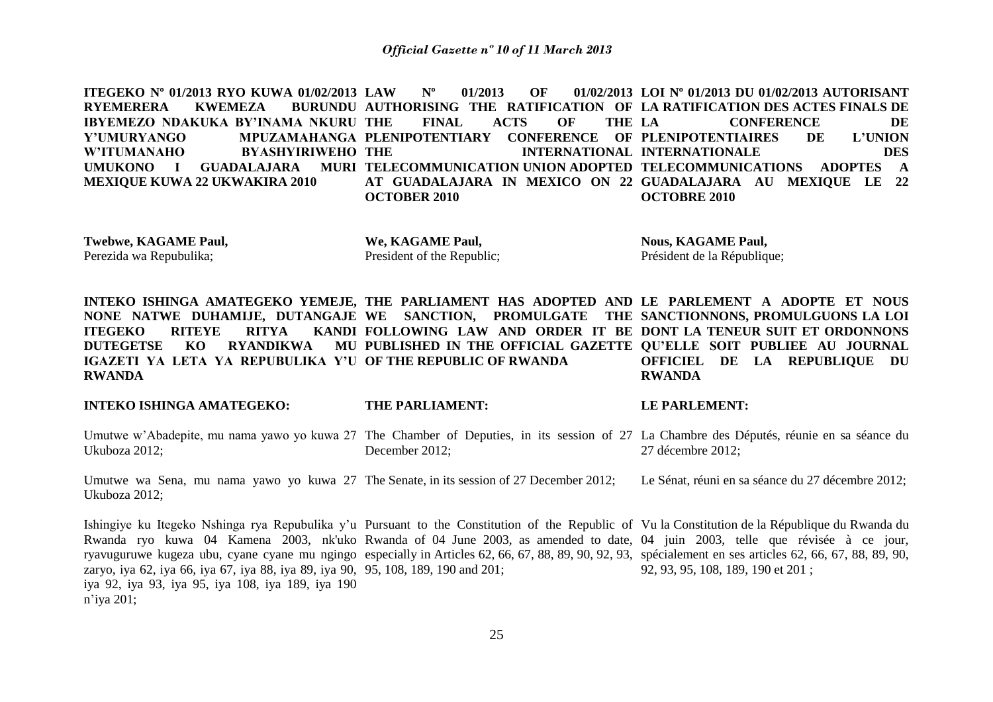**ITEGEKO Nº 01/2013 RYO KUWA 01/02/2013** RYEMERERA KWEMEZA **IBYEMEZO NDAKUKA BY'INAMA NKURU Y'UMURYANGO MPUZAMAHANGA PLENIPOTENTIARY CONFERENCE OF PLENIPOTENTIAIRES DE L'UNION W'ITUMANAHO BYASHYIRIWEHO**  UMUKONO I GUADALAJARA MURI TELECOMMUNICATION UNION ADOPTED TELECOMMUNICATIONS ADOPTES A **MEXIQUE KUWA 22 UKWAKIRA 2010 LAW Nº 01/2013 OF 01/02/2013 LOI Nº 01/2013 DU 01/02/2013 AUTORISANT AUTHORISING THE RATIFICATION OF LA RATIFICATION DES ACTES FINALS DE**  FINAL ACTS OF THE LA **THE INTERNATIONAL INTERNATIONALE DES AT GUADALAJARA IN MEXICO ON 22 GUADALAJARA AU MEXIQUE LE 22 OCTOBER 2010 LA CONFERENCE DE OCTOBRE 2010** 

**Twebwe, KAGAME Paul,**  Perezida wa Repubulika;

**We, KAGAME Paul,**  President of the Republic; **Nous, KAGAME Paul,**  Président de la République;

**LE PARLEMENT:** 

**INTEKO ISHINGA AMATEGEKO YEMEJE, THE PARLIAMENT HAS ADOPTED AND LE PARLEMENT A ADOPTE ET NOUS NONE NATWE DUHAMIJE, DUTANGAJE WE SANCTION, PROMULGATE THE SANCTIONNONS, PROMULGUONS LA LOI ITEGEKO RITEYE RITYA DUTEGETSE KO RYANDIKWA IGAZETI YA LETA YA REPUBULIKA Y'U OF THE REPUBLIC OF RWANDA RWANDA FOLLOWING LAW AND ORDER IT BE DONT LA TENEUR SUIT ET ORDONNONS PUBLISHED IN THE OFFICIAL GAZETTE QU'ELLE SOIT PUBLIEE AU JOURNAL OFFICIEL DE LA REPUBLIQUE DU RWANDA**

**INTEKO ISHINGA AMATEGEKO: THE PARLIAMENT:** 

Umutwe w'Abadepite, mu nama yawo yo kuwa 27 The Chamber of Deputies, in its session of 27 La Chambre des Députés, réunie en sa séance du Ukuboza 2012; December 2012; 27 décembre 2012;

Umutwe wa Sena, mu nama yawo yo kuwa 27 The Senate, in its session of 27 December 2012; Ukuboza 2012; Le Sénat, réuni en sa séance du 27 décembre 2012;

Ishingiye ku Itegeko Nshinga rya Repubulika y'u Pursuant to the Constitution of the Republic of Vu la Constitution de la République du Rwanda du Rwanda ryo kuwa 04 Kamena 2003, nk'uko Rwanda of 04 June 2003, as amended to date, 04 juin 2003, telle que révisée à ce jour, ryavuguruwe kugeza ubu, cyane cyane mu ngingo especially in Articles 62, 66, 67, 88, 89, 90, 92, 93, spécialement en ses articles 62, 66, 67, 88, 89, 90, zaryo, iya 62, iya 66, iya 67, iya 88, iya 89, iya 90, 95, 108, 189, 190 and 201; iya 92, iya 93, iya 95, iya 108, iya 189, iya 190 n'iya 201; 92, 93, 95, 108, 189, 190 et 201 ;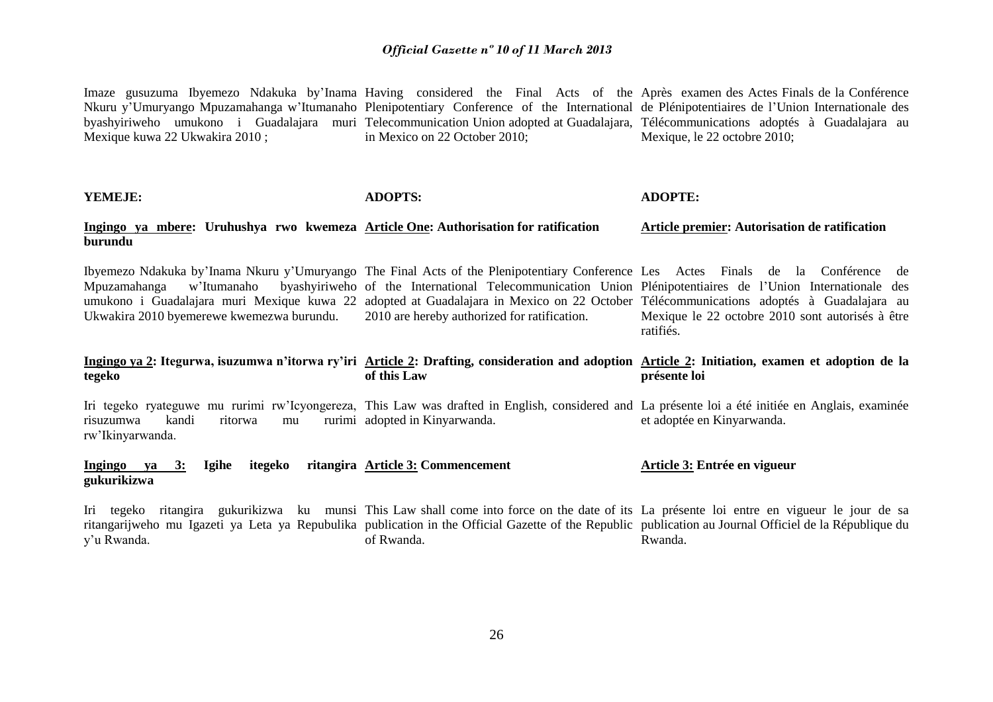Imaze gusuzuma Ibyemezo Ndakuka by'Inama Having considered the Final Acts of the Après examen des Actes Finals de la Conférence Nkuru y'Umuryango Mpuzamahanga w'Itumanaho Plenipotentiary Conference of the International de Plénipotentiaires de l'Union Internationale des byashyiriweho umukono i Guadalajara muri Telecommunication UnionadoptedattGuadalajara, Télécommunications adoptés à Guadalajara au Mexique kuwa 22 Ukwakira 2010 ; in Mexico on 22 October 2010; Mexique, le 22 octobre 2010;

**YEMEJE:**

**ADOPTS:**

**ADOPTE:**

#### **Ingingo ya mbere: Uruhushya rwo kwemeza Article One: Authorisation for ratification burundu Article premier: Autorisation de ratification**

Ibyemezo Ndakuka by'Inama Nkuru y'Umuryango The Final Acts of the Plenipotentiary Conference Les Actes Finals de la Conférence de Mpuzamahanga w'Itumanaho umukono i Guadalajara muri Mexique kuwa 22 adopted at Guadalajara in Mexico on 22 October Télécommunications adoptés à Guadalajara au Ukwakira 2010 byemerewe kwemezwa burundu. of the International Telecommunication Union Plénipotentiaires de l'Union Internationale des 2010 are hereby authorized for ratification. Mexique le 22 octobre 2010 sont autorisés à être ratifiés.

#### **Ingingo ya 2: Itegurwa, isuzumwa n'itorwa ry'iri Article 2: Drafting, consideration and adoption Article 2: Initiation, examen et adoption de la tegeko of this Law présente loi**

Iri tegeko ryateguwe mu rurimi rw'Icyongereza, This Law was drafted in English, considered and La présente loi a été initiée en Anglais, examinée risuzumwa kandi ritorwa mu rw'Ikinyarwanda. rurimi adopted in Kinyarwanda. et adoptée en Kinyarwanda.

#### **Ingingo ya 3: Igihe itegeko ritangira Article 3: Commencement gukurikizwa Article 3: Entrée en vigueur**

Iri tegeko ritangira gukurikizwa ku munsi This Law shall come into force on the date of its La présente loi entre en vigueur le jour de sa ritangarijweho mu Igazeti ya Leta ya Repubulika publication in the Official Gazette of the Republic publication au Journal Officiel de la République du y'u Rwanda. of Rwanda. Rwanda.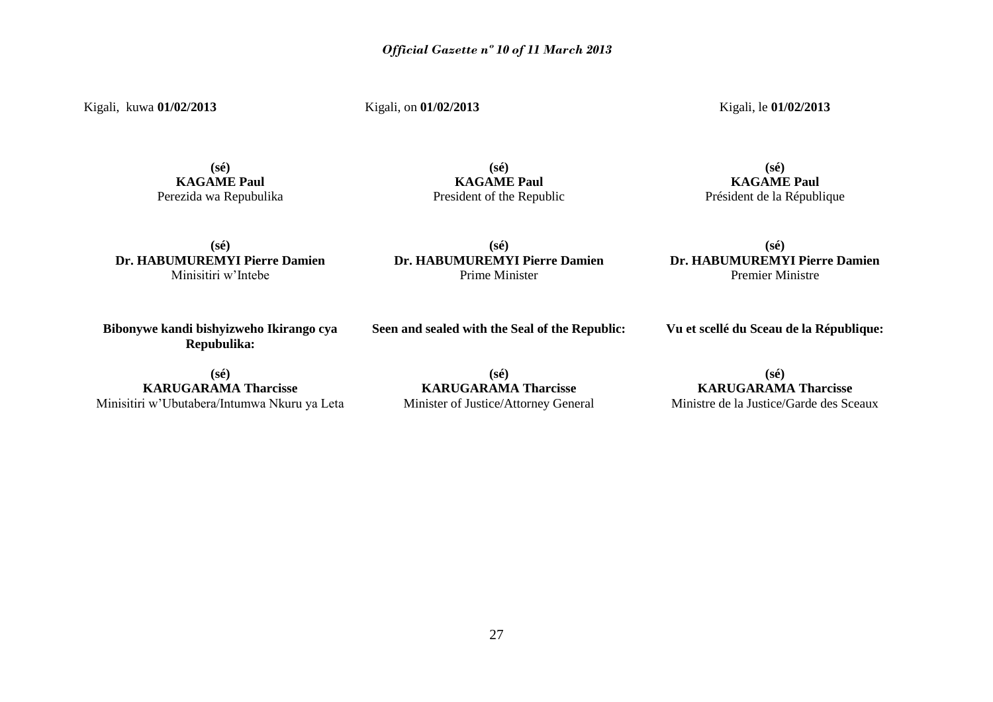Kigali, kuwa **01/02/2013**

Kigali, on **01/02/2013**

Kigali, le **01/02/2013**

**(sé) KAGAME Paul** Perezida wa Repubulika

## **(sé) KAGAME Paul** President of the Republic

**(sé) Dr. HABUMUREMYI Pierre Damien**  Minisitiri w'Intebe

**(sé) Dr. HABUMUREMYI Pierre Damien**  Prime Minister

**KAGAME Paul** Président de la République

**(sé)**

**(sé) Dr. HABUMUREMYI Pierre Damien**  Premier Ministre

**Bibonywe kandi bishyizweho Ikirango cya Repubulika:**

**(sé) KARUGARAMA Tharcisse** Minisitiri w'Ubutabera/Intumwa Nkuru ya Leta

**(sé) KARUGARAMA Tharcisse** Minister of Justice/Attorney General

**Seen and sealed with the Seal of the Republic:**

**(sé) KARUGARAMA Tharcisse** Ministre de la Justice/Garde des Sceaux

**Vu et scellé du Sceau de la République:**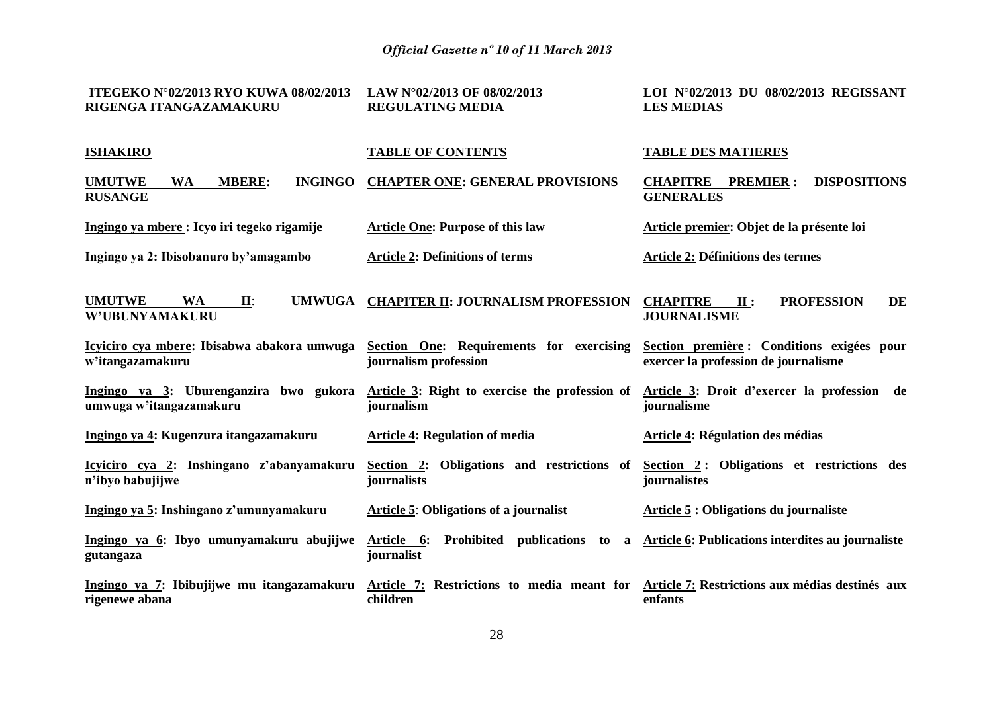| ITEGEKO N°02/2013 RYO KUWA 08/02/2013<br>RIGENGA ITANGAZAMAKURU                 | LAW N°02/2013 OF 08/02/2013<br><b>REGULATING MEDIA</b>            | LOI N°02/2013 DU 08/02/2013 REGISSANT<br><b>LES MEDIAS</b>                          |
|---------------------------------------------------------------------------------|-------------------------------------------------------------------|-------------------------------------------------------------------------------------|
| <b>ISHAKIRO</b>                                                                 | <b>TABLE OF CONTENTS</b>                                          | <b>TABLE DES MATIERES</b>                                                           |
| <b>MBERE:</b><br><b>INGINGO</b><br><b>UMUTWE</b><br><b>WA</b><br><b>RUSANGE</b> | <b>CHAPTER ONE: GENERAL PROVISIONS</b>                            | <b>DISPOSITIONS</b><br><b>CHAPITRE PREMIER:</b><br><b>GENERALES</b>                 |
| Ingingo ya mbere : Icyo iri tegeko rigamije                                     | <b>Article One: Purpose of this law</b>                           | Article premier: Objet de la présente loi                                           |
| Ingingo ya 2: Ibisobanuro by'amagambo                                           | <b>Article 2: Definitions of terms</b>                            | <b>Article 2: Définitions des termes</b>                                            |
| <b>UMUTWE</b><br><b>WA</b><br><b>UMWUGA</b><br>II:<br>W'UBUNYAMAKURU            | <b>CHAPITER II: JOURNALISM PROFESSION</b>                         | <b>PROFESSION</b><br>DE<br><b>CHAPITRE</b><br>$\mathbf{II}$ :<br><b>JOURNALISME</b> |
| Icyiciro cya mbere: Ibisabwa abakora umwuga<br>w'itangazamakuru                 | Section One: Requirements for exercising<br>journalism profession | Section première : Conditions exigées pour<br>exercer la profession de journalisme  |
| Ingingo ya 3: Uburenganzira bwo gukora<br>umwuga w'itangazamakuru               | Article 3: Right to exercise the profession of<br>journalism      | Article 3: Droit d'exercer la profession de<br>journalisme                          |
| Ingingo ya 4: Kugenzura itangazamakuru                                          | <b>Article 4: Regulation of media</b>                             | Article 4: Régulation des médias                                                    |
| Icyiciro cya 2: Inshingano z'abanyamakuru<br>n'ibyo babujijwe                   | Section 2: Obligations and restrictions of<br>journalists         | Section 2: Obligations et restrictions des<br>journalistes                          |
| Ingingo ya 5: Inshingano z'umunyamakuru                                         | <b>Article 5: Obligations of a journalist</b>                     | Article 5 : Obligations du journaliste                                              |
| Ingingo ya 6: Ibyo umunyamakuru abujijwe<br>gutangaza                           | Article 6:<br>Prohibited publications to a<br>journalist          | <b>Article 6: Publications interdites au journaliste</b>                            |
| Ingingo ya 7: Ibibujijwe mu itangazamakuru<br>rigenewe abana                    | Article 7: Restrictions to media meant for<br>children            | Article 7: Restrictions aux médias destinés aux<br>enfants                          |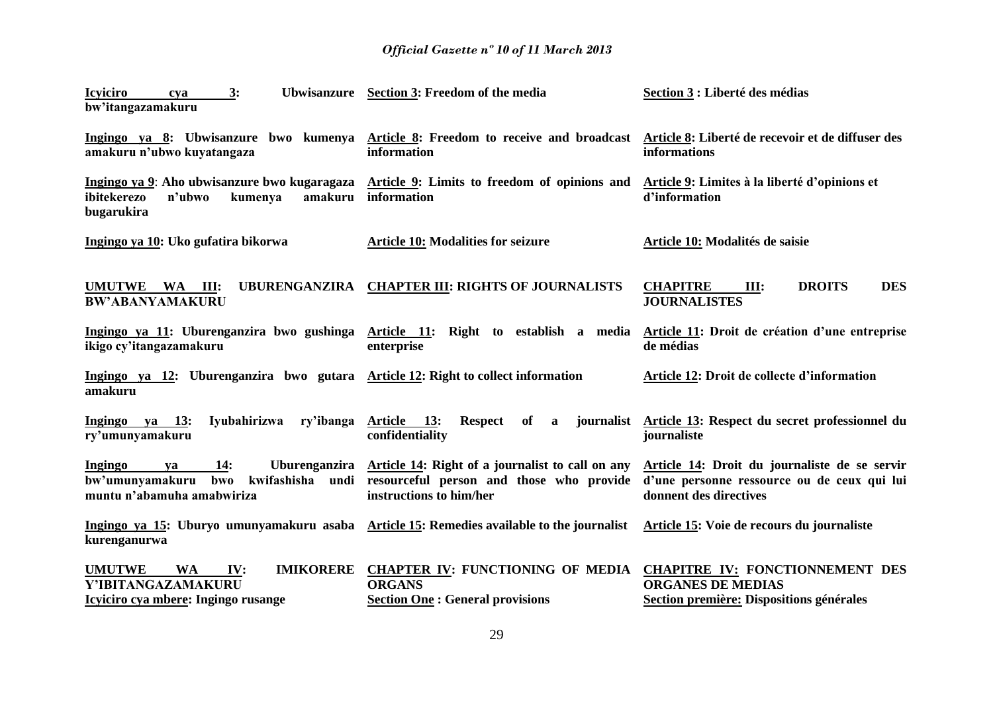| <b>Icyiciro</b><br>3:<br>cya                                                                                       | Ubwisanzure Section 3: Freedom of the media                                                                                           | Section 3 : Liberté des médias                                                                                         |
|--------------------------------------------------------------------------------------------------------------------|---------------------------------------------------------------------------------------------------------------------------------------|------------------------------------------------------------------------------------------------------------------------|
| bw'itangazamakuru                                                                                                  |                                                                                                                                       |                                                                                                                        |
| amakuru n'ubwo kuyatangaza                                                                                         | Ingingo ya 8: Ubwisanzure bwo kumenya Article 8: Freedom to receive and broadcast<br>information                                      | Article 8: Liberté de recevoir et de diffuser des<br><b>informations</b>                                               |
| Ingingo ya 9: Aho ubwisanzure bwo kugaragaza<br>ibitekerezo<br>n'ubwo<br>kumenya<br>bugarukira                     | Article 9: Limits to freedom of opinions and<br>amakuru information                                                                   | Article 9: Limites à la liberté d'opinions et<br>d'information                                                         |
| Ingingo ya 10: Uko gufatira bikorwa                                                                                | <b>Article 10: Modalities for seizure</b>                                                                                             | Article 10: Modalités de saisie                                                                                        |
| UMUTWE WA<br>III:<br><b>BW'ABANYAMAKURU</b>                                                                        | UBURENGANZIRA CHAPTER III: RIGHTS OF JOURNALISTS                                                                                      | <b>DES</b><br><b>CHAPITRE</b><br><b>DROITS</b><br>III:<br><b>JOURNALISTES</b>                                          |
| Ingingo ya 11: Uburenganzira bwo gushinga<br>ikigo cy'itangazamakuru                                               | Article 11: Right to establish a media<br>enterprise                                                                                  | Article 11: Droit de création d'une entreprise<br>de médias                                                            |
| Ingingo ya 12: Uburenganzira bwo gutara Article 12: Right to collect information<br>amakuru                        |                                                                                                                                       | Article 12: Droit de collecte d'information                                                                            |
| Ingingo ya 13:<br>Iyubahirizwa<br>ry'ibanga<br>ry'umunyamakuru                                                     | Article 13:<br>Respect of<br>$\mathbf{a}$<br>confidentiality                                                                          | journalist Article 13: Respect du secret professionnel du<br>journaliste                                               |
| 14:<br>Ingingo<br>ya<br>bw'umunyamakuru<br>kwifashisha<br>undi<br>bwo<br>muntu n'abamuha amabwiriza                | Uburenganzira Article 14: Right of a journalist to call on any<br>resourceful person and those who provide<br>instructions to him/her | Article 14: Droit du journaliste de se servir<br>d'une personne ressource ou de ceux qui lui<br>donnent des directives |
| Ingingo ya 15: Uburyo umunyamakuru asaba Article 15: Remedies available to the journalist<br>kurenganurwa          |                                                                                                                                       | Article 15: Voie de recours du journaliste                                                                             |
| <b>UMUTWE</b><br><b>IMIKORERE</b><br><b>WA</b><br>IV:<br>Y'IBITANGAZAMAKURU<br>Icyiciro cya mbere: Ingingo rusange | <b>CHAPTER IV: FUNCTIONING OF MEDIA</b><br><b>ORGANS</b><br><b>Section One: General provisions</b>                                    | <b>CHAPITRE IV: FONCTIONNEMENT DES</b><br><b>ORGANES DE MEDIAS</b><br>Section première: Dispositions générales         |
|                                                                                                                    |                                                                                                                                       |                                                                                                                        |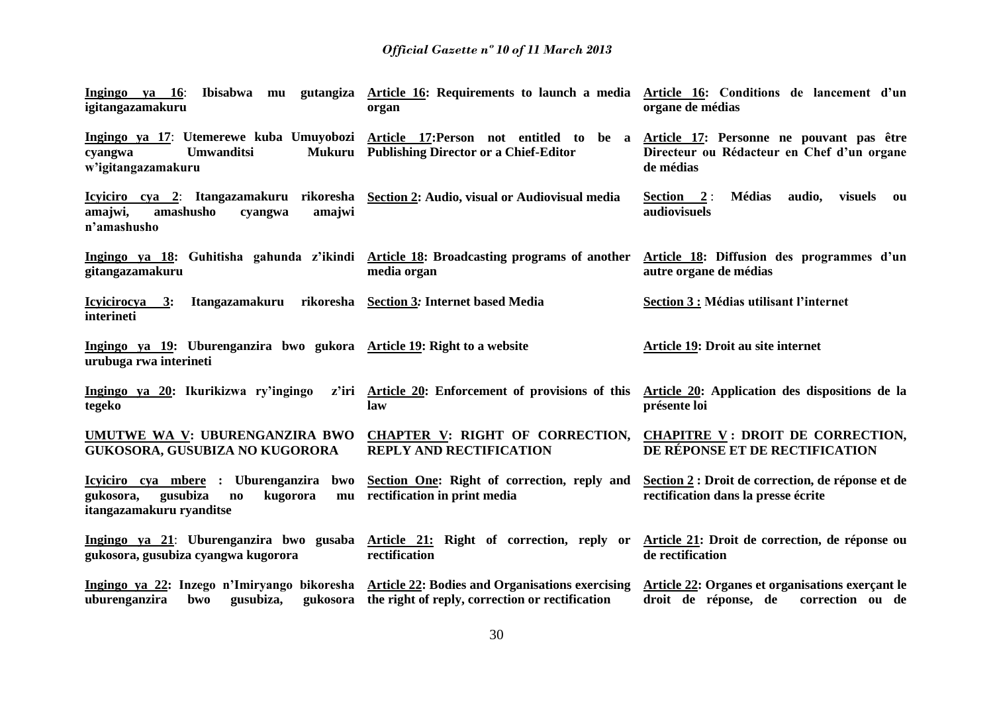| Ingingo ya 16:<br>igitangazamakuru                                                                                                                 | Ibisabwa mu gutangiza Article 16: Requirements to launch a media Article 16: Conditions de lancement d'un<br>organ | organe de médias                                                                                    |
|----------------------------------------------------------------------------------------------------------------------------------------------------|--------------------------------------------------------------------------------------------------------------------|-----------------------------------------------------------------------------------------------------|
| Ingingo ya 17: Utemerewe kuba Umuyobozi Article 17: Person not entitled to be a<br><b>Umwanditsi</b><br>cyangwa<br>w'igitangazamakuru              | Mukuru Publishing Director or a Chief-Editor                                                                       | Article 17: Personne ne pouvant pas être<br>Directeur ou Rédacteur en Chef d'un organe<br>de médias |
| Icyiciro cya 2: Itangazamakuru rikoresha Section 2: Audio, visual or Audiovisual media<br>amajwi,<br>amashusho<br>amajwi<br>cyangwa<br>n'amashusho |                                                                                                                    | Section $2:$<br><b>Médias</b><br>audio,<br>visuels<br>ou<br>audiovisuels                            |
| Ingingo ya 18: Guhitisha gahunda z'ikindi Article 18: Broadcasting programs of another<br>gitangazamakuru                                          | media organ                                                                                                        | Article 18: Diffusion des programmes d'un<br>autre organe de médias                                 |
| Itangazamakuru<br>Icyicirocya 3:<br>interineti                                                                                                     | rikoresha Section 3: Internet based Media                                                                          | Section 3 : Médias utilisant l'internet                                                             |
| Ingingo ya 19: Uburenganzira bwo gukora Article 19: Right to a website<br>urubuga rwa interineti                                                   |                                                                                                                    | Article 19: Droit au site internet                                                                  |
| Ingingo ya 20: Ikurikizwa ry'ingingo<br>tegeko                                                                                                     | z'iri Article 20: Enforcement of provisions of this<br>law                                                         | Article 20: Application des dispositions de la<br>présente loi                                      |
| UMUTWE WA V: UBURENGANZIRA BWO<br>GUKOSORA, GUSUBIZA NO KUGORORA                                                                                   | CHAPTER V: RIGHT OF CORRECTION,<br><b>REPLY AND RECTIFICATION</b>                                                  | <b>CHAPITRE V: DROIT DE CORRECTION,</b><br>DE RÉPONSE ET DE RECTIFICATION                           |
| Icyiciro cya mbere : Uburenganzira<br>bwo<br>gusubiza<br>kugorora<br>gukosora,<br>$\mathbf{n}\mathbf{o}$<br>itangazamakuru ryanditse               | Section One: Right of correction, reply and<br>mu rectification in print media                                     | Section 2 : Droit de correction, de réponse et de<br>rectification dans la presse écrite            |
| Ingingo ya 21: Uburenganzira bwo gusaba<br>gukosora, gusubiza cyangwa kugorora                                                                     | Article 21: Right of correction, reply or<br>rectification                                                         | Article 21: Droit de correction, de réponse ou<br>de rectification                                  |
| Ingingo ya 22: Inzego n'Imiryango bikoresha Article 22: Bodies and Organisations exercising<br>uburenganzira<br>gusubiza,<br>bwo                   | gukosora the right of reply, correction or rectification                                                           | Article 22: Organes et organisations exerçant le<br>droit de réponse, de<br>correction ou de        |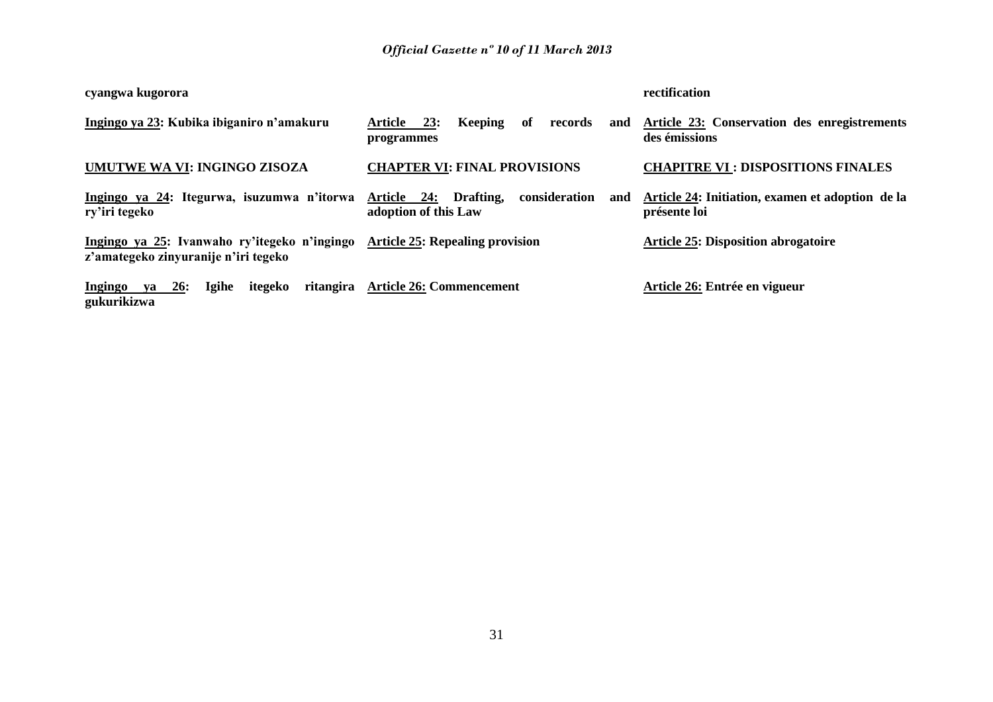| cyangwa kugorora                                                                     |                                                                          | rectification                                                    |  |
|--------------------------------------------------------------------------------------|--------------------------------------------------------------------------|------------------------------------------------------------------|--|
| Ingingo ya 23: Kubika ibiganiro n'amakuru                                            | Keeping<br>of<br>23:<br>Article<br>records<br>and<br>programmes          | Article 23: Conservation des enregistrements<br>des émissions    |  |
| UMUTWE WA VI: INGINGO ZISOZA                                                         | <b>CHAPTER VI: FINAL PROVISIONS</b>                                      | <b>CHAPITRE VI : DISPOSITIONS FINALES</b>                        |  |
| Ingingo ya 24: Itegurwa, isuzumwa n'itorwa<br>ry'iri tegeko                          | consideration<br>Drafting,<br>Article 24:<br>and<br>adoption of this Law | Article 24: Initiation, examen et adoption de la<br>présente loi |  |
| Ingingo ya 25: Ivanwaho ry'itegeko n'ingingo<br>z'amategeko zinyuranije n'iri tegeko | <b>Article 25: Repealing provision</b>                                   | <b>Article 25: Disposition abrogatoire</b>                       |  |
| Igihe<br>Ingingo<br>ya 26:<br>itegeko<br>gukurikizwa                                 | ritangira Article 26: Commencement                                       | Article 26: Entrée en vigueur                                    |  |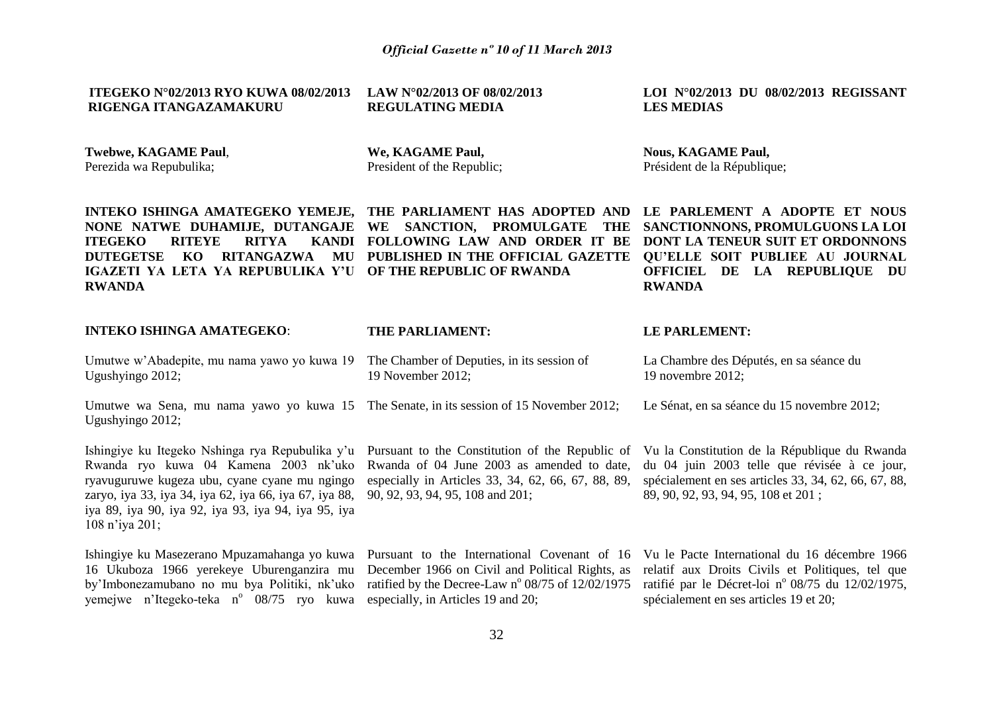| <b>ITEGEKO N°02/2013 RYO KUWA 08/02/2013</b>                                                                                                                                                                                                                                                                           | LAW N°02/2013 OF 08/02/2013                                                                    | LOI N°02/2013 DU 08/02/2013 REGISSANT                                                                                                                                     |
|------------------------------------------------------------------------------------------------------------------------------------------------------------------------------------------------------------------------------------------------------------------------------------------------------------------------|------------------------------------------------------------------------------------------------|---------------------------------------------------------------------------------------------------------------------------------------------------------------------------|
| RIGENGA ITANGAZAMAKURU                                                                                                                                                                                                                                                                                                 | <b>REGULATING MEDIA</b>                                                                        | <b>LES MEDIAS</b>                                                                                                                                                         |
| <b>Twebwe, KAGAME Paul,</b>                                                                                                                                                                                                                                                                                            | We, KAGAME Paul,                                                                               | <b>Nous, KAGAME Paul,</b>                                                                                                                                                 |
| Perezida wa Repubulika;                                                                                                                                                                                                                                                                                                | President of the Republic;                                                                     | Président de la République;                                                                                                                                               |
| INTEKO ISHINGA AMATEGEKO YEMEJE, THE PARLIAMENT HAS ADOPTED AND LE PARLEMENT A ADOPTE ET NOUS<br>NONE NATWE DUHAMIJE, DUTANGAJE WE<br><b>ITEGEKO</b><br>KANDI<br><b>RITEYE</b><br>RITYA<br>RITANGAZWA<br>MU<br><b>DUTEGETSE</b><br>KO.<br>IGAZETI YA LETA YA REPUBULIKA Y'U OF THE REPUBLIC OF RWANDA<br><b>RWANDA</b> | SANCTION, PROMULGATE THE<br>FOLLOWING LAW AND ORDER IT BE<br>PUBLISHED IN THE OFFICIAL GAZETTE | SANCTIONNONS, PROMULGUONS LA LOI<br><b>DONT LA TENEUR SUIT ET ORDONNONS</b><br>QU'ELLE SOIT PUBLIEE AU JOURNAL<br>LA REPUBLIQUE DU<br><b>OFFICIEL DE</b><br><b>RWANDA</b> |
| <b>INTEKO ISHINGA AMATEGEKO:</b>                                                                                                                                                                                                                                                                                       | THE PARLIAMENT:                                                                                | LE PARLEMENT:                                                                                                                                                             |

| Umutwe w'Abadepite, mu nama yawo yo kuwa 19 The Chamber of Deputies, in its session of |                   | La Chambre des Députés, en sa |
|----------------------------------------------------------------------------------------|-------------------|-------------------------------|
| Ugushyingo 2012;                                                                       | 19 November 2012; | 19 novembre 2012:             |

Umutwe wa Sena, mu nama yawo yo kuwa 15 The Senate, in its session of 15 November 2012; Ugushyingo 2012; Le Sénat, en sa séance du 15 novembre 2012;

Ishingiye ku Itegeko Nshinga rya Repubulika y'u Pursuant to the Constitution of the Republic of Rwanda ryo kuwa 04 Kamena 2003 nk'uko ryavuguruwe kugeza ubu, cyane cyane mu ngingo zaryo, iya 33, iya 34, iya 62, iya 66, iya 67, iya 88, iya 89, iya 90, iya 92, iya 93, iya 94, iya 95, iya 108 n'iya 201;

Ishingiye ku Masezerano Mpuzamahanga yo kuwa 16 Ukuboza 1966 yerekeye Uburenganzira mu by'Imbonezamubano no mu bya Politiki, nk'uko yemejwe n'Itegeko-teka n° 08/75 ryo kuwa especially, in Articles 19 and 20;

Rwanda of 04 June 2003 as amended to date, especially in Articles 33, 34, 62, 66, 67, 88, 89, 90, 92, 93, 94, 95, 108 and 201;

Vu la Constitution de la République du Rwanda du 04 juin 2003 telle que révisée à ce jour, spécialement en ses articles 33, 34, 62, 66, 67, 88, 89, 90, 92, 93, 94, 95, 108 et 201 ;

séance du

Pursuant to the International Covenant of 16 Vu le Pacte International du 16 décembre 1966 December 1966 on Civil and Political Rights, as ratified by the Decree-Law  $n^{\circ}$  08/75 of 12/02/1975 relatif aux Droits Civils et Politiques, tel que ratifié par le Décret-loi nº 08/75 du 12/02/1975, spécialement en ses articles 19 et 20;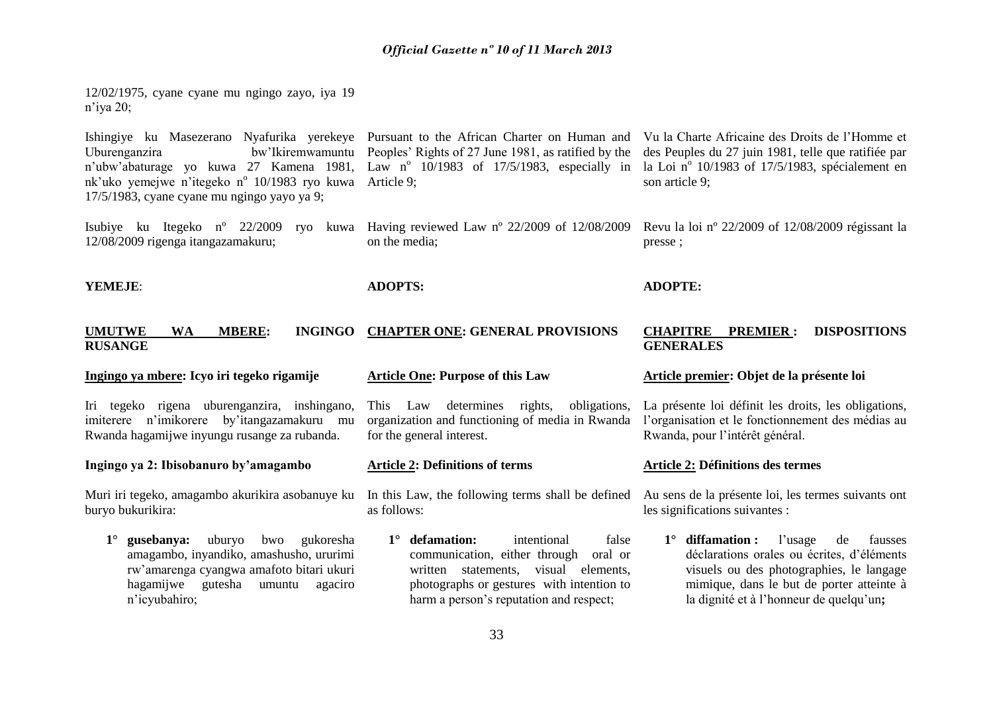12/02/1975, cyane cyane mu ngingo zayo, iya 19 n'iya 20;

Ishingiye ku Masezerano Nyafurika yerekeye Pursuant to the African Charter on Human and Vu la Charte Africaine des Droits de l'Homme et Uburenganzira bw'Ikiremwamuntu Peoples' Rights of 27 June 1981, as ratified by the n'ubw'abaturage yo kuwa 27 Kamena 1981, Law n<sup>o</sup> 10/1983 of 17/5/1983, especially in la Loi n<sup>o</sup> 10/1983 of 17/5/1983, spécialement en nk'uko yemejwe n'itegeko n° 10/1983 ryo kuwa Article 9; 17/5/1983, cyane cyane mu ngingo yayo ya 9; des Peuples du 27 juin 1981, telle que ratifiée par son article 9;

Isubiye ku Itegeko nº 22/2009 ryo kuwa Having reviewed Law nº 22/2009 of 12/08/2009 Revu la loi nº 22/2009 of 12/08/2009 régissant la 12/08/2009 rigenga itangazamakuru; on the media; presse ;

**YEMEJE**:

**ADOPTS:**

### **ADOPTE:**

#### **UMUTWE WA MBERE: RUSANGE CHAPTER ONE: GENERAL PROVISIONS CHAPITRE PREMIER : DISPOSITIONS GENERALES**

### **Ingingo ya mbere: Icyo iri tegeko rigamije**

Iri tegeko rigena uburenganzira, inshingano, imiterere n'imikorere by'itangazamakuru mu Rwanda hagamijwe inyungu rusange za rubanda.

#### **Ingingo ya 2: Ibisobanuro by'amagambo**

Muri iri tegeko, amagambo akurikira asobanuye ku buryo bukurikira:

**1° gusebanya:** uburyo bwo gukoresha amagambo, inyandiko, amashusho, ururimi rw'amarenga cyangwa amafoto bitari ukuri hagamijwe gutesha umuntu agaciro n'icyubahiro;

#### **Article One: Purpose of this Law**

This Law determines rights, obligations, organization and functioning of media in Rwanda for the general interest.

#### **Article 2: Definitions of terms**

as follows:

**1° defamation:** intentional false communication, either through oral or written statements, visual elements, photographs or gestures with intention to harm a person's reputation and respect;

# **Article premier: Objet de la présente loi**

La présente loi définit les droits, les obligations, l'organisation et le fonctionnement des médias au Rwanda, pour l'intérêt général.

#### **Article 2: Définitions des termes**

In this Law, the following terms shall be defined Au sens de la présente loi, les termes suivants ont les significations suivantes :

> **1° diffamation :** l'usage de fausses déclarations orales ou écrites, d'éléments visuels ou des photographies, le langage mimique, dans le but de porter atteinte à la dignité et à l'honneur de quelqu'un**;**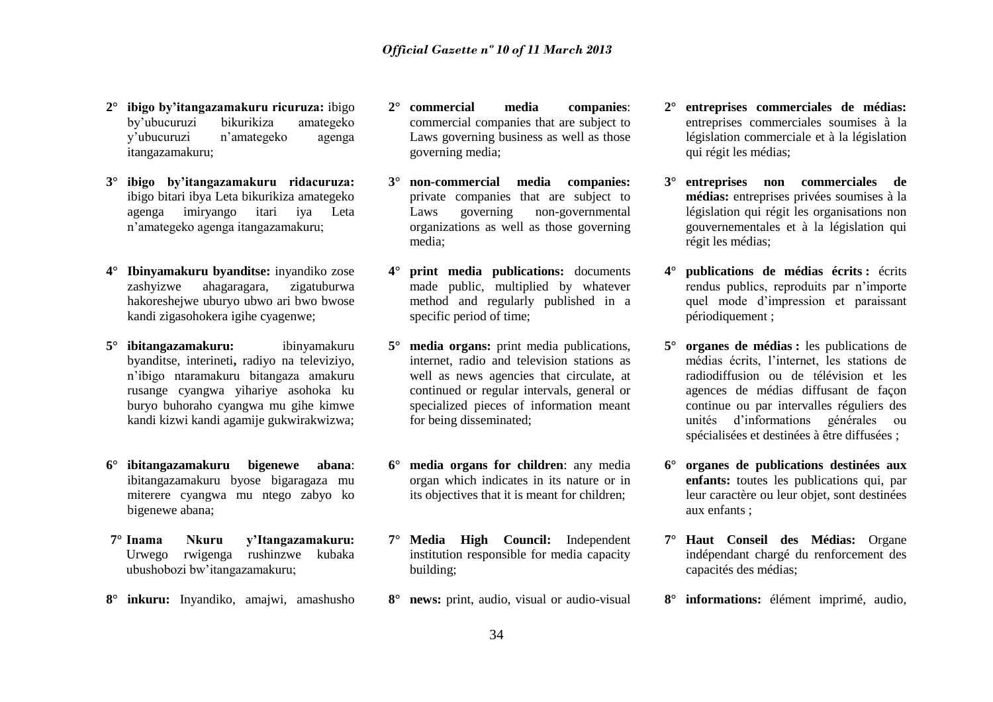- **2° ibigo by'itangazamakuru ricuruza:** ibigo by'ubucuruzi bikurikiza amategeko y'ubucuruzi n'amategeko agenga itangazamakuru;
- **3° ibigo by'itangazamakuru ridacuruza:** ibigo bitari ibya Leta bikurikiza amategeko agenga imiryango itari iya Leta n'amategeko agenga itangazamakuru;
- **4° Ibinyamakuru byanditse:** inyandiko zose zashyizwe ahagaragara, zigatuburwa hakoreshejwe uburyo ubwo ari bwo bwose kandi zigasohokera igihe cyagenwe;
- **5° ibitangazamakuru:** ibinyamakuru byanditse, interineti**,** radiyo na televiziyo, n'ibigo ntaramakuru bitangaza amakuru rusange cyangwa yihariye asohoka ku buryo buhoraho cyangwa mu gihe kimwe kandi kizwi kandi agamije gukwirakwizwa;
- **6° ibitangazamakuru bigenewe abana**: ibitangazamakuru byose bigaragaza mu miterere cyangwa mu ntego zabyo ko bigenewe abana;
- **7° Inama Nkuru y'Itangazamakuru:**  Urwego rwigenga rushinzwe kubaka ubushobozi bw'itangazamakuru;
- **8° inkuru:** Inyandiko, amajwi, amashusho
- **2° commercial media companies**: commercial companies that are subject to Laws governing business as well as those governing media;
- **3° non-commercial media companies:**  private companies that are subject to Laws governing non-governmental organizations as well as those governing media;
- **print media publications:** documents made public, multiplied by whatever method and regularly published in a specific period of time;
- **5° media organs:** print media publications, internet, radio and television stations as well as news agencies that circulate, at continued or regular intervals, general or specialized pieces of information meant for being disseminated;
- **6° media organs for children**: any media organ which indicates in its nature or in its objectives that it is meant for children;
- **7° Media High Council:** Independent institution responsible for media capacity building;
- **8° news:** print, audio, visual or audio-visual
- **2° entreprises commerciales de médias:** entreprises commerciales soumises à la législation commerciale et à la législation qui régit les médias;
- **3° entreprises non commerciales de médias:** entreprises privées soumises à la législation qui régit les organisations non gouvernementales et à la législation qui régit les médias;
- **4° publications de médias écrits :** écrits rendus publics, reproduits par n'importe quel mode d'impression et paraissant périodiquement ;
- **5° organes de médias :** les publications de médias écrits, l'internet, les stations de radiodiffusion ou de télévision et les agences de médias diffusant de façon continue ou par intervalles réguliers des unités d'informations générales ou spécialisées et destinées à être diffusées ;
- **6° organes de publications destinées aux enfants:** toutes les publications qui, par leur caractère ou leur objet, sont destinées aux enfants ;
- **7° Haut Conseil des Médias:** Organe indépendant chargé du renforcement des capacités des médias;
- **8° informations:** élément imprimé, audio,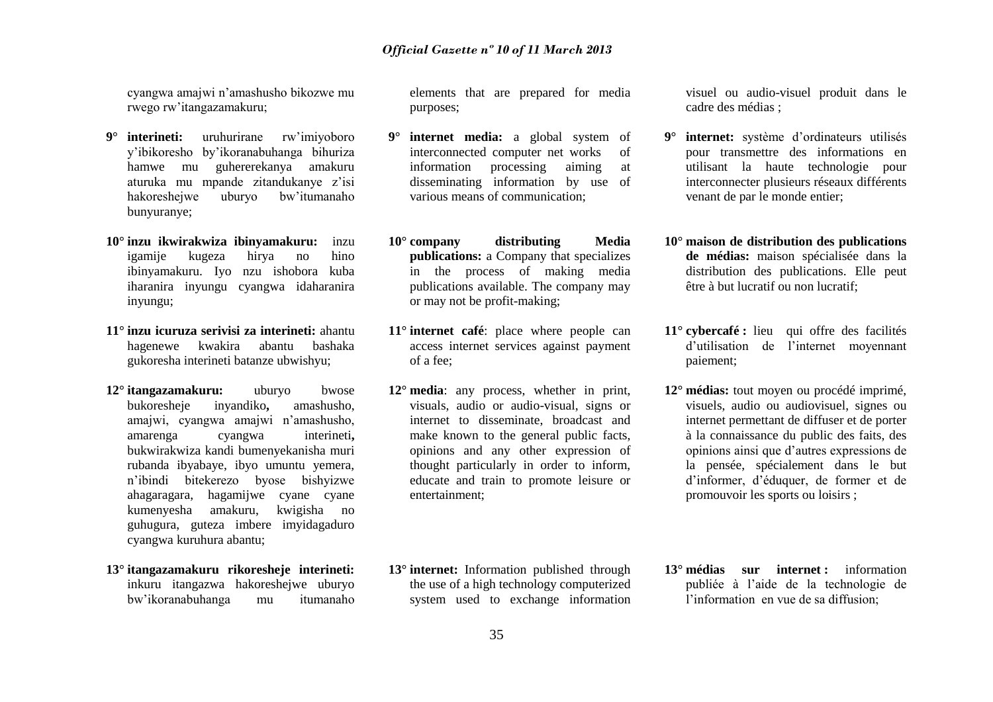cyangwa amajwi n'amashusho bikozwe mu rwego rw'itangazamakuru;

- **9° interineti:** uruhurirane rw'imiyoboro y'ibikoresho by'ikoranabuhanga bihuriza hamwe mu guhererekanya amakuru aturuka mu mpande zitandukanye z'isi hakoreshejwe uburyo bw'itumanaho bunyuranye;
- **10° inzu ikwirakwiza ibinyamakuru:** inzu igamije kugeza hirya no hino ibinyamakuru. Iyo nzu ishobora kuba iharanira inyungu cyangwa idaharanira inyungu;
- **11° inzu icuruza serivisi za interineti:** ahantu hagenewe kwakira abantu bashaka gukoresha interineti batanze ubwishyu;
- **12° itangazamakuru:** uburyo bwose bukoresheje inyandiko**,** amashusho, amajwi, cyangwa amajwi n'amashusho, amarenga cyangwa interineti**,**  bukwirakwiza kandi bumenyekanisha muri rubanda ibyabaye, ibyo umuntu yemera, n'ibindi bitekerezo byose bishyizwe ahagaragara, hagamijwe cyane cyane kumenyesha amakuru, kwigisha no guhugura, guteza imbere imyidagaduro cyangwa kuruhura abantu;
- **13° itangazamakuru rikoresheje interineti:** inkuru itangazwa hakoreshejwe uburyo bw'ikoranabuhanga mu itumanaho

elements that are prepared for media purposes;

- **9° internet media:** a global system of interconnected computer net works of information processing aiming at disseminating information by use of various means of communication;
- **10° company distributing Media publications:** a Company that specializes in the process of making media publications available. The company may or may not be profit-making;
- **11° internet café**: place where people can access internet services against payment of a fee;
- **12° media**: any process, whether in print, visuals, audio or audio-visual, signs or internet to disseminate, broadcast and make known to the general public facts, opinions and any other expression of thought particularly in order to inform, educate and train to promote leisure or entertainment;

visuel ou audio-visuel produit dans le cadre des médias ;

- **9° internet:** système d'ordinateurs utilisés pour transmettre des informations en utilisant la haute technologie pour interconnecter plusieurs réseaux différents venant de par le monde entier;
- **10° maison de distribution des publications de médias:** maison spécialisée dans la distribution des publications. Elle peut être à but lucratif ou non lucratif;
- **11° cybercafé :** lieu qui offre des facilités d'utilisation de l'internet moyennant paiement;
- **12° médias:** tout moyen ou procédé imprimé, visuels, audio ou audiovisuel, signes ou internet permettant de diffuser et de porter à la connaissance du public des faits, des opinions ainsi que d'autres expressions de la pensée, spécialement dans le but d'informer, d'éduquer, de former et de promouvoir les sports ou loisirs ;
- **13° internet:** Information published through the use of a high technology computerized system used to exchange information
- **13° médias sur internet :** information publiée à l'aide de la technologie de l'information en vue de sa diffusion;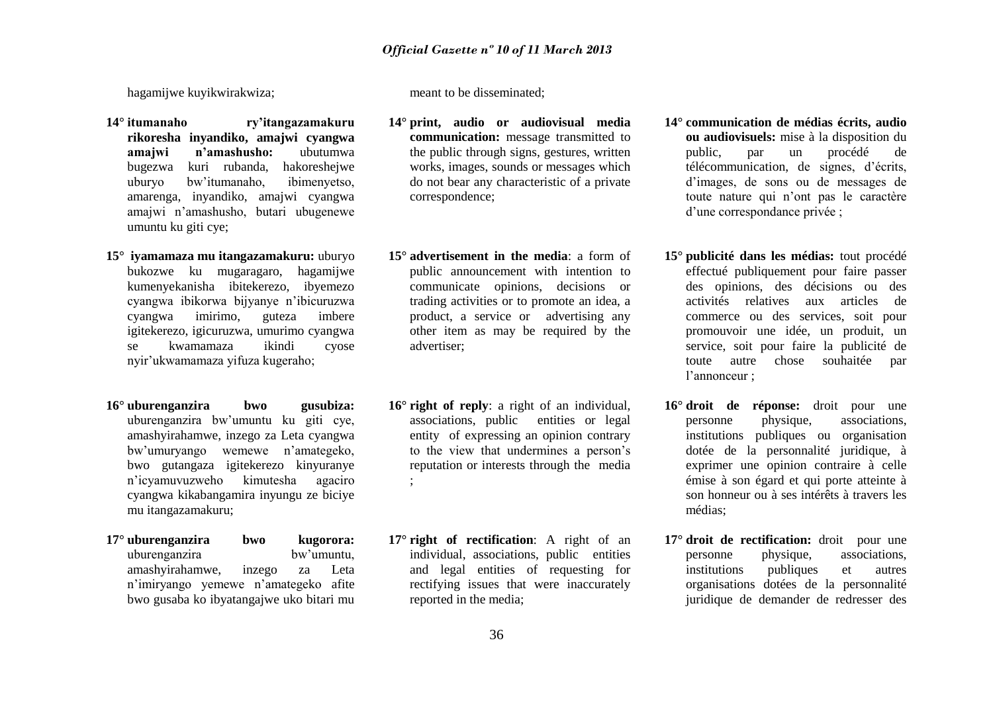hagamijwe kuyikwirakwiza;

- **14° itumanaho ry'itangazamakuru rikoresha inyandiko, amajwi cyangwa amajwi n'amashusho:** ubutumwa bugezwa kuri rubanda, hakoreshejwe uburyo bw'itumanaho, ibimenyetso, amarenga, inyandiko, amajwi cyangwa amajwi n'amashusho, butari ubugenewe umuntu ku giti cye;
- **15° iyamamaza mu itangazamakuru:** uburyo bukozwe ku mugaragaro, hagamijwe kumenyekanisha ibitekerezo, ibyemezo cyangwa ibikorwa bijyanye n'ibicuruzwa cyangwa imirimo, guteza imbere igitekerezo, igicuruzwa, umurimo cyangwa se kwamamaza ikindi cyose nyir'ukwamamaza yifuza kugeraho;
- **16° uburenganzira bwo gusubiza:** uburenganzira bw'umuntu ku giti cye, amashyirahamwe, inzego za Leta cyangwa bw'umuryango wemewe n'amategeko, bwo gutangaza igitekerezo kinyuranye n'icyamuvuzweho kimutesha agaciro cyangwa kikabangamira inyungu ze biciye mu itangazamakuru;
- **17° uburenganzira bwo kugorora:** uburenganzira bw'umuntu, amashyirahamwe, inzego za Leta n'imiryango yemewe n'amategeko afite bwo gusaba ko ibyatangajwe uko bitari mu

meant to be disseminated;

- **14° print, audio or audiovisual media communication:** message transmitted to the public through signs, gestures, written works, images, sounds or messages which do not bear any characteristic of a private correspondence;
- **15° advertisement in the media**: a form of public announcement with intention to communicate opinions, decisions or trading activities or to promote an idea, a product, a service or advertising any other item as may be required by the advertiser;
- **16° right of reply**: a right of an individual, associations, public entities or legal entity of expressing an opinion contrary to the view that undermines a person's reputation or interests through the media ;
- **17° right of rectification**: A right of an individual, associations, public entities and legal entities of requesting for rectifying issues that were inaccurately reported in the media;
- **14° communication de médias écrits, audio ou audiovisuels:** mise à la disposition du public, par un procédé de télécommunication, de signes, d'écrits, d'images, de sons ou de messages de toute nature qui n'ont pas le caractère d'une correspondance privée ;
- **15° publicité dans les médias:** tout procédé effectué publiquement pour faire passer des opinions, des décisions ou des activités relatives aux articles de commerce ou des services, soit pour promouvoir une idée, un produit, un service, soit pour faire la publicité de toute autre chose souhaitée par l'annonceur ;
- **16° droit de réponse:** droit pour une personne physique, associations, institutions publiques ou organisation dotée de la personnalité juridique, à exprimer une opinion contraire à celle émise à son égard et qui porte atteinte à son honneur ou à ses intérêts à travers les médias;
- **17° droit de rectification:** droit pour une personne physique, associations, institutions publiques et autres organisations dotées de la personnalité juridique de demander de redresser des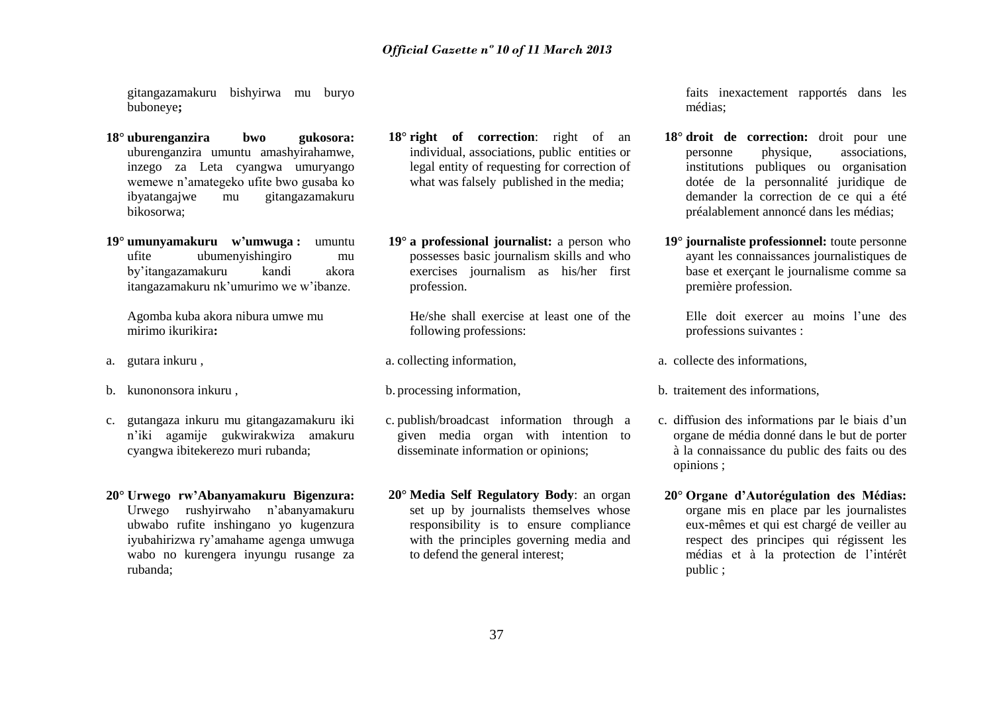gitangazamakuru bishyirwa mu buryo buboneye**;** 

- **18° uburenganzira bwo gukosora:** uburenganzira umuntu amashyirahamwe, inzego za Leta cyangwa umuryango wemewe n'amategeko ufite bwo gusaba ko<br>ibvatangaiwe mu gitangazamakuru mu gitangazamakuru bikosorwa;
- **19° umunyamakuru w'umwuga :** umuntu ufite ubumenyishingiro mu by'itangazamakuru kandi akora itangazamakuru nk'umurimo we w'ibanze.

Agomba kuba akora nibura umwe mu mirimo ikurikira**:**

- a. gutara inkuru ,
- b. kunononsora inkuru ,
- c. gutangaza inkuru mu gitangazamakuru iki n'iki agamije gukwirakwiza amakuru cyangwa ibitekerezo muri rubanda;
- **20° Urwego rw'Abanyamakuru Bigenzura:**  Urwego rushyirwaho n'abanyamakuru ubwabo rufite inshingano yo kugenzura iyubahirizwa ry'amahame agenga umwuga wabo no kurengera inyungu rusange za rubanda;
- **18° right of correction**: right of an individual, associations, public entities or legal entity of requesting for correction of what was falsely published in the media;
- **19° a professional journalist:** a person who possesses basic journalism skills and who exercises journalism as his/her first profession.

He/she shall exercise at least one of the following professions:

- a. collecting information,
- b. processing information,
- c. publish/broadcast information through a given media organ with intention to disseminate information or opinions;
- **20° Media Self Regulatory Body**: an organ set up by journalists themselves whose responsibility is to ensure compliance with the principles governing media and to defend the general interest;

faits inexactement rapportés dans les médias;

- **18° droit de correction:** droit pour une personne physique, associations, institutions publiques ou organisation dotée de la personnalité juridique de demander la correction de ce qui a été préalablement annoncé dans les médias;
- **19° journaliste professionnel:** toute personne ayant les connaissances journalistiques de base et exerçant le journalisme comme sa première profession.

Elle doit exercer au moins l'une des professions suivantes :

- a. collecte des informations,
- b. traitement des informations,
- c. diffusion des informations par le biais d'un organe de média donné dans le but de porter à la connaissance du public des faits ou des opinions ;
- **20° Organe d'Autorégulation des Médias:**  organe mis en place par les journalistes eux-mêmes et qui est chargé de veiller au respect des principes qui régissent les médias et à la protection de l'intérêt public ;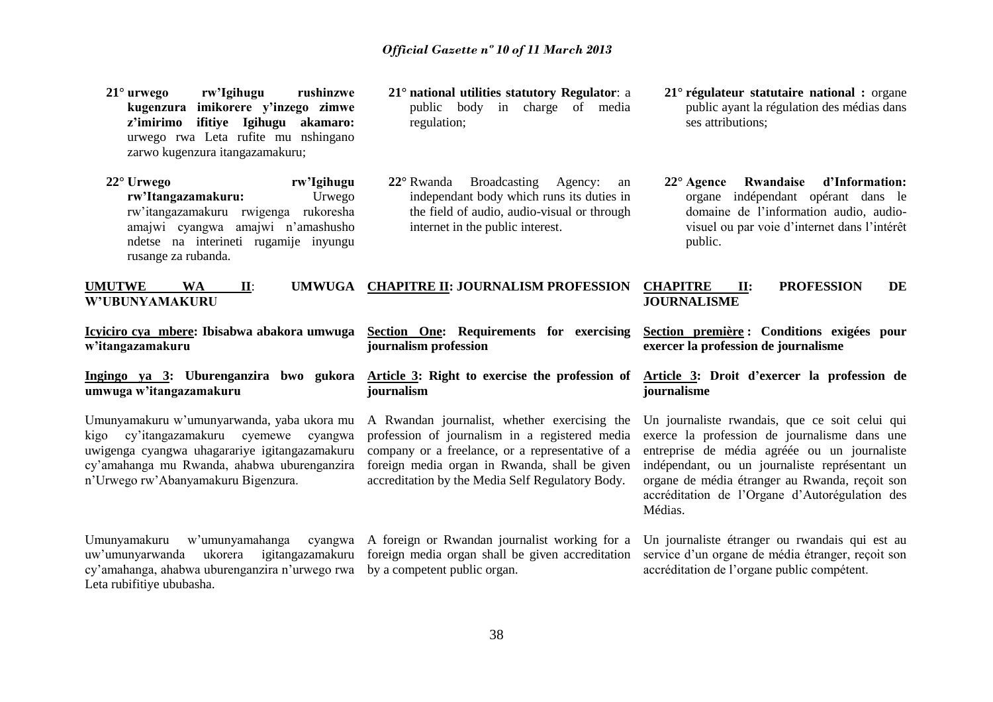- **21° urwego rw'Igihugu rushinzwe kugenzura imikorere y'inzego zimwe z'imirimo ifitiye Igihugu akamaro:** urwego rwa Leta rufite mu nshingano zarwo kugenzura itangazamakuru;
- **22° Urwego rw'Igihugu**  rw'Itangazamakuru: rw'itangazamakuru rwigenga rukoresha amajwi cyangwa amajwi n'amashusho ndetse na interineti rugamije inyungu rusange za rubanda.
- **21° national utilities statutory Regulator**: a public body in charge of media regulation;
- **22°** Rwanda Broadcasting Agency: an independant body which runs its duties in the field of audio, audio-visual or through internet in the public interest.
- **21° régulateur statutaire national :** organe public ayant la régulation des médias dans ses attributions;
- **22° Agence Rwandaise d'Information:**  organe indépendant opérant dans le domaine de l'information audio, audiovisuel ou par voie d'internet dans l'intérêt public.

**UMUTWE WA II**: **UMWUGA CHAPITRE II: JOURNALISM PROFESSION W'UBUNYAMAKURU CHAPITRE II: PROFESSION DE JOURNALISME**

**Article 3: Right to exercise the profession of** 

A Rwandan journalist, whether exercising the profession of journalism in a registered media company or a freelance, or a representative of a foreign media organ in Rwanda, shall be given accreditation by the Media Self Regulatory Body.

**journalism profession**

**journalism**

**Icyiciro cya mbere: Ibisabwa abakora umwuga Section One: Requirements for exercising w'itangazamakuru**

**Ingingo ya 3: Uburenganzira bwo gukora umwuga w'itangazamakuru**

Umunyamakuru w'umunyarwanda, yaba ukora mu kigo cy'itangazamakuru cyemewe cyangwa uwigenga cyangwa uhagarariye igitangazamakuru cy'amahanga mu Rwanda, ahabwa uburenganzira n'Urwego rw'Abanyamakuru Bigenzura.

Umunyamakuru w'umunyamahanga cyangwa A foreign or Rwandan journalist working for a uw'umunyarwanda ukorera igitangazamakuru foreign media organ shall be given accreditation cy'amahanga, ahabwa uburenganzira n'urwego rwa by a competent public organ. Leta rubifitiye ububasha.

**Section première : Conditions exigées pour exercer la profession de journalisme**

**Article 3: Droit d'exercer la profession de journalisme**

Un journaliste rwandais, que ce soit celui qui exerce la profession de journalisme dans une entreprise de média agréée ou un journaliste indépendant, ou un journaliste représentant un organe de média étranger au Rwanda, reçoit son accréditation de l'Organe d'Autorégulation des Médias.

Un journaliste étranger ou rwandais qui est au service d'un organe de média étranger, reçoit son accréditation de l'organe public compétent.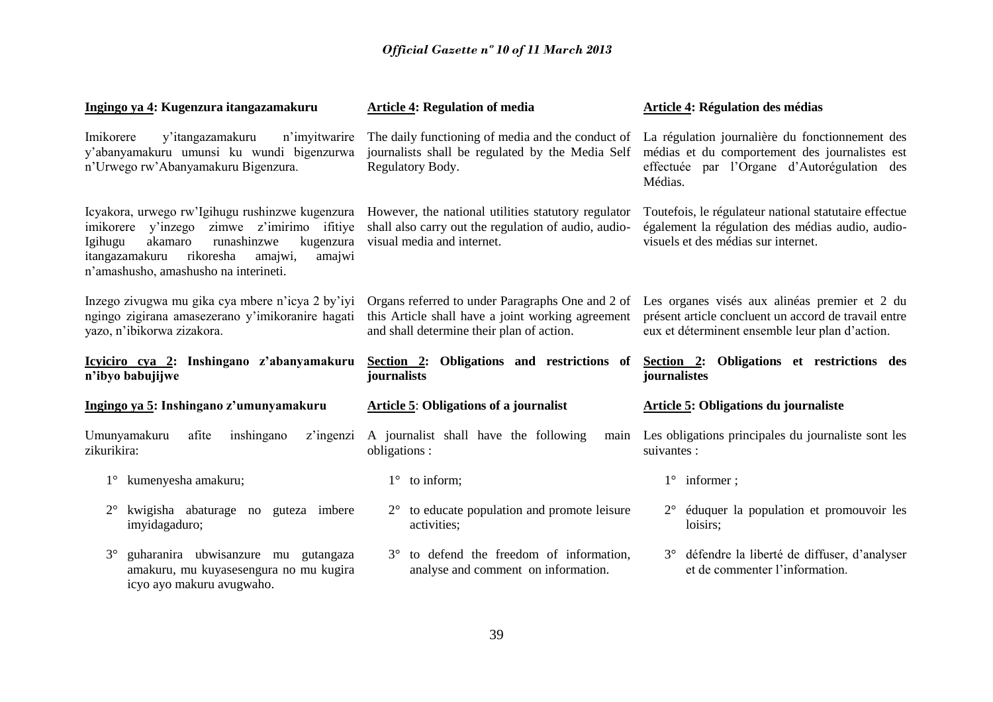| Ingingo ya 4: Kugenzura itangazamakuru                                                                                                                                                                                                             | <b>Article 4: Regulation of media</b>                                                                                                              | <b>Article 4: Régulation des médias</b>                                                                                                                     |  |  |  |
|----------------------------------------------------------------------------------------------------------------------------------------------------------------------------------------------------------------------------------------------------|----------------------------------------------------------------------------------------------------------------------------------------------------|-------------------------------------------------------------------------------------------------------------------------------------------------------------|--|--|--|
| Imikorere<br>y'itangazamakuru<br>n'imyitwarire<br>y'abanyamakuru umunsi ku wundi bigenzurwa<br>n'Urwego rw'Abanyamakuru Bigenzura.                                                                                                                 | The daily functioning of media and the conduct of<br>journalists shall be regulated by the Media Self<br>Regulatory Body.                          | La régulation journalière du fonctionnement des<br>médias et du comportement des journalistes est<br>effectuée par l'Organe d'Autorégulation des<br>Médias. |  |  |  |
| Icyakora, urwego rw'Igihugu rushinzwe kugenzura<br>zimwe z'imirimo ifitiye<br>y'inzego<br>imikorere<br>akamaro<br>runashinzwe<br>kugenzura<br>Igihugu<br>itangazamakuru<br>rikoresha<br>amajwi,<br>amajwi<br>n'amashusho, amashusho na interineti. | However, the national utilities statutory regulator<br>shall also carry out the regulation of audio, audio-<br>visual media and internet.          | Toutefois, le régulateur national statutaire effectue<br>également la régulation des médias audio, audio-<br>visuels et des médias sur internet.            |  |  |  |
| Inzego zivugwa mu gika cya mbere n'icya 2 by'iyi<br>ngingo zigirana amasezerano y'imikoranire hagati<br>yazo, n'ibikorwa zizakora.                                                                                                                 | Organs referred to under Paragraphs One and 2 of<br>this Article shall have a joint working agreement<br>and shall determine their plan of action. | Les organes visés aux alinéas premier et 2 du<br>présent article concluent un accord de travail entre<br>eux et déterminent ensemble leur plan d'action.    |  |  |  |
|                                                                                                                                                                                                                                                    |                                                                                                                                                    | journalistes                                                                                                                                                |  |  |  |
| Icyiciro cya 2: Inshingano z'abanyamakuru<br>n'ibyo babujijwe                                                                                                                                                                                      | Section 2: Obligations and restrictions of<br>journalists                                                                                          | Section 2: Obligations et restrictions des                                                                                                                  |  |  |  |
| Ingingo ya 5: Inshingano z'umunyamakuru                                                                                                                                                                                                            | <b>Article 5: Obligations of a journalist</b>                                                                                                      | <b>Article 5: Obligations du journaliste</b>                                                                                                                |  |  |  |
| Umunyamakuru<br>afite<br>inshingano<br>z'ingenzi<br>zikurikira:                                                                                                                                                                                    | A journalist shall have the following<br>main<br>obligations :                                                                                     | Les obligations principales du journaliste sont les<br>suivantes :                                                                                          |  |  |  |
| 1° kumenyesha amakuru;                                                                                                                                                                                                                             | $1^\circ$ to inform;                                                                                                                               | $1^\circ$ informer;                                                                                                                                         |  |  |  |
| kwigisha abaturage no guteza imbere<br>$2^{\circ}$<br>imyidagaduro;                                                                                                                                                                                | to educate population and promote leisure<br>$2^{\circ}$<br>activities;                                                                            | éduquer la population et promouvoir les<br>$2^{\circ}$<br>loisirs;                                                                                          |  |  |  |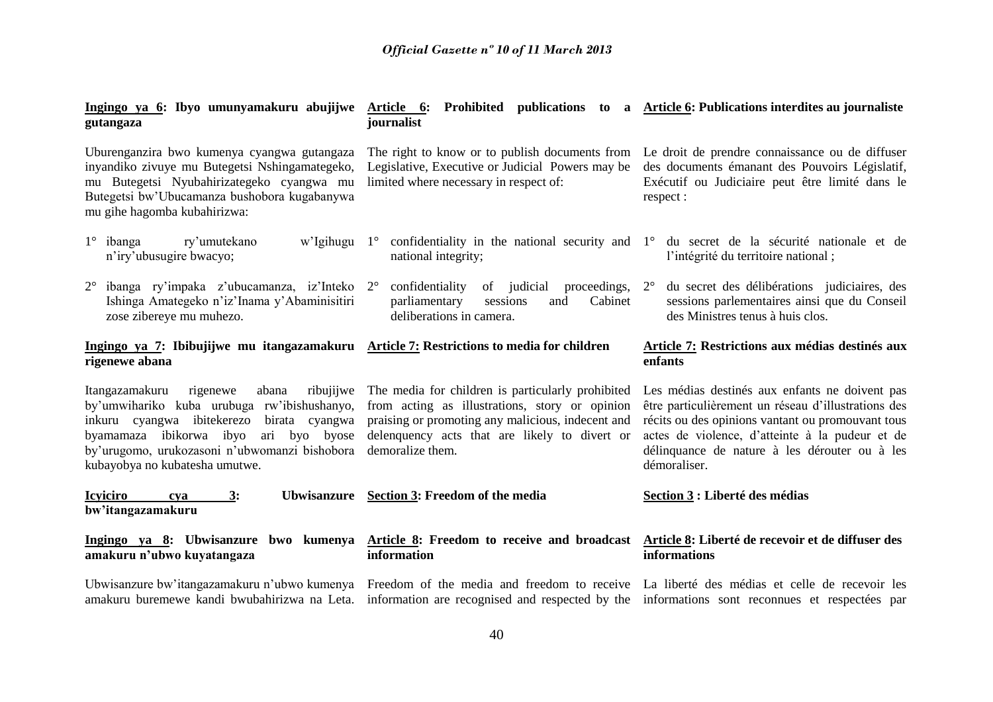| Ingingo ya 6: Ibyo umunyamakuru abujijwe<br>gutangaza                                                                                                                                                                                                                          | Article 6: Prohibited publications to a Article 6: Publications interdites au journaliste<br>journalist                                                                                                                       |                                                                                                                                                                                                                                                                                |  |  |
|--------------------------------------------------------------------------------------------------------------------------------------------------------------------------------------------------------------------------------------------------------------------------------|-------------------------------------------------------------------------------------------------------------------------------------------------------------------------------------------------------------------------------|--------------------------------------------------------------------------------------------------------------------------------------------------------------------------------------------------------------------------------------------------------------------------------|--|--|
| Uburenganzira bwo kumenya cyangwa gutangaza<br>inyandiko zivuye mu Butegetsi Nshingamategeko,<br>mu Butegetsi Nyubahirizategeko cyangwa mu<br>Butegetsi bw'Ubucamanza bushobora kugabanywa<br>mu gihe hagomba kubahirizwa:                                                     | The right to know or to publish documents from<br>Legislative, Executive or Judicial Powers may be<br>limited where necessary in respect of:                                                                                  | Le droit de prendre connaissance ou de diffuser<br>des documents émanant des Pouvoirs Législatif,<br>Exécutif ou Judiciaire peut être limité dans le<br>respect:                                                                                                               |  |  |
| $1^\circ$ ibanga<br>ry'umutekano<br>w'Igihugu<br>n'iry'ubusugire bwacyo;                                                                                                                                                                                                       | $1^{\circ}$<br>national integrity;                                                                                                                                                                                            | confidentiality in the national security and $1^{\circ}$ du secret de la sécurité nationale et de<br>l'intégrité du territoire national;                                                                                                                                       |  |  |
| $2^{\circ}$<br>ibanga ry'impaka z'ubucamanza, iz'Inteko 2°<br>Ishinga Amategeko n'iz'Inama y'Abaminisitiri<br>zose zibereye mu muhezo.                                                                                                                                         | of judicial<br>confidentiality<br>proceedings, $2^{\circ}$<br>parliamentary<br>Cabinet<br>sessions<br>and<br>deliberations in camera.                                                                                         | du secret des délibérations judiciaires, des<br>sessions parlementaires ainsi que du Conseil<br>des Ministres tenus à huis clos.                                                                                                                                               |  |  |
| Ingingo ya 7: Ibibujijwe mu itangazamakuru Article 7: Restrictions to media for children<br>rigenewe abana                                                                                                                                                                     |                                                                                                                                                                                                                               | Article 7: Restrictions aux médias destinés aux<br>enfants                                                                                                                                                                                                                     |  |  |
| Itangazamakuru<br>rigenewe<br>ribujijwe<br>abana<br>by'umwihariko kuba urubuga rw'ibishushanyo,<br>inkuru cyangwa ibitekerezo<br>birata cyangwa<br>byamamaza ibikorwa ibyo<br>ari byo byose<br>by'urugomo, urukozasoni n'ubwomanzi bishobora<br>kubayobya no kubatesha umutwe. | The media for children is particularly prohibited<br>from acting as illustrations, story or opinion<br>praising or promoting any malicious, indecent and<br>delenquency acts that are likely to divert or<br>demoralize them. | Les médias destinés aux enfants ne doivent pas<br>être particulièrement un réseau d'illustrations des<br>récits ou des opinions vantant ou promouvant tous<br>actes de violence, d'atteinte à la pudeur et de<br>délinquance de nature à les dérouter ou à les<br>démoraliser. |  |  |
| <b>Icyiciro</b><br>3:<br><b>Ubwisanzure</b><br>cya<br>bw'itangazamakuru                                                                                                                                                                                                        | Section 3: Freedom of the media                                                                                                                                                                                               | Section 3 : Liberté des médias                                                                                                                                                                                                                                                 |  |  |
| Ingingo ya 8: Ubwisanzure bwo kumenya<br>amakuru n'ubwo kuyatangaza                                                                                                                                                                                                            | Article 8: Freedom to receive and broadcast Article 8: Liberté de recevoir et de diffuser des<br>information                                                                                                                  | informations                                                                                                                                                                                                                                                                   |  |  |
| Ubwisanzure bw'itangazamakuru n'ubwo kumenya<br>amakuru buremewe kandi bwubahirizwa na Leta. information are recognised and respected by the informations sont reconnues et respectées par                                                                                     | Freedom of the media and freedom to receive La liberté des médias et celle de recevoir les                                                                                                                                    |                                                                                                                                                                                                                                                                                |  |  |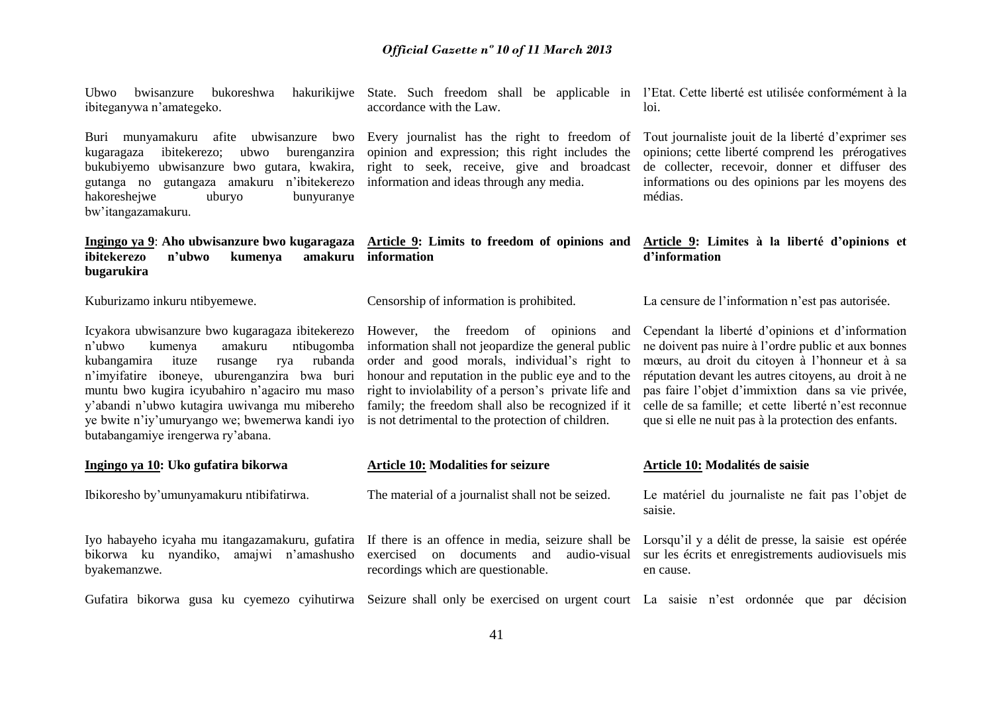n'ubwo kumenya amakuru ntibugomba information shall not jeopardize the general public ye bwite n'iy'umuryango we; bwemerwa kandi iyo is not detrimental to the protection of children. order and good morals, individual's right to honour and reputation in the public eye and to the right to inviolability of a person's private life and family; the freedom shall also be recognized if it

**Ingingo ya 10: Uko gufatira bikorwa**

Ibikoresho by'umunyamakuru ntibifatirwa.

Iyo habayeho icyaha mu itangazamakuru, gufatira If there is an offence in media, seizure shall be Lorsqu'il y a délit de presse, la saisie est opérée bikorwa ku nyandiko, amajwi n'amashusho byakemanzwe.

State. Such freedom shall be applicable in l'Etat. Cette liberté est utilisée conformément à la accordance with the Law.

Buri munyamakuru afite ubwisanzure bwo Every journalist has the right to freedom of opinion and expression; this right includes the right to seek, receive, give and broadcast information and ideas through any media.

Censorship of information is prohibited.

**Article 10: Modalities for seizure**

recordings which are questionable.

**Article 9: Limites à la liberté d'opinions et d'information**

Tout journaliste jouit de la liberté d'exprimer ses opinions; cette liberté comprend les prérogatives de collecter, recevoir, donner et diffuser des informations ou des opinions par les moyens des

loi.

médias.

La censure de l'information n'est pas autorisée.

Cependant la liberté d'opinions et d'information ne doivent pas nuire à l'ordre public et aux bonnes mœurs, au droit du citoyen à l'honneur et à sa réputation devant les autres citoyens, au droit à ne pas faire l'objet d'immixtion dans sa vie privée, celle de sa famille; et cette liberté n'est reconnue que si elle ne nuit pas à la protection des enfants.

#### **Article 10: Modalités de saisie**

Le matériel du journaliste ne fait pas l'objet de saisie.

exercised on documents and audio-visual sur les écrits et enregistrements audiovisuels mis en cause.

Gufatira bikorwa gusa ku cyemezo cyihutirwa Seizure shall only be exercised on urgent court La saisie n'est ordonnée que par décision

The material of a journalist shall not be seized.

#### *Official Gazette nº 10 of 11 March 2013*

hakoreshejwe uburyo bunyuranye bw'itangazamakuru. **Ingingo ya 9**: **Aho ubwisanzure bwo kugaragaza Article 9: Limits to freedom of opinions and ibitekerezo n'ubwo kumenya bugarukira information**

Kuburizamo inkuru ntibyemewe.

Ubwo bwisanzure bukoreshwa

ibiteganywa n'amategeko.

Icyakora ubwisanzure bwo kugaragaza ibitekerezo However, the freedom of opinions and kubangamira ituze rusange rya rubanda n'imyifatire iboneye, uburenganzira bwa buri muntu bwo kugira icyubahiro n'agaciro mu maso y'abandi n'ubwo kutagira uwivanga mu mibereho butabangamiye irengerwa ry'abana.

kugaragaza ibitekerezo; ubwo burenganzira bukubiyemo ubwisanzure bwo gutara, kwakira, gutanga no gutangaza amakuru n'ibitekerezo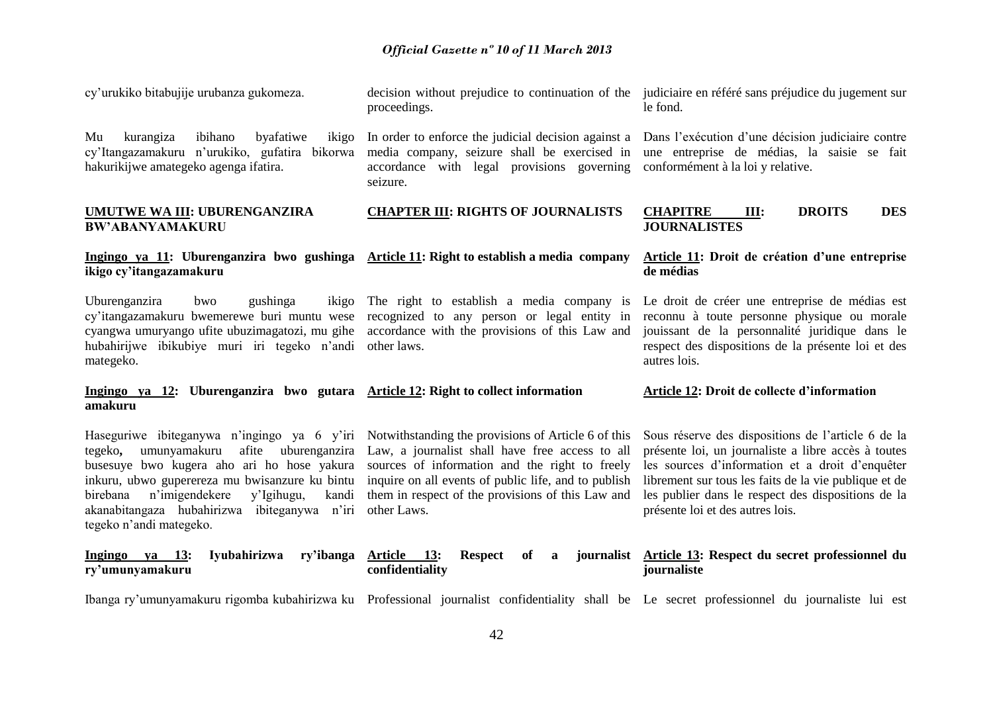| cy'urukiko bitabujije urubanza gukomeza.                                                                                                                                                                                                                                                                                         | decision without prejudice to continuation of the judiciaire en référé sans préjudice du jugement sur<br>proceedings.                                                                                                                                                                | le fond.                                                                                                                                                                                                                                                                                                        |  |  |  |  |
|----------------------------------------------------------------------------------------------------------------------------------------------------------------------------------------------------------------------------------------------------------------------------------------------------------------------------------|--------------------------------------------------------------------------------------------------------------------------------------------------------------------------------------------------------------------------------------------------------------------------------------|-----------------------------------------------------------------------------------------------------------------------------------------------------------------------------------------------------------------------------------------------------------------------------------------------------------------|--|--|--|--|
| kurangiza<br>ibihano<br>byafatiwe<br>Mu<br>ikigo<br>cy'Itangazamakuru n'urukiko, gufatira bikorwa<br>hakurikijwe amategeko agenga ifatira.                                                                                                                                                                                       | In order to enforce the judicial decision against a<br>media company, seizure shall be exercised in<br>accordance with legal provisions governing<br>seizure.                                                                                                                        | Dans l'exécution d'une décision judiciaire contre<br>une entreprise de médias, la saisie se fait<br>conformément à la loi y relative.                                                                                                                                                                           |  |  |  |  |
| UMUTWE WA III: UBURENGANZIRA<br><b>BW'ABANYAMAKURU</b>                                                                                                                                                                                                                                                                           | <b>CHAPTER III: RIGHTS OF JOURNALISTS</b>                                                                                                                                                                                                                                            | <b>CHAPITRE</b><br><b>DROITS</b><br><b>DES</b><br>Ш:<br><b>JOURNALISTES</b>                                                                                                                                                                                                                                     |  |  |  |  |
| Ingingo ya 11: Uburenganzira bwo gushinga Article 11: Right to establish a media company<br>ikigo cy'itangazamakuru                                                                                                                                                                                                              |                                                                                                                                                                                                                                                                                      | Article 11: Droit de création d'une entreprise<br>de médias                                                                                                                                                                                                                                                     |  |  |  |  |
| Uburenganzira<br>gushinga<br>bwo<br>ikigo<br>cy'itangazamakuru bwemerewe buri muntu wese<br>cyangwa umuryango ufite ubuzimagatozi, mu gihe<br>hubahirijwe ibikubiye muri iri tegeko n'andi<br>mategeko.                                                                                                                          | The right to establish a media company is<br>recognized to any person or legal entity in<br>accordance with the provisions of this Law and<br>other laws.                                                                                                                            | Le droit de créer une entreprise de médias est<br>reconnu à toute personne physique ou morale<br>jouissant de la personnalité juridique dans le<br>respect des dispositions de la présente loi et des<br>autres lois.                                                                                           |  |  |  |  |
| Ingingo ya 12: Uburenganzira bwo gutara Article 12: Right to collect information<br>amakuru                                                                                                                                                                                                                                      |                                                                                                                                                                                                                                                                                      | Article 12: Droit de collecte d'information                                                                                                                                                                                                                                                                     |  |  |  |  |
| Haseguriwe ibiteganywa n'ingingo ya 6 y'iri<br>tegeko,<br>umunyamakuru<br>afite<br>uburenganzira<br>busesuye bwo kugera aho ari ho hose yakura<br>inkuru, ubwo guperereza mu bwisanzure ku bintu<br>n'imigendekere<br>y'Igihugu,<br>kandi<br>birebana<br>akanabitangaza hubahirizwa ibiteganywa n'iri<br>tegeko n'andi mategeko. | Notwithstanding the provisions of Article 6 of this<br>Law, a journalist shall have free access to all<br>sources of information and the right to freely<br>inquire on all events of public life, and to publish<br>them in respect of the provisions of this Law and<br>other Laws. | Sous réserve des dispositions de l'article 6 de la<br>présente loi, un journaliste a libre accès à toutes<br>les sources d'information et a droit d'enquêter<br>librement sur tous les faits de la vie publique et de<br>les publier dans le respect des dispositions de la<br>présente loi et des autres lois. |  |  |  |  |
| Iyubahirizwa<br>ry'ibanga<br>Ingingo ya 13:<br>ry'umunyamakuru                                                                                                                                                                                                                                                                   | <b>Article</b><br><b>13:</b><br><b>Respect</b><br>of<br>a<br>confidentiality                                                                                                                                                                                                         | journalist Article 13: Respect du secret professionnel du<br>journaliste                                                                                                                                                                                                                                        |  |  |  |  |
| Ibanga ry'umunyamakuru rigomba kubahirizwa ku Professional journalist confidentiality shall be Le secret professionnel du journaliste lui est                                                                                                                                                                                    |                                                                                                                                                                                                                                                                                      |                                                                                                                                                                                                                                                                                                                 |  |  |  |  |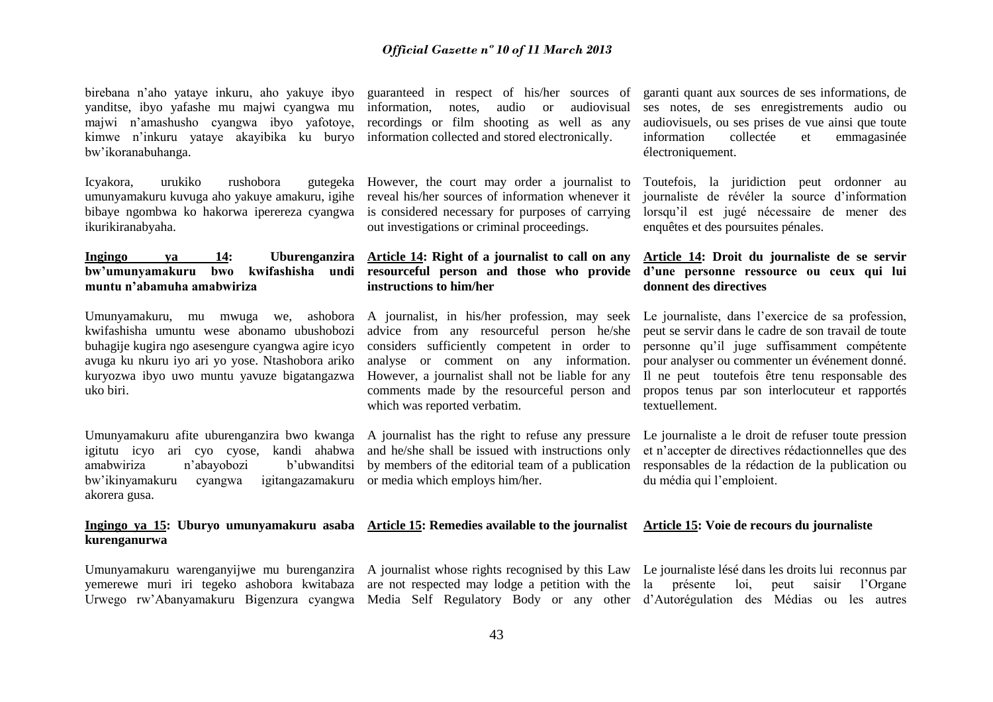birebana n'aho yataye inkuru, aho yakuye ibyo yanditse, ibyo yafashe mu majwi cyangwa mu majwi n'amashusho cyangwa ibyo yafotoye, kimwe n'inkuru yataye akayibika ku buryo bw'ikoranabuhanga.

Icyakora, urukiko rushobora gutegeka However, the court may order a journalist to umunyamakuru kuvuga aho yakuye amakuru, igihe reveal his/her sources of information whenever it bibaye ngombwa ko hakorwa iperereza cyangwa ikurikiranabyaha.

# **Ingingo ya 14: Uburenganzira Article 14: Right of a journalist to call on any muntu n'abamuha amabwiriza**

Umunyamakuru, mu mwuga we, ashobora kwifashisha umuntu wese abonamo ubushobozi buhagije kugira ngo asesengure cyangwa agire icyo avuga ku nkuru iyo ari yo yose. Ntashobora ariko kuryozwa ibyo uwo muntu yavuze bigatangazwa uko biri.

Umunyamakuru afite uburenganzira bwo kwanga A journalist has the right to refuse any pressure igitutu icyo ari cyo cyose, kandi ahabwa amabwiriza n'abayobozi b'ubwanditsi bw'ikinyamakuru cyangwa igitangazamakuru or media which employs him/her. akorera gusa.

#### **Ingingo ya 15: Uburyo umunyamakuru asaba Article 15: Remedies available to the journalist Article 15: Voie de recours du journaliste kurenganurwa**

guaranteed in respect of his/her sources of information, notes, audio or audiovisual recordings or film shooting as well as any information collected and stored electronically.

is considered necessary for purposes of carrying out investigations or criminal proceedings.

# **bw'umunyamakuru bwo kwifashisha undi resourceful person and those who provide d'une personne ressource ou ceux qui lui instructions to him/her**

A journalist, in his/her profession, may seek advice from any resourceful person he/she considers sufficiently competent in order to analyse or comment on any information. However, a journalist shall not be liable for any comments made by the resourceful person and which was reported verbatim.

and he/she shall be issued with instructions only by members of the editorial team of a publication

garanti quant aux sources de ses informations, de ses notes, de ses enregistrements audio ou audiovisuels, ou ses prises de vue ainsi que toute information collectée et emmagasinée électroniquement.

Toutefois, la juridiction peut ordonner au journaliste de révéler la source d'information lorsqu'il est jugé nécessaire de mener des enquêtes et des poursuites pénales.

# **Article 14: Droit du journaliste de se servir donnent des directives**

Le journaliste, dans l'exercice de sa profession. peut se servir dans le cadre de son travail de toute personne qu'il juge suffisamment compétente pour analyser ou commenter un événement donné. Il ne peut toutefois être tenu responsable des propos tenus par son interlocuteur et rapportés textuellement.

Le journaliste a le droit de refuser toute pression et n'accepter de directives rédactionnelles que des responsables de la rédaction de la publication ou du média qui l'emploient.

yemerewe muri iri tegeko ashobora kwitabaza are not respected may lodge a petition with the la présente loi, peut saisir l'Organe

Umunyamakuru warenganyijwe mu burenganzira A journalist whose rights recognised by this Law Le journaliste lésé dans les droits lui reconnus par Urwego rw'Abanyamakuru Bigenzura cyangwa Media Self Regulatory Body or any other d'Autorégulation des Médias ou les autres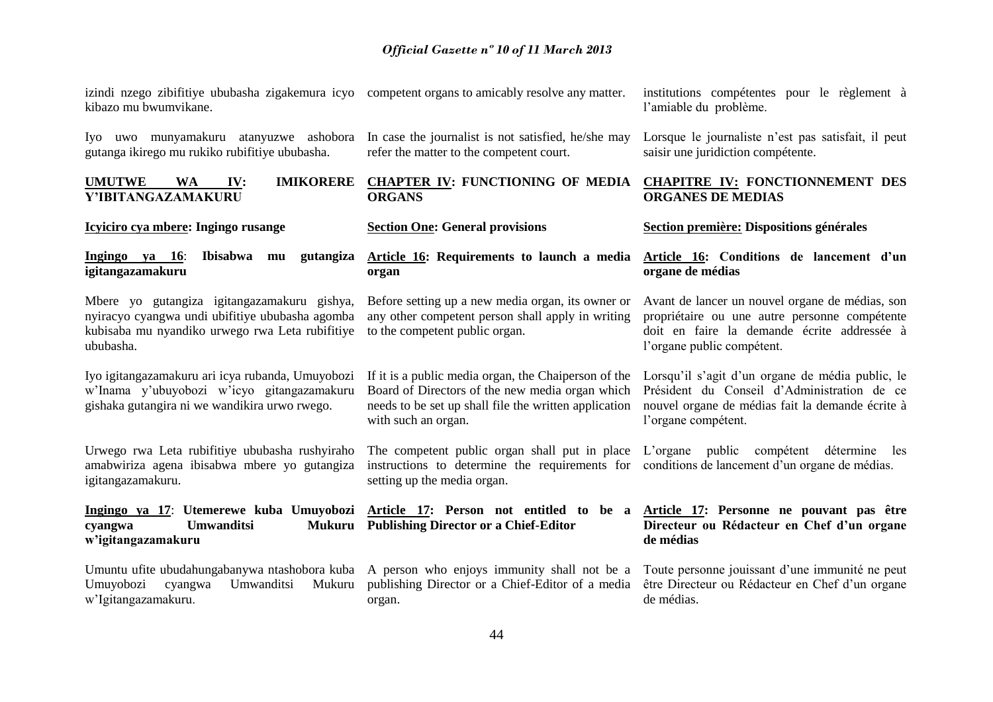izindi nzego zibifitiye ububasha zigakemura icyo competent organs to amicably resolve any matter. kibazo mu bwumvikane.

Iyo uwo munyamakuru atanyuzwe ashobora In case the journalist is not satisfied, he/she may gutanga ikirego mu rukiko rubifitiye ububasha.

Iyo igitangazamakuru ari icya rubanda, Umuyobozi w'Inama y'ubuyobozi w'icyo gitangazamakuru gishaka gutangira ni we wandikira urwo rwego.

Urwego rwa Leta rubifitiye ububasha rushyiraho amabwiriza agena ibisabwa mbere yo gutangiza

**Icyiciro cya mbere: Ingingo rusange**

**igitangazamakuru**

igitangazamakuru.

**w'igitangazamakuru** 

w'Igitangazamakuru.

cyangwa **Umwanditsi** 

Umuyobozi cyangwa Umwanditsi

ububasha.

refer the matter to the competent court.

#### **UMUTWE WA IV: IMIKORERE CHAPTER IV: FUNCTIONING OF MEDIA CHAPITRE IV: FONCTIONNEMENT DES Y'IBITANGAZAMAKURU ORGANS**

#### **Section One: General provisions**

#### **Ingingo ya 16**: **Ibisabwa mu gutangiza Article 16: Requirements to launch a media organ**

Mbere yo gutangiza igitangazamakuru gishya, nyiracyo cyangwa undi ubifitiye ububasha agomba kubisaba mu nyandiko urwego rwa Leta rubifitiye to the competent public organ. any other competent person shall apply in writing

> Board of Directors of the new media organ which needs to be set up shall file the written application with such an organ.

instructions to determine the requirements for conditions de lancement d'un organe de médias. setting up the media organ.

**Ingingo ya 17**: **Utemerewe kuba Umuyobozi Article 17: Person not entitled to be a Publishing Director or a Chief-Editor**

> publishing Director or a Chief-Editor of a media organ.

institutions compétentes pour le règlement à l'amiable du problème.

Lorsque le journaliste n'est pas satisfait, il peut saisir une juridiction compétente.

# **ORGANES DE MEDIAS**

#### **Section première: Dispositions générales**

**Article 16: Conditions de lancement d'un organe de médias**

Before setting up a new media organ, its owner or Avant de lancer un nouvel organe de médias, son propriétaire ou une autre personne compétente doit en faire la demande écrite addressée à l'organe public compétent.

If it is a public media organ, the Chaiperson of the Lorsqu'il s'agit d'un organe de média public, le Président du Conseil d'Administration de ce nouvel organe de médias fait la demande écrite à l'organe compétent.

The competent public organ shall put in place L'organe public compétent détermine les

#### **Article 17: Personne ne pouvant pas être Directeur ou Rédacteur en Chef d'un organe de médias**

Umuntu ufite ubudahungabanywa ntashobora kuba A person who enjoys immunity shall not be a Toute personne jouissant d'une immunité ne peut être Directeur ou Rédacteur en Chef d'un organe de médias.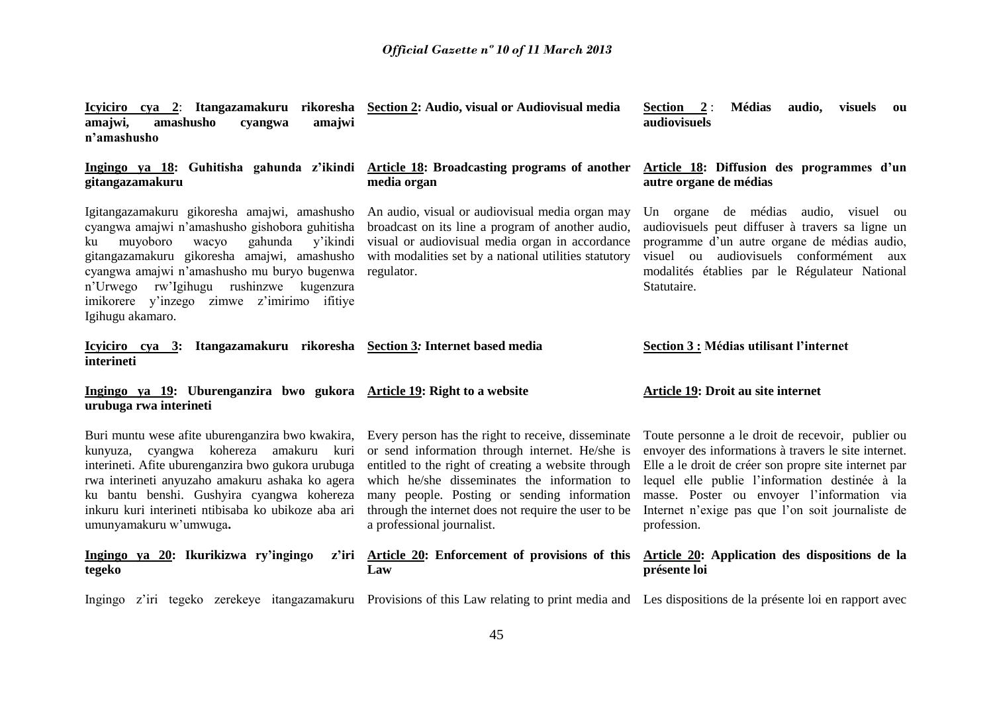| amashusho<br>amajwi,<br>amajwi<br>cyangwa<br>n'amashusho                                                                                                                                                                                                                                                                                                    | Icyiciro cya 2: Itangazamakuru rikoresha Section 2: Audio, visual or Audiovisual media                                                                                                                                                                                                                                                            | Section 2:<br><b>Médias</b><br>audio, visuels<br><b>ou</b><br>audiovisuels                                                                                                                                                                                                                                                             |
|-------------------------------------------------------------------------------------------------------------------------------------------------------------------------------------------------------------------------------------------------------------------------------------------------------------------------------------------------------------|---------------------------------------------------------------------------------------------------------------------------------------------------------------------------------------------------------------------------------------------------------------------------------------------------------------------------------------------------|----------------------------------------------------------------------------------------------------------------------------------------------------------------------------------------------------------------------------------------------------------------------------------------------------------------------------------------|
| Ingingo ya 18: Guhitisha gahunda z'ikindi<br>gitangazamakuru                                                                                                                                                                                                                                                                                                | Article 18: Broadcasting programs of another<br>media organ                                                                                                                                                                                                                                                                                       | Article 18: Diffusion des programmes d'un<br>autre organe de médias                                                                                                                                                                                                                                                                    |
| Igitangazamakuru gikoresha amajwi, amashusho<br>cyangwa amajwi n'amashusho gishobora guhitisha<br>muyoboro<br>gahunda<br>wacyo<br>y'ikindi<br>ku<br>gitangazamakuru gikoresha amajwi, amashusho<br>cyangwa amajwi n'amashusho mu buryo bugenwa<br>n'Urwego rw'Igihugu rushinzwe kugenzura<br>imikorere y'inzego zimwe z'imirimo ifitiye<br>Igihugu akamaro. | An audio, visual or audiovisual media organ may<br>broadcast on its line a program of another audio,<br>visual or audiovisual media organ in accordance<br>with modalities set by a national utilities statutory<br>regulator.                                                                                                                    | Un organe de médias audio, visuel ou<br>audiovisuels peut diffuser à travers sa ligne un<br>programme d'un autre organe de médias audio,<br>visuel ou audiovisuels conformément aux<br>modalités établies par le Régulateur National<br>Statutaire.                                                                                    |
| Icyiciro cya 3: Itangazamakuru rikoresha Section 3: Internet based media<br>interineti                                                                                                                                                                                                                                                                      |                                                                                                                                                                                                                                                                                                                                                   | Section 3 : Médias utilisant l'internet                                                                                                                                                                                                                                                                                                |
|                                                                                                                                                                                                                                                                                                                                                             |                                                                                                                                                                                                                                                                                                                                                   |                                                                                                                                                                                                                                                                                                                                        |
| Ingingo ya 19: Uburenganzira bwo gukora Article 19: Right to a website<br>urubuga rwa interineti                                                                                                                                                                                                                                                            |                                                                                                                                                                                                                                                                                                                                                   | <b>Article 19: Droit au site internet</b>                                                                                                                                                                                                                                                                                              |
| Buri muntu wese afite uburenganzira bwo kwakira,<br>kunyuza, cyangwa kohereza amakuru kuri<br>interineti. Afite uburenganzira bwo gukora urubuga<br>rwa interineti anyuzaho amakuru ashaka ko agera<br>ku bantu benshi. Gushyira cyangwa kohereza<br>inkuru kuri interineti ntibisaba ko ubikoze aba ari<br>umunyamakuru w'umwuga.                          | Every person has the right to receive, disseminate<br>or send information through internet. He/she is<br>entitled to the right of creating a website through<br>which he/she disseminates the information to<br>many people. Posting or sending information<br>through the internet does not require the user to be<br>a professional journalist. | Toute personne a le droit de recevoir, publier ou<br>envoyer des informations à travers le site internet.<br>Elle a le droit de créer son propre site internet par<br>lequel elle publie l'information destinée à la<br>masse. Poster ou envoyer l'information via<br>Internet n'exige pas que l'on soit journaliste de<br>profession. |
| Ingingo ya 20: Ikurikizwa ry'ingingo<br>z'iri<br>tegeko                                                                                                                                                                                                                                                                                                     | <b>Article 20:</b> Enforcement of provisions of this<br>Law                                                                                                                                                                                                                                                                                       | Article 20: Application des dispositions de la<br>présente loi                                                                                                                                                                                                                                                                         |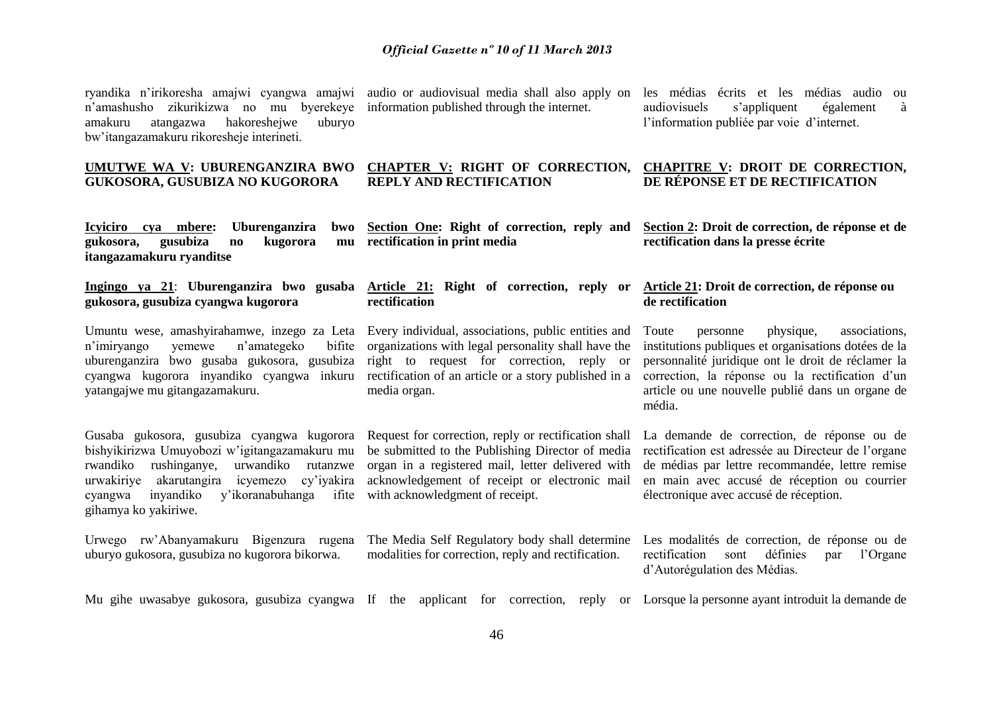ryandika n'irikoresha amajwi cyangwa amajwi audio or audiovisual media shall also apply on les médias écrits et les médias audio ou n'amashusho zikurikizwa no mu byerekeye amakuru atangazwa hakoreshejwe uburyo bw'itangazamakuru rikoresheje interineti.

#### **UMUTWE WA V: UBURENGANZIRA BWO GUKOSORA, GUSUBIZA NO KUGORORA**

information published through the internet.

audiovisuels s'appliquent également à l'information publiée par voie d'internet.

#### **CHAPTER V: RIGHT OF CORRECTION, CHAPITRE V: DROIT DE CORRECTION, REPLY AND RECTIFICATION DE RÉPONSE ET DE RECTIFICATION**

**Icyiciro cya mbere: Uburenganzira bwo gukosora, gusubiza no kugorora mu itangazamakuru ryanditse**

**gukosora, gusubiza cyangwa kugorora**

Umuntu wese, amashyirahamwe, inzego za Leta Every individual, associations, public entities and n'imiryango yemewe n'amategeko uburenganzira bwo gusaba gukosora, gusubiza right to request for correction, reply or cyangwa kugorora inyandiko cyangwa inkuru rectification of an article or a story published in a yatangajwe mu gitangazamakuru.

Gusaba gukosora, gusubiza cyangwa kugorora Request for correction, reply or rectification shall bishyikirizwa Umuyobozi w'igitangazamakuru mu be submitted to the Publishing Director of media rwandiko rushinganye. urwakiriye akarutangira cyangwa inyandiko y'ikoranabuhanga ifite with acknowledgment of receipt. gihamya ko yakiriwe.

Urwego rw'Abanyamakuru Bigenzura rugena uburyo gukosora, gusubiza no kugorora bikorwa.

**Section One: Right of correction, reply and rectification in print media**

**Ingingo ya 21**: **Uburenganzira bwo gusaba Article 21: Right of correction, reply or rectification**

> bifite organizations with legal personality shall have the media organ.

urwandiko rutanzwe organ in a registered mail, letter delivered with icyemezo cy'iyakira acknowledgement of receipt or electronic mail

modalities for correction, reply and rectification.

**Section 2: Droit de correction, de réponse et de rectification dans la presse écrite**

#### **Article 21: Droit de correction, de réponse ou de rectification**

Toute personne physique, associations, institutions publiques et organisations dotées de la personnalité juridique ont le droit de réclamer la correction, la réponse ou la rectification d'un article ou une nouvelle publié dans un organe de média.

La demande de correction, de réponse ou de rectification est adressée au Directeur de l'organe de médias par lettre recommandée, lettre remise en main avec accusé de réception ou courrier électronique avec accusé de réception.

The Media Self Regulatory body shall determine Les modalités de correction, de réponse ou de rectification sont définies par l'Organe d'Autorégulation des Médias.

Mu gihe uwasabye gukosora, gusubiza cyangwa If the applicant for correction, reply or Lorsque la personne ayant introduit la demande de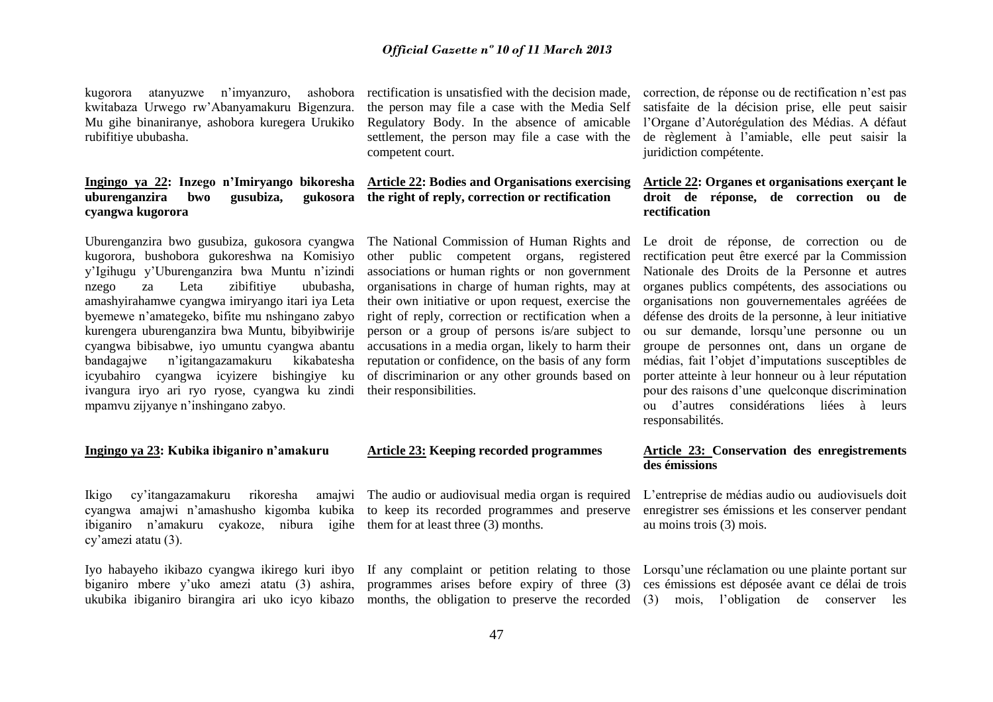kugorora atanyuzwe n'imyanzuro, ashobora kwitabaza Urwego rw'Abanyamakuru Bigenzura. Mu gihe binaniranye, ashobora kuregera Urukiko rubifitiye ububasha.

### **Ingingo ya 22: Inzego n'Imiryango bikoresha**  uburenganzira bwo gusubiza. **cyangwa kugorora**

Uburenganzira bwo gusubiza, gukosora cyangwa kugorora, bushobora gukoreshwa na Komisiyo y'Igihugu y'Uburenganzira bwa Muntu n'izindi nzego za Leta zibifitiye ububasha, amashyirahamwe cyangwa imiryango itari iya Leta byemewe n'amategeko, bifite mu nshingano zabyo kurengera uburenganzira bwa Muntu, bibyibwirije cyangwa bibisabwe, iyo umuntu cyangwa abantu bandagajwe n'igitangazamakuru kikabatesha icyubahiro cyangwa icyizere bishingiye ku ivangura iryo ari ryo ryose, cyangwa ku zindi their responsibilities. mpamvu zijyanye n'inshingano zabyo.

#### **Ingingo ya 23: Kubika ibiganiro n'amakuru**

Ikigo cy'itangazamakuru rikoresha cyangwa amajwi n'amashusho kigomba kubika to keep its recorded programmes and preserve ibiganiro n'amakuru cyakoze, nibura igihe them for at least three (3) months. cy'amezi atatu (3).

rectification is unsatisfied with the decision made, the person may file a case with the Media Self Regulatory Body. In the absence of amicable settlement, the person may file a case with the competent court.

## **Article 22: Bodies and Organisations exercising the right of reply, correction or rectification**

The National Commission of Human Rights and other public competent organs, registered associations or human rights or non government organisations in charge of human rights, may at their own initiative or upon request, exercise the right of reply, correction or rectification when a person or a group of persons is/are subject to accusations in a media organ, likely to harm their reputation or confidence, on the basis of any form of discriminarion or any other grounds based on

#### **Article 23: Keeping recorded programmes**

amaiwi The audio or audiovisual media organ is required

correction, de réponse ou de rectification n'est pas satisfaite de la décision prise, elle peut saisir l'Organe d'Autorégulation des Médias. A défaut de règlement à l'amiable, elle peut saisir la juridiction compétente.

#### **Article 22: Organes et organisations exerçant le droit de réponse, de correction ou de rectification**

Le droit de réponse, de correction ou de rectification peut être exercé par la Commission Nationale des Droits de la Personne et autres organes publics compétents, des associations ou organisations non gouvernementales agréées de défense des droits de la personne, à leur initiative ou sur demande, lorsqu'une personne ou un groupe de personnes ont, dans un organe de médias, fait l'objet d'imputations susceptibles de porter atteinte à leur honneur ou à leur réputation pour des raisons d'une quelconque discrimination ou d'autres considérations liées à leurs responsabilités.

#### **Article 23: Conservation des enregistrements des émissions**

L'entreprise de médias audio ou audiovisuels doit enregistrer ses émissions et les conserver pendant au moins trois (3) mois.

Iyo habayeho ikibazo cyangwa ikirego kuri ibyo If any complaint or petition relating to those Lorsqu'une réclamation ou une plainte portant sur biganiro mbere y'uko amezi atatu (3) ashira, programmes arises before expiry of three (3) ces émissions est déposée avant ce délai de trois ukubika ibiganiro birangira ari uko icyo kibazo months, the obligation to preserve the recorded (3) mois, l'obligation de conserver les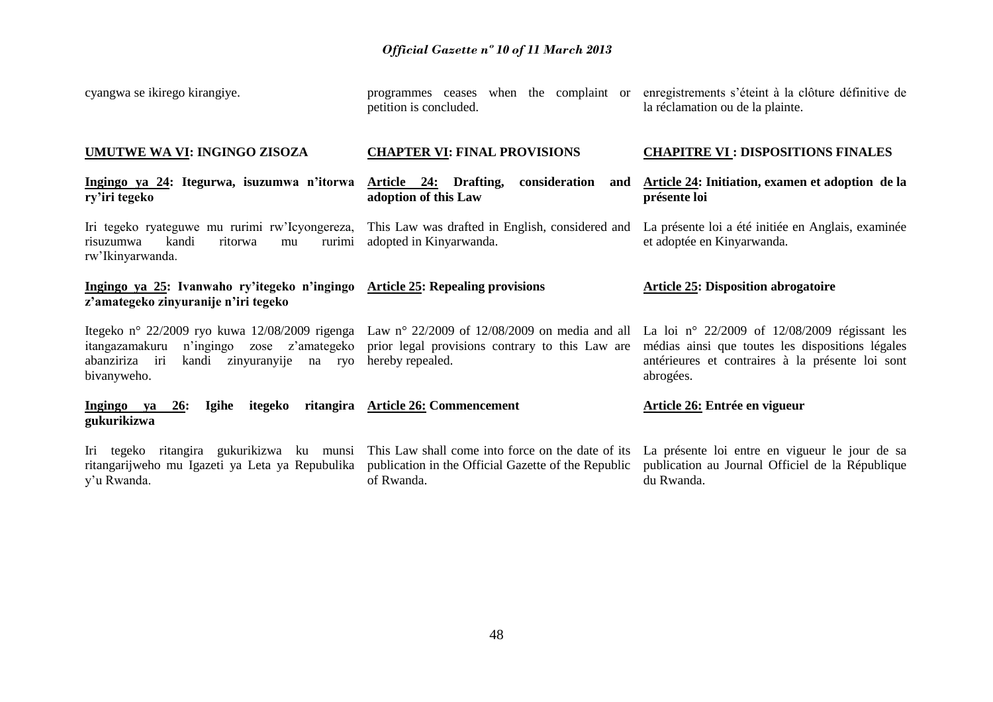| cyangwa se ikirego kirangiye.                                                                                                                                                                                                                               | programmes ceases<br>petition is concluded.                                                                                                                           | when the complaint or enregistrements s'éteint à la clôture définitive de<br>la réclamation ou de la plainte.     |  |  |
|-------------------------------------------------------------------------------------------------------------------------------------------------------------------------------------------------------------------------------------------------------------|-----------------------------------------------------------------------------------------------------------------------------------------------------------------------|-------------------------------------------------------------------------------------------------------------------|--|--|
| UMUTWE WA VI: INGINGO ZISOZA                                                                                                                                                                                                                                | <b>CHAPTER VI: FINAL PROVISIONS</b>                                                                                                                                   | <b>CHAPITRE VI : DISPOSITIONS FINALES</b>                                                                         |  |  |
| Ingingo ya 24: Itegurwa, isuzumwa n'itorwa<br>ry'iri tegeko                                                                                                                                                                                                 | consideration and<br>Article 24: Drafting,<br>adoption of this Law                                                                                                    | Article 24: Initiation, examen et adoption de la<br>présente loi                                                  |  |  |
| Iri tegeko ryateguwe mu rurimi rw'Icyongereza,<br>kandi<br>ritorwa<br>risuzumwa<br>rurimi<br>mu<br>rw'Ikinyarwanda.                                                                                                                                         | This Law was drafted in English, considered and<br>adopted in Kinyarwanda.                                                                                            | La présente loi a été initiée en Anglais, examinée<br>et adoptée en Kinyarwanda.                                  |  |  |
| Ingingo ya 25: Ivanwaho ry'itegeko n'ingingo<br>z'amategeko zinyuranije n'iri tegeko                                                                                                                                                                        | <b>Article 25: Repealing provisions</b>                                                                                                                               | <b>Article 25: Disposition abrogatoire</b>                                                                        |  |  |
| Itegeko nº 22/2009 ryo kuwa 12/08/2009 rigenga Law nº 22/2009 of 12/08/2009 on media and all La loi nº 22/2009 of 12/08/2009 régissant les<br>itangazamakuru<br>n'ingingo zose z'amategeko<br>abanziriza iri<br>kandi<br>zinyuranyije na ryo<br>bivanyweho. | prior legal provisions contrary to this Law are<br>hereby repealed.                                                                                                   | médias ainsi que toutes les dispositions légales<br>antérieures et contraires à la présente loi sont<br>abrogées. |  |  |
| itegeko<br>ritangira<br>Ingingo ya<br>26:<br>Igihe<br>gukurikizwa                                                                                                                                                                                           | <b>Article 26: Commencement</b>                                                                                                                                       | Article 26: Entrée en vigueur                                                                                     |  |  |
| Iri tegeko ritangira gukurikizwa ku munsi<br>ritangarijweho mu Igazeti ya Leta ya Repubulika<br>y'u Rwanda.                                                                                                                                                 | This Law shall come into force on the date of its La présente loi entre en vigueur le jour de sa<br>publication in the Official Gazette of the Republic<br>of Rwanda. | publication au Journal Officiel de la République<br>du Rwanda.                                                    |  |  |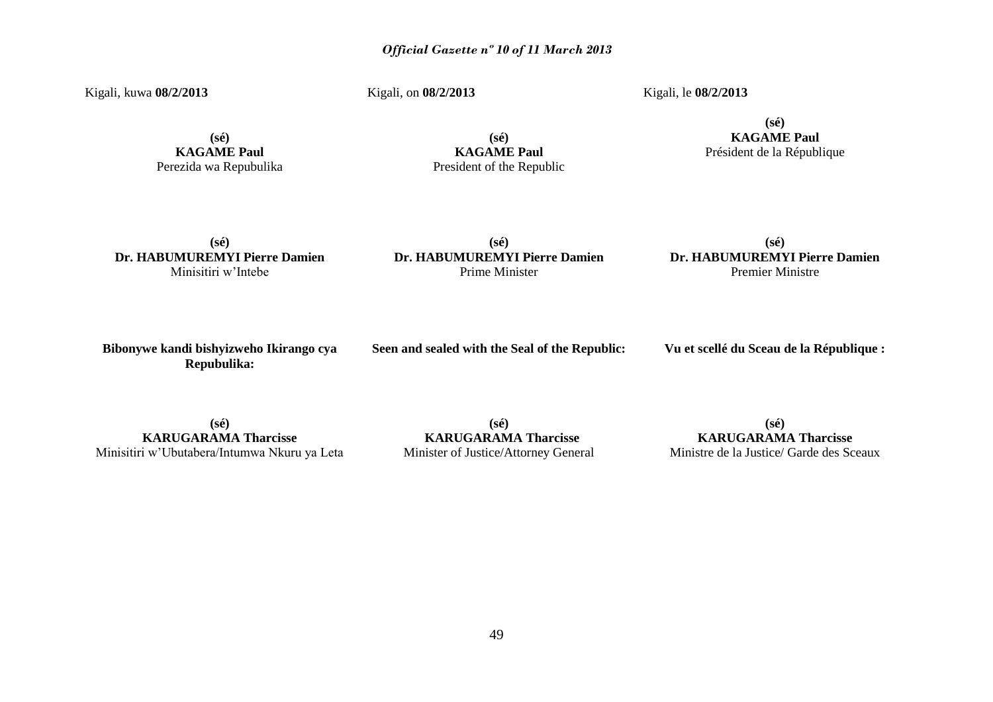Kigali, kuwa **08/2/2013**

Kigali, on **08/2/2013**

Kigali, le **08/2/2013**

**(sé) KAGAME Paul** Perezida wa Repubulika

**(sé) KAGAME Paul** President of the Republic

#### **(sé) KAGAME Paul** Président de la République

**(sé) Dr. HABUMUREMYI Pierre Damien** Minisitiri w'Intebe

**(sé) Dr. HABUMUREMYI Pierre Damien** Prime Minister

#### **(sé) Dr. HABUMUREMYI Pierre Damien** Premier Ministre

**Bibonywe kandi bishyizweho Ikirango cya Repubulika:**

**Seen and sealed with the Seal of the Republic:**

**Vu et scellé du Sceau de la République :**

**(sé) KARUGARAMA Tharcisse** Minisitiri w'Ubutabera/Intumwa Nkuru ya Leta

**(sé) KARUGARAMA Tharcisse** Minister of Justice/Attorney General

**(sé) KARUGARAMA Tharcisse** Ministre de la Justice/ Garde des Sceaux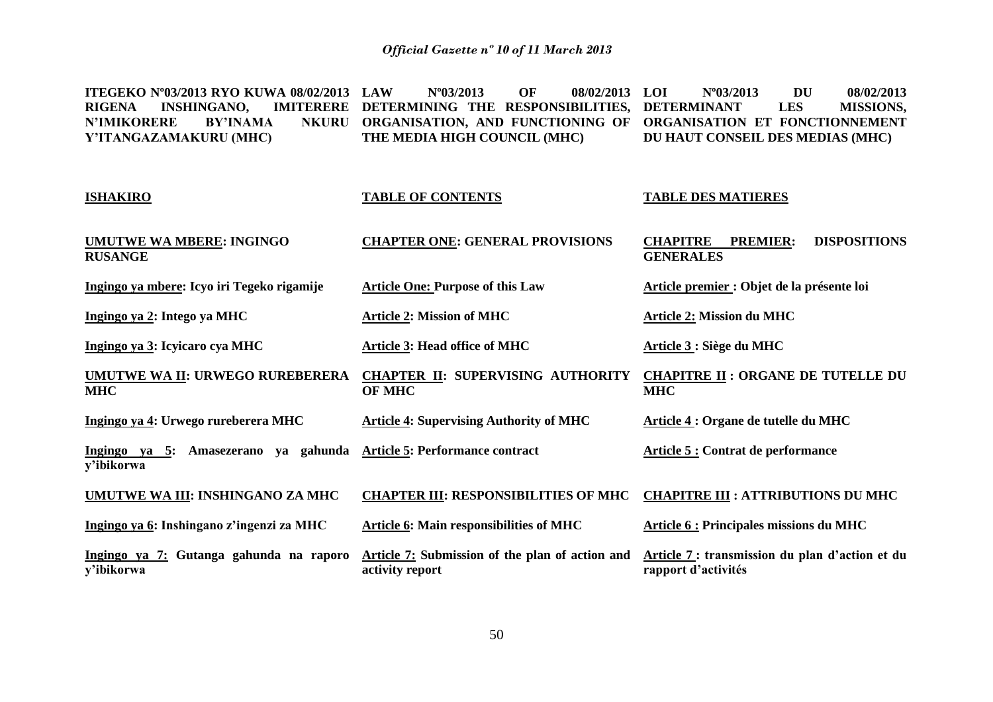**ITEGEKO Nº03/2013 RYO KUWA 08/02/2013 RIGENA INSHINGANO, INSHINGANO N'IMIKORERE Y'ITANGAZAMAKURU (MHC) LAW Nº03/2013 OF 08/02/2013 DETERMINING THE RESPONSIBILITIES, DETERMINANT LES MISSIONS, ORGANISATION, AND FUNCTIONING OF ORGANISATION ET FONCTIONNEMENT THE MEDIA HIGH COUNCIL (MHC) LOI Nº03/2013 DU 08/02/2013 DU HAUT CONSEIL DES MEDIAS (MHC)**

| <b>ISHAKIRO</b>                                       | <b>TABLE OF CONTENTS</b>                                           | <b>TABLE DES MATIERES</b>                                                     |  |  |  |  |
|-------------------------------------------------------|--------------------------------------------------------------------|-------------------------------------------------------------------------------|--|--|--|--|
| <b>UMUTWE WA MBERE: INGINGO</b><br><b>RUSANGE</b>     | <b>CHAPTER ONE: GENERAL PROVISIONS</b>                             | <b>CHAPITRE</b><br><b>PREMIER:</b><br><b>DISPOSITIONS</b><br><b>GENERALES</b> |  |  |  |  |
| Ingingo ya mbere: Icyo iri Tegeko rigamije            | <b>Article One: Purpose of this Law</b>                            | Article premier : Objet de la présente loi                                    |  |  |  |  |
| Ingingo ya 2: Intego ya MHC                           | <b>Article 2: Mission of MHC</b>                                   | <b>Article 2: Mission du MHC</b>                                              |  |  |  |  |
| Ingingo ya 3: Icyicaro cya MHC                        | <b>Article 3: Head office of MHC</b>                               | Article 3 : Siège du MHC                                                      |  |  |  |  |
| <b>UMUTWE WA II: URWEGO RUREBERERA</b><br>MHC         | <b>CHAPTER II: SUPERVISING AUTHORITY</b><br><b>OF MHC</b>          | <b>CHAPITRE II: ORGANE DE TUTELLE DU</b><br><b>MHC</b>                        |  |  |  |  |
| Ingingo ya 4: Urwego rureberera MHC                   | <b>Article 4: Supervising Authority of MHC</b>                     | <b>Article 4 : Organe de tutelle du MHC</b>                                   |  |  |  |  |
| Ingingo ya 5: Amasezerano ya gahunda<br>y'ibikorwa    | <b>Article 5: Performance contract</b>                             | <b>Article 5: Contrat de performance</b>                                      |  |  |  |  |
| UMUTWE WA III: INSHINGANO ZA MHC                      | <b>CHAPTER III: RESPONSIBILITIES OF MHC</b>                        | <b>CHAPITRE III : ATTRIBUTIONS DU MHC</b>                                     |  |  |  |  |
| Ingingo ya 6: Inshingano z'ingenzi za MHC             | <b>Article 6: Main responsibilities of MHC</b>                     | <b>Article 6: Principales missions du MHC</b>                                 |  |  |  |  |
| Ingingo ya 7: Gutanga gahunda na raporo<br>y'ibikorwa | Article 7: Submission of the plan of action and<br>activity report | Article 7: transmission du plan d'action et du<br>rapport d'activités         |  |  |  |  |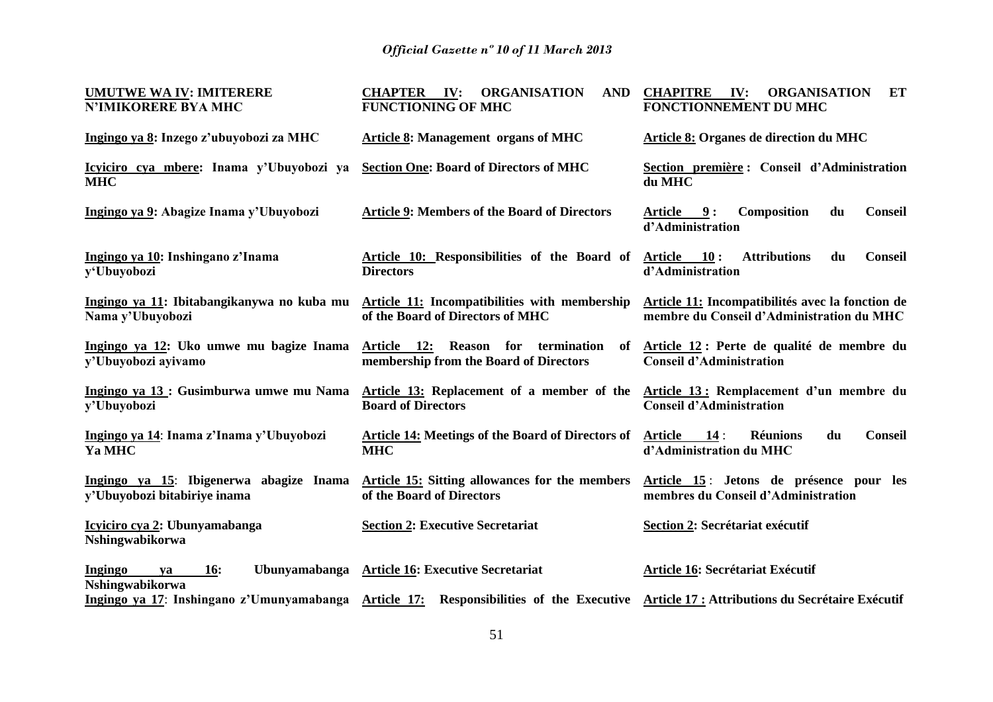| <b>UMUTWE WA IV: IMITERERE</b>                                          | <b>ORGANISATION</b><br><b>CHAPTER</b><br>IV:<br><b>AND</b>                                                                              | IV:<br><b>CHAPITRE</b><br><b>ORGANISATION</b><br>ET                                           |  |  |  |  |
|-------------------------------------------------------------------------|-----------------------------------------------------------------------------------------------------------------------------------------|-----------------------------------------------------------------------------------------------|--|--|--|--|
| <b>N'IMIKORERE BYA MHC</b>                                              | <b>FUNCTIONING OF MHC</b>                                                                                                               | FONCTIONNEMENT DU MHC                                                                         |  |  |  |  |
| Ingingo ya 8: Inzego z'ubuyobozi za MHC                                 | <b>Article 8: Management organs of MHC</b>                                                                                              | Article 8: Organes de direction du MHC                                                        |  |  |  |  |
| Icyiciro cya mbere: Inama y'Ubuyobozi ya<br><b>MHC</b>                  | <b>Section One: Board of Directors of MHC</b>                                                                                           | Section première : Conseil d'Administration<br>du MHC                                         |  |  |  |  |
| Ingingo ya 9: Abagize Inama y'Ubuyobozi                                 | <b>Article 9: Members of the Board of Directors</b>                                                                                     | Article 9:<br>Composition<br>du<br><b>Conseil</b><br>d'Administration                         |  |  |  |  |
| Ingingo ya 10: Inshingano z'Inama<br>y'Ubuyobozi                        | Article 10: Responsibilities of the Board of<br><b>Directors</b>                                                                        | <b>Attributions</b><br><b>Conseil</b><br><b>Article</b><br>10:<br>du<br>d'Administration      |  |  |  |  |
| Ingingo ya 11: Ibitabangikanywa no kuba mu<br>Nama y'Ubuyobozi          | Article 11: Incompatibilities with membership<br>of the Board of Directors of MHC                                                       | Article 11: Incompatibilités avec la fonction de<br>membre du Conseil d'Administration du MHC |  |  |  |  |
| Ingingo ya 12: Uko umwe mu bagize Inama<br>y'Ubuyobozi ayivamo          | Article 12: Reason for termination<br>of<br>membership from the Board of Directors                                                      | Article 12 : Perte de qualité de membre du<br><b>Conseil d'Administration</b>                 |  |  |  |  |
| Ingingo ya 13 : Gusimburwa umwe mu Nama<br>y'Ubuyobozi                  | Article 13: Replacement of a member of the<br><b>Board of Directors</b>                                                                 | Article 13: Remplacement d'un membre du<br><b>Conseil d'Administration</b>                    |  |  |  |  |
| Ingingo ya 14: Inama z'Inama y'Ubuyobozi<br>Ya MHC                      | <b>Article 14: Meetings of the Board of Directors of</b><br><b>MHC</b>                                                                  | 14:<br>du<br><b>Conseil</b><br><b>Article</b><br><b>Réunions</b><br>d'Administration du MHC   |  |  |  |  |
| Ingingo ya 15: Ibigenerwa abagize Inama<br>y'Ubuyobozi bitabiriye inama | <b>Article 15:</b> Sitting allowances for the members<br>of the Board of Directors                                                      | Article 15: Jetons de présence pour les<br>membres du Conseil d'Administration                |  |  |  |  |
| Icyiciro cya 2: Ubunyamabanga<br>Nshingwabikorwa                        | <b>Section 2: Executive Secretariat</b>                                                                                                 | Section 2: Secrétariat exécutif                                                               |  |  |  |  |
| <b>16:</b><br>Ingingo<br>ya<br>Nshingwabikorwa                          | Ubunyamabanga Article 16: Executive Secretariat                                                                                         | Article 16: Secrétariat Exécutif                                                              |  |  |  |  |
|                                                                         | Ingingo ya 17: Inshingano z'Umunyamabanga Article 17: Responsibilities of the Executive Article 17: Attributions du Secrétaire Exécutif |                                                                                               |  |  |  |  |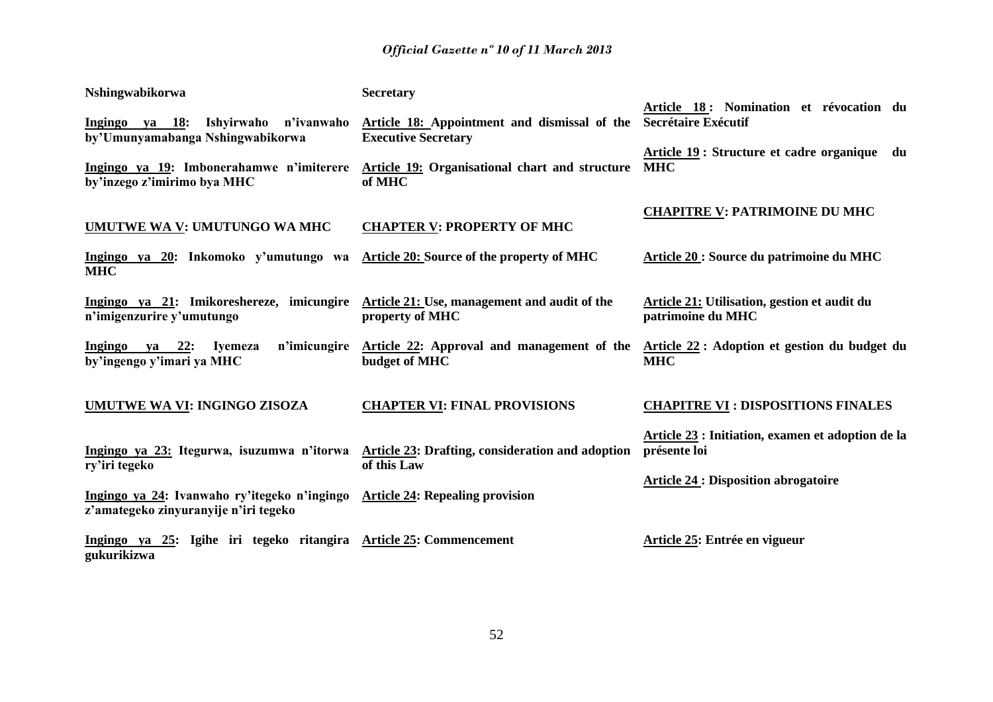| Nshingwabikorwa                                                                                                       | <b>Secretary</b>                                                           |                                                                       |
|-----------------------------------------------------------------------------------------------------------------------|----------------------------------------------------------------------------|-----------------------------------------------------------------------|
| Ingingo ya 18:<br>Ishyirwaho<br>n'ivanwaho<br>by'Umunyamabanga Nshingwabikorwa                                        | Article 18: Appointment and dismissal of the<br><b>Executive Secretary</b> | Article 18: Nomination et révocation du<br><b>Secrétaire Exécutif</b> |
| Ingingo ya 19: Imbonerahamwe n'imiterere<br>by'inzego z'imirimo bya MHC                                               | <b>Article 19: Organisational chart and structure</b><br>of MHC            | Article 19 : Structure et cadre organique du<br><b>MHC</b>            |
| <b>UMUTWE WA V: UMUTUNGO WA MHC</b>                                                                                   | <b>CHAPTER V: PROPERTY OF MHC</b>                                          | <b>CHAPITRE V: PATRIMOINE DU MHC</b>                                  |
| Ingingo ya 20: Inkomoko y'umutungo wa<br><b>MHC</b>                                                                   | Article 20: Source of the property of MHC                                  | Article 20 : Source du patrimoine du MHC                              |
| Ingingo ya 21: Imikoreshereze, imicungire<br>n'imigenzurire y'umutungo                                                | <b>Article 21:</b> Use, management and audit of the<br>property of MHC     | Article 21: Utilisation, gestion et audit du<br>patrimoine du MHC     |
| n'imicungire<br>ya 22:<br>Ingingo<br><b>Iyemeza</b><br>by'ingengo y'imari ya MHC                                      | Article 22: Approval and management of the<br>budget of MHC                | Article 22: Adoption et gestion du budget du<br><b>MHC</b>            |
| <b>UMUTWE WA VI: INGINGO ZISOZA</b>                                                                                   | <b>CHAPTER VI: FINAL PROVISIONS</b>                                        | <b>CHAPITRE VI: DISPOSITIONS FINALES</b>                              |
| Ingingo ya 23: Itegurwa, isuzumwa n'itorwa<br>ry'iri tegeko                                                           | <b>Article 23: Drafting, consideration and adoption</b><br>of this Law     | Article 23 : Initiation, examen et adoption de la<br>présente loi     |
| Ingingo ya 24: Ivanwaho ry'itegeko n'ingingo Article 24: Repealing provision<br>z'amategeko zinyuranyije n'iri tegeko |                                                                            | <b>Article 24 : Disposition abrogatoire</b>                           |
| Ingingo ya 25: Igihe iri tegeko ritangira Article 25: Commencement<br>gukurikizwa                                     |                                                                            | Article 25: Entrée en vigueur                                         |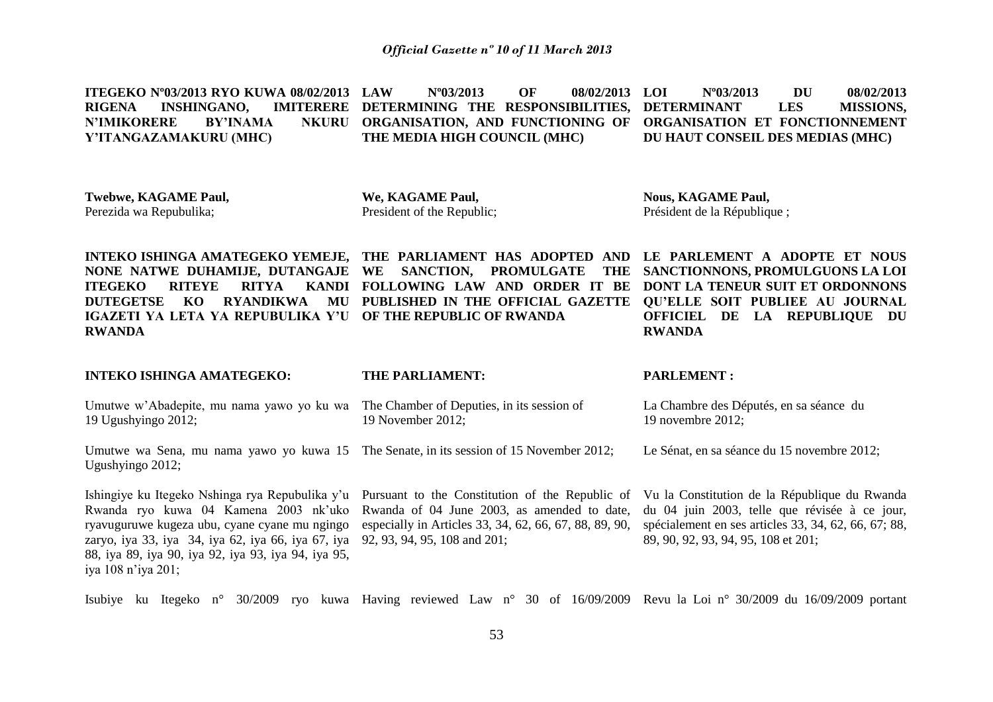**ITEGEKO Nº03/2013 RYO KUWA 08/02/2013 RIGENA INSHINGANO. N'IMIKORERE BY'INAMA Y'ITANGAZAMAKURU (MHC) LAW Nº03/2013 OF 08/02/2013 DETERMINING THE RESPONSIBILITIES, DETERMINANT LES MISSIONS, ORGANISATION, AND FUNCTIONING OF ORGANISATION ET FONCTIONNEMENT THE MEDIA HIGH COUNCIL (MHC) LOI Nº03/2013 DU 08/02/2013 DU HAUT CONSEIL DES MEDIAS (MHC)**

**Twebwe, KAGAME Paul,** Perezida wa Repubulika;

88, iya 89, iya 90, iya 92, iya 93, iya 94, iya 95,

iya 108 n'iya 201;

**We, KAGAME Paul,** President of the Republic; **Nous, KAGAME Paul,** Président de la République ;

**INTEKO ISHINGA AMATEGEKO YEMEJE, THE PARLIAMENT HAS ADOPTED AND LE PARLEMENT A ADOPTE ET NOUS NONE NATWE DUHAMIJE, DUTANGAJE WE SANCTION, PROMULGATE THE ITEGEKO RITEYE RITYA DUTEGETSE KO RYANDIKWA MU PUBLISHED IN THE OFFICIAL GAZETTE QU'ELLE SOIT PUBLIEE AU JOURNAL IGAZETI YA LETA YA REPUBULIKA Y'U OF THE REPUBLIC OF RWANDA RWANDA FOLLOWING LAW AND ORDER IT BE DONT LA TENEUR SUIT ET ORDONNONS SANCTIONNONS, PROMULGUONS LA LOI OFFICIEL DE LA REPUBLIQUE DU RWANDA**

**INTEKO ISHINGA AMATEGEKO:** Umutwe w'Abadepite, mu nama yawo yo ku wa The Chamber of Deputies, in its session of 19 Ugushyingo 2012; Umutwe wa Sena, mu nama yawo yo kuwa 15 The Senate, in its session of 15 November 2012; Ugushyingo 2012; Ishingiye ku Itegeko Nshinga rya Repubulika y'u Pursuant to the Constitution of the Republic of Rwanda ryo kuwa 04 Kamena 2003 nk'uko Rwanda of 04 June 2003, as amended to date, ryavuguruwe kugeza ubu, cyane cyane mu ngingo zaryo, iya 33, iya 34, iya 62, iya 66, iya 67, iya 92, 93, 94, 95, 108 and 201; **THE PARLIAMENT:** 19 November 2012; especially in Articles 33, 34, 62, 66, 67, 88, 89, 90, **PARLEMENT :** La Chambre des Députés, en sa séance du 19 novembre 2012; Le Sénat, en sa séance du 15 novembre 2012; Vu la Constitution de la République du Rwanda du 04 juin 2003, telle que révisée à ce jour, spécialement en ses articles 33, 34, 62, 66, 67; 88, 89, 90, 92, 93, 94, 95, 108 et 201;

Isubiye ku Itegeko n° 30/2009 ryo kuwa Having reviewed Law n° 30 of 16/09/2009 Revu la Loi n° 30/2009 du 16/09/2009 portant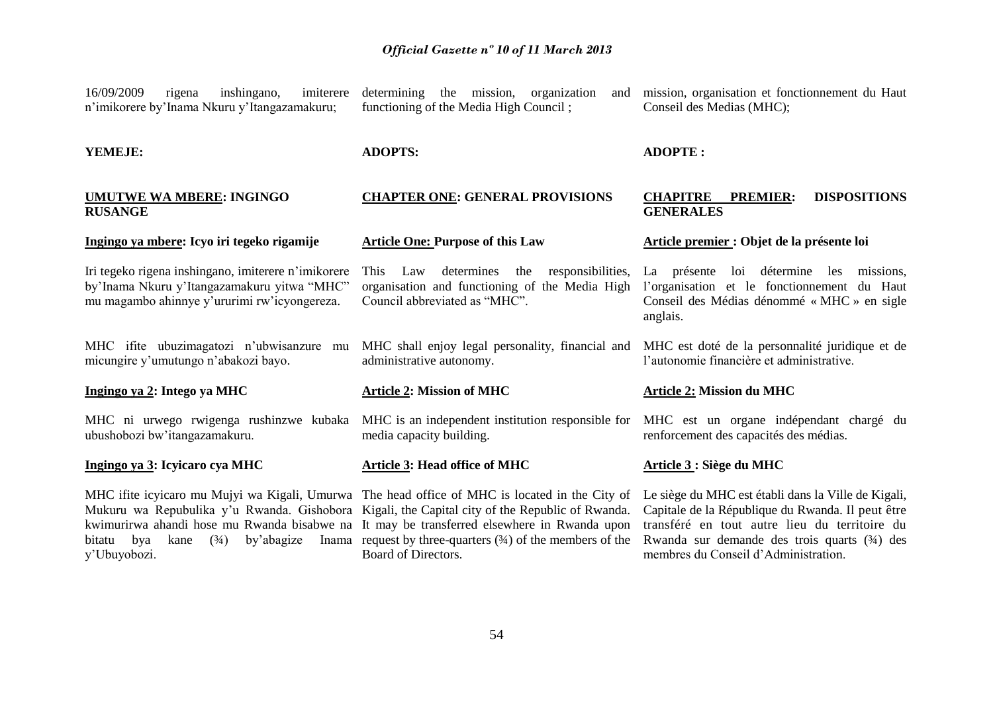| 16/09/2009<br>imiterere<br>inshingano,<br>rigena<br>n'imikorere by'Inama Nkuru y'Itangazamakuru;                                                   | determining the mission, organization<br>and<br>functioning of the Media High Council;                                                                                                                                                                                                                                                                                                 | mission, organisation et fonctionnement du Haut<br>Conseil des Medias (MHC);                                                                                                                                                                      |  |  |  |  |
|----------------------------------------------------------------------------------------------------------------------------------------------------|----------------------------------------------------------------------------------------------------------------------------------------------------------------------------------------------------------------------------------------------------------------------------------------------------------------------------------------------------------------------------------------|---------------------------------------------------------------------------------------------------------------------------------------------------------------------------------------------------------------------------------------------------|--|--|--|--|
| YEMEJE:                                                                                                                                            | <b>ADOPTS:</b>                                                                                                                                                                                                                                                                                                                                                                         | <b>ADOPTE:</b>                                                                                                                                                                                                                                    |  |  |  |  |
| <b>UMUTWE WA MBERE: INGINGO</b><br><b>RUSANGE</b>                                                                                                  | <b>CHAPTER ONE: GENERAL PROVISIONS</b>                                                                                                                                                                                                                                                                                                                                                 | <b>CHAPITRE</b><br><b>DISPOSITIONS</b><br><b>PREMIER:</b><br><b>GENERALES</b>                                                                                                                                                                     |  |  |  |  |
| Ingingo ya mbere: Icyo iri tegeko rigamije                                                                                                         | <b>Article One: Purpose of this Law</b>                                                                                                                                                                                                                                                                                                                                                | Article premier : Objet de la présente loi                                                                                                                                                                                                        |  |  |  |  |
| Iri tegeko rigena inshingano, imiterere n'imikorere<br>by'Inama Nkuru y'Itangazamakuru yitwa "MHC"<br>mu magambo ahinnye y'ururimi rw'icyongereza. | determines the<br>responsibilities,<br>Law<br><b>This</b><br>organisation and functioning of the Media High<br>Council abbreviated as "MHC".                                                                                                                                                                                                                                           | La présente loi détermine les<br>missions,<br>l'organisation et le fonctionnement du Haut<br>Conseil des Médias dénommé « MHC » en sigle<br>anglais.                                                                                              |  |  |  |  |
| MHC ifite ubuzimagatozi n'ubwisanzure<br>mu<br>micungire y'umutungo n'abakozi bayo.                                                                | MHC shall enjoy legal personality, financial and<br>administrative autonomy.                                                                                                                                                                                                                                                                                                           | MHC est doté de la personnalité juridique et de<br>l'autonomie financière et administrative.                                                                                                                                                      |  |  |  |  |
| Ingingo ya 2: Intego ya MHC                                                                                                                        | <b>Article 2: Mission of MHC</b>                                                                                                                                                                                                                                                                                                                                                       | <b>Article 2: Mission du MHC</b>                                                                                                                                                                                                                  |  |  |  |  |
| MHC ni urwego rwigenga rushinzwe kubaka<br>ubushobozi bw'itangazamakuru.                                                                           | MHC is an independent institution responsible for<br>media capacity building.                                                                                                                                                                                                                                                                                                          | MHC est un organe indépendant chargé du<br>renforcement des capacités des médias.                                                                                                                                                                 |  |  |  |  |
| Ingingo ya 3: Icyicaro cya MHC                                                                                                                     | Article 3: Head office of MHC                                                                                                                                                                                                                                                                                                                                                          | Article 3 : Siège du MHC                                                                                                                                                                                                                          |  |  |  |  |
| (3/4)<br>by'abagize<br>bya<br>kane<br>bitatu<br>y'Ubuyobozi.                                                                                       | MHC if ite icylcaro mu Mujyi wa Kigali, Umurwa The head office of MHC is located in the City of<br>Mukuru wa Repubulika y'u Rwanda. Gishobora Kigali, the Capital city of the Republic of Rwanda.<br>kwimurirwa ahandi hose mu Rwanda bisabwe na It may be transferred elsewhere in Rwanda upon<br>Inama request by three-quarters $(34)$ of the members of the<br>Board of Directors. | Le siège du MHC est établi dans la Ville de Kigali,<br>Capitale de la République du Rwanda. Il peut être<br>transféré en tout autre lieu du territoire du<br>Rwanda sur demande des trois quarts (34) des<br>membres du Conseil d'Administration. |  |  |  |  |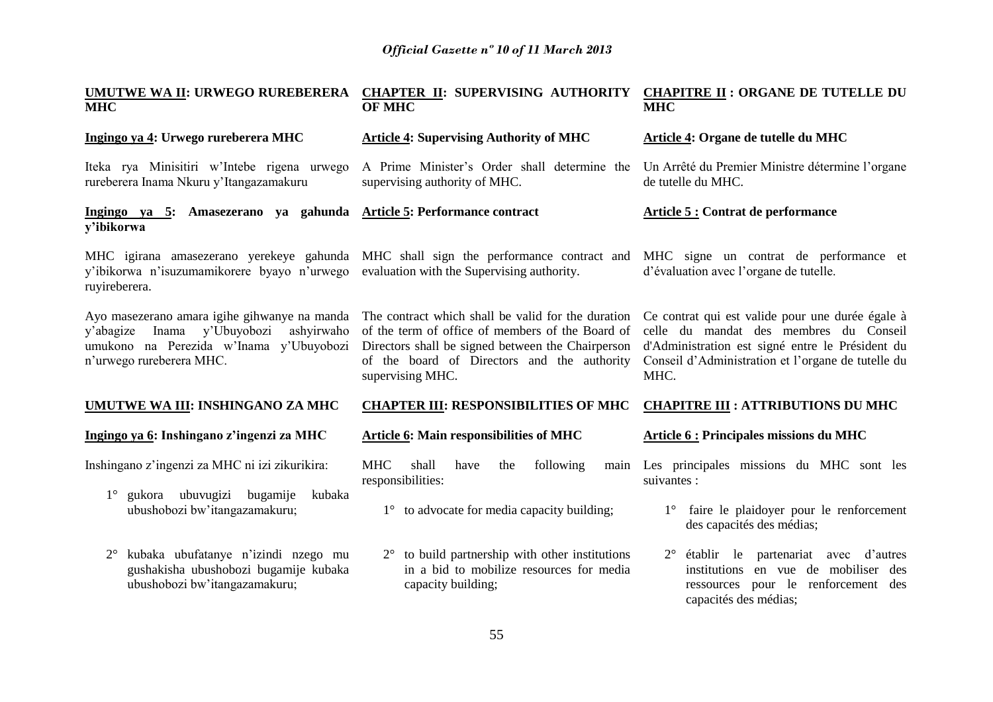| UMUTWE WA II: URWEGO RUREBERERA<br><b>MHC</b>                                                                                                                       | CHAPTER II: SUPERVISING AUTHORITY<br><b>OF MHC</b>                                                                                                                                                                             | <b>CHAPITRE II : ORGANE DE TUTELLE DU</b><br><b>MHC</b>                                                                                                                                                      |  |  |  |
|---------------------------------------------------------------------------------------------------------------------------------------------------------------------|--------------------------------------------------------------------------------------------------------------------------------------------------------------------------------------------------------------------------------|--------------------------------------------------------------------------------------------------------------------------------------------------------------------------------------------------------------|--|--|--|
| Ingingo ya 4: Urwego rureberera MHC                                                                                                                                 | <b>Article 4: Supervising Authority of MHC</b>                                                                                                                                                                                 | Article 4: Organe de tutelle du MHC                                                                                                                                                                          |  |  |  |
| Iteka rya Minisitiri w'Intebe rigena urwego<br>rureberera Inama Nkuru y'Itangazamakuru                                                                              | A Prime Minister's Order shall determine the<br>supervising authority of MHC.                                                                                                                                                  | Un Arrêté du Premier Ministre détermine l'organe<br>de tutelle du MHC.                                                                                                                                       |  |  |  |
| Ingingo ya 5: Amasezerano ya gahunda Article 5: Performance contract<br>y'ibikorwa                                                                                  |                                                                                                                                                                                                                                | <b>Article 5: Contrat de performance</b>                                                                                                                                                                     |  |  |  |
| y'ibikorwa n'isuzumamikorere byayo n'urwego evaluation with the Supervising authority.<br>ruyireberera.                                                             | MHC igirana amasezerano yerekeye gahunda MHC shall sign the performance contract and                                                                                                                                           | MHC signe un contrat de performance et<br>d'évaluation avec l'organe de tutelle.                                                                                                                             |  |  |  |
| Ayo masezerano amara igihe gihwanye na manda<br>Inama y'Ubuyobozi<br>ashyirwaho<br>y'abagize<br>umukono na Perezida w'Inama y'Ubuyobozi<br>n'urwego rureberera MHC. | The contract which shall be valid for the duration<br>of the term of office of members of the Board of<br>Directors shall be signed between the Chairperson<br>of the board of Directors and the authority<br>supervising MHC. | Ce contrat qui est valide pour une durée égale à<br>celle du mandat des membres du Conseil<br>d'Administration est signé entre le Président du<br>Conseil d'Administration et l'organe de tutelle du<br>MHC. |  |  |  |
| UMUTWE WA III: INSHINGANO ZA MHC                                                                                                                                    | <b>CHAPTER III: RESPONSIBILITIES OF MHC</b>                                                                                                                                                                                    | <b>CHAPITRE III : ATTRIBUTIONS DU MHC</b>                                                                                                                                                                    |  |  |  |
| Ingingo ya 6: Inshingano z'ingenzi za MHC                                                                                                                           | Article 6: Main responsibilities of MHC                                                                                                                                                                                        | Article 6 : Principales missions du MHC                                                                                                                                                                      |  |  |  |
| Inshingano z'ingenzi za MHC ni izi zikurikira:<br>gukora ubuvugizi bugamije<br>kubaka<br>$1^{\circ}$                                                                | <b>MHC</b><br>shall<br>have<br>following<br>the<br>main<br>responsibilities:                                                                                                                                                   | Les principales missions du MHC sont les<br>suivantes :                                                                                                                                                      |  |  |  |
| ubushobozi bw'itangazamakuru;                                                                                                                                       | 1° to advocate for media capacity building;                                                                                                                                                                                    | faire le plaidoyer pour le renforcement<br>$1^{\circ}$<br>des capacités des médias;                                                                                                                          |  |  |  |
| kubaka ubufatanye n'izindi nzego mu<br>$2^{\circ}$<br>gushakisha ubushobozi bugamije kubaka<br>ubushobozi bw'itangazamakuru;                                        | $2^{\circ}$ to build partnership with other institutions<br>in a bid to mobilize resources for media<br>capacity building;                                                                                                     | 2° établir le partenariat avec d'autres<br>institutions en vue de mobiliser des<br>ressources pour le renforcement des<br>capacités des médias;                                                              |  |  |  |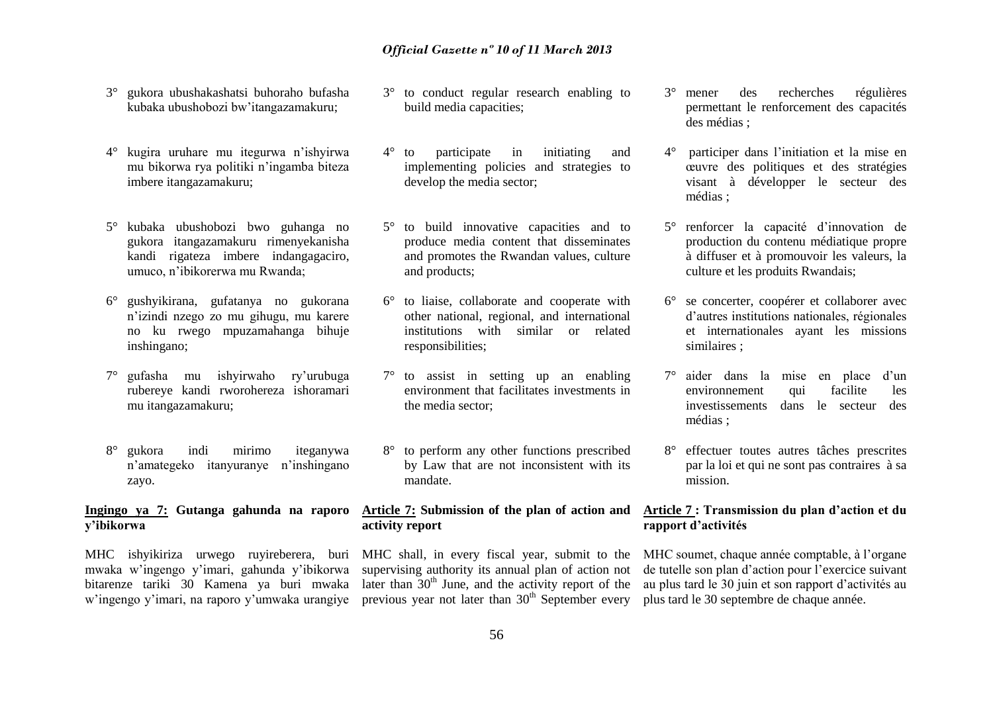- 3° gukora ubushakashatsi buhoraho bufasha kubaka ubushobozi bw'itangazamakuru;
- 4° kugira uruhare mu itegurwa n'ishyirwa mu bikorwa rya politiki n'ingamba biteza imbere itangazamakuru;
- 5° kubaka ubushobozi bwo guhanga no gukora itangazamakuru rimenyekanisha kandi rigateza imbere indangagaciro, umuco, n'ibikorerwa mu Rwanda;
- 6° gushyikirana, gufatanya no gukorana n'izindi nzego zo mu gihugu, mu karere no ku rwego mpuzamahanga bihuje inshingano;
- 7° gufasha mu ishyirwaho ry'urubuga rubereye kandi rworohereza ishoramari mu itangazamakuru;
- 8° gukora indi mirimo iteganywa n'amategeko itanyuranye n'inshingano zayo.

# **y'ibikorwa**

MHC ishyikiriza urwego ruyireberera, buri MHC shall, in every fiscal year, submit to the mwaka w'ingengo y'imari, gahunda y'ibikorwa bitarenze tariki 30 Kamena ya buri mwaka

- 3° to conduct regular research enabling to build media capacities;
- 4° to participate in initiating and implementing policies and strategies to develop the media sector;
- 5° to build innovative capacities and to produce media content that disseminates and promotes the Rwandan values, culture and products;
- 6° to liaise, collaborate and cooperate with other national, regional, and international institutions with similar or related responsibilities;
- 7° to assist in setting up an enabling environment that facilitates investments in the media sector;
- 8° to perform any other functions prescribed by Law that are not inconsistent with its mandate.

#### **Ingingo ya 7: Gutanga gahunda na raporo Article 7: Submission of the plan of action and activity report**

w'ingengo y'imari, na raporo y'umwaka urangiye previous year not later than 30<sup>th</sup> September every plus tard le 30 septembre de chaque année. supervising authority its annual plan of action not later than  $30<sup>th</sup>$  June, and the activity report of the

- 3° mener des recherches régulières permettant le renforcement des capacités des médias ;
- 4° participer dans l'initiation et la mise en œuvre des politiques et des stratégies visant à développer le secteur des médias ;
- 5° renforcer la capacité d'innovation de production du contenu médiatique propre à diffuser et à promouvoir les valeurs, la culture et les produits Rwandais;
- 6° se concerter, coopérer et collaborer avec d'autres institutions nationales, régionales et internationales ayant les missions similaires ;
- 7° aider dans la mise en place d'un environnement qui facilite les investissements dans le secteur des médias ;
- 8° effectuer toutes autres tâches prescrites par la loi et qui ne sont pas contraires à sa mission.

#### **Article 7 : Transmission du plan d'action et du rapport d'activités**

MHC soumet, chaque année comptable, à l'organe de tutelle son plan d'action pour l'exercice suivant au plus tard le 30 juin et son rapport d'activités au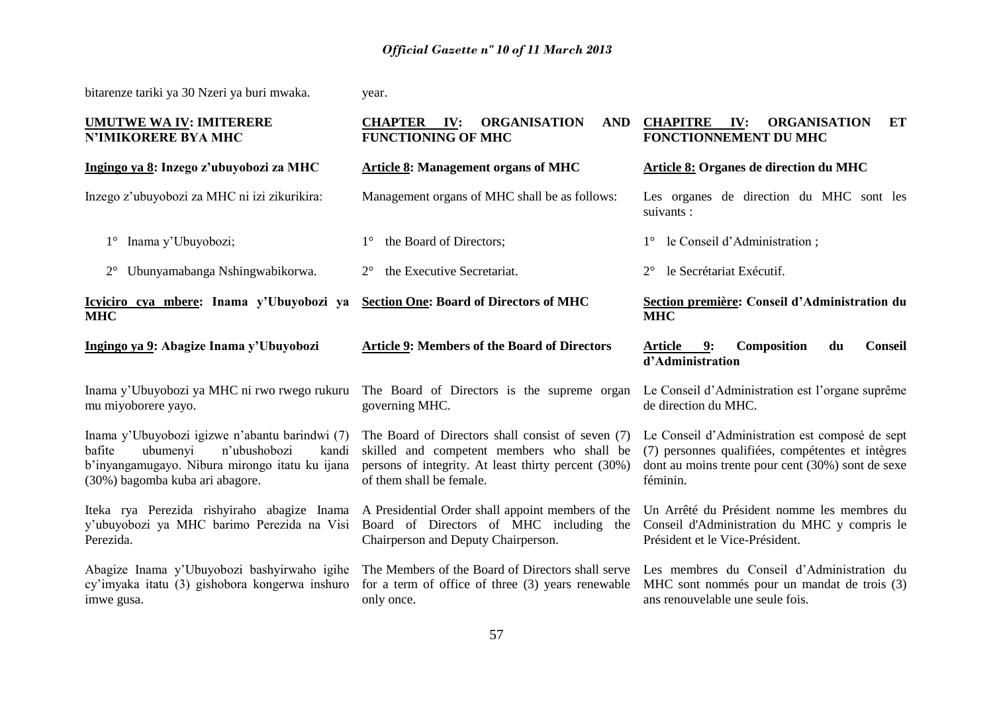| bitarenze tariki ya 30 Nzeri ya buri mwaka.                                                                                                                                        | year.                                                                                                                                                                              |                                                                                                                                                                       |  |  |  |  |  |
|------------------------------------------------------------------------------------------------------------------------------------------------------------------------------------|------------------------------------------------------------------------------------------------------------------------------------------------------------------------------------|-----------------------------------------------------------------------------------------------------------------------------------------------------------------------|--|--|--|--|--|
| <b>UMUTWE WA IV: IMITERERE</b><br><b>N'IMIKORERE BYA MHC</b>                                                                                                                       | <b>CHAPTER</b><br><b>ORGANISATION</b><br>$\mathbf{IV:}$<br>AND<br><b>FUNCTIONING OF MHC</b>                                                                                        | <b>CHAPITRE</b><br>IV:<br><b>ORGANISATION</b><br>ET<br>FONCTIONNEMENT DU MHC                                                                                          |  |  |  |  |  |
| Ingingo ya 8: Inzego z'ubuyobozi za MHC                                                                                                                                            | <b>Article 8: Management organs of MHC</b>                                                                                                                                         | Article 8: Organes de direction du MHC                                                                                                                                |  |  |  |  |  |
| Inzego z'ubuyobozi za MHC ni izi zikurikira:                                                                                                                                       | Management organs of MHC shall be as follows:                                                                                                                                      | Les organes de direction du MHC sont les<br>suivants :                                                                                                                |  |  |  |  |  |
| Inama y'Ubuyobozi;<br>$1^{\circ}$                                                                                                                                                  | the Board of Directors;<br>$1^{\circ}$                                                                                                                                             | le Conseil d'Administration;<br>$1^{\circ}$                                                                                                                           |  |  |  |  |  |
| Ubunyamabanga Nshingwabikorwa.                                                                                                                                                     | the Executive Secretariat.<br>$2^{\circ}$                                                                                                                                          | le Secrétariat Exécutif.<br>$2^{\circ}$                                                                                                                               |  |  |  |  |  |
| Icyiciro cya mbere: Inama y'Ubuyobozi ya<br><b>MHC</b>                                                                                                                             | <b>Section One: Board of Directors of MHC</b><br>Section première: Conseil d'Administration du<br><b>MHC</b>                                                                       |                                                                                                                                                                       |  |  |  |  |  |
| Ingingo ya 9: Abagize Inama y'Ubuyobozi                                                                                                                                            | <b>Article 9: Members of the Board of Directors</b>                                                                                                                                | Composition<br>Article<br>9:<br>du<br><b>Conseil</b><br>d'Administration                                                                                              |  |  |  |  |  |
| Inama y'Ubuyobozi ya MHC ni rwo rwego rukuru<br>mu miyoborere yayo.                                                                                                                | The Board of Directors is the supreme organ<br>governing MHC.                                                                                                                      | Le Conseil d'Administration est l'organe suprême<br>de direction du MHC.                                                                                              |  |  |  |  |  |
| Inama y'Ubuyobozi igizwe n'abantu barindwi (7)<br>ubumenyi<br>n'ubushobozi<br>kandi<br>bafite<br>b'inyangamugayo. Nibura mirongo itatu ku ijana<br>(30%) bagomba kuba ari abagore. | The Board of Directors shall consist of seven (7)<br>skilled and competent members who shall be<br>persons of integrity. At least thirty percent (30%)<br>of them shall be female. | Le Conseil d'Administration est composé de sept<br>(7) personnes qualifiées, compétentes et intègres<br>dont au moins trente pour cent (30%) sont de sexe<br>féminin. |  |  |  |  |  |
| y'ubuyobozi ya MHC barimo Perezida na Visi<br>Perezida.                                                                                                                            | Iteka rya Perezida rishyiraho abagize Inama A Presidential Order shall appoint members of the<br>Board of Directors of MHC including the<br>Chairperson and Deputy Chairperson.    | Un Arrêté du Président nomme les membres du<br>Conseil d'Administration du MHC y compris le<br>Président et le Vice-Président.                                        |  |  |  |  |  |
| Abagize Inama y'Ubuyobozi bashyirwaho igihe<br>cy'imyaka itatu (3) gishobora kongerwa inshuro<br>imwe gusa.                                                                        | The Members of the Board of Directors shall serve<br>for a term of office of three (3) years renewable<br>only once.                                                               | Les membres du Conseil d'Administration du<br>MHC sont nommés pour un mandat de trois (3)<br>ans renouvelable une seule fois.                                         |  |  |  |  |  |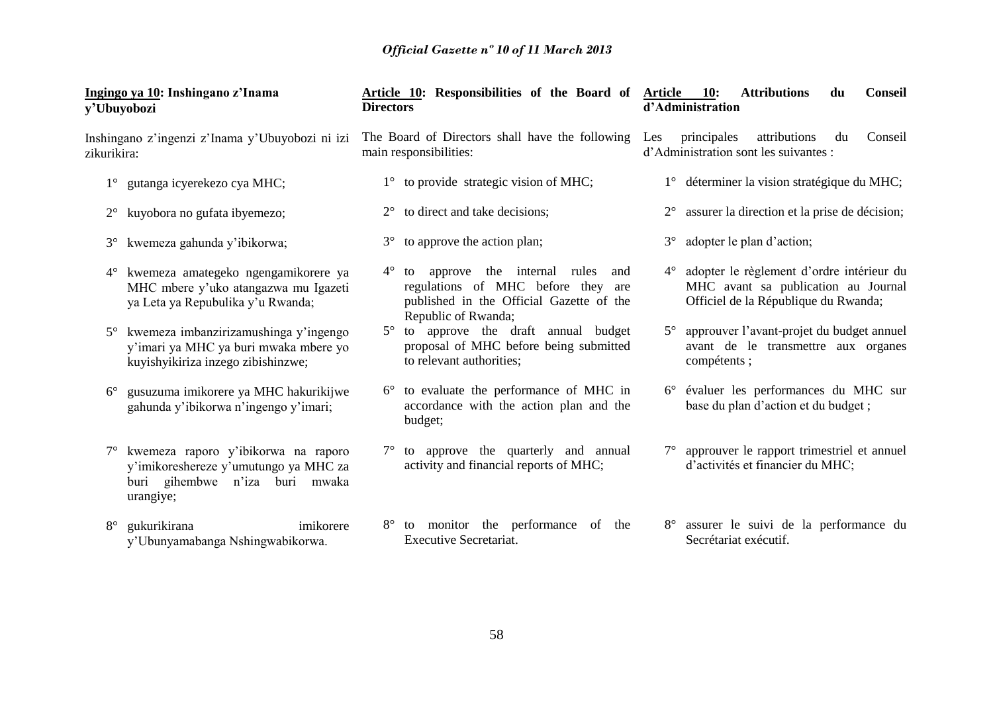| y'Ubuyobozi | Ingingo ya 10: Inshingano z'Inama                                                                                           | <b>Directors</b> | Article 10: Responsibilities of the Board of Article 10:                                                                                      | <b>Attributions</b><br>du<br>d'Administration |             |                                                                                                                          |    | <b>Conseil</b> |
|-------------|-----------------------------------------------------------------------------------------------------------------------------|------------------|-----------------------------------------------------------------------------------------------------------------------------------------------|-----------------------------------------------|-------------|--------------------------------------------------------------------------------------------------------------------------|----|----------------|
| zikurikira: | Inshingano z'ingenzi z'Inama y'Ubuyobozi ni izi                                                                             |                  | The Board of Directors shall have the following<br>main responsibilities:                                                                     | Les                                           | principales | attributions<br>d'Administration sont les suivantes :                                                                    | du | Conseil        |
| $1^{\circ}$ | gutanga icyerekezo cya MHC;                                                                                                 |                  | 1° to provide strategic vision of MHC;                                                                                                        |                                               |             | 1° déterminer la vision stratégique du MHC;                                                                              |    |                |
| $2^{\circ}$ | kuyobora no gufata ibyemezo;                                                                                                | $2^{\circ}$      | to direct and take decisions;                                                                                                                 | $2^{\circ}$                                   |             | assurer la direction et la prise de décision;                                                                            |    |                |
| $3^\circ$   | kwemeza gahunda y'ibikorwa;                                                                                                 | $3^\circ$        | to approve the action plan;                                                                                                                   | $3^\circ$                                     |             | adopter le plan d'action;                                                                                                |    |                |
| $4^{\circ}$ | kwemeza amategeko ngengamikorere ya<br>MHC mbere y'uko atangazwa mu Igazeti<br>ya Leta ya Repubulika y'u Rwanda;            | $4^{\circ}$      | to approve the internal rules<br>and<br>regulations of MHC before they are<br>published in the Official Gazette of the<br>Republic of Rwanda; | $4^{\circ}$                                   |             | adopter le règlement d'ordre intérieur du<br>MHC avant sa publication au Journal<br>Officiel de la République du Rwanda; |    |                |
| $5^{\circ}$ | kwemeza imbanzirizamushinga y'ingengo<br>y'imari ya MHC ya buri mwaka mbere yo<br>kuyishyikiriza inzego zibishinzwe;        | $5^{\circ}$      | to approve the draft annual budget<br>proposal of MHC before being submitted<br>to relevant authorities;                                      | $5^{\circ}$                                   | compétents; | approuver l'avant-projet du budget annuel<br>avant de le transmettre aux organes                                         |    |                |
| $6^{\circ}$ | gusuzuma imikorere ya MHC hakurikijwe<br>gahunda y'ibikorwa n'ingengo y'imari;                                              |                  | to evaluate the performance of MHC in<br>accordance with the action plan and the<br>budget;                                                   | $6^{\circ}$                                   |             | évaluer les performances du MHC sur<br>base du plan d'action et du budget ;                                              |    |                |
| $7^{\circ}$ | kwemeza raporo y'ibikorwa na raporo<br>y'imikoreshereze y'umutungo ya MHC za<br>buri gihembwe n'iza buri mwaka<br>urangiye; | $7^{\circ}$      | to approve the quarterly and annual<br>activity and financial reports of MHC;                                                                 | $7^{\circ}$                                   |             | approuver le rapport trimestriel et annuel<br>d'activités et financier du MHC;                                           |    |                |
| $8^{\circ}$ | gukurikirana<br>imikorere<br>y'Ubunyamabanga Nshingwabikorwa.                                                               | $8^{\circ}$      | to monitor the performance of the<br><b>Executive Secretariat.</b>                                                                            | $8^{\circ}$                                   |             | assurer le suivi de la performance du<br>Secrétariat exécutif.                                                           |    |                |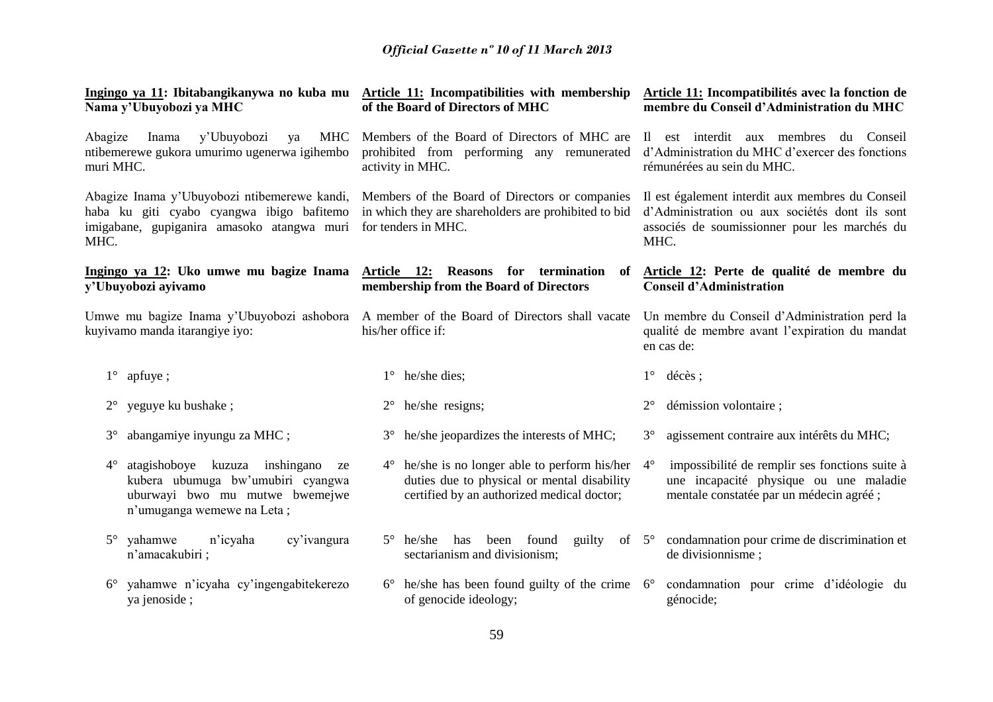| Nama y'Ubuyobozi ya MHC                                                                                                                                | Ingingo ya 11: Ibitabangikanywa no kuba mu Article 11: Incompatibilities with membership<br>of the Board of Directors of MHC                         | Article 11: Incompatibilités avec la fonction de<br>membre du Conseil d'Administration du MHC<br>Il est interdit aux membres<br>du Conseil<br>d'Administration du MHC d'exercer des fonctions<br>rémunérées au sein du MHC. |  |
|--------------------------------------------------------------------------------------------------------------------------------------------------------|------------------------------------------------------------------------------------------------------------------------------------------------------|-----------------------------------------------------------------------------------------------------------------------------------------------------------------------------------------------------------------------------|--|
| Abagize<br>y'Ubuyobozi<br><b>MHC</b><br>Inama<br>ya<br>ntibemerewe gukora umurimo ugenerwa igihembo<br>muri MHC.                                       | Members of the Board of Directors of MHC are<br>prohibited from performing any remunerated<br>activity in MHC.                                       |                                                                                                                                                                                                                             |  |
| Abagize Inama y'Ubuyobozi ntibemerewe kandi,<br>haba ku giti cyabo cyangwa ibigo bafitemo<br>imigabane, gupiganira amasoko atangwa muri<br>MHC.        | Members of the Board of Directors or companies<br>in which they are shareholders are prohibited to bid<br>for tenders in MHC.                        | Il est également interdit aux membres du Conseil<br>d'Administration ou aux sociétés dont ils sont<br>associés de soumissionner pour les marchés du<br>MHC.                                                                 |  |
| Ingingo ya 12: Uko umwe mu bagize Inama<br>y'Ubuyobozi ayivamo                                                                                         | Article 12:<br>Reasons for termination<br>of<br>membership from the Board of Directors                                                               | Article 12: Perte de qualité de membre du<br><b>Conseil d'Administration</b>                                                                                                                                                |  |
| Umwe mu bagize Inama y'Ubuyobozi ashobora<br>kuyivamo manda itarangiye iyo:                                                                            | A member of the Board of Directors shall vacate<br>his/her office if:                                                                                | Un membre du Conseil d'Administration perd la<br>qualité de membre avant l'expiration du mandat<br>en cas de:                                                                                                               |  |
| $1^{\circ}$ apfuye;                                                                                                                                    | $1^{\circ}$<br>he/she dies;                                                                                                                          | $1^{\circ}$<br>décès;                                                                                                                                                                                                       |  |
| yeguye ku bushake;<br>$2^{\circ}$                                                                                                                      | he/she resigns;<br>$2^{\circ}$                                                                                                                       | démission volontaire ;                                                                                                                                                                                                      |  |
| abangamiye inyungu za MHC;<br>$3^\circ$                                                                                                                | he/she jeopardizes the interests of MHC;<br>$3^\circ$                                                                                                | agissement contraire aux intérêts du MHC;<br>$3^\circ$                                                                                                                                                                      |  |
| atagishoboye kuzuza inshingano<br>$4^\circ$<br>ze<br>kubera ubumuga bw'umubiri cyangwa<br>uburwayi bwo mu mutwe bwemejwe<br>n'umuganga wemewe na Leta; | $4^{\circ}$ he/she is no longer able to perform his/her<br>duties due to physical or mental disability<br>certified by an authorized medical doctor; | impossibilité de remplir ses fonctions suite à<br>$4^{\circ}$<br>une incapacité physique ou une maladie<br>mentale constatée par un médecin agréé;                                                                          |  |
| yahamwe<br>n'icyaha<br>$5^\circ$<br>cy'ivangura<br>n'amacakubiri;                                                                                      | he/she<br>has<br>found<br>guilty<br>$5^{\circ}$<br>been<br>sectarianism and divisionism;                                                             | condamnation pour crime de discrimination et<br>of $5^{\circ}$<br>de divisionnisme;                                                                                                                                         |  |
| yahamwe n'icyaha cy'ingengabitekerezo<br>$6^{\circ}$<br>ya jenoside;                                                                                   | he/she has been found guilty of the crime $6^{\circ}$<br>$6^{\circ}$<br>of genocide ideology;                                                        | condamnation pour crime d'idéologie du<br>génocide;                                                                                                                                                                         |  |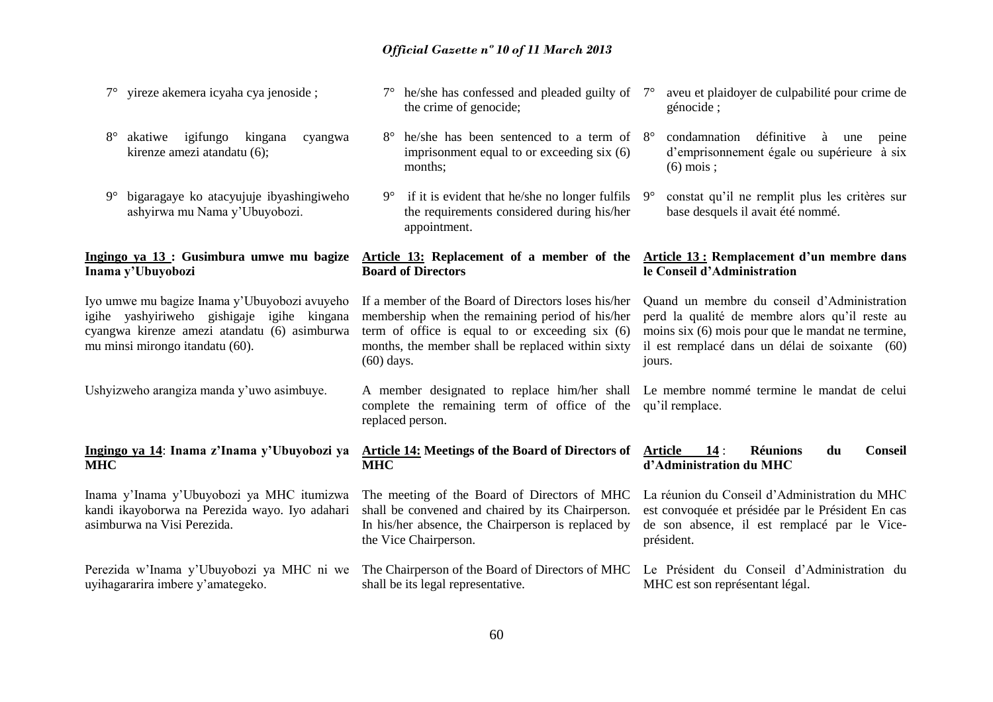- 7° yireze akemera icyaha cya jenoside ;
- 8° akatiwe igifungo kingana cyangwa kirenze amezi atandatu (6);
- 9° bigaragaye ko atacyujuje ibyashingiweho ashyirwa mu Nama y'Ubuyobozi.

# **Inama y'Ubuyobozi**

Iyo umwe mu bagize Inama y'Ubuyobozi avuyeho igihe yashyiriweho gishigaje igihe kingana cyangwa kirenze amezi atandatu (6) asimburwa mu minsi mirongo itandatu (60).

Ushyizweho arangiza manda y'uwo asimbuye.

#### **Ingingo ya 14**: **Inama z'Inama y'Ubuyobozi ya MHC**

Inama y'Inama y'Ubuyobozi ya MHC itumizwa kandi ikayoborwa na Perezida wayo. Iyo adahari asimburwa na Visi Perezida.

uyihagararira imbere y'amategeko.

- $7^\circ$  he/she has confessed and pleaded guilty of  $7^\circ$ the crime of genocide; 7° aveu et plaidoyer de culpabilité pour crime de génocide ;
- $8^\circ$  he/she has been sentenced to a term of  $8^\circ$ imprisonment equal to or exceeding six (6) months;
- $9^{\circ}$  if it is evident that he/she no longer fulfils  $9^{\circ}$ the requirements considered during his/her appointment.

#### **Ingingo ya 13 : Gusimbura umwe mu bagize Article 13: Replacement of a member of the Article 13 : Remplacement d'un membre dans Board of Directors**

If a member of the Board of Directors loses his/her membership when the remaining period of his/her term of office is equal to or exceeding six (6) months, the member shall be replaced within sixty (60) days.

A member designated to replace him/her shall Le membre nommé termine le mandat de celui complete the remaining term of office of the qu'il remplace. replaced person.

#### **Article 14: Meetings of the Board of Directors of Article 14** : **Réunions du Conseil d'Administration du MHC**

La réunion du Conseil d'Administration du MHC est convoquée et présidée par le Président En cas de son absence, il est remplacé par le Vice-

8° condamnation définitive à une peine d'emprisonnement égale ou supérieure à six

9° constat qu'il ne remplit plus les critères sur

Quand un membre du conseil d'Administration perd la qualité de membre alors qu'il reste au moins six (6) mois pour que le mandat ne termine, il est remplacé dans un délai de soixante (60)

base desquels il avait été nommé.

**le Conseil d'Administration**

(6) mois ;

jours.

président.

The meeting of the Board of Directors of MHC shall be convened and chaired by its Chairperson. In his/her absence, the Chairperson is replaced by the Vice Chairperson.

**MHC**

Perezida w'Inama y'Ubuyobozi ya MHC ni we The Chairperson of the Board of Directors of MHC Le Président du Conseil d'Administration du MHC est son représentant légal.

shall be its legal representative.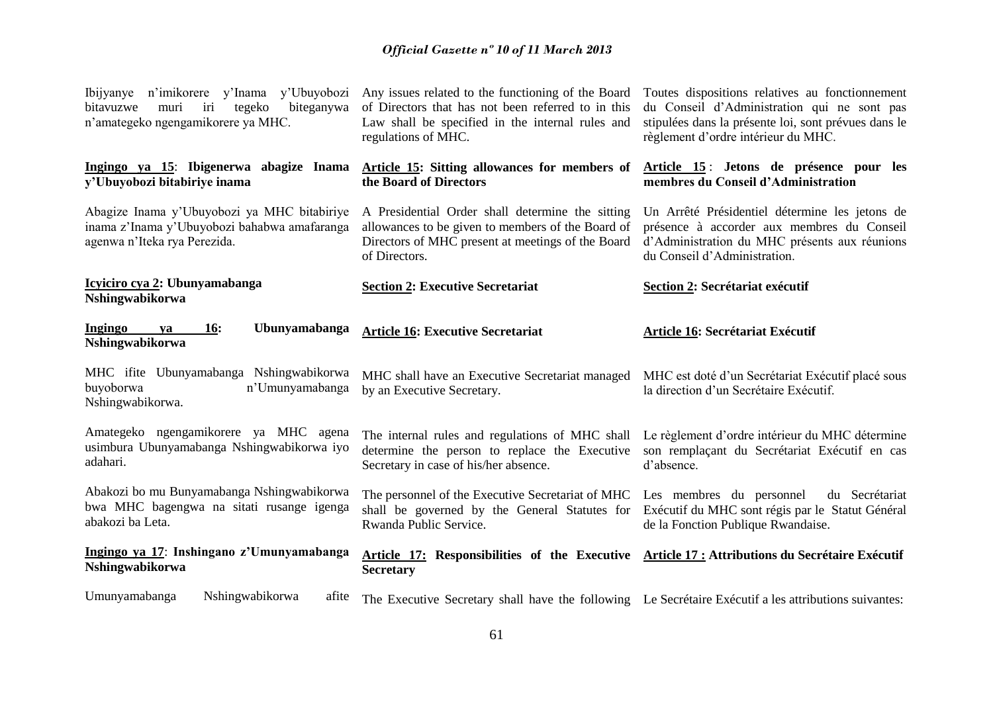| Ibijyanye n'imikorere y'Inama y'Ubuyobozi<br>iri<br>bitavuzwe<br>muri<br>tegeko<br>biteganywa<br>n'amategeko ngengamikorere ya MHC. | Any issues related to the functioning of the Board<br>of Directors that has not been referred to in this<br>Law shall be specified in the internal rules and<br>regulations of MHC. | Toutes dispositions relatives au fonctionnement<br>du Conseil d'Administration qui ne sont pas<br>stipulées dans la présente loi, sont prévues dans le<br>règlement d'ordre intérieur du MHC. |
|-------------------------------------------------------------------------------------------------------------------------------------|-------------------------------------------------------------------------------------------------------------------------------------------------------------------------------------|-----------------------------------------------------------------------------------------------------------------------------------------------------------------------------------------------|
| Ingingo ya 15: Ibigenerwa abagize Inama<br>y'Ubuyobozi bitabiriye inama                                                             | Article 15: Sitting allowances for members of<br>the Board of Directors                                                                                                             | Article 15: Jetons de présence pour les<br>membres du Conseil d'Administration                                                                                                                |
| Abagize Inama y'Ubuyobozi ya MHC bitabiriye<br>inama z'Inama y'Ubuyobozi bahabwa amafaranga<br>agenwa n'Iteka rya Perezida.         | A Presidential Order shall determine the sitting<br>allowances to be given to members of the Board of<br>Directors of MHC present at meetings of the Board<br>of Directors.         | Un Arrêté Présidentiel détermine les jetons de<br>présence à accorder aux membres du Conseil<br>d'Administration du MHC présents aux réunions<br>du Conseil d'Administration.                 |
| Icyiciro cya 2: Ubunyamabanga<br>Nshingwabikorwa                                                                                    | <b>Section 2: Executive Secretariat</b>                                                                                                                                             | <b>Section 2: Secrétariat exécutif</b>                                                                                                                                                        |
| Ingingo<br><b>16:</b><br>Ubunyamabanga<br>ya<br>Nshingwabikorwa                                                                     | <b>Article 16: Executive Secretariat</b>                                                                                                                                            | Article 16: Secrétariat Exécutif                                                                                                                                                              |
| MHC ifite Ubunyamabanga Nshingwabikorwa<br>buyoborwa<br>n'Umunyamabanga<br>Nshingwabikorwa.                                         | MHC shall have an Executive Secretariat managed<br>by an Executive Secretary.                                                                                                       | MHC est doté d'un Secrétariat Exécutif placé sous<br>la direction d'un Secrétaire Exécutif.                                                                                                   |
| Amategeko ngengamikorere ya MHC agena<br>usimbura Ubunyamabanga Nshingwabikorwa iyo<br>adahari.                                     | The internal rules and regulations of MHC shall<br>determine the person to replace the Executive<br>Secretary in case of his/her absence.                                           | Le règlement d'ordre intérieur du MHC détermine<br>son remplaçant du Secrétariat Exécutif en cas<br>d'absence.                                                                                |
| Abakozi bo mu Bunyamabanga Nshingwabikorwa<br>bwa MHC bagengwa na sitati rusange igenga<br>abakozi ba Leta.                         | The personnel of the Executive Secretariat of MHC<br>shall be governed by the General Statutes for<br>Rwanda Public Service.                                                        | Les membres du personnel<br>du Secrétariat<br>Exécutif du MHC sont régis par le Statut Général<br>de la Fonction Publique Rwandaise.                                                          |
| Ingingo ya 17: Inshingano z'Umunyamabanga<br>Nshingwabikorwa                                                                        | Article 17: Responsibilities of the Executive Article 17: Attributions du Secrétaire Exécutif<br><b>Secretary</b>                                                                   |                                                                                                                                                                                               |
| Umunyamabanga<br>Nshingwabikorwa<br>afite                                                                                           | The Executive Secretary shall have the following Le Secrétaire Exécutif a les attributions suivantes:                                                                               |                                                                                                                                                                                               |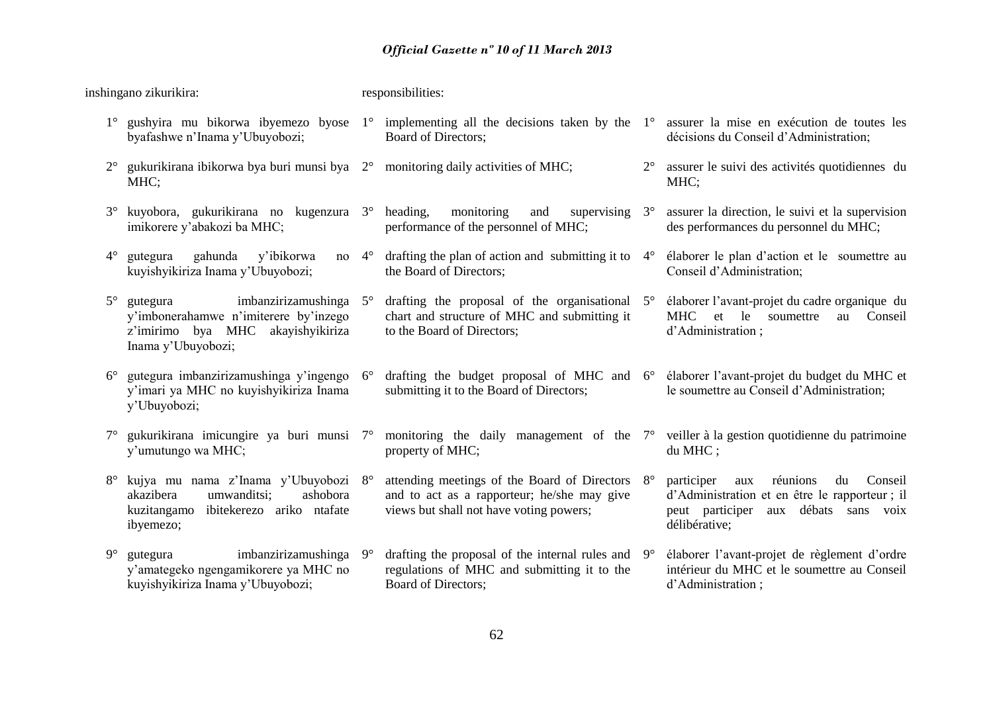|             | inshingano zikurikira:                                                                                                                 |             | responsibilities:                                                                                                                         |             |                                                                                                                                                              |
|-------------|----------------------------------------------------------------------------------------------------------------------------------------|-------------|-------------------------------------------------------------------------------------------------------------------------------------------|-------------|--------------------------------------------------------------------------------------------------------------------------------------------------------------|
| $1^{\circ}$ | byafashwe n'Inama y'Ubuyobozi;                                                                                                         |             | gushyira mu bikorwa ibyemezo byose $1^{\circ}$ implementing all the decisions taken by the $1^{\circ}$<br>Board of Directors;             |             | assurer la mise en exécution de toutes les<br>décisions du Conseil d'Administration;                                                                         |
|             | gukurikirana ibikorwa bya buri munsi bya $2^{\circ}$ monitoring daily activities of MHC;<br>MHC;                                       |             |                                                                                                                                           | $2^{\circ}$ | assurer le suivi des activités quotidiennes du<br>MHC;                                                                                                       |
| $3^\circ$   | kuyobora, gukurikirana no kugenzura 3°<br>imikorere y'abakozi ba MHC;                                                                  |             | heading,<br>monitoring<br>supervising $3^\circ$<br>and<br>performance of the personnel of MHC;                                            |             | assurer la direction, le suivi et la supervision<br>des performances du personnel du MHC;                                                                    |
| $4^{\circ}$ | gahunda<br>y'ibikorwa<br>gutegura<br>no<br>kuyishyikiriza Inama y'Ubuyobozi;                                                           | $4^{\circ}$ | drafting the plan of action and submitting it to<br>the Board of Directors;                                                               | $4^\circ$   | élaborer le plan d'action et le soumettre au<br>Conseil d'Administration;                                                                                    |
| $5^{\circ}$ | imbanzirizamushinga<br>gutegura<br>y'imbonerahamwe n'imiterere by'inzego<br>z'imirimo bya MHC<br>akayishyikiriza<br>Inama y'Ubuyobozi; | $5^{\circ}$ | drafting the proposal of the organisational $5^\circ$<br>chart and structure of MHC and submitting it<br>to the Board of Directors;       |             | élaborer l'avant-projet du cadre organique du<br>MHC et le<br>soumettre<br>Conseil<br>au<br>d'Administration;                                                |
| $6^{\circ}$ | gutegura imbanzirizamushinga y'ingengo<br>y'imari ya MHC no kuyishyikiriza Inama<br>y'Ubuyobozi;                                       | $6^{\circ}$ | drafting the budget proposal of MHC and 6° élaborer l'avant-projet du budget du MHC et<br>submitting it to the Board of Directors;        |             | le soumettre au Conseil d'Administration;                                                                                                                    |
| $7^{\circ}$ | gukurikirana imicungire ya buri munsi 7°<br>y'umutungo wa MHC;                                                                         |             | monitoring the daily management of the 7°<br>property of MHC;                                                                             |             | veiller à la gestion quotidienne du patrimoine<br>du MHC;                                                                                                    |
| $8^{\circ}$ | kujya mu nama z'Inama y'Ubuyobozi 8°<br>akazibera<br>umwanditsi;<br>ashobora<br>ibitekerezo ariko ntafate<br>kuzitangamo<br>ibyemezo;  |             | attending meetings of the Board of Directors 8°<br>and to act as a rapporteur; he/she may give<br>views but shall not have voting powers; |             | réunions<br>participer<br>du<br>Conseil<br>aux<br>d'Administration et en être le rapporteur ; il<br>peut participer<br>aux débats sans voix<br>délibérative; |
| $9^\circ$   | imbanzirizamushinga<br>gutegura<br>y'amategeko ngengamikorere ya MHC no<br>kuyishyikiriza Inama y'Ubuyobozi;                           | $9^{\circ}$ | drafting the proposal of the internal rules and $9^{\circ}$<br>regulations of MHC and submitting it to the<br>Board of Directors;         |             | élaborer l'avant-projet de règlement d'ordre<br>intérieur du MHC et le soumettre au Conseil<br>d'Administration;                                             |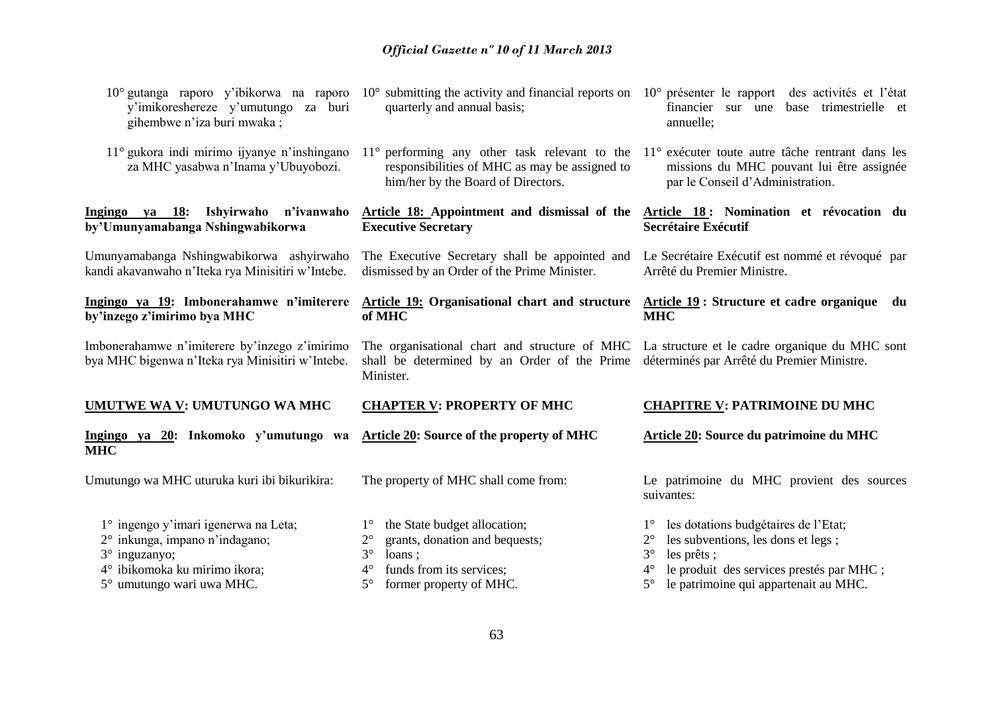| 3° inguzanyo;<br>4° ibikomoka ku mirimo ikora;<br>5° umutungo wari uwa MHC.                       | $3^\circ$<br>loans;<br>funds from its services;<br>$4^{\circ}$<br>$5^{\circ}$<br>former property of MHC.                                                                                                | $3^\circ$<br>les prêts;<br>le produit des services prestés par MHC ;<br>$4^\circ$<br>le patrimoine qui appartenait au MHC.<br>$5^{\circ}$ |
|---------------------------------------------------------------------------------------------------|---------------------------------------------------------------------------------------------------------------------------------------------------------------------------------------------------------|-------------------------------------------------------------------------------------------------------------------------------------------|
| 2° inkunga, impano n'indagano;                                                                    | grants, donation and bequests;<br>$2^{\circ}$                                                                                                                                                           | les subventions, les dons et legs;<br>$2^{\circ}$                                                                                         |
| 1° ingengo y'imari igenerwa na Leta;                                                              | the State budget allocation;<br>$1^{\circ}$                                                                                                                                                             | les dotations budgétaires de l'Etat;<br>$1^{\circ}$                                                                                       |
| Umutungo wa MHC uturuka kuri ibi bikurikira:                                                      | The property of MHC shall come from:                                                                                                                                                                    | Le patrimoine du MHC provient des sources<br>suivantes:                                                                                   |
| Ingingo ya 20: Inkomoko y'umutungo wa<br><b>MHC</b>                                               | Article 20: Source of the property of MHC                                                                                                                                                               | Article 20: Source du patrimoine du MHC                                                                                                   |
| UMUTWE WA V: UMUTUNGO WA MHC                                                                      | <b>CHAPTER V: PROPERTY OF MHC</b>                                                                                                                                                                       | <b>CHAPITRE V: PATRIMOINE DU MHC</b>                                                                                                      |
| Imbonerahamwe n'imiterere by'inzego z'imirimo<br>bya MHC bigenwa n'Iteka rya Minisitiri w'Intebe. | The organisational chart and structure of MHC La structure et le cadre organique du MHC sont<br>shall be determined by an Order of the Prime<br>Minister.                                               | déterminés par Arrêté du Premier Ministre.                                                                                                |
| Ingingo ya 19: Imbonerahamwe n'imiterere<br>by'inzego z'imirimo bya MHC                           | <b>Article 19: Organisational chart and structure</b><br>of MHC                                                                                                                                         | Article 19: Structure et cadre organique du<br><b>MHC</b>                                                                                 |
| Umunyamabanga Nshingwabikorwa ashyirwaho<br>kandi akavanwaho n'Iteka rya Minisitiri w'Intebe.     | The Executive Secretary shall be appointed and<br>dismissed by an Order of the Prime Minister.                                                                                                          | Le Secrétaire Exécutif est nommé et révoqué par<br>Arrêté du Premier Ministre.                                                            |
| Ingingo ya 18: Ishyirwaho n'ivanwaho<br>by'Umunyamabanga Nshingwabikorwa                          | Article 18: Appointment and dismissal of the<br><b>Executive Secretary</b>                                                                                                                              | Article 18: Nomination et révocation du<br><b>Secrétaire Exécutif</b>                                                                     |
| $11^{\circ}$ gukora indi mirimo ijyanye n'inshingano<br>za MHC yasabwa n'Inama y'Ubuyobozi.       | $11^{\circ}$ performing any other task relevant to the $11^{\circ}$ exécuter toute autre tâche rentrant dans les<br>responsibilities of MHC as may be assigned to<br>him/her by the Board of Directors. | missions du MHC pouvant lui être assignée<br>par le Conseil d'Administration.                                                             |
| y'imikoreshereze y'umutungo za buri<br>gihembwe n'iza buri mwaka;                                 | $10^{\circ}$ gutanga raporo y'ibikorwa na raporo $10^{\circ}$ submitting the activity and financial reports on<br>quarterly and annual basis;                                                           | $10^{\circ}$ présenter le rapport<br>des activités et l'état<br>financier sur<br>base trimestrielle et<br>une<br>annuelle;                |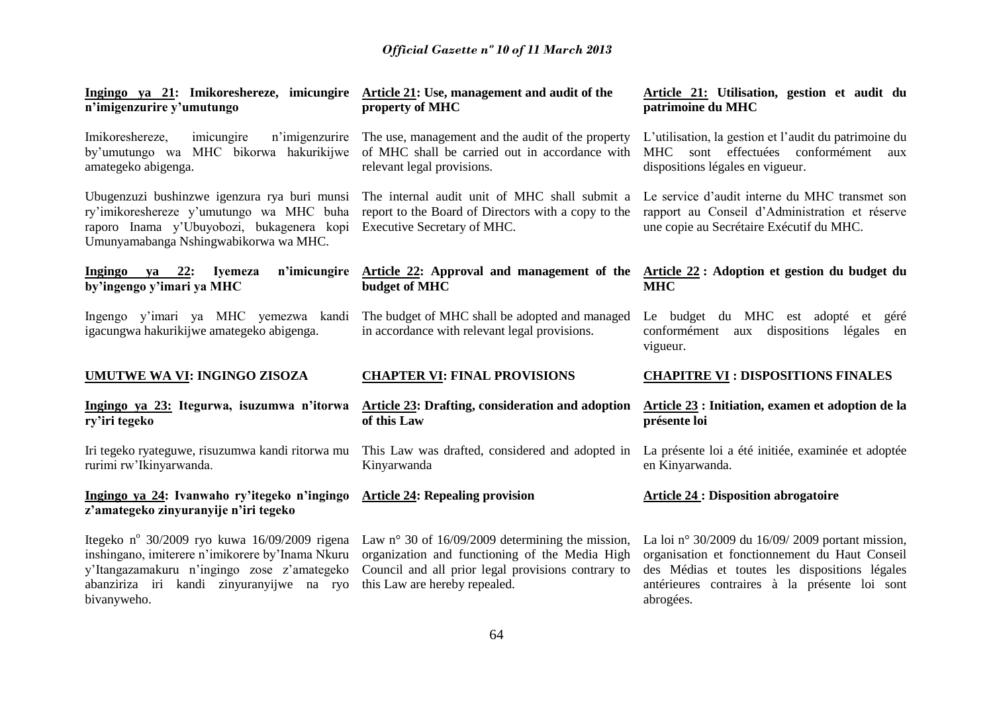| Ingingo ya 21: Imikoreshereze, imicungire Article 21: Use, management and audit of the<br>n'imigenzurire y'umutungo                                                                                          | property of MHC                                                                                                                                                                                    | Article 21: Utilisation, gestion et audit du<br>patrimoine du MHC                                                                                                                                                 |
|--------------------------------------------------------------------------------------------------------------------------------------------------------------------------------------------------------------|----------------------------------------------------------------------------------------------------------------------------------------------------------------------------------------------------|-------------------------------------------------------------------------------------------------------------------------------------------------------------------------------------------------------------------|
| Imikoreshereze,<br>imicungire<br>n'imigenzurire<br>by'umutungo wa MHC bikorwa hakurikijwe<br>amategeko abigenga.                                                                                             | The use, management and the audit of the property<br>of MHC shall be carried out in accordance with<br>relevant legal provisions.                                                                  | L'utilisation, la gestion et l'audit du patrimoine du<br>MHC sont effectuées conformément aux<br>dispositions légales en vigueur.                                                                                 |
| Ubugenzuzi bushinzwe igenzura rya buri munsi<br>ry'imikoreshereze y'umutungo wa MHC buha<br>raporo Inama y'Ubuyobozi, bukagenera kopi<br>Umunyamabanga Nshingwabikorwa wa MHC.                               | The internal audit unit of MHC shall submit a<br>report to the Board of Directors with a copy to the<br>Executive Secretary of MHC.                                                                | Le service d'audit interne du MHC transmet son<br>rapport au Conseil d'Administration et réserve<br>une copie au Secrétaire Exécutif du MHC.                                                                      |
| $Ingingo ya 22$<br><b>Iyemeza</b><br>by'ingengo y'imari ya MHC                                                                                                                                               | n'imicungire Article 22: Approval and management of the<br>budget of MHC                                                                                                                           | Article 22 : Adoption et gestion du budget du<br><b>MHC</b>                                                                                                                                                       |
| Ingengo y'imari ya MHC yemezwa kandi<br>igacungwa hakurikijwe amategeko abigenga.                                                                                                                            | The budget of MHC shall be adopted and managed<br>in accordance with relevant legal provisions.                                                                                                    | Le budget du MHC est adopté et<br>géré<br>conformément aux dispositions légales en<br>vigueur.                                                                                                                    |
|                                                                                                                                                                                                              |                                                                                                                                                                                                    |                                                                                                                                                                                                                   |
| <b>UMUTWE WA VI: INGINGO ZISOZA</b>                                                                                                                                                                          | <b>CHAPTER VI: FINAL PROVISIONS</b>                                                                                                                                                                | <b>CHAPITRE VI : DISPOSITIONS FINALES</b>                                                                                                                                                                         |
| Ingingo ya 23: Itegurwa, isuzumwa n'itorwa<br>ry'iri tegeko                                                                                                                                                  | <b>Article 23: Drafting, consideration and adoption</b><br>of this Law                                                                                                                             | Article 23 : Initiation, examen et adoption de la<br>présente loi                                                                                                                                                 |
| Iri tegeko ryateguwe, risuzumwa kandi ritorwa mu<br>rurimi rw'Ikinyarwanda.                                                                                                                                  | This Law was drafted, considered and adopted in<br>Kinyarwanda                                                                                                                                     | La présente loi a été initiée, examinée et adoptée<br>en Kinyarwanda.                                                                                                                                             |
| Ingingo ya 24: Ivanwaho ry'itegeko n'ingingo<br>z'amategeko zinyuranyije n'iri tegeko                                                                                                                        | <b>Article 24: Repealing provision</b>                                                                                                                                                             | <b>Article 24 : Disposition abrogatoire</b>                                                                                                                                                                       |
| Itegeko nº 30/2009 ryo kuwa 16/09/2009 rigena<br>inshingano, imiterere n'imikorere by'Inama Nkuru<br>y'Itangazamakuru n'ingingo zose z'amategeko<br>abanziriza iri kandi zinyuranyijwe na ryo<br>bivanyweho. | Law $n^{\circ}$ 30 of 16/09/2009 determining the mission,<br>organization and functioning of the Media High<br>Council and all prior legal provisions contrary to<br>this Law are hereby repealed. | La loi nº 30/2009 du 16/09/2009 portant mission,<br>organisation et fonctionnement du Haut Conseil<br>des Médias et toutes les dispositions légales<br>antérieures contraires à la présente loi sont<br>abrogées. |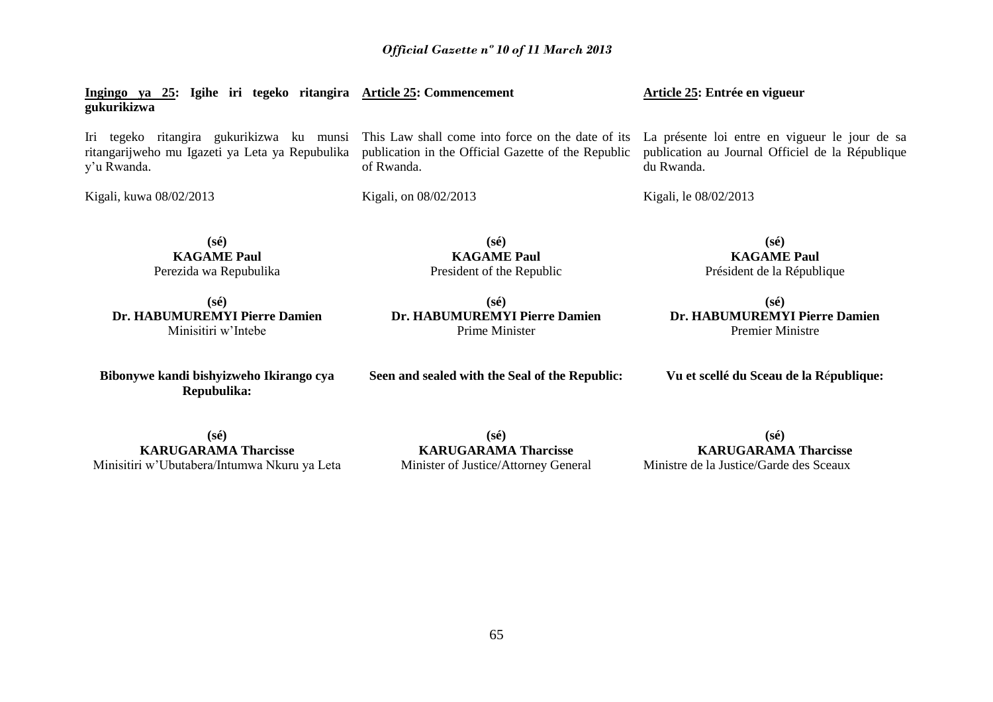Iri tegeko ritangira gukurikizwa ku munsi This Law shall come into force on the date of its La présente loi entre en vigueur le jour de sa ritangarijweho mu Igazeti ya Leta ya Repubulika y'u Rwanda. Kigali, kuwa 08/02/2013 publication in the Official Gazette of the Republic of Rwanda. Kigali, on 08/02/2013 du Rwanda. Kigali, le 08/02/2013 **(sé) KAGAME Paul** Perezida wa Repubulika **(sé) KAGAME Paul** President of the Republic **(sé) KAGAME Paul** Président de la République **(sé) Dr. HABUMUREMYI Pierre Damien** Minisitiri w'Intebe **(sé) Dr. HABUMUREMYI Pierre Damien** Prime Minister **(sé) Bibonywe kandi bishyizweho Ikirango cya Seen and sealed with the Seal of the Republic:**

**(sé) KARUGARAMA Tharcisse** Minisitiri w'Ubutabera/Intumwa Nkuru ya Leta

**Repubulika:**

**gukurikizwa**

**Ingingo ya 25: Igihe iri tegeko ritangira Article 25: Commencement** 

**(sé) KARUGARAMA Tharcisse** Minister of Justice/Attorney General

**(sé) KARUGARAMA Tharcisse** Ministre de la Justice/Garde des Sceaux

publication au Journal Officiel de la République

**Article 25: Entrée en vigueur** 

**Dr. HABUMUREMYI Pierre Damien**

Premier Ministre

**Vu et scellé du Sceau de la R**é**publique:**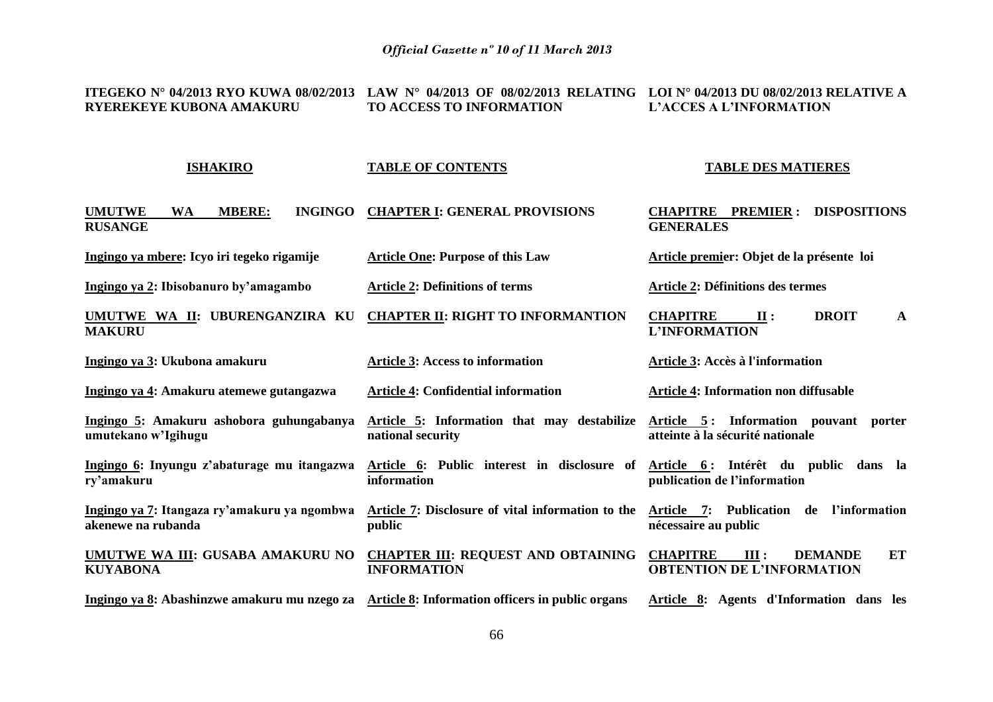**ITEGEKO N° 04/2013 RYO KUWA 08/02/2013 LAW N° 04/2013 OF 08/02/2013 RELATING LOI N° 04/2013 DU 08/02/2013 RELATIVE A RYEREKEYE KUBONA AMAKURU TO ACCESS TO INFORMATION L'ACCES A L'INFORMATION**

**ISHAKIRO UMUTWE WA MBERE: INGINGO CHAPTER I: GENERAL PROVISIONS RUSANGE Ingingo ya mbere: Icyo iri tegeko rigamije Ingingo ya 2: Ibisobanuro by'amagambo UMUTWE WA II: UBURENGANZIRA KU MAKURU Ingingo ya 3: Ukubona amakuru Ingingo ya 4: Amakuru atemewe gutangazwa Ingingo 5: Amakuru ashobora guhungabanya umutekano w'Igihugu Ingingo 6: Inyungu z'abaturage mu itangazwa ry'amakuru Ingingo ya 7: Itangaza ry'amakuru ya ngombwa akenewe na rubanda UMUTWE WA III: GUSABA AMAKURU NO KUYABONA Ingingo ya 8: Abashinzwe amakuru mu nzego za Article 8: Information officers in public organs TABLE OF CONTENTS Article One: Purpose of this Law Article 2: Definitions of terms CHAPTER II: RIGHT TO INFORMANTION Article 3: Access to information Article 4: Confidential information Article 5: Information that may destabilize Article 5 : Information pouvant porter national security Article 6: Public interest in disclosure of information Article 7: Disclosure of vital information to the public CHAPTER III: REQUEST AND OBTAINING CHAPITRE III : DEMANDE ET INFORMATION TABLE DES MATIERES CHAPITRE PREMIER : DISPOSITIONS GENERALES Article premier: Objet de la présente loi Article 2: Définitions des termes CHAPITRE II : DROIT A L'INFORMATION Article 3: Accès à l'information Article 4: Information non diffusable atteinte à la sécurité nationale Article 6 : Intérêt du public dans la publication de l'information Article 7: Publication de l'information nécessaire au public OBTENTION DE L'INFORMATION Article 8: Agents d'Information dans les**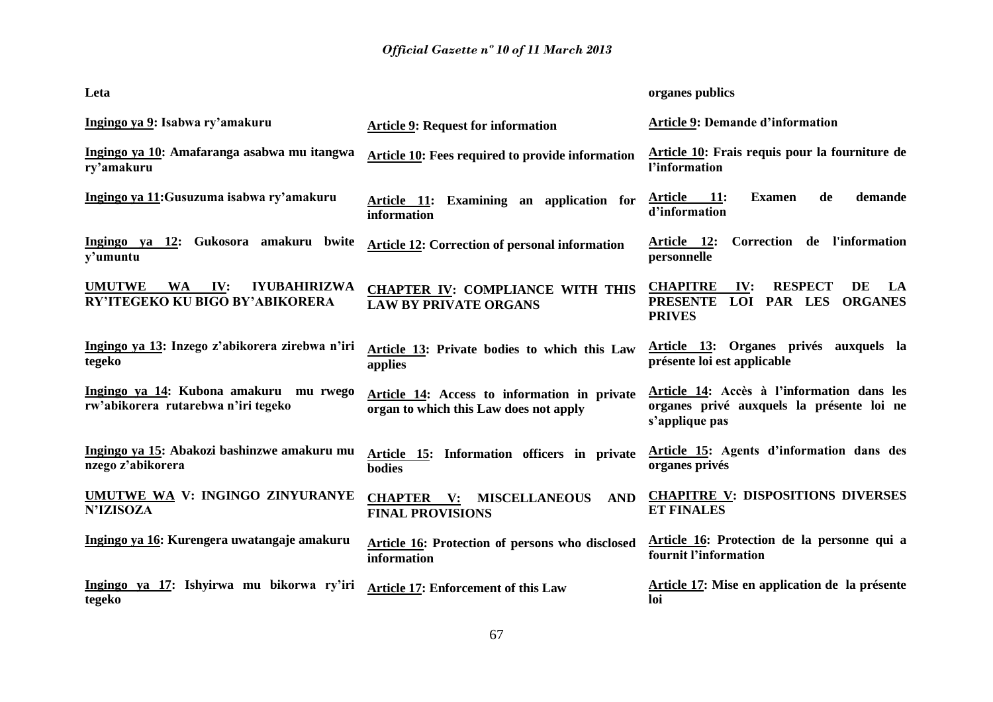| Leta                                                                                        |                                                                                                   | organes publics                                                                                                              |
|---------------------------------------------------------------------------------------------|---------------------------------------------------------------------------------------------------|------------------------------------------------------------------------------------------------------------------------------|
| Ingingo ya 9: Isabwa ry'amakuru                                                             | <b>Article 9: Request for information</b>                                                         | <b>Article 9: Demande d'information</b>                                                                                      |
| Ingingo ya 10: Amafaranga asabwa mu itangwa<br>ry'amakuru                                   | Article 10: Fees required to provide information                                                  | Article 10: Frais requis pour la fourniture de<br>l'information                                                              |
| Ingingo ya 11: Gusuzuma isabwa ry'amakuru                                                   | Examining an application for<br><u>Article 11:</u><br>information                                 | demande<br><b>Article</b><br><b>11:</b><br><b>Examen</b><br>de<br>d'information                                              |
| Ingingo ya 12: Gukosora amakuru bwite<br>y'umuntu                                           | <b>Article 12: Correction of personal information</b>                                             | Correction de l'information<br><u>Article 12:</u><br>personnelle                                                             |
| <b>UMUTWE</b><br><b>IYUBAHIRIZWA</b><br><b>WA</b><br>IV:<br>RY'ITEGEKO KU BIGO BY'ABIKORERA | <b>CHAPTER IV: COMPLIANCE WITH THIS</b><br><b>LAW BY PRIVATE ORGANS</b>                           | <b>CHAPITRE</b><br><b>RESPECT</b><br>IV:<br>DE<br>LA<br><b>PRESENTE</b><br>LOI<br>PAR LES<br><b>ORGANES</b><br><b>PRIVES</b> |
| Ingingo ya 13: Inzego z'abikorera zirebwa n'iri<br>tegeko                                   | Article 13: Private bodies to which this Law<br>applies                                           | Article 13: Organes privés auxquels la<br>présente loi est applicable                                                        |
| Ingingo ya 14: Kubona amakuru mu rwego<br>rw'abikorera rutarebwa n'iri tegeko               | Article 14: Access to information in private<br>organ to which this Law does not apply            | Article 14: Accès à l'information dans les<br>organes privé auxquels la présente loi ne<br>s'applique pas                    |
| Ingingo ya 15: Abakozi bashinzwe amakuru mu<br>nzego z'abikorera                            | Article 15: Information officers in private<br>bodies                                             | Article 15: Agents d'information dans des<br>organes privés                                                                  |
| UMUTWE WA V: INGINGO ZINYURANYE<br><b>N'IZISOZA</b>                                         | <b>CHAPTER</b><br><b>MISCELLANEOUS</b><br>$\mathbf{V}$ :<br><b>AND</b><br><b>FINAL PROVISIONS</b> | <b>CHAPITRE V: DISPOSITIONS DIVERSES</b><br><b>ET FINALES</b>                                                                |
| Ingingo ya 16: Kurengera uwatangaje amakuru                                                 | Article 16: Protection of persons who disclosed<br>information                                    | Article 16: Protection de la personne qui a<br>fournit l'information                                                         |
| Ingingo ya 17: Ishyirwa mu bikorwa ry'iri<br>tegeko                                         | <b>Article 17: Enforcement of this Law</b>                                                        | <b>Article 17:</b> Mise en application de la présente<br>loi                                                                 |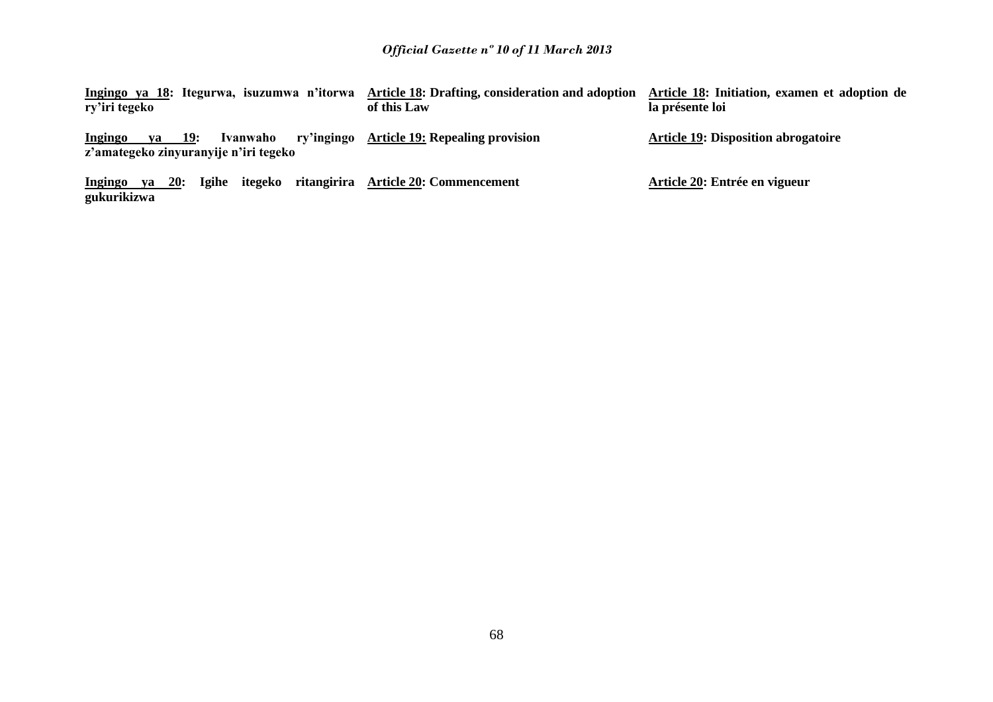| ry'iri tegeko                                                                        | Ingingo ya 18: Itegurwa, isuzumwa n'itorwa Article 18: Drafting, consideration and adoption Article 18: Initiation, examen et adoption de<br>of this Law | la présente loi                            |
|--------------------------------------------------------------------------------------|----------------------------------------------------------------------------------------------------------------------------------------------------------|--------------------------------------------|
| ry'ingingo<br>ya 19:<br>Ivanwaho<br>Ingingo<br>z'amategeko zinyuranyije n'iri tegeko | <b>Article 19: Repealing provision</b>                                                                                                                   | <b>Article 19: Disposition abrogatoire</b> |
| <b>20:</b><br>Igihe itegeko<br>Ingingo<br>va<br>gukurikizwa                          | ritangirira Article 20: Commencement                                                                                                                     | Article 20: Entrée en vigueur              |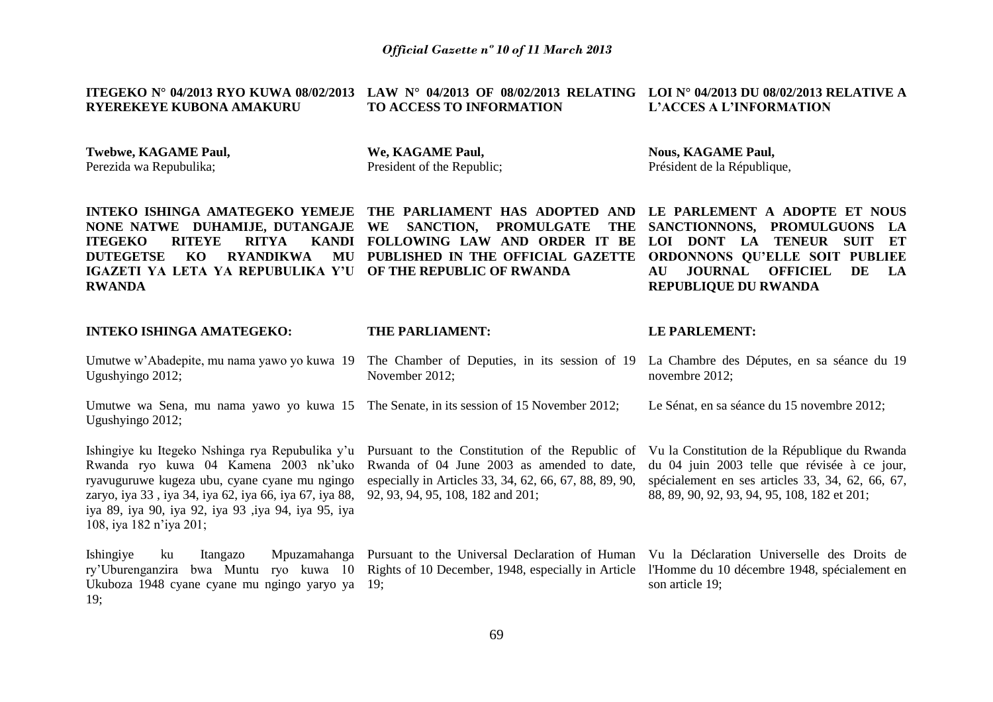#### **ITEGEKO N° 04/2013 RYO KUWA 08/02/2013 LAW N° 04/2013 OF 08/02/2013 RELATING LOI N° 04/2013 DU 08/02/2013 RELATIVE A RYEREKEYE KUBONA AMAKURU TO ACCESS TO INFORMATION L'ACCES A L'INFORMATION**

**Twebwe, KAGAME Paul,**  Perezida wa Repubulika;

**We, KAGAME Paul,**  President of the Republic; **Nous, KAGAME Paul,**  Président de la République,

**INTEKO ISHINGA AMATEGEKO YEMEJE THE PARLIAMENT HAS ADOPTED AND LE PARLEMENT A ADOPTE ET NOUS NONE NATWE DUHAMIJE, DUTANGAJE WE SANCTION, PROMULGATE THE ITEGEKO RITEYE RITYA DUTEGETSE KO RYANDIKWA IGAZETI YA LETA YA REPUBULIKA Y'U OF THE REPUBLIC OF RWANDA RWANDA FOLLOWING LAW AND ORDER IT BE LOI DONT LA TENEUR SUIT ET PUBLISHED IN THE OFFICIAL GAZETTE SANCTIONNONS, PROMULGUONS LA ORDONNONS QU'ELLE SOIT PUBLIEE AU JOURNAL OFFICIEL DE LA REPUBLIQUE DU RWANDA**

#### **INTEKO ISHINGA AMATEGEKO: THE PARLIAMENT: LE PARLEMENT:**

Umutwe w'Abadepite, mu nama yawo yo kuwa 19 The Chamber of Deputies, in its session of 19 La Chambre des Députes, en sa séance du 19 Ugushyingo 2012; November 2012; novembre 2012;

Umutwe wa Sena, mu nama yawo yo kuwa 15 The Senate, in its session of 15 November 2012; Ugushyingo 2012; Le Sénat, en sa séance du 15 novembre 2012;

Ishingiye ku Itegeko Nshinga rya Repubulika y'u Pursuant to the Constitution of the Republic of Rwanda ryo kuwa 04 Kamena 2003 nk'uko ryavuguruwe kugeza ubu, cyane cyane mu ngingo zaryo, iya 33 , iya 34, iya 62, iya 66, iya 67, iya 88, iya 89, iya 90, iya 92, iya 93 ,iya 94, iya 95, iya 108, iya 182 n'iya 201;

Ishingiye ku Itangazo Mpuzamahanga Pursuant to the Universal Declaration of Human Vu la Déclaration Universelle des Droits de ry'Uburenganzira bwa Muntu ryo kuwa 10 Rights of 10 December, 1948, especially in Article l'Homme du 10 décembre 1948, spécialement en Ukuboza 1948 cyane cyane mu ngingo yaryo ya 19; 19;

Rwanda of 04 June 2003 as amended to date, especially in Articles 33, 34, 62, 66, 67, 88, 89, 90, 92, 93, 94, 95, 108, 182 and 201;

Vu la Constitution de la République du Rwanda du 04 juin 2003 telle que révisée à ce jour, spécialement en ses articles 33, 34, 62, 66, 67, 88, 89, 90, 92, 93, 94, 95, 108, 182 et 201;

son article 19;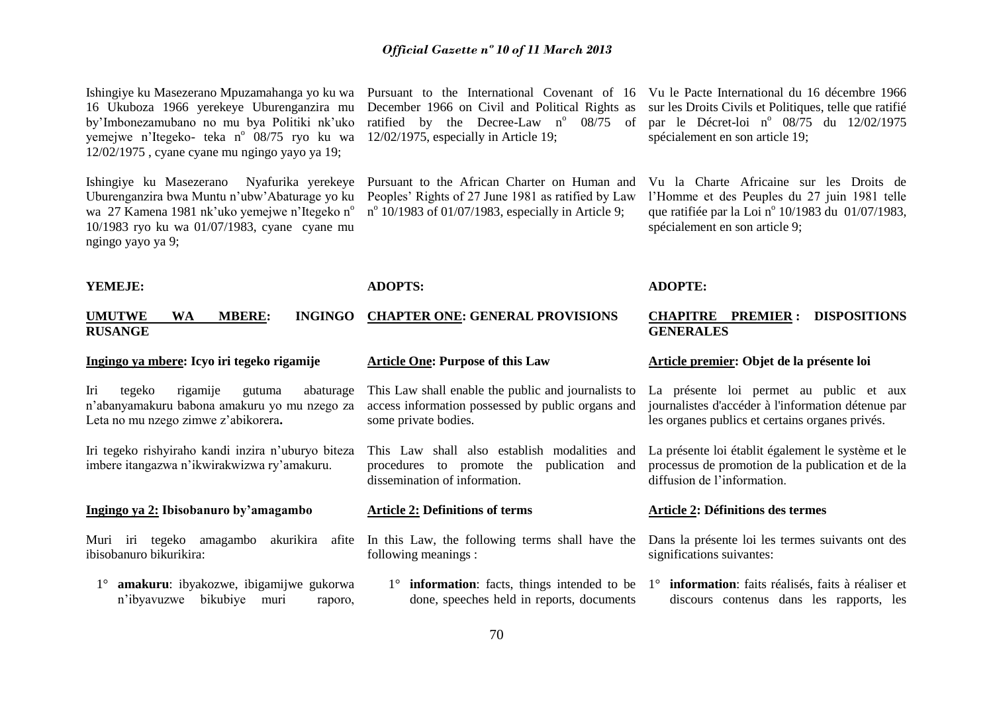Ishingiye ku Masezerano Mpuzamahanga yo ku wa 16 Ukuboza 1966 yerekeye Uburenganzira mu by'Imbonezamubano no mu bya Politiki nk'uko yemejwe n'Itegeko- teka n<sup>o</sup> 08/75 ryo ku wa 12/02/1975 , cyane cyane mu ngingo yayo ya 19;

Uburenganzira bwa Muntu n'ubw'Abaturage yo ku wa 27 Kamena 1981 nk'uko yemejwe n'Itegeko n<sup>o</sup> 10/1983 ryo ku wa 01/07/1983, cyane cyane mu ngingo yayo ya 9;

Pursuant to the International Covenant of 16 Vu le Pacte International du 16 décembre 1966 December 1966 on Civil and Political Rights as ratified by the Decree-Law  $n^{\circ}$  08/75 of 12/02/1975, especially in Article 19;

Ishingiye ku Masezerano Nyafurika yerekeye Pursuant to the African Charter on Human and Peoples' Rights of 27 June 1981 as ratified by Law n<sup>o</sup> 10/1983 of 01/07/1983, especially in Article 9;

sur les Droits Civils et Politiques, telle que ratifié par le Décret-loi nº 08/75 du 12/02/1975 spécialement en son article 19;

Vu la Charte Africaine sur les Droits de l'Homme et des Peuples du 27 juin 1981 telle que ratifiée par la Loi nº 10/1983 du 01/07/1983, spécialement en son article 9;

#### **YEMEJE:**

#### **ADOPTS:**

#### **UMUTWE WA MBERE: INGINGO CHAPTER ONE: GENERAL PROVISIONS RUSANGE**

#### **Ingingo ya mbere: Icyo iri tegeko rigamije**

Iri tegeko rigamije gutuma abaturage n'abanyamakuru babona amakuru yo mu nzego za Leta no mu nzego zimwe z'abikorera**.**

Iri tegeko rishyiraho kandi inzira n'uburyo biteza imbere itangazwa n'ikwirakwizwa ry'amakuru.

#### **Ingingo ya 2: Ibisobanuro by'amagambo**

Muri iri tegeko amagambo akurikira afite ibisobanuro bikurikira:

1° **amakuru**: ibyakozwe, ibigamijwe gukorwa n'ibyavuzwe bikubiye muri raporo,

#### **Article One: Purpose of this Law**

This Law shall enable the public and journalists to access information possessed by public organs and some private bodies.

This Law shall also establish modalities and procedures to promote the publication and dissemination of information.

#### **Article 2: Definitions of terms**

In this Law, the following terms shall have the following meanings :

done, speeches held in reports, documents

# **ADOPTE:**

#### **CHAPITRE PREMIER : DISPOSITIONS GENERALES**

#### **Article premier: Objet de la présente loi**

La présente loi permet au public et aux journalistes d'accéder à l'information détenue par les organes publics et certains organes privés.

La présente loi établit également le système et le processus de promotion de la publication et de la diffusion de l'information.

#### **Article 2: Définitions des termes**

Dans la présente loi les termes suivants ont des significations suivantes:

1° **information**: facts, things intended to be 1° **information**: faits réalisés, faits à réaliser et discours contenus dans les rapports, les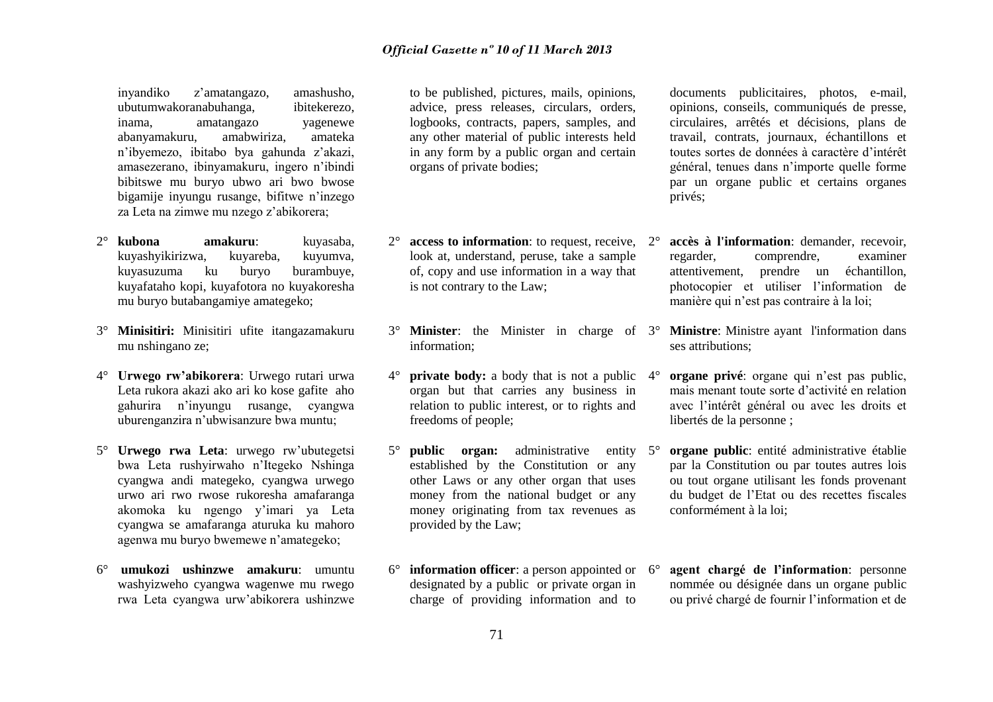inyandiko z'amatangazo, amashusho, ubutumwakoranabuhanga, ibitekerezo, inama, amatangazo yagenewe abanyamakuru, amabwiriza, amateka n'ibyemezo, ibitabo bya gahunda z'akazi, amasezerano, ibinyamakuru, ingero n'ibindi bibitswe mu buryo ubwo ari bwo bwose bigamije inyungu rusange, bifitwe n'inzego za Leta na zimwe mu nzego z'abikorera;

- 2° **kubona amakuru**: kuyasaba, kuyashyikirizwa, kuyareba, kuyumva, kuyasuzuma ku buryo burambuye, kuyafataho kopi, kuyafotora no kuyakoresha mu buryo butabangamiye amategeko;
- 3° **Minisitiri:** Minisitiri ufite itangazamakuru mu nshingano ze;
- 4° **Urwego rw'abikorera**: Urwego rutari urwa Leta rukora akazi ako ari ko kose gafite aho gahurira n'inyungu rusange, cyangwa uburenganzira n'ubwisanzure bwa muntu;
- 5° **Urwego rwa Leta**: urwego rw'ubutegetsi bwa Leta rushyirwaho n'Itegeko Nshinga cyangwa andi mategeko, cyangwa urwego urwo ari rwo rwose rukoresha amafaranga akomoka ku ngengo y'imari ya Leta cyangwa se amafaranga aturuka ku mahoro agenwa mu buryo bwemewe n'amategeko;
- 6° **umukozi ushinzwe amakuru**: umuntu washyizweho cyangwa wagenwe mu rwego rwa Leta cyangwa urw'abikorera ushinzwe

to be published, pictures, mails, opinions, advice, press releases, circulars, orders, logbooks, contracts, papers, samples, and any other material of public interests held in any form by a public organ and certain organs of private bodies;

- 2° **access to information**: to request, receive, 2° look at, understand, peruse, take a sample of, copy and use information in a way that is not contrary to the Law;
- 3° **Minister**: the Minister in charge of information;
- 4° **private body:** a body that is not a public organ but that carries any business in relation to public interest, or to rights and freedoms of people;
- 5° **public organ:** administrative entity established by the Constitution or any other Laws or any other organ that uses money from the national budget or any money originating from tax revenues as provided by the Law;
- 6° **information officer**: a person appointed or designated by a public or private organ in charge of providing information and to

documents publicitaires, photos, e-mail, opinions, conseils, communiqués de presse, circulaires, arrêtés et décisions, plans de travail, contrats, journaux, échantillons et toutes sortes de données à caractère d'intérêt général, tenues dans n'importe quelle forme par un organe public et certains organes privés;

- 2° **accès à l'information**: demander, recevoir, regarder, comprendre, examiner attentivement, prendre un échantillon, photocopier et utiliser l'information de manière qui n'est pas contraire à la loi;
- **Ministre**: Ministre ayant l'information dans ses attributions;
- 4° **organe privé**: organe qui n'est pas public, mais menant toute sorte d'activité en relation avec l'intérêt général ou avec les droits et libertés de la personne ;
- 5° **organe public**: entité administrative établie par la Constitution ou par toutes autres lois ou tout organe utilisant les fonds provenant du budget de l'Etat ou des recettes fiscales conformément à la loi;
- agent chargé de l'information: personne nommée ou désignée dans un organe public ou privé chargé de fournir l'information et de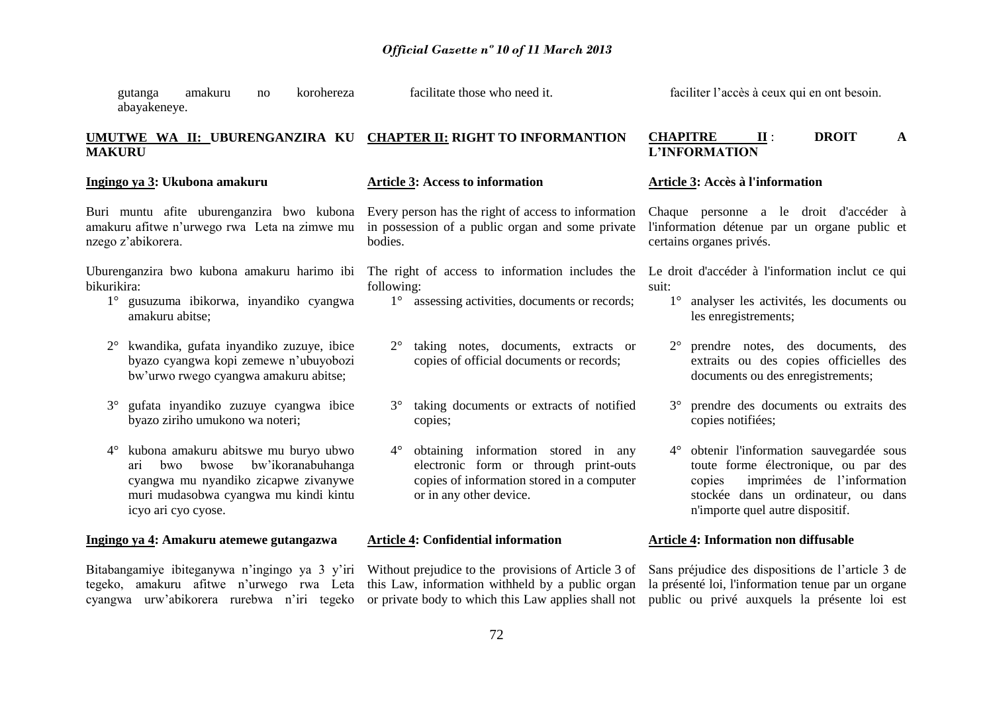gutanga amakuru no korohereza abayakeneye. facilitate those who need it.

## **UMUTWE WA II: UBURENGANZIRA KU CHAPTER II: RIGHT TO INFORMANTION MAKURU**

**Ingingo ya 3: Ukubona amakuru**

#### **Article 3: Access to information**

Buri muntu afite uburenganzira bwo kubona Every person has the right of access to information amakuru afitwe n'urwego rwa Leta na zimwe mu nzego z'abikorera.

Uburenganzira bwo kubona amakuru harimo ibi The right of access to information includes the Le droit d'accéder à l'information inclut ce qui bikurikira:

- 1° gusuzuma ibikorwa, inyandiko cyangwa amakuru abitse;
- 2° kwandika, gufata inyandiko zuzuye, ibice byazo cyangwa kopi zemewe n'ubuyobozi bw'urwo rwego cyangwa amakuru abitse;
- 3° gufata inyandiko zuzuye cyangwa ibice byazo ziriho umukono wa noteri;
- 4° kubona amakuru abitswe mu buryo ubwo ari bwo bwose bw'ikoranabuhanga cyangwa mu nyandiko zicapwe zivanywe muri mudasobwa cyangwa mu kindi kintu icyo ari cyo cyose.

## **Ingingo ya 4: Amakuru atemewe gutangazwa**

Bitabangamiye ibiteganywa n'ingingo ya 3 y'iri Without prejudice to the provisions of Article 3 of tegeko, amakuru afitwe n'urwego rwa Leta this Law, information withheld by a public organ cyangwa urw'abikorera rurebwa n'iri tegeko or private body to which this Law applies shall not public ou privé auxquels la présente loi est

in possession of a public organ and some private bodies.

- following:
	- 1° assessing activities, documents or records;
	- 2° taking notes, documents, extracts or copies of official documents or records;
	- 3° taking documents or extracts of notified copies;
	- 4° obtaining information stored in any electronic form or through print-outs copies of information stored in a computer or in any other device.

#### **Article 4: Confidential information**

faciliter l'accès à ceux qui en ont besoin.

#### **CHAPITRE II** : **DROIT A L'INFORMATION**

#### **Article 3: Accès à l'information**

Chaque personne a le droit d'accéder à l'information détenue par un organe public et certains organes privés.

suit:

- 1° analyser les activités, les documents ou les enregistrements;
- 2° prendre notes, des documents, des extraits ou des copies officielles des documents ou des enregistrements;
- 3° prendre des documents ou extraits des copies notifiées;
- 4° obtenir l'information sauvegardée sous toute forme électronique, ou par des copies imprimées de l'information stockée dans un ordinateur, ou dans n'importe quel autre dispositif.

#### **Article 4: Information non diffusable**

Sans préjudice des dispositions de l'article 3 de la présenté loi, l'information tenue par un organe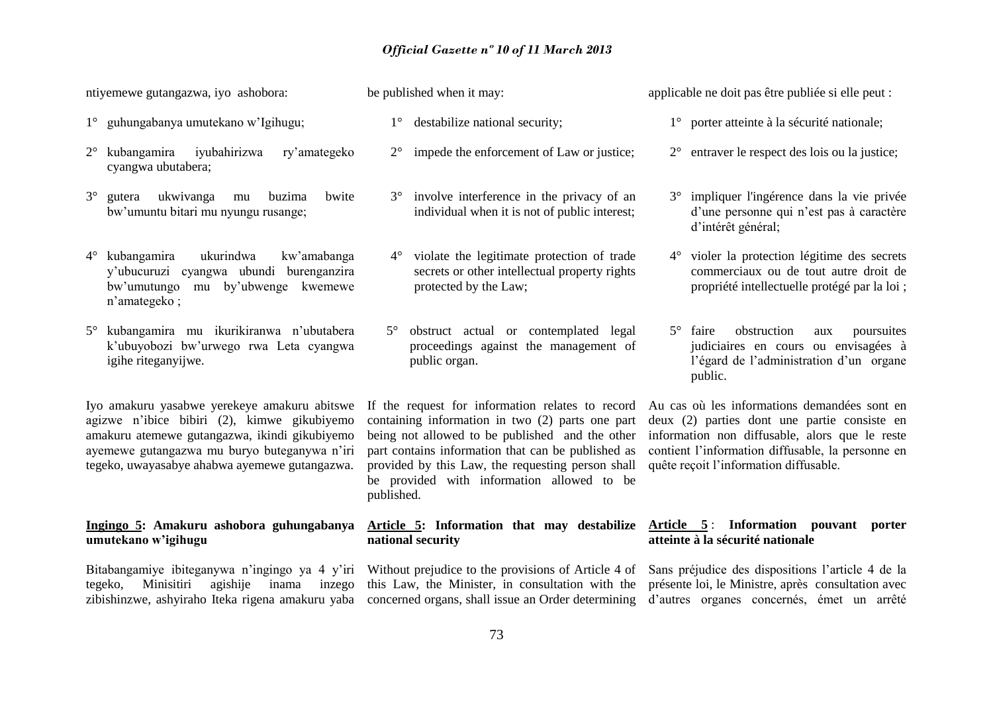ntiyemewe gutangazwa, iyo ashobora:

- 1° guhungabanya umutekano w'Igihugu;
- 2° kubangamira iyubahirizwa ry'amategeko cyangwa ubutabera;
- 3° gutera ukwivanga mu buzima bwite bw'umuntu bitari mu nyungu rusange;
- 4° kubangamira ukurindwa kw'amabanga y'ubucuruzi cyangwa ubundi burenganzira bw'umutungo mu by'ubwenge kwemewe n'amategeko ;
- 5° kubangamira mu ikurikiranwa n'ubutabera k'ubuyobozi bw'urwego rwa Leta cyangwa igihe riteganyijwe.

Iyo amakuru yasabwe yerekeye amakuru abitswe agizwe n'ibice bibiri (2), kimwe gikubiyemo amakuru atemewe gutangazwa, ikindi gikubiyemo ayemewe gutangazwa mu buryo buteganywa n'iri tegeko, uwayasabye ahabwa ayemewe gutangazwa.

## **Ingingo 5: Amakuru ashobora guhungabanya umutekano w'igihugu**

tegeko, Minisitiri agishije inama inzego

be published when it may:

- 1° destabilize national security;
- 2° impede the enforcement of Law or justice;
- 3° involve interference in the privacy of an individual when it is not of public interest;
- 4° violate the legitimate protection of trade secrets or other intellectual property rights protected by the Law;
- 5° obstruct actual or contemplated legal proceedings against the management of public organ.

If the request for information relates to record containing information in two (2) parts one part being not allowed to be published and the other part contains information that can be published as provided by this Law, the requesting person shall be provided with information allowed to be published.

# **national security**

Bitabangamiye ibiteganywa n'ingingo ya 4 y'iri Without prejudice to the provisions of Article 4 of this Law, the Minister, in consultation with the présente loi, le Ministre, après consultation avec

applicable ne doit pas être publiée si elle peut :

- 1° porter atteinte à la sécurité nationale;
- 2° entraver le respect des lois ou la justice;
- 3° impliquer l'ingérence dans la vie privée d'une personne qui n'est pas à caractère d'intérêt général;
- 4° violer la protection légitime des secrets commerciaux ou de tout autre droit de propriété intellectuelle protégé par la loi ;
- 5° faire obstruction aux poursuites judiciaires en cours ou envisagées à l'égard de l'administration d'un organe public.

Au cas où les informations demandées sont en deux (2) parties dont une partie consiste en information non diffusable, alors que le reste contient l'information diffusable, la personne en quête reçoit l'information diffusable.

## **Article 5: Information that may destabilize Article 5** : **Information pouvant porter atteinte à la sécurité nationale**

zibishinzwe, ashyiraho Iteka rigena amakuru yaba concerned organs, shall issue an Order determining d'autres organes concernés, émet un arrêté Sans préjudice des dispositions l'article 4 de la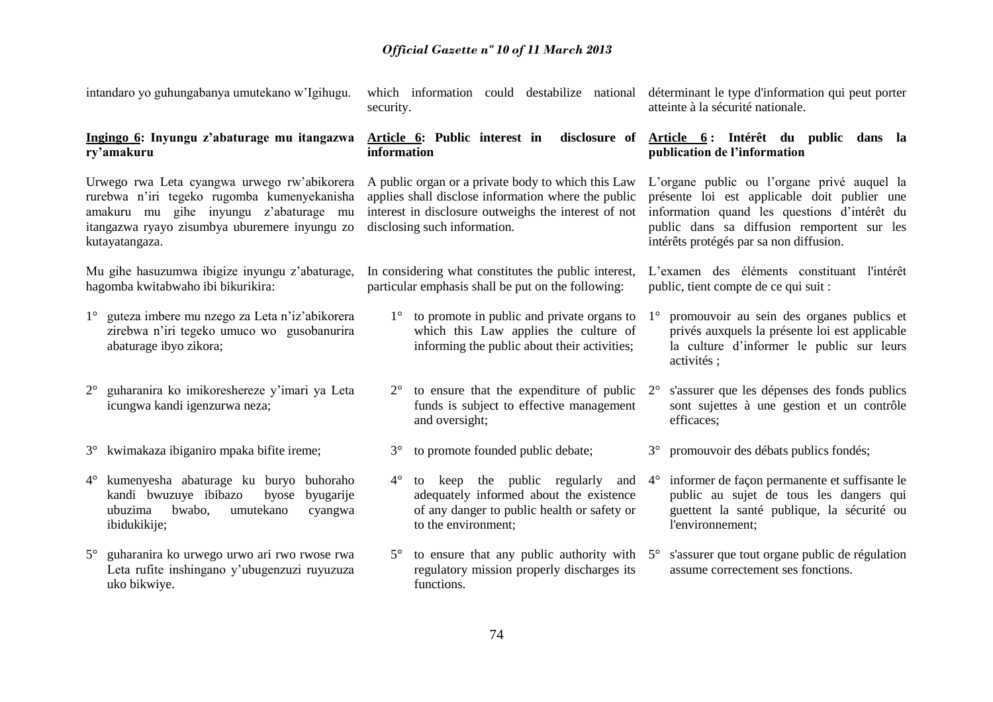| intandaro yo guhungabanya umutekano w'Igihugu.                                                                                                                                                          | which information could destabilize national<br>security.                                                                                                                                         | déterminant le type d'information qui peut porter<br>atteinte à la sécurité nationale.                                                                                                                                                |
|---------------------------------------------------------------------------------------------------------------------------------------------------------------------------------------------------------|---------------------------------------------------------------------------------------------------------------------------------------------------------------------------------------------------|---------------------------------------------------------------------------------------------------------------------------------------------------------------------------------------------------------------------------------------|
| Ingingo 6: Inyungu z'abaturage mu itangazwa<br>ry'amakuru                                                                                                                                               | Article 6: Public interest in<br>information                                                                                                                                                      | disclosure of Article 6: Intérêt du public dans la<br>publication de l'information                                                                                                                                                    |
| Urwego rwa Leta cyangwa urwego rw'abikorera<br>rurebwa n'iri tegeko rugomba kumenyekanisha<br>amakuru mu gihe inyungu z'abaturage mu<br>itangazwa ryayo zisumbya uburemere inyungu zo<br>kutayatangaza. | A public organ or a private body to which this Law<br>applies shall disclose information where the public<br>interest in disclosure outweighs the interest of not<br>disclosing such information. | L'organe public ou l'organe privé auquel la<br>présente loi est applicable doit publier une<br>information quand les questions d'intérêt du<br>public dans sa diffusion remportent sur les<br>intérêts protégés par sa non diffusion. |
| Mu gihe hasuzumwa ibigize inyungu z'abaturage,<br>hagomba kwitabwaho ibi bikurikira:                                                                                                                    | In considering what constitutes the public interest,<br>particular emphasis shall be put on the following:                                                                                        | L'examen des éléments constituant l'intérêt<br>public, tient compte de ce qui suit :                                                                                                                                                  |
| guteza imbere mu nzego za Leta n'iz'abikorera<br>$1^{\circ}$<br>zirebwa n'iri tegeko umuco wo gusobanurira<br>abaturage ibyo zikora;                                                                    | to promote in public and private organs to<br>$1^{\circ}$<br>which this Law applies the culture of<br>informing the public about their activities;                                                | promouvoir au sein des organes publics et<br>$1^{\circ}$<br>privés auxquels la présente loi est applicable<br>la culture d'informer le public sur leurs<br>activités;                                                                 |
| guharanira ko imikoreshereze y'imari ya Leta<br>$2^{\circ}$<br>icungwa kandi igenzurwa neza;                                                                                                            | to ensure that the expenditure of public<br>$2^{\circ}$<br>funds is subject to effective management<br>and oversight;                                                                             | s'assurer que les dépenses des fonds publics<br>$2^{\circ}$<br>sont sujettes à une gestion et un contrôle<br>efficaces;                                                                                                               |
| 3° kwimakaza ibiganiro mpaka bifite ireme;                                                                                                                                                              | to promote founded public debate;<br>$3^\circ$                                                                                                                                                    | promouvoir des débats publics fondés;<br>$3^\circ$                                                                                                                                                                                    |
| kumenyesha abaturage ku buryo buhoraho<br>$4^{\circ}$<br>kandi bwuzuye ibibazo<br>byugarije<br>byose<br>ubuzima<br>bwabo,<br>umutekano<br>cyangwa<br>ibidukikije;                                       | to keep the public regularly<br>$4^{\circ}$<br>and<br>adequately informed about the existence<br>of any danger to public health or safety or<br>to the environment;                               | informer de façon permanente et suffisante le<br>$4^\circ$<br>public au sujet de tous les dangers qui<br>guettent la santé publique, la sécurité ou<br>l'environnement;                                                               |
| guharanira ko urwego urwo ari rwo rwose rwa<br>$5^\circ$<br>Leta rufite inshingano y'ubugenzuzi ruyuzuza<br>uko bikwiye.                                                                                | to ensure that any public authority with $5^\circ$<br>$5^{\circ}$<br>regulatory mission properly discharges its<br>functions.                                                                     | s'assurer que tout organe public de régulation<br>assume correctement ses fonctions.                                                                                                                                                  |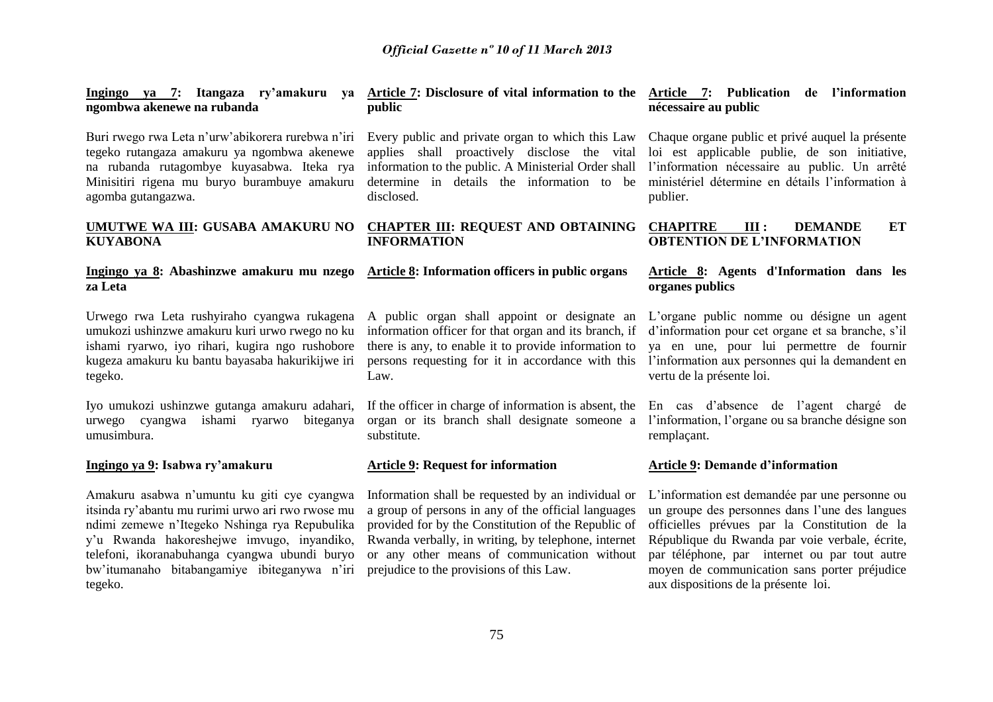| Ingingo ya 7: Itangaza ry'amakuru<br>va<br>ngombwa akenewe na rubanda                                                                                                                                                | Article 7: Disclosure of vital information to the<br>public                                                                                                                                                                | <b>Article 7: Publication</b><br>de l'information<br>nécessaire au public                                                                                                                                                  |
|----------------------------------------------------------------------------------------------------------------------------------------------------------------------------------------------------------------------|----------------------------------------------------------------------------------------------------------------------------------------------------------------------------------------------------------------------------|----------------------------------------------------------------------------------------------------------------------------------------------------------------------------------------------------------------------------|
| Buri rwego rwa Leta n'urw'abikorera rurebwa n'iri<br>tegeko rutangaza amakuru ya ngombwa akenewe<br>na rubanda rutagombye kuyasabwa. Iteka rya<br>Minisitiri rigena mu buryo burambuye amakuru<br>agomba gutangazwa. | Every public and private organ to which this Law<br>applies shall proactively disclose the vital<br>information to the public. A Ministerial Order shall<br>determine in details the information to be<br>disclosed.       | Chaque organe public et privé auquel la présente<br>loi est applicable publie, de son initiative,<br>l'information nécessaire au public. Un arrêté<br>ministériel détermine en détails l'information à<br>publier.         |
| UMUTWE WA III: GUSABA AMAKURU NO<br><b>KUYABONA</b>                                                                                                                                                                  | <b>CHAPTER III: REQUEST AND OBTAINING</b><br><b>INFORMATION</b>                                                                                                                                                            | ET<br><b>CHAPITRE</b><br>III:<br><b>DEMANDE</b><br><b>OBTENTION DE L'INFORMATION</b>                                                                                                                                       |
|                                                                                                                                                                                                                      |                                                                                                                                                                                                                            |                                                                                                                                                                                                                            |
| za Leta                                                                                                                                                                                                              | Ingingo ya 8: Abashinzwe amakuru mu nzego Article 8: Information officers in public organs                                                                                                                                 | Article 8: Agents d'Information dans les<br>organes publics                                                                                                                                                                |
| Urwego rwa Leta rushyiraho cyangwa rukagena<br>umukozi ushinzwe amakuru kuri urwo rwego no ku<br>ishami ryarwo, iyo rihari, kugira ngo rushobore<br>kugeza amakuru ku bantu bayasaba hakurikijwe iri<br>tegeko.      | A public organ shall appoint or designate an<br>information officer for that organ and its branch, if<br>there is any, to enable it to provide information to<br>persons requesting for it in accordance with this<br>Law. | L'organe public nomme ou désigne un agent<br>d'information pour cet organe et sa branche, s'il<br>ya en une, pour lui permettre de fournir<br>l'information aux personnes qui la demandent en<br>vertu de la présente loi. |

## **Ingingo ya 9: Isabwa ry'amakuru**

Amakuru asabwa n'umuntu ku giti cye cyangwa itsinda ry'abantu mu rurimi urwo ari rwo rwose mu ndimi zemewe n'Itegeko Nshinga rya Repubulika y'u Rwanda hakoreshejwe imvugo, inyandiko, telefoni, ikoranabuhanga cyangwa ubundi buryo bw'itumanaho bitabangamiye ibiteganywa n'iri prejudice to the provisions of this Law. tegeko.

## **Article 9: Request for information**

Information shall be requested by an individual or a group of persons in any of the official languages provided for by the Constitution of the Republic of Rwanda verbally, in writing, by telephone, internet or any other means of communication without

## **Article 9: Demande d'information**

L'information est demandée par une personne ou un groupe des personnes dans l'une des langues officielles prévues par la Constitution de la République du Rwanda par voie verbale, écrite, par téléphone, par internet ou par tout autre moyen de communication sans porter préjudice aux dispositions de la présente loi.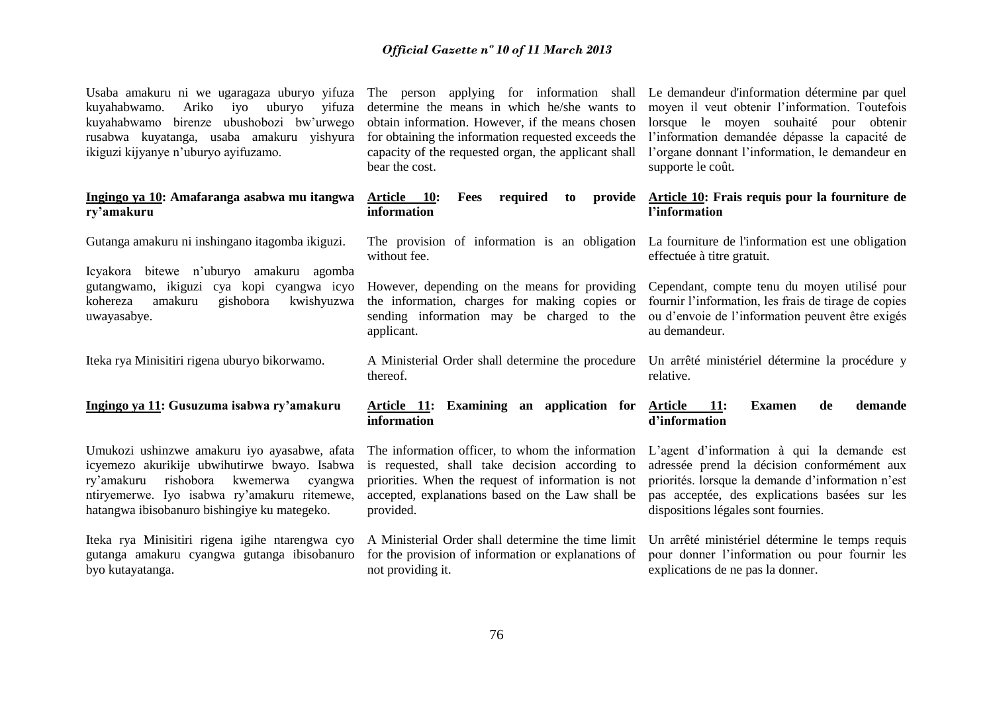kuyahabwamo. Ariko iyo uburyo yifuza kuyahabwamo birenze ubushobozi bw'urwego rusabwa kuyatanga, usaba amakuru yishyura ikiguzi kijyanye n'uburyo ayifuzamo.

#### **Ingingo ya 10: Amafaranga asabwa mu itangwa ry'amakuru**

Gutanga amakuru ni inshingano itagomba ikiguzi.

Icyakora bitewe n'uburyo amakuru agomba gutangwamo, ikiguzi cya kopi cyangwa icyo kohereza amakuru gishobora kwishyuzwa uwayasabye.

Iteka rya Minisitiri rigena uburyo bikorwamo.

## **Ingingo ya 11: Gusuzuma isabwa ry'amakuru**

Umukozi ushinzwe amakuru iyo ayasabwe, afata icyemezo akurikije ubwihutirwe bwayo. Isabwa ry'amakuru rishobora kwemerwa cyangwa ntiryemerwe. Iyo isabwa ry'amakuru ritemewe, hatangwa ibisobanuro bishingiye ku mategeko.

Iteka rya Minisitiri rigena igihe ntarengwa cyo gutanga amakuru cyangwa gutanga ibisobanuro byo kutayatanga.

determine the means in which he/she wants to obtain information. However, if the means chosen for obtaining the information requested exceeds the capacity of the requested organ, the applicant shall bear the cost.

Article 10: Fees required to **information**

without fee.

However, depending on the means for providing the information, charges for making copies or sending information may be charged to the applicant.

A Ministerial Order shall determine the procedure thereof.

**Article 11: Examining an application for information** 

The information officer, to whom the information is requested, shall take decision according to priorities. When the request of information is not accepted, explanations based on the Law shall be provided.

A Ministerial Order shall determine the time limit for the provision of information or explanations of not providing it.

Usaba amakuru ni we ugaragaza uburyo yifuza The person applying for information shall Le demandeur d'information détermine par quel moyen il veut obtenir l'information. Toutefois lorsque le moyen souhaité pour obtenir l'information demandée dépasse la capacité de l'organe donnant l'information, le demandeur en supporte le coût.

### **Article 10: Frais requis pour la fourniture de l'information**

The provision of information is an obligation La fourniture de l'information est une obligation effectuée à titre gratuit.

> Cependant, compte tenu du moyen utilisé pour fournir l'information, les frais de tirage de copies ou d'envoie de l'information peuvent être exigés au demandeur.

Un arrêté ministériel détermine la procédure y relative.

### **Article 11: Examen de demande d'information**

L'agent d'information à qui la demande est adressée prend la décision conformément aux priorités. lorsque la demande d'information n'est pas acceptée, des explications basées sur les dispositions légales sont fournies.

Un arrêté ministériel détermine le temps requis pour donner l'information ou pour fournir les explications de ne pas la donner.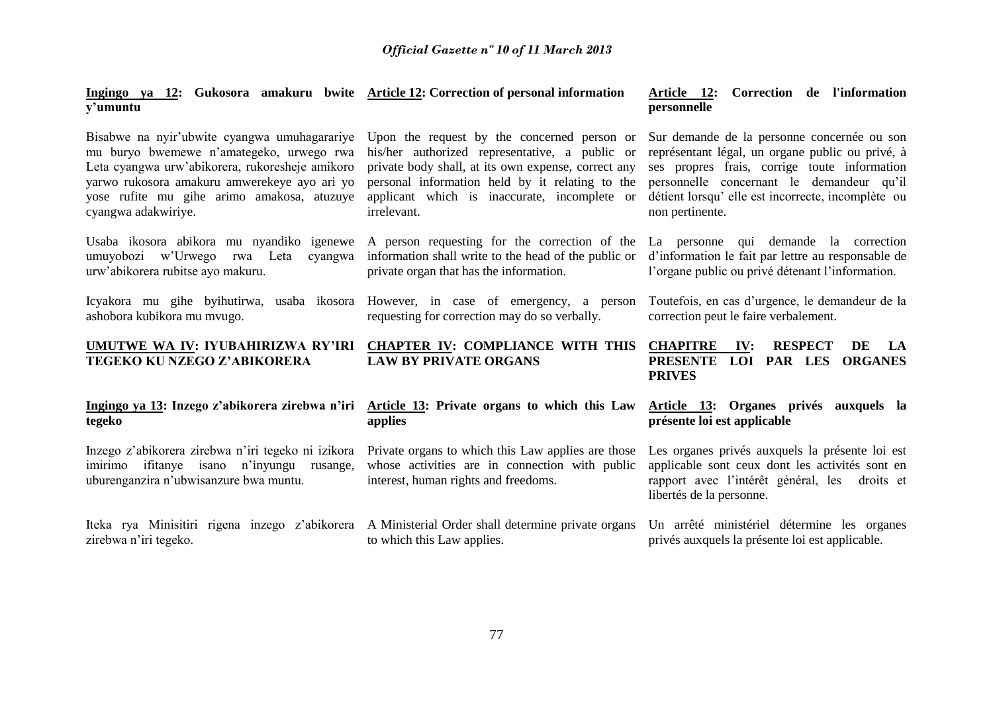#### **Ingingo ya 12: Gukosora amakuru bwite Article 12: Correction of personal information y'umuntu**

mu buryo bwemewe n'amategeko, urwego rwa Leta cyangwa urw'abikorera, rukoresheje amikoro yarwo rukosora amakuru amwerekeye ayo ari yo yose rufite mu gihe arimo amakosa, atuzuye applicant which is inaccurate, incomplete or cyangwa adakwiriye.

Usaba ikosora abikora mu nyandiko igenewe A person requesting for the correction of the urw'abikorera rubitse ayo makuru.

ashobora kubikora mu mvugo.

# **TEGEKO KU NZEGO Z'ABIKORERA**

# **tegeko**

Inzego z'abikorera zirebwa n'iri tegeko ni izikora imirimo ifitanye isano n'inyungu rusange, uburenganzira n'ubwisanzure bwa muntu.

Iteka rya Minisitiri rigena inzego z'abikorera A Ministerial Order shall-determine-private-organs Un arrêté ministériel détermine les organes zirebwa n'iri tegeko.

Bisabwe na nyir'ubwite cyangwa umuhagarariye Upon the request by the concerned person or his/her authorized representative, a public or private body shall, at its own expense, correct any personal information held by it relating to the irrelevant.

umuyobozi w'Urwego rwa Leta cyangwa information shall write to the head of the public or private organ that has the information.

Icyakora mu gihe byihutirwa, usaba ikosora However, in case of emergency, a person requesting for correction may do so verbally.

## **UMUTWE WA IV: IYUBAHIRIZWA RY'IRI CHAPTER IV: COMPLIANCE WITH THIS LAW BY PRIVATE ORGANS**

## **Ingingo ya 13: Inzego z'abikorera zirebwa n'iri Article 13: Private organs to which this Law applies**

Private organs to which this Law applies are those whose activities are in connection with public interest, human rights and freedoms.

to which this Law applies.

## **Article 12: Correction de l'information personnelle**

Sur demande de la personne concernée ou son représentant légal, un organe public ou privé, à ses propres frais, corrige toute information personnelle concernant le demandeur qu'il détient lorsqu' elle est incorrecte, incomplète ou non pertinente.

La personne qui demande la correction d'information le fait par lettre au responsable de l'organe public ou privé détenant l'information.

Toutefois, en cas d'urgence, le demandeur de la correction peut le faire verbalement.

## RESPECT DE LA **PRESENTE LOI PAR LES ORGANES PRIVES**

**Article 13: Organes privés auxquels la présente loi est applicable**

Les organes privés auxquels la présente loi est applicable sont ceux dont les activités sont en rapport avec l'intérêt général, les droits et libertés de la personne.

privés auxquels la présente loi est applicable.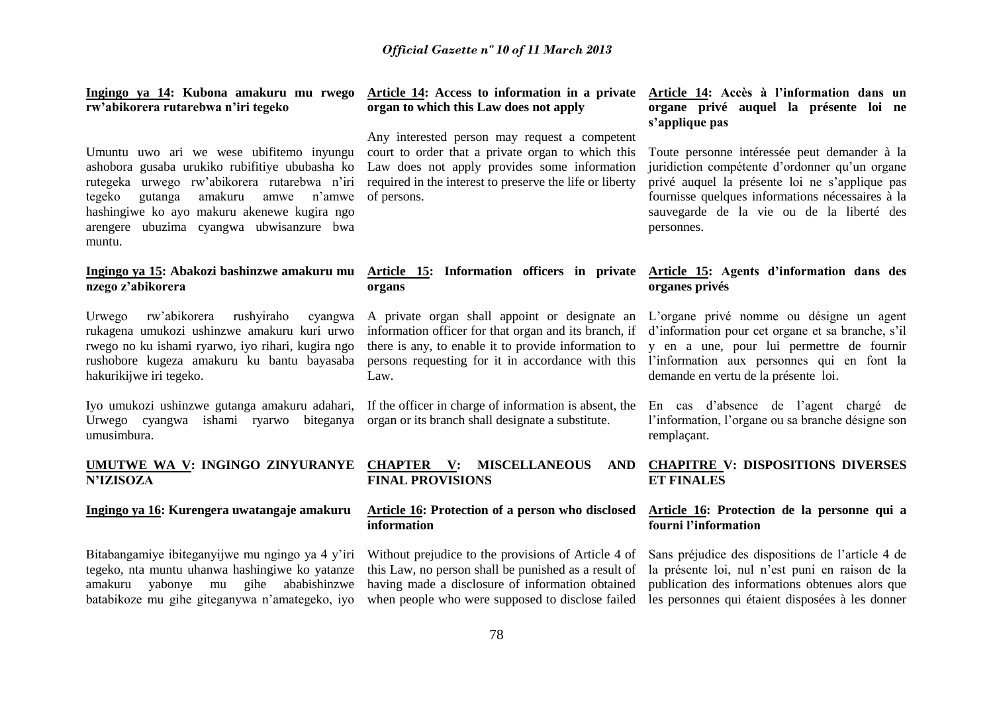**Ingingo ya 14: Kubona amakuru mu rwego rw'abikorera rutarebwa n'iri tegeko**

Umuntu uwo ari we wese ubifitemo inyungu ashobora gusaba urukiko rubifitiye ububasha ko rutegeka urwego rw'abikorera rutarebwa n'iri tegeko gutanga amakuru amwe n'amwe hashingiwe ko ayo makuru akenewe kugira ngo arengere ubuzima cyangwa ubwisanzure bwa muntu.

# **nzego z'abikorera**

Urwego rw'abikorera rushyiraho cyangwa rukagena umukozi ushinzwe amakuru kuri urwo rwego no ku ishami ryarwo, iyo rihari, kugira ngo rushobore kugeza amakuru ku bantu bayasaba hakurikijwe iri tegeko.

Iyo umukozi ushinzwe gutanga amakuru adahari, Urwego cyangwa ishami ryarwo biteganya organ or its branch shall designate a substitute. umusimbura.

## **UMUTWE WA V: INGINGO ZINYURANYE N'IZISOZA**

#### **Ingingo ya 16: Kurengera uwatangaje amakuru**

Bitabangamiye ibiteganyijwe mu ngingo ya 4 y'iri tegeko, nta muntu uhanwa hashingiwe ko yatanze amakuru yabonye mu gihe ababishinzwe batabikoze mu gihe giteganywa n'amategeko, iyo

### **Article 14: Access to information in a private organ to which this Law does not apply**

Any interested person may request a competent court to order that a private organ to which this Law does not apply provides some information required in the interest to preserve the life or liberty of persons.

## **Ingingo ya 15: Abakozi bashinzwe amakuru mu Article 15: Information officers in private Article 15: Agents d'information dans des organs**

A private organ shall appoint or designate an information officer for that organ and its branch, if there is any, to enable it to provide information to persons requesting for it in accordance with this Law.

If the officer in charge of information is absent, the

**CHAPTER V: MISCELLANEOUS AND FINAL PROVISIONS**

### **Article 16: Protection of a person who disclosed information**

Without prejudice to the provisions of Article 4 of this Law, no person shall be punished as a result of having made a disclosure of information obtained when people who were supposed to disclose failed

## **Article 14: Accès à l'information dans un organe privé auquel la présente loi ne s'applique pas**

Toute personne intéressée peut demander à la juridiction compétente d'ordonner qu'un organe privé auquel la présente loi ne s'applique pas fournisse quelques informations nécessaires à la sauvegarde de la vie ou de la liberté des personnes.

# **organes privés**

L'organe privé nomme ou désigne un agent d'information pour cet organe et sa branche, s'il y en a une, pour lui permettre de fournir l'information aux personnes qui en font la demande en vertu de la présente loi.

En cas d'absence de l'agent chargé de l'information, l'organe ou sa branche désigne son remplaçant.

## **CHAPITRE V: DISPOSITIONS DIVERSES ET FINALES**

## **Article 16: Protection de la personne qui a fourni l'information**

Sans préjudice des dispositions de l'article 4 de la présente loi, nul n'est puni en raison de la publication des informations obtenues alors que les personnes qui étaient disposées à les donner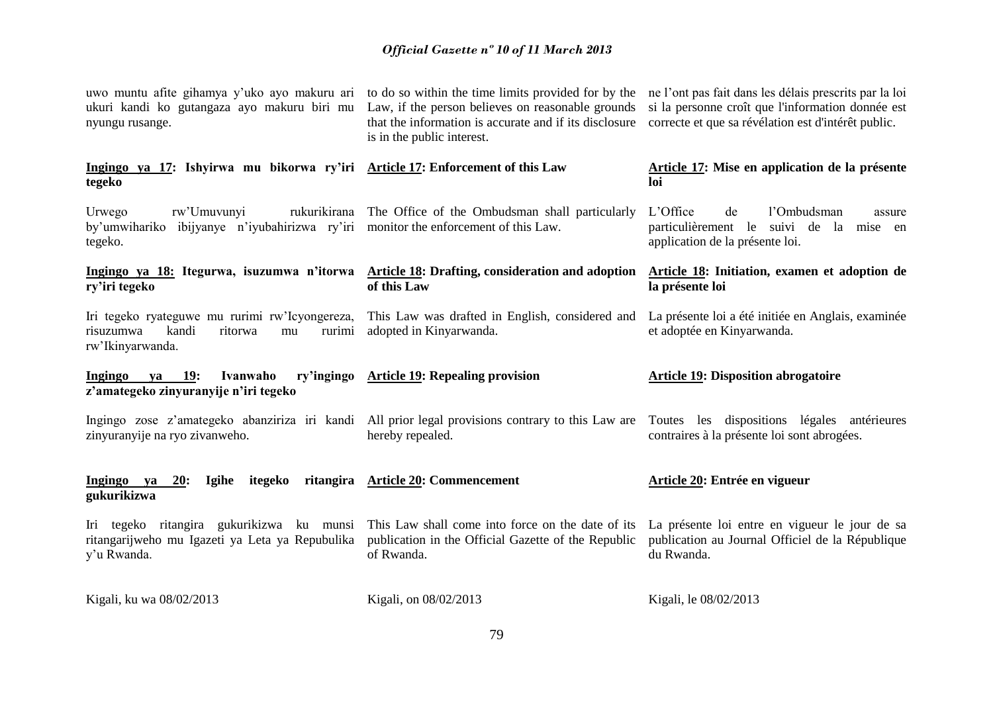| ukuri kandi ko gutangaza ayo makuru biri mu Law, if the person believes on reasonable grounds<br>nyungu rusange.       | uwo muntu afite gihamya y'uko ayo makuru ari to do so within the time limits provided for by the<br>that the information is accurate and if its disclosure<br>is in the public interest. | ne l'ont pas fait dans les délais prescrits par la loi<br>si la personne croît que l'information donnée est<br>correcte et que sa révélation est d'intérêt public. |
|------------------------------------------------------------------------------------------------------------------------|------------------------------------------------------------------------------------------------------------------------------------------------------------------------------------------|--------------------------------------------------------------------------------------------------------------------------------------------------------------------|
| Ingingo ya 17: Ishyirwa mu bikorwa ry'iri Article 17: Enforcement of this Law<br>tegeko                                |                                                                                                                                                                                          | Article 17: Mise en application de la présente<br>loi                                                                                                              |
| Urwego<br>rw'Umuvunyi<br>by'umwihariko ibijyanye n'iyubahirizwa ry'iri monitor the enforcement of this Law.<br>tegeko. | rukurikirana The Office of the Ombudsman shall particularly                                                                                                                              | L'Office<br>de<br>l'Ombudsman<br>assure<br>particulièrement le<br>suivi de la mise en<br>application de la présente loi.                                           |
| ry'iri tegeko                                                                                                          | Ingingo ya 18: Itegurwa, isuzumwa n'itorwa Article 18: Drafting, consideration and adoption<br>of this Law                                                                               | Article 18: Initiation, examen et adoption de<br>la présente loi                                                                                                   |
| Iri tegeko ryateguwe mu rurimi rw'Icyongereza,<br>risuzumwa<br>kandi<br>ritorwa<br>rurimi<br>mu<br>rw'Ikinyarwanda.    | This Law was drafted in English, considered and<br>adopted in Kinyarwanda.                                                                                                               | La présente loi a été initiée en Anglais, examinée<br>et adoptée en Kinyarwanda.                                                                                   |
| <b>19:</b><br>ry'ingingo<br>Ingingo<br>Ivanwaho<br>va<br>z'amategeko zinyuranyije n'iri tegeko                         | <b>Article 19: Repealing provision</b>                                                                                                                                                   | <b>Article 19: Disposition abrogatoire</b>                                                                                                                         |
| zinyuranyije na ryo zivanweho.                                                                                         | Ingingo zose z'amategeko abanziriza iri kandi All prior legal provisions contrary to this Law are<br>hereby repealed.                                                                    | Toutes les dispositions légales antérieures<br>contraires à la présente loi sont abrogées.                                                                         |
| Ingingo ya<br>20:<br>itegeko<br><b>Igihe</b><br>gukurikizwa                                                            | ritangira Article 20: Commencement                                                                                                                                                       | Article 20: Entrée en vigueur                                                                                                                                      |
| Iri tegeko ritangira gukurikizwa ku munsi<br>ritangarijweho mu Igazeti ya Leta ya Repubulika<br>y'u Rwanda.            | This Law shall come into force on the date of its<br>publication in the Official Gazette of the Republic<br>of Rwanda.                                                                   | La présente loi entre en vigueur le jour de sa<br>publication au Journal Officiel de la République<br>du Rwanda.                                                   |
| Kigali, ku wa 08/02/2013                                                                                               | Kigali, on 08/02/2013                                                                                                                                                                    | Kigali, le 08/02/2013                                                                                                                                              |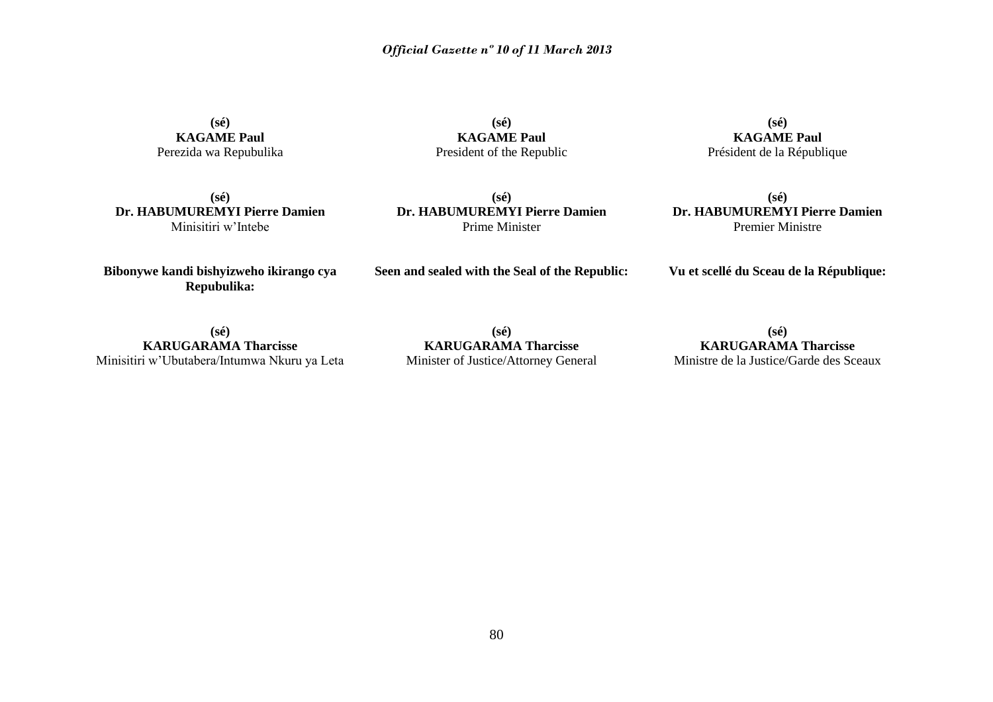**(sé) KAGAME Paul** Perezida wa Repubulika

**(sé) KAGAME Paul** President of the Republic

**(sé) KAGAME Paul** Président de la République

**(sé) Dr. HABUMUREMYI Pierre Damien** Minisitiri w'Intebe

**(sé) Dr. HABUMUREMYI Pierre Damien** Prime Minister

**(sé) Dr. HABUMUREMYI Pierre Damien** Premier Ministre

**Seen and sealed with the Seal of the Republic: Vu et scellé du Sceau de la République:**

**Bibonywe kandi bishyizweho ikirango cya Repubulika:**

**(sé) KARUGARAMA Tharcisse** Minisitiri w'Ubutabera/Intumwa Nkuru ya Leta

**(sé) KARUGARAMA Tharcisse** Minister of Justice/Attorney General

**(sé) KARUGARAMA Tharcisse** Ministre de la Justice/Garde des Sceaux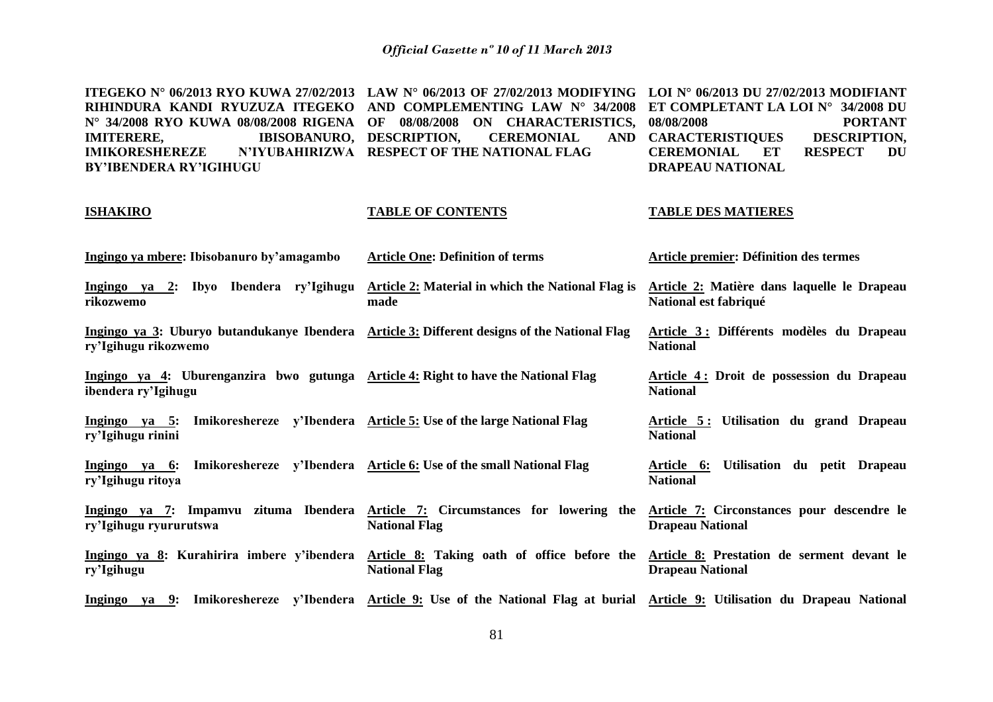**ITEGEKO N° 06/2013 RYO KUWA 27/02/2013 LAW N° 06/2013 OF 27/02/2013 MODIFYING LOI N° 06/2013 DU 27/02/2013 MODIFIANT RIHINDURA KANDI RYUZUZA ITEGEKO AND COMPLEMENTING LAW N° 34/2008 ET COMPLETANT LA LOI N° 34/2008 DU N° 34/2008 RYO KUWA 08/08/2008 RIGENA OF 08/08/2008 ON CHARACTERISTICS, IMITERERE, IBISOBANURO, DESCRIPTION, CEREMONIAL AND IMIKORESHEREZE BY'IBENDERA RY'IGIHUGU RESPECT OF THE NATIONAL FLAG 08/08/2008 PORTANT CARACTERISTIQUES DESCRIPTION, CEREMONIAL ET RESPECT DU DRAPEAU NATIONAL**

#### **ISHAKIRO**

#### **TABLE DES MATIERES**

**National**

**Article 4 : Droit de possession du Drapeau** 

- **Ingingo ya mbere: Ibisobanuro by'amagambo Article One: Definition of terms Article premier: Définition des termes**
- **Ingingo ya 2: Ibyo Ibendera ry'Igihugu rikozwemo Article 2: Material in which the National Flag is made Article 2: Matière dans laquelle le Drapeau National est fabriqué**
- **Ingingo ya 3: Uburyo butandukanye Ibendera Article 3: Different designs of the National Flag ry'Igihugu rikozwemo Article 3 : Différents modèles du Drapeau National**

**TABLE OF CONTENTS**

- **Ingingo ya 4: Uburenganzira bwo gutunga Article 4: Right to have the National Flag ibendera ry'Igihugu**
- **Ingingo ya 5: Imikoreshereze y'Ibendera Article 5: Use of the large National Flag ry'Igihugu rinini Article 5 : Utilisation du grand Drapeau National**
- **Ingingo ya 6: Imikoreshereze y'Ibendera Article 6: Use of the small National Flag ry'Igihugu ritoya Article 6: Utilisation du petit Drapeau National**
- **Ingingo ya 7: Impamvu zituma Ibendera Article 7: Circumstances for lowering the ry'Igihugu ryururutswa National Flag Article 7: Circonstances pour descendre le Drapeau National**
- **Ingingo ya 8: Kurahirira imbere y'ibendera ry'Igihugu Article 8: Taking oath of office before the Article 8: Prestation de serment devant le National Flag Drapeau National**
- **Ingingo ya 9: Imikoreshereze y'Ibendera Article 9: Use of the National Flag at burial Article 9: Utilisation du Drapeau National**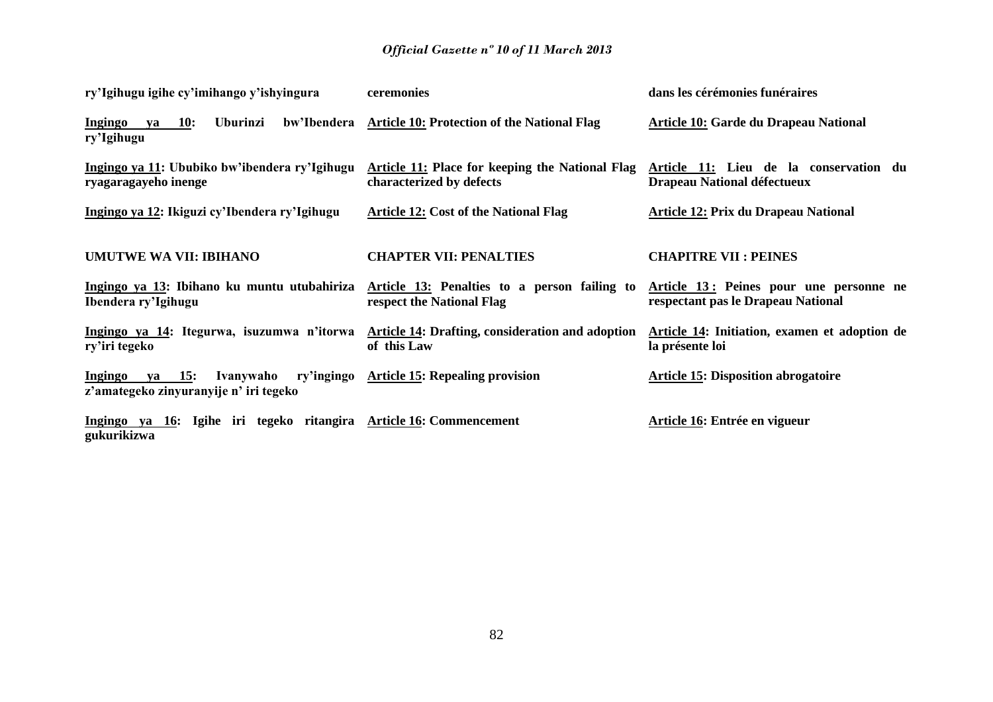| ry'Igihugu igihe cy'imihango y'ishyingura                                            | ceremonies                                                                                                        | dans les cérémonies funéraires                                        |
|--------------------------------------------------------------------------------------|-------------------------------------------------------------------------------------------------------------------|-----------------------------------------------------------------------|
| Ingingo<br><b>Uburinzi</b><br><b>10:</b><br>va<br>ry'Igihugu                         | bw'Ibendera Article 10: Protection of the National Flag                                                           | Article 10: Garde du Drapeau National                                 |
| Ingingo ya 11: Ububiko bw'ibendera ry'Igihugu<br>ryagaragayeho inenge                | <b>Article 11: Place for keeping the National Flag</b><br>characterized by defects                                | Article 11: Lieu de la conservation du<br>Drapeau National défectueux |
| Ingingo ya 12: Ikiguzi cy'Ibendera ry'Igihugu                                        | <b>Article 12: Cost of the National Flag</b>                                                                      | <b>Article 12: Prix du Drapeau National</b>                           |
| <b>UMUTWE WA VII: IBIHANO</b>                                                        | <b>CHAPTER VII: PENALTIES</b>                                                                                     | <b>CHAPITRE VII : PEINES</b>                                          |
| Ingingo ya 13: Ibihano ku muntu utubahiriza<br>Ibendera ry'Igihugu                   | Article 13: Penalties to a person failing to Article 13: Peines pour une personne ne<br>respect the National Flag | respectant pas le Drapeau National                                    |
| Ingingo ya 14: Itegurwa, isuzumwa n'itorwa<br>ry'iri tegeko                          | <b>Article 14: Drafting, consideration and adoption</b><br>of this Law                                            | Article 14: Initiation, examen et adoption de<br>la présente loi      |
| <b>Ingingo</b><br>$ya = 15$ :<br>Ivanywaho<br>z'amategeko zinyuranyije n' iri tegeko | ry'ingingo Article 15: Repealing provision                                                                        | <b>Article 15: Disposition abrogatoire</b>                            |
| Ingingo ya 16: Igihe iri tegeko ritangira Article 16: Commencement<br>gukurikizwa    |                                                                                                                   | Article 16: Entrée en vigueur                                         |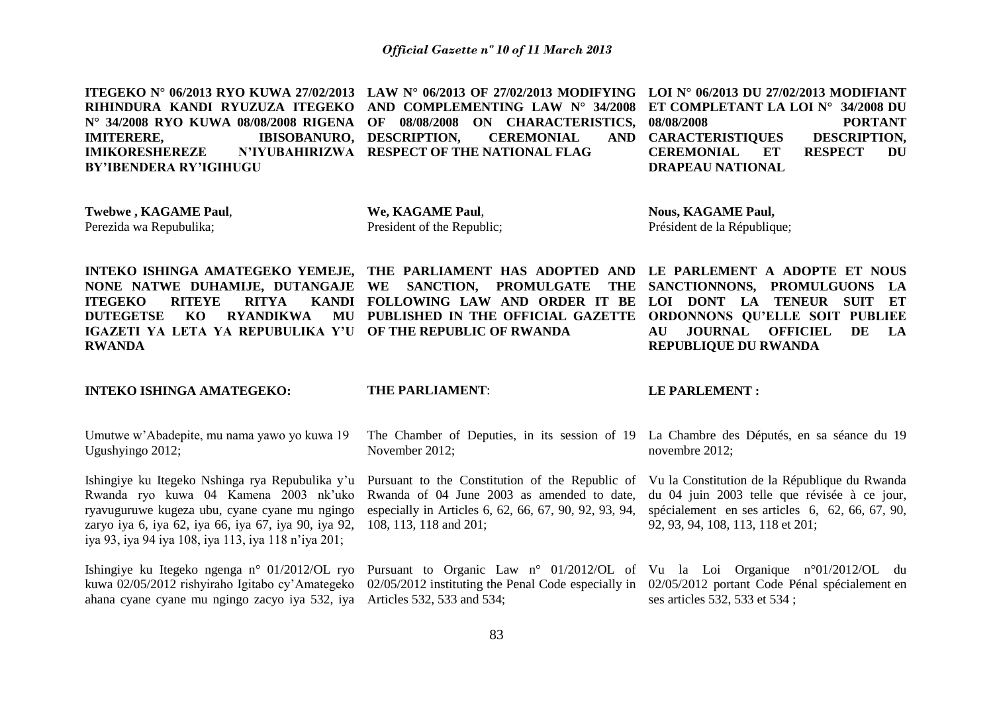| ITEGEKO N° 06/2013 RYO KUWA 27/02/2013 LAW N° 06/2013 OF 27/02/2013 MODIFYING LOI N° 06/2013 DU 27/02/2013 MODIFIANT |                                                                        |                         |                   |
|----------------------------------------------------------------------------------------------------------------------|------------------------------------------------------------------------|-------------------------|-------------------|
| RIHINDURA KANDI RYUZUZA ITEGEKO AND COMPLEMENTING LAW N° 34/2008 ET COMPLETANT LA LOI N° 34/2008 DU                  |                                                                        |                         |                   |
| N° 34/2008 RYO KUWA 08/08/2008 RIGENA OF 08/08/2008 ON CHARACTERISTICS, 08/08/2008                                   |                                                                        |                         | <b>PORTANT</b>    |
| <b>IMITERERE,</b>                                                                                                    | IBISOBANURO, DESCRIPTION, CEREMONIAL AND CARACTERISTIQUES DESCRIPTION, |                         |                   |
| IMIKORESHEREZE N'IYUBAHIRIZWA RESPECT OF THE NATIONAL FLAG                                                           |                                                                        | CEREMONIAL ET           | <b>RESPECT DU</b> |
| <b>BY'IBENDERA RY'IGIHUGU</b>                                                                                        |                                                                        | <b>DRAPEAU NATIONAL</b> |                   |

**Twebwe , KAGAME Paul**, Perezida wa Repubulika;

**We, KAGAME Paul**, President of the Republic;

**Nous, KAGAME Paul,** Président de la République;

**INTEKO ISHINGA AMATEGEKO YEMEJE, THE PARLIAMENT HAS ADOPTED AND LE PARLEMENT A ADOPTE ET NOUS NONE NATWE DUHAMIJE, DUTANGAJE WE SANCTION, PROMULGATE THE ITEGEKO RITEYE RITYA DUTEGETSE KO RYANDIKWA IGAZETI YA LETA YA REPUBULIKA Y'U OF THE REPUBLIC OF RWANDA RWANDA**

**FOLLOWING LAW AND ORDER IT BE LOI DONT LA TENEUR SUIT ET PUBLISHED IN THE OFFICIAL GAZETTE ORDONNONS QU'ELLE SOIT PUBLIEE** 

THE SANCTIONNONS, PROMULGUONS LA **AU JOURNAL OFFICIEL DE LA REPUBLIQUE DU RWANDA**

**INTEKO ISHINGA AMATEGEKO:**

#### **THE PARLIAMENT**:

108, 113, 118 and 201;

#### **LE PARLEMENT :**

Umutwe w'Abadepite, mu nama yawo yo kuwa 19 Ugushyingo 2012; The Chamber of Deputies, in its session of 19 La Chambre des Députés, en sa séance du 19 November 2012; novembre 2012;

especially in Articles 6, 62, 66, 67, 90, 92, 93, 94,

Ishingiye ku Itegeko Nshinga rya Repubulika y'u Rwanda ryo kuwa 04 Kamena 2003 nk'uko ryavuguruwe kugeza ubu, cyane cyane mu ngingo zaryo iya 6, iya 62, iya 66, iya 67, iya 90, iya 92, iya 93, iya 94 iya 108, iya 113, iya 118 n'iya 201;

ahana cyane cyane mu ngingo zacyo iya 532, iya Articles 532, 533 and 534;

Pursuant to the Constitution of the Republic of Vu la Constitution de la République du Rwanda Rwanda of 04 June 2003 as amended to date,

du 04 juin 2003 telle que révisée à ce jour, spécialement en ses articles 6, 62, 66, 67, 90, 92, 93, 94, 108, 113, 118 et 201;

Ishingiye ku Itegeko ngenga n° 01/2012/OL ryo Pursuant to Organic Law n° 01/2012/OL of Vu la Loi Organique n°01/2012/OL du kuwa 02/05/2012 rishyiraho Igitabo cy'Amategeko 02/05/2012 instituting the Penal Code especially in 02/05/2012 portant Code Pénal spécialement en ses articles 532, 533 et 534 ;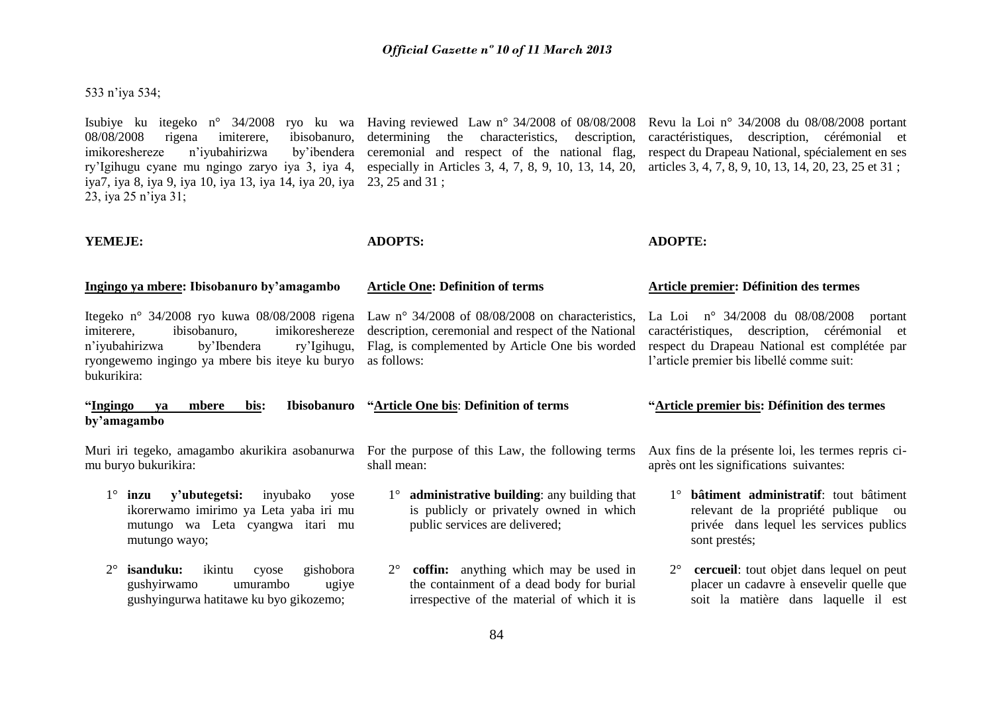## 533 n'iya 534;

Isubiye ku itegeko n° 34/2008 ryo ku wa Having reviewed Law n° 34/2008 of 08/08/2008 08/08/2008 rigena imiterere, ibisobanuro, imikoreshereze n'iyubahirizwa by'ibendera ry'Igihugu cyane mu ngingo zaryo iya 3, iya 4, especially in Articles 3, 4, 7, 8, 9, 10, 13, 14, 20, iya7, iya 8, iya 9, iya 10, iya 13, iya 14, iya 20, iya 23, 25 and 31 ; 23, iya 25 n'iya 31; determining the characteristics, description, ceremonial and respect of the national flag, Revu la Loi n° 34/2008 du 08/08/2008 portant caractéristiques, description, cérémonial et respect du Drapeau National, spécialement en ses articles 3, 4, 7, 8, 9, 10, 13, 14, 20, 23, 25 et 31 ;

**Article One: Definition of terms**

#### **YEMEJE:**

## **ADOPTS:**

## **ADOPTE:**

#### **Ingingo ya mbere: Ibisobanuro by'amagambo**

Itegeko n° 34/2008 ryo kuwa 08/08/2008 rigena imiterere, ibisobanuro, imikoreshereze n'iyubahirizwa by'Ibendera ry'Igihugu, ryongewemo ingingo ya mbere bis iteye ku buryo bukurikira:

Law n° 34/2008 of 08/08/2008 on characteristics. description, ceremonial and respect of the National Flag, is complemented by Article One bis worded as follows:

#### **Article premier: Définition des termes**

La Loi n° 34/2008 du 08/08/2008 portant caractéristiques, description, cérémonial et respect du Drapeau National est complétée par l'article premier bis libellé comme suit:

#### **"Article premier bis: Définition des termes**

**by'amagambo "Article One bis**: **Definition of terms**

mu buryo bukurikira:

"Ingingo ya mbere bis:

- 1° **inzu y'ubutegetsi:** inyubako yose ikorerwamo imirimo ya Leta yaba iri mu mutungo wa Leta cyangwa itari mu mutungo wayo;
- 2° **isanduku:** ikintu cyose gishobora gushyirwamo umurambo ugiye gushyingurwa hatitawe ku byo gikozemo;

Muri iri tegeko, amagambo akurikira asobanurwa For the purpose of this Law, the following terms Aux fins de la présente loi, les termes repris cishall mean:

- 1° **administrative building**: any building that is publicly or privately owned in which public services are delivered;
- 2° **coffin:** anything which may be used in the containment of a dead body for burial irrespective of the material of which it is

après ont les significations suivantes:

- 1° **bâtiment administratif**: tout bâtiment relevant de la propriété publique ou privée dans lequel les services publics sont prestés;
- 2° **cercueil**: tout objet dans lequel on peut placer un cadavre à ensevelir quelle que soit la matière dans laquelle il est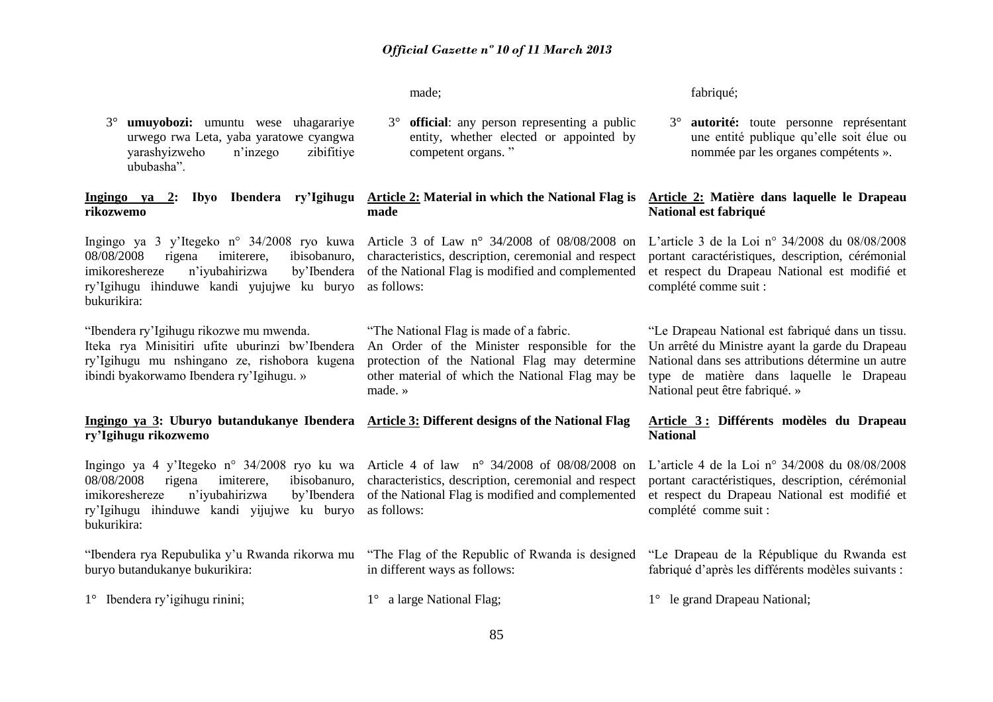characteristics, description, ceremonial and respect

An Order of the Minister responsible for the protection of the National Flag may determine other material of which the National Flag may be

competent organs. "

"The National Flag is made of a fabric.

**official**: any person representing a public entity, whether elected or appointed by

made;

**made**

made. »

3° **umuyobozi:** umuntu wese uhagarariye urwego rwa Leta, yaba yaratowe cyangwa yarashyizweho n'inzego zibifitiye ububasha".

**Ingingo ya 2: Ibyo Ibendera ry'Igihugu Article 2: Material in which the National Flag is rikozwemo**

Ingingo ya 3 y'Itegeko n° 34/2008 ryo kuwa Article 3 of Law n° 34/2008 of 08/08/2008 on L'article 3 de la Loi n° 34/2008 du 08/08/2008 08/08/2008 rigena imiterere, ibisobanuro, imikoreshereze n'iyubahirizwa ry'Igihugu ihinduwe kandi yujujwe ku buryo as follows: bukurikira:

"Ibendera ry'Igihugu rikozwe mu mwenda. Iteka rya Minisitiri ufite uburinzi bw'Ibendera ry'Igihugu mu nshingano ze, rishobora kugena ibindi byakorwamo Ibendera ry'Igihugu. »

## **Ingingo ya 3: Uburyo butandukanye Ibendera Article 3: Different designs of the National Flag ry'Igihugu rikozwemo**

08/08/2008 rigena imiterere, ibisobanuro, imikoreshereze n'ivubahirizwa ry'Igihugu ihinduwe kandi yijujwe ku buryo as follows: bukurikira:

"Ibendera rya Repubulika y'u Rwanda rikorwa mu "The Flag of the Republic of Rwanda is designed "Le Drapeau de la République du Rwanda est buryo butandukanye bukurikira:

1° Ibendera ry'igihugu rinini;

Ingingo ya 4 y'Itegeko n° 34/2008 ryo ku wa Article 4 of law n° 34/2008 of 08/08/2008 on characteristics, description, ceremonial and respect of the National Flag is modified and complemented et respect du Drapeau National est modifié et

in different ways as follows:

fabriqué;

3° **autorité:** toute personne représentant une entité publique qu'elle soit élue ou nommée par les organes compétents ».

## **Article 2: Matière dans laquelle le Drapeau National est fabriqué**

of the National Flag is modified and complemented et respect du Drapeau National est modifié et portant caractéristiques, description, cérémonial complété comme suit :

> "Le Drapeau National est fabriqué dans un tissu. Un arrêté du Ministre ayant la garde du Drapeau National dans ses attributions détermine un autre type de matière dans laquelle le Drapeau National peut être fabriqué. »

## **Article 3 : Différents modèles du Drapeau National**

L'article 4 de la Loi n° 34/2008 du 08/08/2008 portant caractéristiques, description, cérémonial complété comme suit :

fabriqué d'après les différents modèles suivants :

1° le grand Drapeau National;

1° a large National Flag;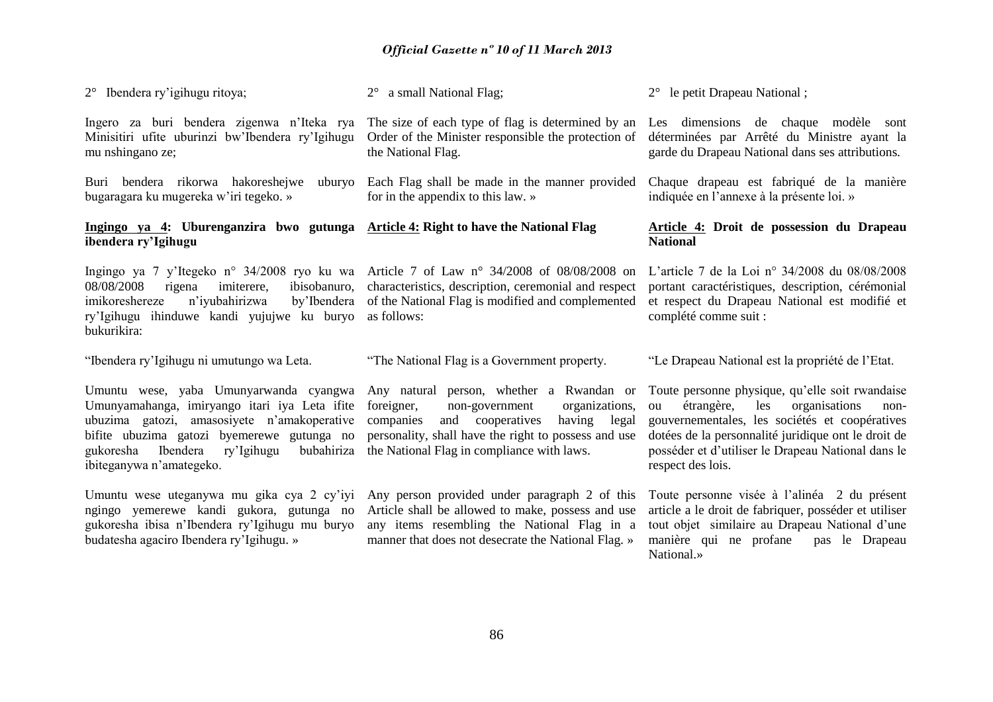| $2^{\circ}$ Ibendera ry'igihugu ritoya;                                                                                                                                                                                                                               | 2° a small National Flag;                                                                                                                                                                                                                            | 2° le petit Drapeau National;                                                                                                                                                                                                                                                           |
|-----------------------------------------------------------------------------------------------------------------------------------------------------------------------------------------------------------------------------------------------------------------------|------------------------------------------------------------------------------------------------------------------------------------------------------------------------------------------------------------------------------------------------------|-----------------------------------------------------------------------------------------------------------------------------------------------------------------------------------------------------------------------------------------------------------------------------------------|
| Ingero za buri bendera zigenwa n'Iteka rya<br>Minisitiri ufite uburinzi bw'Ibendera ry'Igihugu<br>mu nshingano ze;                                                                                                                                                    | The size of each type of flag is determined by an<br>Order of the Minister responsible the protection of<br>the National Flag.                                                                                                                       | Les dimensions de chaque modèle sont<br>déterminées par Arrêté du Ministre ayant la<br>garde du Drapeau National dans ses attributions.                                                                                                                                                 |
| Buri bendera rikorwa hakoreshejwe<br>uburyo<br>bugaragara ku mugereka w'iri tegeko. »                                                                                                                                                                                 | Each Flag shall be made in the manner provided<br>for in the appendix to this law. »                                                                                                                                                                 | Chaque drapeau est fabriqué de la manière<br>indiquée en l'annexe à la présente loi. »                                                                                                                                                                                                  |
| Ingingo ya 4: Uburenganzira bwo gutunga Article 4: Right to have the National Flag<br>ibendera ry'Igihugu                                                                                                                                                             |                                                                                                                                                                                                                                                      | Article 4: Droit de possession du Drapeau<br><b>National</b>                                                                                                                                                                                                                            |
| Ingingo ya 7 y'Itegeko n° 34/2008 ryo ku wa Article 7 of Law n° 34/2008 of 08/08/2008 on<br>ibisobanuro,<br>08/08/2008<br>rigena<br>imiterere,<br>n'iyubahirizwa<br>imikoreshereze<br>by'Ibendera<br>ry'Igihugu ihinduwe kandi yujujwe ku buryo<br>bukurikira:        | characteristics, description, ceremonial and respect<br>of the National Flag is modified and complemented<br>as follows:                                                                                                                             | L'article 7 de la Loi n° $34/2008$ du $08/08/2008$<br>portant caractéristiques, description, cérémonial<br>et respect du Drapeau National est modifié et<br>complété comme suit :                                                                                                       |
| "Ibendera ry'Igihugu ni umutungo wa Leta.                                                                                                                                                                                                                             | "The National Flag is a Government property.                                                                                                                                                                                                         | "Le Drapeau National est la propriété de l'Etat.                                                                                                                                                                                                                                        |
| Umuntu wese, yaba Umunyarwanda cyangwa<br>Umunyamahanga, imiryango itari iya Leta ifite<br>ubuzima gatozi, amasosiyete n'amakoperative<br>bifite ubuzima gatozi byemerewe gutunga no<br>Ibendera<br>ry'Igihugu<br>bubahiriza<br>gukoresha<br>ibiteganywa n'amategeko. | Any natural person, whether a Rwandan or<br>foreigner,<br>non-government<br>organizations,<br>and cooperatives<br>companies<br>having<br>legal<br>personality, shall have the right to possess and use<br>the National Flag in compliance with laws. | Toute personne physique, qu'elle soit rwandaise<br>étrangère,<br>les<br>organisations<br>ou<br>non-<br>gouvernementales, les sociétés et coopératives<br>dotées de la personnalité juridique ont le droit de<br>posséder et d'utiliser le Drapeau National dans le<br>respect des lois. |
| Umuntu wese uteganywa mu gika cya 2 cy'iyi<br>ngingo yemerewe kandi gukora, gutunga no<br>gukoresha ibisa n'Ibendera ry'Igihugu mu buryo<br>budatesha agaciro Ibendera ry'Igihugu. »                                                                                  | Any person provided under paragraph 2 of this<br>Article shall be allowed to make, possess and use<br>any items resembling the National Flag in a<br>manner that does not desecrate the National Flag. »                                             | Toute personne visée à l'alinéa 2 du présent<br>article a le droit de fabriquer, posséder et utiliser<br>tout objet similaire au Drapeau National d'une<br>manière qui ne profane<br>pas le Drapeau<br>National.»                                                                       |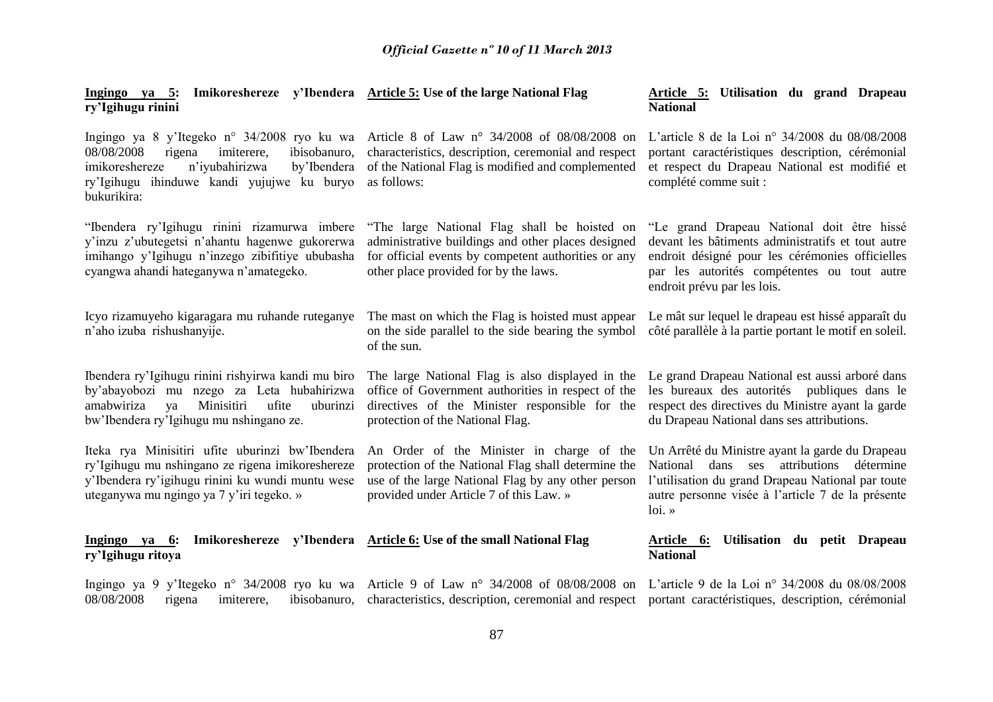|                   |  |  | Ingingo ya 5: Imikoreshereze y'Ibendera Article 5: Use of the large National Flag |
|-------------------|--|--|-----------------------------------------------------------------------------------|
| ry'Igihugu rinini |  |  |                                                                                   |

Ingingo ya 8 y'Itegeko n° 34/2008 ryo ku wa Article 8 of Law n° 34/2008 of 08/08/2008 on 08/08/2008 rigena imiterere, ibisobanuro, imikoreshereze n'iyubahirizwa ry'Igihugu ihinduwe kandi yujujwe ku buryo bukurikira:

"Ibendera ry'Igihugu rinini rizamurwa imbere y'inzu z'ubutegetsi n'ahantu hagenwe gukorerwa imihango y'Igihugu n'inzego zibifitiye ububasha cyangwa ahandi hateganywa n'amategeko.

Icyo rizamuyeho kigaragara mu ruhande ruteganye n'aho izuba rishushanyije.

Ibendera ry'Igihugu rinini rishyirwa kandi mu biro by'abayobozi mu nzego za Leta hubahirizwa amabwiriza ya Minisitiri ufite uburinzi bw'Ibendera ry'Igihugu mu nshingano ze.

Iteka rya Minisitiri ufite uburinzi bw'Ibendera ry'Igihugu mu nshingano ze rigena imikoreshereze y'Ibendera ry'igihugu rinini ku wundi muntu wese uteganywa mu ngingo ya 7 y'iri tegeko. »

**Ingingo ya 6: Imikoreshereze y'Ibendera Article 6: Use of the small National Flag ry'Igihugu ritoya**

Ingingo ya 9 y'Itegeko n° 34/2008 ryo ku wa Article 9 of Law n° 34/2008 of 08/08/2008 on L'article 9 de la Loi n° 34/2008 du 08/08/2008 08/08/2008 rigena imiterere, ibisobanuro, characteristics, description, ceremonial and respect portant caractéristiques, description, cérémonial

characteristics, description, ceremonial and respect by Ibendera of the National Flag is modified and complemented as follows:

> "The large National Flag shall be hoisted on administrative buildings and other places designed for official events by competent authorities or any other place provided for by the laws.

The mast on which the Flag is hoisted must appear on the side parallel to the side bearing the symbol of the sun.

The large National Flag is also displayed in the Le grand Drapeau National est aussi arboré dans office of Government authorities in respect of the directives of the Minister responsible for the protection of the National Flag.

An Order of the Minister in charge of the protection of the National Flag shall determine the use of the large National Flag by any other person provided under Article 7 of this Law. »

#### **Article 5: Utilisation du grand Drapeau National**

L'article 8 de la Loi n° 34/2008 du 08/08/2008 portant caractéristiques description, cérémonial et respect du Drapeau National est modifié et complété comme suit :

"Le grand Drapeau National doit être hissé devant les bâtiments administratifs et tout autre endroit désigné pour les cérémonies officielles par les autorités compétentes ou tout autre endroit prévu par les lois.

Le mât sur lequel le drapeau est hissé apparaît du côté parallèle à la partie portant le motif en soleil.

les bureaux des autorités publiques dans le respect des directives du Ministre ayant la garde du Drapeau National dans ses attributions.

Un Arrêté du Ministre ayant la garde du Drapeau National dans ses attributions détermine l'utilisation du grand Drapeau National par toute autre personne visée à l'article 7 de la présente loi. »

## **Article 6: Utilisation du petit Drapeau National**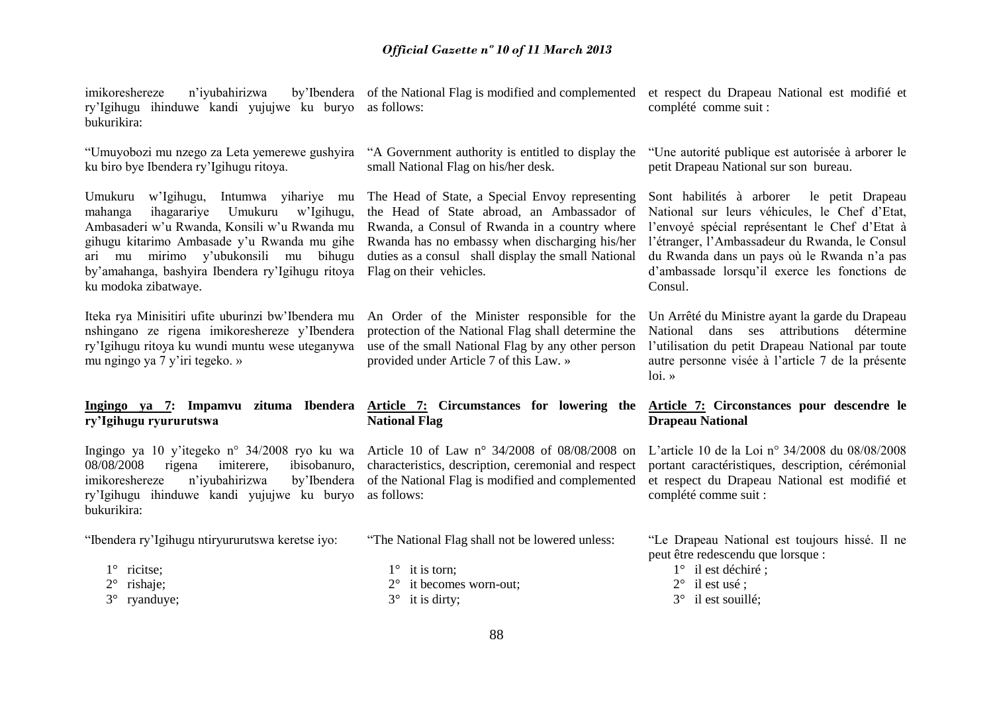imikoreshereze n'iyubahirizwa ry'Igihugu ihinduwe kandi yujujwe ku buryo as follows: bukurikira:

"Umuyobozi mu nzego za Leta yemerewe gushyira "A Government authority is entitled to display the ku biro bye Ibendera ry'Igihugu ritoya.

Umukuru w'Igihugu, Intumwa yihariye mu The Head of State, a Special Envoy representing mahanga ihagarariye Umukuru w'Igihugu, Ambasaderi w'u Rwanda, Konsili w'u Rwanda mu gihugu kitarimo Ambasade y'u Rwanda mu gihe Rwanda has no embassy when discharging his/her ari mu mirimo y'ubukonsili mu bihugu by'amahanga, bashyira Ibendera ry'Igihugu ritoya Flag on their vehicles. ku modoka zibatwaye.

Iteka rya Minisitiri ufite uburinzi bw'Ibendera mu nshingano ze rigena imikoreshereze y'Ibendera ry'Igihugu ritoya ku wundi muntu wese uteganywa mu ngingo ya 7 y'iri tegeko. »

# **ry'Igihugu ryururutswa**

Ingingo ya 10 y'itegeko n° 34/2008 ryo ku wa Article 10 of Law n° 34/2008 of 08/08/2008 on 08/08/2008 rigena imiterere, ibisobanuro, imikoreshereze n'iyubahirizwa by'Ibendera ry'Igihugu ihinduwe kandi yujujwe ku buryo as follows: bukurikira:

"Ibendera ry'Igihugu ntiryururutswa keretse iyo:

- 1° ricitse:
- 2° rishaje;
- 3° ryanduye;

small National Flag on his/her desk.

the Head of State abroad, an Ambassador of Rwanda, a Consul of Rwanda in a country where duties as a consul shall display the small National

An Order of the Minister responsible for the protection of the National Flag shall determine the use of the small National Flag by any other person provided under Article 7 of this Law. »

## **Ingingo ya 7: Impamvu zituma Ibendera Article 7: Circumstances for lowering the National Flag**

characteristics, description, ceremonial and respect of the National Flag is modified and complemented

"The National Flag shall not be lowered unless:

- $1^\circ$  it is torn:
- 2° it becomes worn-out;
- $3^\circ$  it is dirty;

of the National Flag is modified and complemented et respect du Drapeau National est modifié et complété comme suit :

> "Une autorité publique est autorisée à arborer le petit Drapeau National sur son bureau.

> Sont habilités à arborer le petit Drapeau National sur leurs véhicules, le Chef d'Etat l'envoyé spécial représentant le Chef d'Etat à l'étranger, l'Ambassadeur du Rwanda, le Consul du Rwanda dans un pays où le Rwanda n'a pas d'ambassade lorsqu'il exerce les fonctions de Consul.

> Un Arrêté du Ministre ayant la garde du Drapeau National dans ses attributions détermine l'utilisation du petit Drapeau National par toute autre personne visée à l'article 7 de la présente  $\ln x$

## **Article 7: Circonstances pour descendre le Drapeau National**

L'article 10 de la Loi n° 34/2008 du 08/08/2008 portant caractéristiques, description, cérémonial et respect du Drapeau National est modifié et complété comme suit :

"Le Drapeau National est toujours hissé. Il ne peut être redescendu que lorsque :

- 1° il est déchiré ;
- 2° il est usé ;
- 3° il est souillé;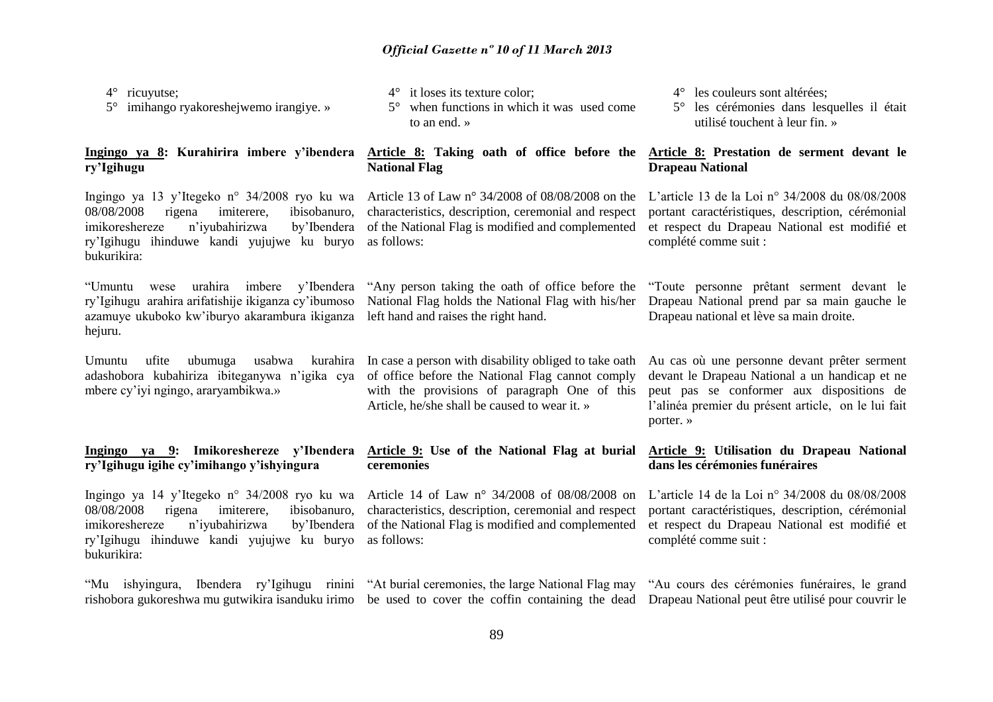4° ricuyutse;

5° imihango ryakoreshejwemo irangiye. »

## **Ingingo ya 8: Kurahirira imbere y'ibendera ry'Igihugu**

Ingingo ya 13 y'Itegeko n° 34/2008 ryo ku wa 08/08/2008 rigena imiterere, ibisobanuro, imikoreshereze n'iyubahirizwa by'Ibendera ry'Igihugu ihinduwe kandi yujujwe ku buryo bukurikira:

"Umuntu wese urahira imbere y'Ibendera ry'Igihugu arahira arifatishije ikiganza cy'ibumoso azamuye ukuboko kw'iburyo akarambura ikiganza hejuru.

Umuntu ufite ubumuga usabwa adashobora kubahiriza ibiteganywa n'igika cya of office before the National Flag cannot comply mbere cy'iyi ngingo, araryambikwa.»

**Ingingo ya 9: Imikoreshereze y'Ibendera ry'Igihugu igihe cy'imihango y'ishyingura**

Ingingo ya 14 y'Itegeko n° 34/2008 ryo ku wa Article 14 of Law n° 34/2008 of 08/08/2008 on 08/08/2008 rigena imiterere, ibisobanuro, imikoreshereze n'iyubahirizwa by'Ibendera ry'Igihugu ihinduwe kandi yujujwe ku buryo bukurikira:

- 4° it loses its texture color;
- 5° when functions in which it was used come to an end. »

## **Article 8: Taking oath of office before the National Flag**

Article 13 of Law n° 34/2008 of 08/08/2008 on the characteristics, description, ceremonial and respect of the National Flag is modified and complemented as follows:

"Any person taking the oath of office before the National Flag holds the National Flag with his/her left hand and raises the right hand.

kurahira In case a person with disability obliged to take oath with the provisions of paragraph One of this Article, he/she shall be caused to wear it. »

**Article 9: Use of the National Flag at burial** 

characteristics, description, ceremonial and respect of the National Flag is modified and complemented

#### 4° les couleurs sont altérées;

5° les cérémonies dans lesquelles il était utilisé touchent à leur fin. »

## **Article 8: Prestation de serment devant le Drapeau National**

L'article 13 de la Loi n° 34/2008 du 08/08/2008 portant caractéristiques, description, cérémonial et respect du Drapeau National est modifié et complété comme suit :

"Toute personne prêtant serment devant le Drapeau National prend par sa main gauche le Drapeau national et lève sa main droite.

Au cas où une personne devant prêter serment devant le Drapeau National a un handicap et ne peut pas se conformer aux dispositions de l'alinéa premier du présent article, on le lui fait porter. »

## **Article 9: Utilisation du Drapeau National dans les cérémonies funéraires**

L'article 14 de la Loi n° 34/2008 du 08/08/2008 portant caractéristiques, description, cérémonial et respect du Drapeau National est modifié et complété comme suit :

"Mu ishyingura, Ibendera ry'Igihugu rinini "At burial ceremonies, the large National Flag may rishobora gukoreshwa mu gutwikira isanduku irimo be used to cover the coffin containing the dead Drapeau National peut être utilisé pour couvrir le

**ceremonies** 

as follows:

"Au cours des cérémonies funéraires, le grand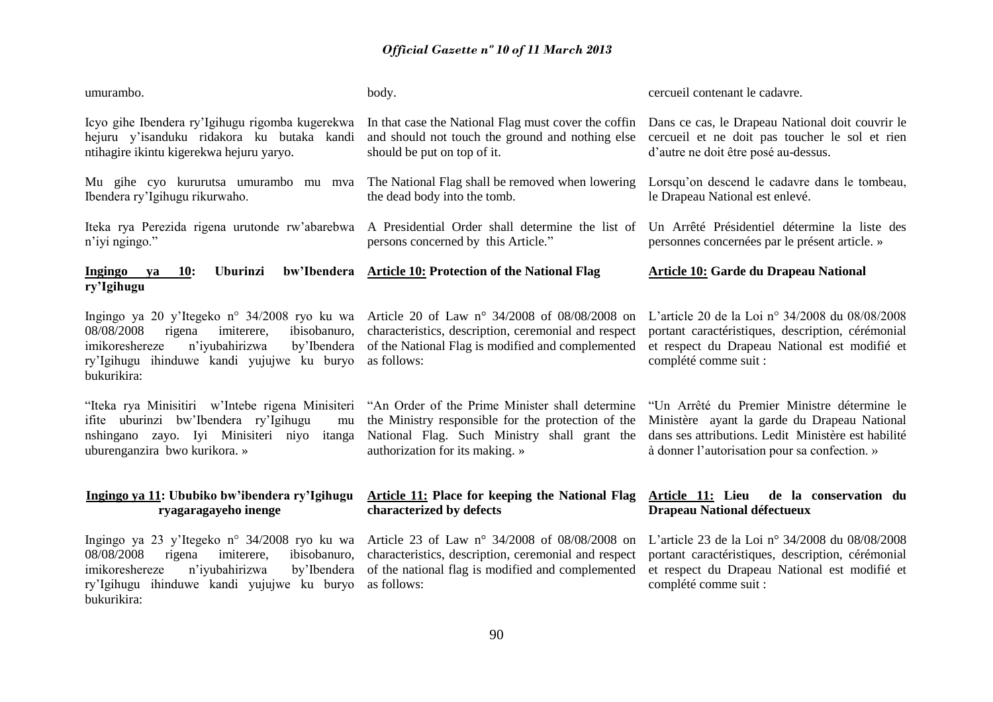| umurambo.                                                                                                                                                                                                          | body.                                                                                                                                                                                    | cercueil contenant le cadavre.                                                                                                                                                                      |
|--------------------------------------------------------------------------------------------------------------------------------------------------------------------------------------------------------------------|------------------------------------------------------------------------------------------------------------------------------------------------------------------------------------------|-----------------------------------------------------------------------------------------------------------------------------------------------------------------------------------------------------|
| Icyo gihe Ibendera ry'Igihugu rigomba kugerekwa<br>hejuru y'isanduku ridakora ku butaka kandi<br>ntihagire ikintu kigerekwa hejuru yaryo.                                                                          | In that case the National Flag must cover the coffin<br>and should not touch the ground and nothing else<br>should be put on top of it.                                                  | Dans ce cas, le Drapeau National doit couvrir le<br>cercueil et ne doit pas toucher le sol et rien<br>d'autre ne doit être posé au-dessus.                                                          |
| Mu gihe cyo kururutsa umurambo mu mva<br>Ibendera ry'Igihugu rikurwaho.                                                                                                                                            | The National Flag shall be removed when lowering<br>the dead body into the tomb.                                                                                                         | Lorsqu'on descend le cadavre dans le tombeau,<br>le Drapeau National est enlevé.                                                                                                                    |
| Iteka rya Perezida rigena urutonde rw'abarebwa<br>n'iyi ngingo."                                                                                                                                                   | A Presidential Order shall determine the list of<br>persons concerned by this Article."                                                                                                  | Un Arrêté Présidentiel détermine la liste des<br>personnes concernées par le présent article. »                                                                                                     |
| bw'Ibendera<br><b>Uburinzi</b><br>Ingingo<br>10:<br>ya<br>ry'Igihugu                                                                                                                                               | <b>Article 10: Protection of the National Flag</b>                                                                                                                                       | <b>Article 10: Garde du Drapeau National</b>                                                                                                                                                        |
| Ingingo ya 20 y'Itegeko n° 34/2008 ryo ku wa<br>08/08/2008<br>ibisobanuro,<br>rigena<br>imiterere.<br>n'iyubahirizwa<br>imikoreshereze<br>by'Ibendera<br>ry'Igihugu ihinduwe kandi yujujwe ku buryo<br>bukurikira: | Article 20 of Law n° 34/2008 of 08/08/2008 on<br>characteristics, description, ceremonial and respect<br>of the National Flag is modified and complemented<br>as follows:                | L'article 20 de la Loi n° 34/2008 du 08/08/2008<br>portant caractéristiques, description, cérémonial<br>et respect du Drapeau National est modifié et<br>complété comme suit :                      |
| "Iteka rya Minisitiri w'Intebe rigena Minisiteri<br>ifite uburinzi bw'Ibendera ry'Igihugu<br>mu<br>nshingano zayo. Iyi Minisiteri niyo<br>itanga<br>uburenganzira bwo kurikora. »                                  | "An Order of the Prime Minister shall determine<br>the Ministry responsible for the protection of the<br>National Flag. Such Ministry shall grant the<br>authorization for its making. » | "Un Arrêté du Premier Ministre détermine le<br>Ministère ayant la garde du Drapeau National<br>dans ses attributions. Ledit Ministère est habilité<br>à donner l'autorisation pour sa confection. » |
| Ingingo ya 11: Ububiko bw'ibendera ry'Igihugu<br>ryagaragayeho inenge                                                                                                                                              | Article 11: Place for keeping the National Flag<br>characterized by defects                                                                                                              | Article 11: Lieu<br>de la conservation du<br><b>Drapeau National défectueux</b>                                                                                                                     |
| Ingingo ya 23 y'Itegeko n° 34/2008 ryo ku wa<br>imiterere,<br>ibisobanuro,<br>08/08/2008<br>rigena<br>imikoreshereze<br>n'iyubahirizwa<br>by'Ibendera<br>ry'Igihugu ihinduwe kandi yujujwe ku buryo<br>bukurikira: | Article 23 of Law n° 34/2008 of 08/08/2008 on<br>characteristics, description, ceremonial and respect<br>of the national flag is modified and complemented<br>as follows:                | L'article 23 de la Loi n° 34/2008 du 08/08/2008<br>portant caractéristiques, description, cérémonial<br>et respect du Drapeau National est modifié et<br>complété comme suit :                      |
|                                                                                                                                                                                                                    |                                                                                                                                                                                          |                                                                                                                                                                                                     |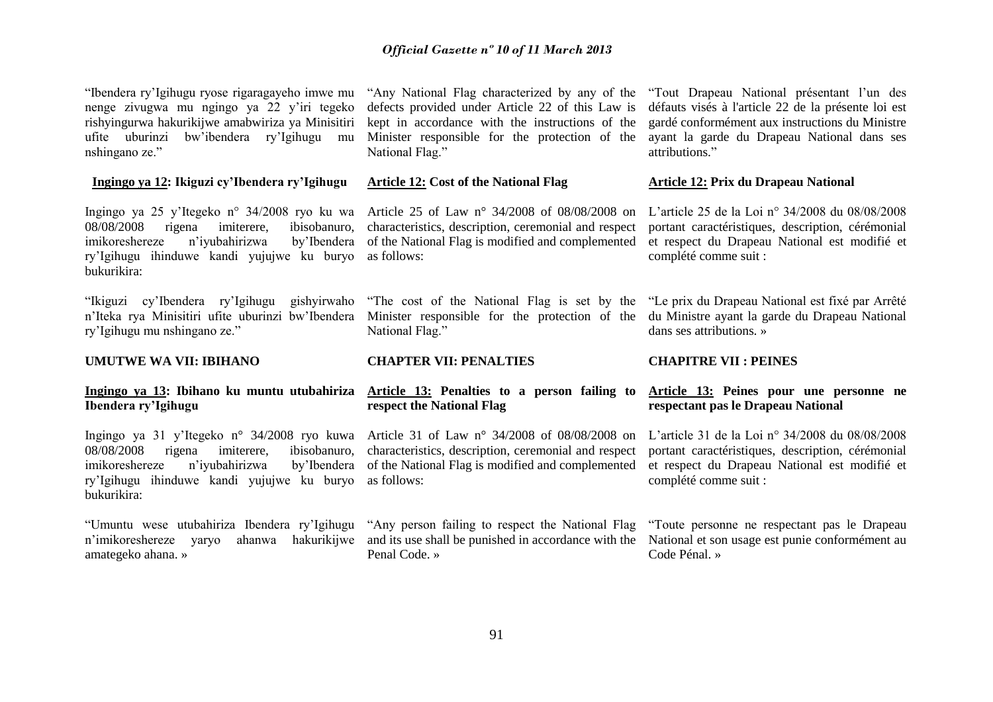"Ibendera ry'Igihugu ryose rigaragayeho imwe mu nenge zivugwa mu ngingo ya 22 y'iri tegeko rishyingurwa hakurikijwe amabwiriza ya Minisitiri ufite uburinzi bw'ibendera ry'Igihugu mu nshingano ze."

#### **Ingingo ya 12: Ikiguzi cy'Ibendera ry'Igihugu**

Ingingo ya 25 y'Itegeko n° 34/2008 ryo ku wa Article 25 of Law n° 34/2008 of 08/08/2008 on 08/08/2008 rigena imiterere, ibisobanuro, imikoreshereze n'iyubahirizwa ry'Igihugu ihinduwe kandi yujujwe ku buryo bukurikira:

"Ikiguzi cy'Ibendera ry'Igihugu gishyirwaho n'Iteka rya Minisitiri ufite uburinzi bw'Ibendera ry'Igihugu mu nshingano ze."

**UMUTWE WA VII: IBIHANO**

# **Ibendera ry'Igihugu**

Ingingo ya 31 y'Itegeko n° 34/2008 ryo kuwa Article 31 of Law n° 34/2008 of 08/08/2008 on 08/08/2008 rigena imiterere, ibisobanuro, imikoreshereze n'iyubahirizwa by'Ibendera ry'Igihugu ihinduwe kandi yujujwe ku buryo bukurikira:

"Umuntu wese utubahiriza Ibendera ry'Igihugu "Any person failing to respect the National Flag n'imikoreshereze varyo amategeko ahana. »

"Any National Flag characterized by any of the defects provided under Article 22 of this Law is kept in accordance with the instructions of the Minister responsible for the protection of the National Flag."

#### **Article 12: Cost of the National Flag**

characteristics, description, ceremonial and respect by Ibendera of the National Flag is modified and complemented as follows:

> "The cost of the National Flag is set by the Minister responsible for the protection of the National Flag."

#### **CHAPTER VII: PENALTIES**

## **Ingingo ya 13: Ibihano ku muntu utubahiriza Article 13: Penalties to a person failing to respect the National Flag**

characteristics, description, ceremonial and respect of the National Flag is modified and complemented as follows:

ahanwa hakurikijwe and its use shall be punished in accordance with the Penal Code. »

"Tout Drapeau National présentant l'un des défauts visés à l'article 22 de la présente loi est gardé conformément aux instructions du Ministre ayant la garde du Drapeau National dans ses attributions."

#### **Article 12: Prix du Drapeau National**

L'article 25 de la Loi n° 34/2008 du 08/08/2008 portant caractéristiques, description, cérémonial et respect du Drapeau National est modifié et complété comme suit :

"Le prix du Drapeau National est fixé par Arrêté du Ministre ayant la garde du Drapeau National dans ses attributions. »

## **CHAPITRE VII : PEINES**

## **Article 13: Peines pour une personne ne respectant pas le Drapeau National**

L'article 31 de la Loi n° 34/2008 du 08/08/2008 portant caractéristiques, description, cérémonial et respect du Drapeau National est modifié et complété comme suit :

"Toute personne ne respectant pas le Drapeau National et son usage est punie conformément au Code Pénal. »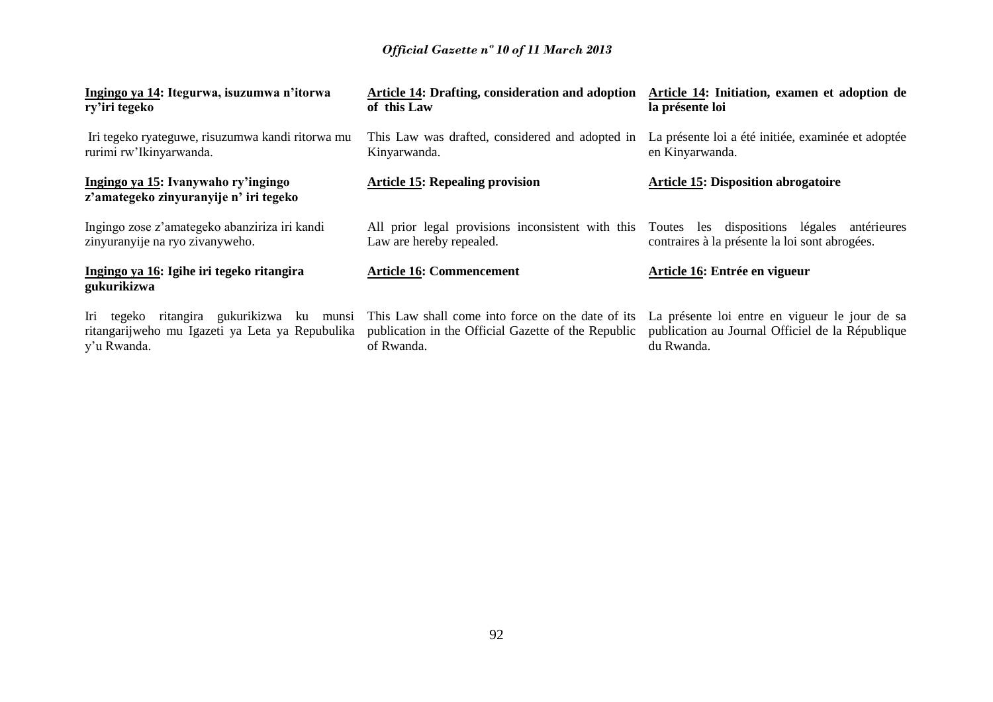| Ingingo ya 14: Itegurwa, isuzumwa n'itorwa                                    | <b>Article 14: Drafting, consideration and adoption</b> | Article 14: Initiation, examen et adoption de      |
|-------------------------------------------------------------------------------|---------------------------------------------------------|----------------------------------------------------|
| ry'iri tegeko                                                                 | of this Law                                             | la présente loi                                    |
| Iri tegeko ryateguwe, risuzumwa kandi ritorwa mu                              | This Law was drafted, considered and adopted in         | La présente loi a été initiée, examinée et adoptée |
| rurimi rw'Ikinyarwanda.                                                       | Kinyarwanda.                                            | en Kinyarwanda.                                    |
| Ingingo ya 15: Ivanywaho ry'ingingo<br>z'amategeko zinyuranyije n' iri tegeko | <b>Article 15: Repealing provision</b>                  | <b>Article 15: Disposition abrogatoire</b>         |
| Ingingo zose z'amategeko abanziriza iri kandi                                 | All prior legal provisions inconsistent with this       | Toutes les dispositions légales antérieures        |
| zinyuranyije na ryo zivanyweho.                                               | Law are hereby repealed.                                | contraires à la présente la loi sont abrogées.     |
| Ingingo ya 16: Igihe iri tegeko ritangira<br>gukurikizwa                      | <b>Article 16: Commencement</b>                         | Article 16: Entrée en vigueur                      |
| Iri tegeko ritangira gukurikizwa ku munsi                                     | This Law shall come into force on the date of its       | La présente loi entre en vigueur le jour de sa     |
| ritangarijweho mu Igazeti ya Leta ya Repubulika                               | publication in the Official Gazette of the Republic     | publication au Journal Officiel de la République   |
| y'u Rwanda.                                                                   | of Rwanda.                                              | du Rwanda.                                         |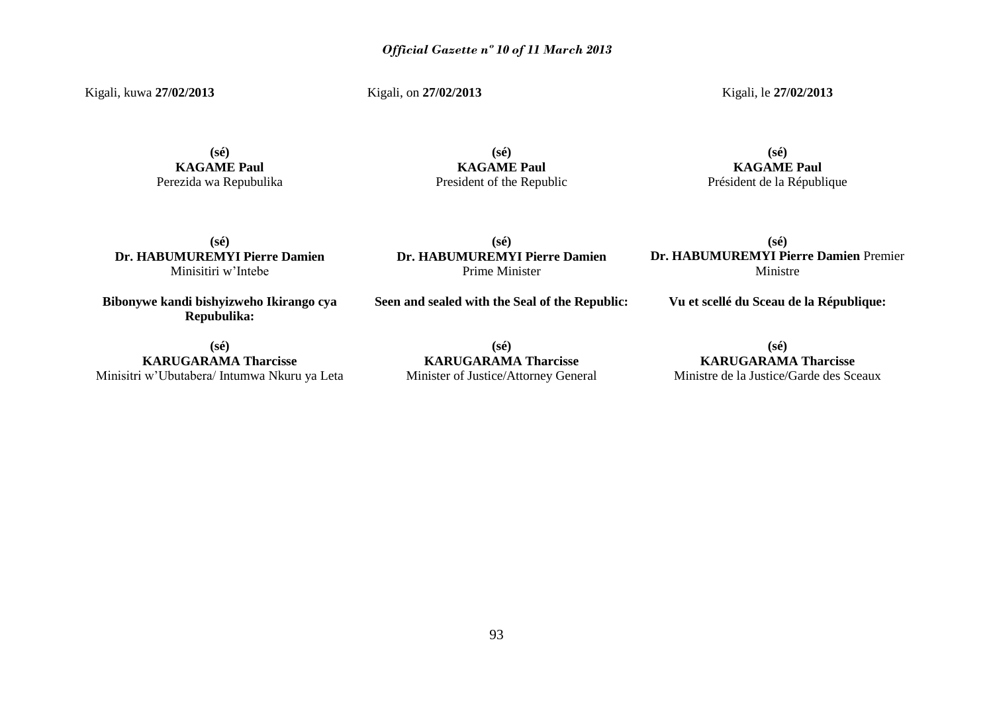Kigali, kuwa **27/02/2013**

Kigali, on **27/02/2013**

Kigali, le **27/02/2013** 

**(sé) KAGAME Paul** Perezida wa Repubulika

**(sé) KAGAME Paul** President of the Republic

## **(sé) KAGAME Paul** Président de la République

**(sé) Dr. HABUMUREMYI Pierre Damien** Minisitiri w'Intebe

**Bibonywe kandi bishyizweho Ikirango cya Repubulika:**

**Seen and sealed with the Seal of the Republic:**

**(sé) Dr. HABUMUREMYI Pierre Damien** Prime Minister

**(sé) Dr. HABUMUREMYI Pierre Damien** Premier Ministre

**Vu et scellé du Sceau de la République:**

**(sé) KARUGARAMA Tharcisse** Minisitri w'Ubutabera/ Intumwa Nkuru ya Leta

**(sé) KARUGARAMA Tharcisse** Minister of Justice/Attorney General

**(sé) KARUGARAMA Tharcisse** Ministre de la Justice/Garde des Sceaux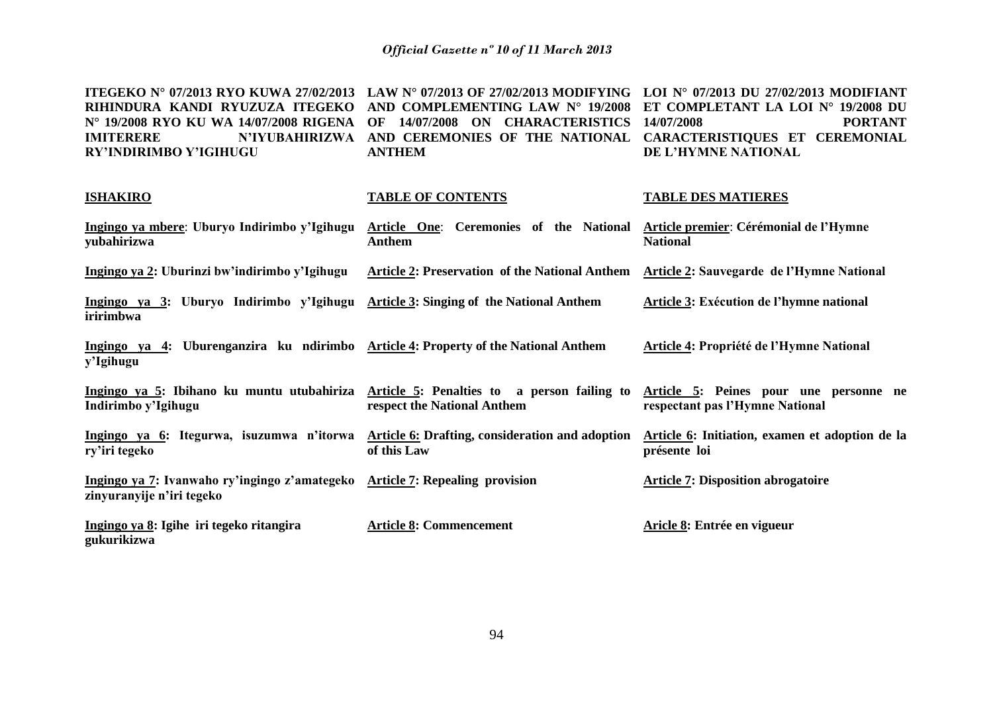| ITEGEKO N° 07/2013 RYO KUWA 27/02/2013 LAW N° 07/2013 OF 27/02/2013 MODIFYING LOI N° 07/2013 DU 27/02/2013 MODIFIANT |                                                                              |                     |
|----------------------------------------------------------------------------------------------------------------------|------------------------------------------------------------------------------|---------------------|
| RIHINDURA KANDI RYUZUZA ITEGEKO AND COMPLEMENTING LAW N° 19/2008 ET COMPLETANT LA LOI N° 19/2008 DU                  |                                                                              |                     |
| N° 19/2008 RYO KU WA 14/07/2008 RIGENA OF 14/07/2008 ON CHARACTERISTICS 14/07/2008                                   |                                                                              | <b>PORTANT</b>      |
| <b>IMITERERE</b>                                                                                                     | N'IYUBAHIRIZWA AND CEREMONIES OF THE NATIONAL CARACTERISTIQUES ET CEREMONIAL |                     |
| <b>RY'INDIRIMBO Y'IGIHUGU</b>                                                                                        | <b>ANTHEM</b>                                                                | DE L'HYMNE NATIONAL |

| <b>ISHAKIRO</b>                                                                                                                                      | <b>TABLE OF CONTENTS</b>                                       | <b>TABLE DES MATIERES</b>                                       |
|------------------------------------------------------------------------------------------------------------------------------------------------------|----------------------------------------------------------------|-----------------------------------------------------------------|
| Ingingo ya mbere: Uburyo Indirimbo y'Igihugu<br>yubahirizwa                                                                                          | Article One: Ceremonies of the National<br>Anthem              | Article premier: Cérémonial de l'Hymne<br><b>National</b>       |
| Ingingo ya 2: Uburinzi bw'indirimbo y'Igihugu                                                                                                        | <b>Article 2: Preservation of the National Anthem</b>          | Article 2: Sauvegarde de l'Hymne National                       |
| Ingingo ya 3: Uburyo Indirimbo y'Igihugu<br>iririmbwa                                                                                                | <b>Article 3: Singing of the National Anthem</b>               | Article 3: Exécution de l'hymne national                        |
| Ingingo ya 4: Uburenganzira ku ndirimbo Article 4: Property of the National Anthem<br>y'Igihugu                                                      |                                                                | <b>Article 4: Propriété de l'Hymne National</b>                 |
| Ingingo ya 5: Ibihano ku muntu utubahiriza Article 5: Penalties to a person failing to Article 5: Peines pour une personne ne<br>Indirimbo y'Igihugu | respect the National Anthem                                    | respectant pas l'Hymne National                                 |
| Ingingo ya 6: Itegurwa, isuzumwa n'itorwa<br>ry'iri tegeko                                                                                           | Article 6: Drafting, consideration and adoption<br>of this Law | Article 6: Initiation, examen et adoption de la<br>présente loi |
| Ingingo ya 7: Ivanwaho ry'ingingo z'amategeko Article 7: Repealing provision<br>zinyuranyije n'iri tegeko                                            |                                                                | <b>Article 7: Disposition abrogatoire</b>                       |
| Ingingo ya 8: Igihe iri tegeko ritangira<br>gukurikizwa                                                                                              | <b>Article 8: Commencement</b>                                 | Aricle 8: Entrée en vigueur                                     |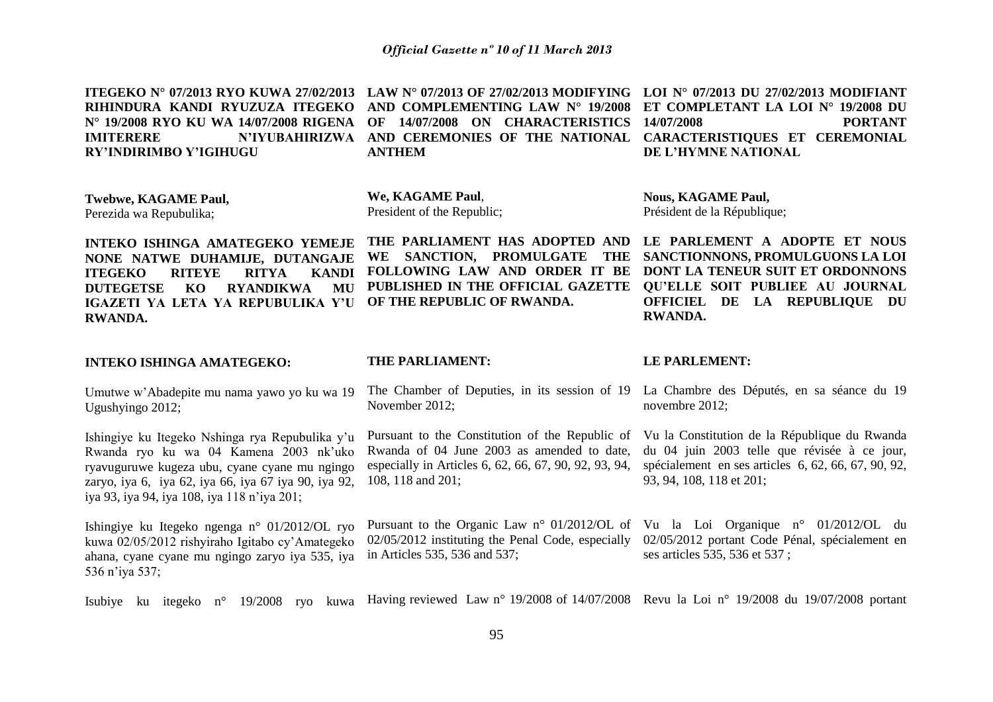| ITEGEKO Nº 07/2013 RYO KUWA 27/02/2013<br>RIHINDURA KANDI RYUZUZA ITEGEKO<br>N° 19/2008 RYO KU WA 14/07/2008 RIGENA<br><b>N'IYUBAHIRIZWA</b><br><b>IMITERERE</b><br>RY'INDIRIMBO Y'IGIHUGU                                                             | LAW N° 07/2013 OF 27/02/2013 MODIFYING<br>AND COMPLEMENTING LAW N° 19/2008<br>14/07/2008 ON CHARACTERISTICS<br>OF<br>AND CEREMONIES OF THE NATIONAL<br><b>ANTHEM</b>        | LOI N° 07/2013 DU 27/02/2013 MODIFIANT<br>ET COMPLETANT LA LOI N° 19/2008 DU<br>14/07/2008<br><b>PORTANT</b><br>CARACTERISTIQUES ET CEREMONIAL<br>DE L'HYMNE NATIONAL                             |
|--------------------------------------------------------------------------------------------------------------------------------------------------------------------------------------------------------------------------------------------------------|-----------------------------------------------------------------------------------------------------------------------------------------------------------------------------|---------------------------------------------------------------------------------------------------------------------------------------------------------------------------------------------------|
| Twebwe, KAGAME Paul,<br>Perezida wa Repubulika;                                                                                                                                                                                                        | We, KAGAME Paul,<br>President of the Republic;                                                                                                                              | <b>Nous, KAGAME Paul,</b><br>Président de la République;                                                                                                                                          |
| <b>INTEKO ISHINGA AMATEGEKO YEMEJE</b><br>NONE NATWE DUHAMIJE, DUTANGAJE<br><b>ITEGEKO</b><br><b>RITYA</b><br><b>RITEYE</b><br><b>KANDI</b><br><b>DUTEGETSE</b><br><b>RYANDIKWA</b><br>KO<br>MU<br>IGAZETI YA LETA YA REPUBULIKA Y'U<br><b>RWANDA.</b> | THE PARLIAMENT HAS ADOPTED AND<br>WE SANCTION, PROMULGATE<br><b>THE</b><br>FOLLOWING LAW AND ORDER IT BE<br>PUBLISHED IN THE OFFICIAL GAZETTE<br>OF THE REPUBLIC OF RWANDA. | LE PARLEMENT A ADOPTE ET NOUS<br>SANCTIONNONS, PROMULGUONS LA LOI<br>DONT LA TENEUR SUIT ET ORDONNONS<br><b>QU'ELLE SOIT PUBLIEE AU JOURNAL</b><br>OFFICIEL DE LA REPUBLIQUE DU<br><b>RWANDA.</b> |
|                                                                                                                                                                                                                                                        |                                                                                                                                                                             |                                                                                                                                                                                                   |
| <b>INTEKO ISHINGA AMATEGEKO:</b>                                                                                                                                                                                                                       | THE PARLIAMENT:                                                                                                                                                             | <b>LE PARLEMENT:</b>                                                                                                                                                                              |
| Umutwe w'Abadepite mu nama yawo yo ku wa 19<br>Ugushyingo 2012;                                                                                                                                                                                        | The Chamber of Deputies, in its session of 19<br>November 2012;                                                                                                             | La Chambre des Députés, en sa séance du 19<br>novembre 2012;                                                                                                                                      |
| Ishingiye ku Itegeko Nshinga rya Repubulika y'u<br>Rwanda ryo ku wa 04 Kamena 2003 nk'uko<br>ryavuguruwe kugeza ubu, cyane cyane mu ngingo<br>zaryo, iya 6, iya 62, iya 66, iya 67 iya 90, iya 92,<br>iya 93, iya 94, iya 108, iya 118 n'iya 201;      | Pursuant to the Constitution of the Republic of<br>Rwanda of 04 June 2003 as amended to date,<br>especially in Articles 6, 62, 66, 67, 90, 92, 93, 94,<br>108, 118 and 201; | Vu la Constitution de la République du Rwanda<br>du 04 juin 2003 telle que révisée à ce jour,<br>spécialement en ses articles 6, 62, 66, 67, 90, 92,<br>93, 94, 108, 118 et 201;                  |
| Ishingiye ku Itegeko ngenga n° 01/2012/OL ryo<br>kuwa 02/05/2012 rishyiraho Igitabo cy'Amategeko<br>ahana, cyane cyane mu ngingo zaryo iya 535, iya<br>536 n'iya 537;                                                                                  | Pursuant to the Organic Law $n^{\circ}$ 01/2012/OL of<br>02/05/2012 instituting the Penal Code, especially<br>in Articles 535, 536 and 537;                                 | Vu la Loi Organique nº 01/2012/OL du<br>02/05/2012 portant Code Pénal, spécialement en<br>ses articles 535, 536 et 537;                                                                           |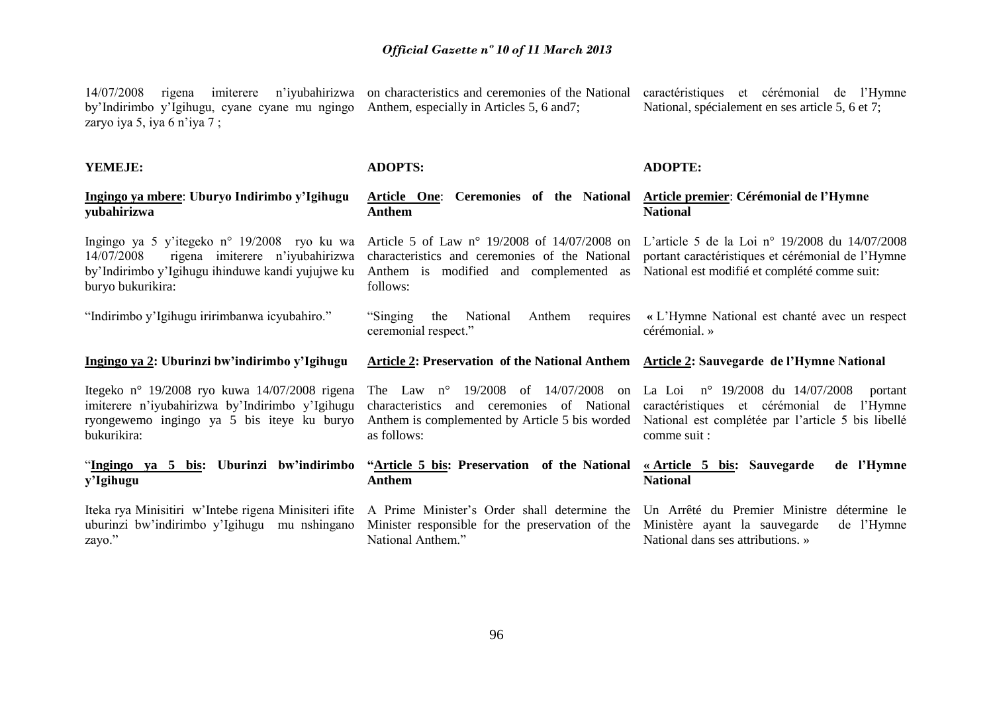14/07/2008 rigena imiterere n'iyubahirizwa on characteristics and ceremonies of the National caractéristiques et cérémonial de l'Hymne by'Indirimbo y'Igihugu, cyane cyane mu ngingo Anthem, especially in Articles 5, 6 and7; zaryo iya 5, iya 6 n'iya 7 ; National, spécialement en ses article 5, 6 et 7;

| YEMEJE:                                                                                                                                                               | <b>ADOPTS:</b>                                                                                                                                                                                              | <b>ADOPTE:</b>                                                                                                |
|-----------------------------------------------------------------------------------------------------------------------------------------------------------------------|-------------------------------------------------------------------------------------------------------------------------------------------------------------------------------------------------------------|---------------------------------------------------------------------------------------------------------------|
| Ingingo ya mbere: Uburyo Indirimbo y'Igihugu<br>yubahirizwa                                                                                                           | <b>Article One:</b> Ceremonies of the National<br><b>Anthem</b>                                                                                                                                             | <b>Article premier: Cérémonial de l'Hymne</b><br><b>National</b>                                              |
| Ingingo ya 5 y'itegeko n° 19/2008 ryo ku wa<br>14/07/2008<br>rigena imiterere n'iyubahirizwa<br>by'Indirimbo y'Igihugu ihinduwe kandi yujujwe ku<br>buryo bukurikira: | Article 5 of Law n° 19/2008 of 14/07/2008 on L'article 5 de la Loi n° 19/2008 du 14/07/2008<br>characteristics and ceremonies of the National<br>Anthem is modified and complemented as<br>follows:         | portant caractéristiques et cérémonial de l'Hymne<br>National est modifié et complété comme suit:             |
| "Indirimbo y'Igihugu iririmbanwa icyubahiro."                                                                                                                         | "Singing"<br>Anthem<br>the<br>National<br>requires<br>ceremonial respect."                                                                                                                                  | « L'Hymne National est chanté avec un respect<br>cérémonial. »                                                |
| Ingingo ya 2: Uburinzi bw'indirimbo y'Igihugu                                                                                                                         | <b>Article 2: Preservation of the National Anthem Article 2: Sauvegarde de l'Hymne National</b>                                                                                                             |                                                                                                               |
|                                                                                                                                                                       |                                                                                                                                                                                                             |                                                                                                               |
| Itegeko nº 19/2008 ryo kuwa 14/07/2008 rigena<br>imiterere n'iyubahirizwa by'Indirimbo y'Igihugu<br>ryongewemo ingingo ya 5 bis iteye ku buryo<br>bukurikira:         | The Law $n^{\circ}$ 19/2008 of 14/07/2008<br>characteristics and ceremonies of National<br>Anthem is complemented by Article 5 bis worded National est complétée par l'article 5 bis libellé<br>as follows: | on La Loi nº 19/2008 du 14/07/2008<br>portant<br>caractéristiques et cérémonial de<br>l'Hymne<br>comme suit : |
| "Ingingo ya 5 bis: Uburinzi bw'indirimbo<br>y'Igihugu                                                                                                                 | "Article 5 bis: Preservation of the National<br><b>Anthem</b>                                                                                                                                               | de l'Hymne<br><u>« Article 5 bis:</u> Sauvegarde<br><b>National</b>                                           |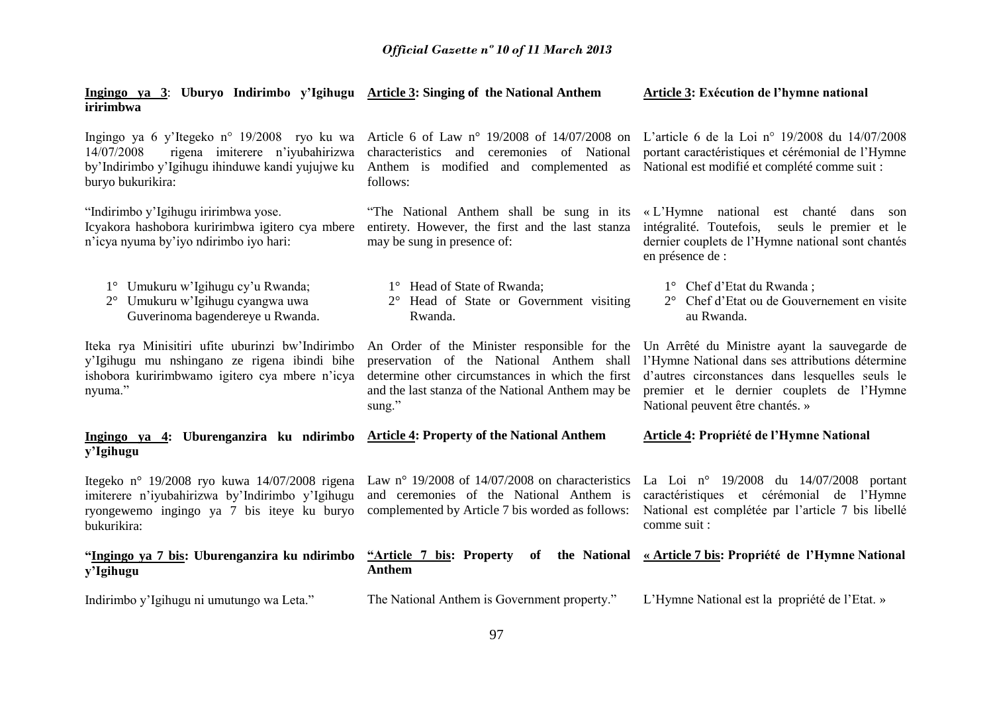**Article 3: Exécution de l'hymne national** 

**Ingingo ya 3**: **Uburyo Indirimbo y'Igihugu Article 3: Singing of the National Anthem** 

| iririmbwa                                                                                                                                                                                                                                                         |                                                                                                                                                                                                              |                                                                                                                                                                                                                                      |
|-------------------------------------------------------------------------------------------------------------------------------------------------------------------------------------------------------------------------------------------------------------------|--------------------------------------------------------------------------------------------------------------------------------------------------------------------------------------------------------------|--------------------------------------------------------------------------------------------------------------------------------------------------------------------------------------------------------------------------------------|
| Ingingo ya 6 y'Itegeko n° 19/2008 ryo ku wa Article 6 of Law n° 19/2008 of 14/07/2008 on L'article 6 de la Loi n° 19/2008 du 14/07/2008<br>14/07/2008<br>rigena imiterere n'iyubahirizwa<br>by'Indirimbo y'Igihugu ihinduwe kandi yujujwe ku<br>buryo bukurikira: | characteristics and ceremonies of National<br>Anthem is modified and complemented as<br>follows:                                                                                                             | portant caractéristiques et cérémonial de l'Hymne<br>National est modifié et complété comme suit :                                                                                                                                   |
| "Indirimbo y'Igihugu iririmbwa yose.<br>Icyakora hashobora kuririmbwa igitero cya mbere<br>n'icya nyuma by'iyo ndirimbo iyo hari:                                                                                                                                 | "The National Anthem shall be sung in its «L'Hymne national<br>entirety. However, the first and the last stanza<br>may be sung in presence of:                                                               | est chanté dans son<br>intégralité. Toutefois,<br>seuls le premier et le<br>dernier couplets de l'Hymne national sont chantés<br>en présence de :                                                                                    |
| 1° Umukuru w'Igihugu cy'u Rwanda;<br>2° Umukuru w'Igihugu cyangwa uwa<br>Guverinoma bagendereye u Rwanda.                                                                                                                                                         | 1° Head of State of Rwanda;<br>2° Head of State or Government visiting<br>Rwanda.                                                                                                                            | 1° Chef d'Etat du Rwanda;<br>2° Chef d'Etat ou de Gouvernement en visite<br>au Rwanda.                                                                                                                                               |
| Iteka rya Minisitiri ufite uburinzi bw'Indirimbo<br>y'Igihugu mu nshingano ze rigena ibindi bihe<br>ishobora kuririmbwamo igitero cya mbere n'icya<br>nyuma."                                                                                                     | An Order of the Minister responsible for the<br>preservation of the National Anthem shall<br>determine other circumstances in which the first<br>and the last stanza of the National Anthem may be<br>sung." | Un Arrêté du Ministre ayant la sauvegarde de<br>l'Hymne National dans ses attributions détermine<br>d'autres circonstances dans lesquelles seuls le<br>premier et le dernier couplets de l'Hymne<br>National peuvent être chantés. » |
| Ingingo ya 4: Uburenganzira ku ndirimbo<br>y'Igihugu                                                                                                                                                                                                              | <b>Article 4: Property of the National Anthem</b>                                                                                                                                                            | Article 4: Propriété de l'Hymne National                                                                                                                                                                                             |
| Itegeko nº 19/2008 ryo kuwa 14/07/2008 rigena<br>imiterere n'iyubahirizwa by'Indirimbo y'Igihugu<br>ryongewemo ingingo ya 7 bis iteye ku buryo<br>bukurikira:                                                                                                     | Law n° 19/2008 of 14/07/2008 on characteristics<br>and ceremonies of the National Anthem is<br>complemented by Article 7 bis worded as follows:                                                              | La Loi nº 19/2008 du 14/07/2008 portant<br>caractéristiques et cérémonial de l'Hymne<br>National est complétée par l'article 7 bis libellé<br>comme suit :                                                                           |
| "Ingingo ya 7 bis: Uburenganzira ku ndirimbo<br>y'Igihugu                                                                                                                                                                                                         | "Article 7 bis: Property<br>of<br><b>Anthem</b>                                                                                                                                                              | the National « Article 7 bis: Propriété de l'Hymne National                                                                                                                                                                          |
| Indirimbo y'Igihugu ni umutungo wa Leta."                                                                                                                                                                                                                         | The National Anthem is Government property."                                                                                                                                                                 | L'Hymne National est la propriété de l'Etat. »                                                                                                                                                                                       |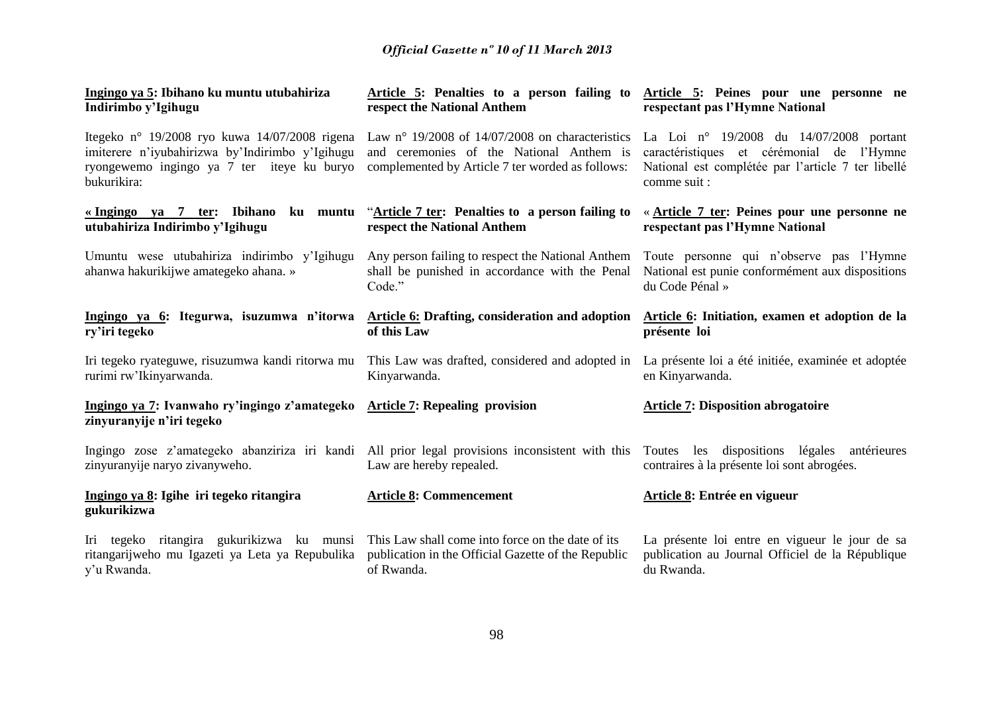| <u>Ingingo ya 5</u> : Ibihano ku muntu utubahiriza<br>Indirimbo y'Igihugu                                                                                     | respect the National Anthem                                                                                                                       | Article 5: Penalties to a person failing to Article 5: Peines pour une personne ne<br>respectant pas l'Hymne National                                      |
|---------------------------------------------------------------------------------------------------------------------------------------------------------------|---------------------------------------------------------------------------------------------------------------------------------------------------|------------------------------------------------------------------------------------------------------------------------------------------------------------|
| Itegeko n° 19/2008 ryo kuwa 14/07/2008 rigena<br>imiterere n'iyubahirizwa by'Indirimbo y'Igihugu<br>ryongewemo ingingo ya 7 ter iteye ku buryo<br>bukurikira: | Law n° 19/2008 of $14/07/2008$ on characteristics<br>and ceremonies of the National Anthem is<br>complemented by Article 7 ter worded as follows: | La Loi nº 19/2008 du 14/07/2008 portant<br>caractéristiques et cérémonial de l'Hymne<br>National est complétée par l'article 7 ter libellé<br>comme suit : |
| <u>«Ingingo ya 7 ter:</u> Ibihano ku muntu<br>utubahiriza Indirimbo y'Igihugu                                                                                 | "Article 7 ter: Penalties to a person failing to<br>respect the National Anthem                                                                   | « Article 7 ter: Peines pour une personne ne<br>respectant pas l'Hymne National                                                                            |
| Umuntu wese utubahiriza indirimbo y'Igihugu<br>ahanwa hakurikijwe amategeko ahana. »                                                                          | Any person failing to respect the National Anthem<br>shall be punished in accordance with the Penal<br>Code."                                     | Toute personne qui n'observe pas l'Hymne<br>National est punie conformément aux dispositions<br>du Code Pénal »                                            |
| Ingingo ya 6: Itegurwa, isuzumwa n'itorwa Article 6: Drafting, consideration and adoption Article 6: Initiation, examen et adoption de la<br>ry'iri tegeko    | of this Law                                                                                                                                       | présente loi                                                                                                                                               |
| Iri tegeko ryateguwe, risuzumwa kandi ritorwa mu<br>rurimi rw'Ikinyarwanda.                                                                                   | This Law was drafted, considered and adopted in<br>Kinyarwanda.                                                                                   | La présente loi a été initiée, examinée et adoptée<br>en Kinyarwanda.                                                                                      |
| Ingingo ya 7: Ivanwaho ry'ingingo z'amategeko<br>zinyuranyije n'iri tegeko                                                                                    | <b>Article 7: Repealing provision</b>                                                                                                             | <b>Article 7: Disposition abrogatoire</b>                                                                                                                  |
| Ingingo zose z'amategeko abanziriza iri kandi<br>zinyuranyije naryo zivanyweho.                                                                               | All prior legal provisions inconsistent with this<br>Law are hereby repealed.                                                                     | Toutes les dispositions légales antérieures<br>contraires à la présente loi sont abrogées.                                                                 |
| Ingingo ya 8: Igihe iri tegeko ritangira<br>gukurikizwa                                                                                                       | <b>Article 8: Commencement</b>                                                                                                                    | Article 8: Entrée en vigueur                                                                                                                               |
| Iri tegeko ritangira gukurikizwa ku munsi<br>ritangarijweho mu Igazeti ya Leta ya Repubulika<br>y'u Rwanda.                                                   | This Law shall come into force on the date of its<br>publication in the Official Gazette of the Republic<br>of Rwanda.                            | La présente loi entre en vigueur le jour de sa<br>publication au Journal Officiel de la République<br>du Rwanda.                                           |